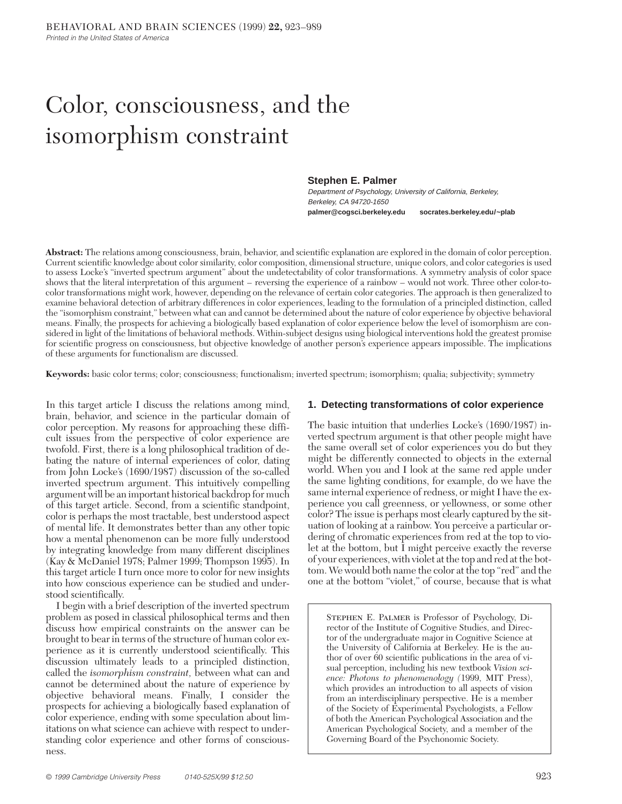# Color, consciousness, and the isomorphism constraint

## **Stephen E. Palmer**

Department of Psychology, University of California, Berkeley, Berkeley, CA 94720-1650 **palmer@cogsci.berkeley.edu socrates.berkeley.edu/~plab**

**Abstract:** The relations among consciousness, brain, behavior, and scientific explanation are explored in the domain of color perception. Current scientific knowledge about color similarity, color composition, dimensional structure, unique colors, and color categories is used to assess Locke's "inverted spectrum argument" about the undetectability of color transformations. A symmetry analysis of color space shows that the literal interpretation of this argument – reversing the experience of a rainbow – would not work. Three other color-tocolor transformations might work, however, depending on the relevance of certain color categories. The approach is then generalized to examine behavioral detection of arbitrary differences in color experiences, leading to the formulation of a principled distinction, called the "isomorphism constraint," between what can and cannot be determined about the nature of color experience by objective behavioral means. Finally, the prospects for achieving a biologically based explanation of color experience below the level of isomorphism are considered in light of the limitations of behavioral methods. Within-subject designs using biological interventions hold the greatest promise for scientific progress on consciousness, but objective knowledge of another person's experience appears impossible. The implications of these arguments for functionalism are discussed.

**Keywords:** basic color terms; color; consciousness; functionalism; inverted spectrum; isomorphism; qualia; subjectivity; symmetry

In this target article I discuss the relations among mind, brain, behavior, and science in the particular domain of color perception. My reasons for approaching these difficult issues from the perspective of color experience are twofold. First, there is a long philosophical tradition of debating the nature of internal experiences of color, dating from John Locke's (1690/1987) discussion of the so-called inverted spectrum argument. This intuitively compelling argument will be an important historical backdrop for much of this target article. Second, from a scientific standpoint, color is perhaps the most tractable, best understood aspect of mental life. It demonstrates better than any other topic how a mental phenomenon can be more fully understood by integrating knowledge from many different disciplines (Kay & McDaniel 1978; Palmer 1999; Thompson 1995). In this target article I turn once more to color for new insights into how conscious experience can be studied and understood scientifically.

I begin with a brief description of the inverted spectrum problem as posed in classical philosophical terms and then discuss how empirical constraints on the answer can be brought to bear in terms of the structure of human color experience as it is currently understood scientifically. This discussion ultimately leads to a principled distinction, called the *isomorphism constraint,* between what can and cannot be determined about the nature of experience by objective behavioral means. Finally, I consider the prospects for achieving a biologically based explanation of color experience, ending with some speculation about limitations on what science can achieve with respect to understanding color experience and other forms of consciousness.

## **1. Detecting transformations of color experience**

The basic intuition that underlies Locke's (1690/1987) inverted spectrum argument is that other people might have the same overall set of color experiences you do but they might be differently connected to objects in the external world. When you and I look at the same red apple under the same lighting conditions, for example, do we have the same internal experience of redness, or might I have the experience you call greenness, or yellowness, or some other color? The issue is perhaps most clearly captured by the situation of looking at a rainbow. You perceive a particular ordering of chromatic experiences from red at the top to violet at the bottom, but I might perceive exactly the reverse of your experiences, with violet at the top and red at the bottom. We would both name the color at the top "red" and the one at the bottom "violet," of course, because that is what

Stephen E. Palmer is Professor of Psychology, Director of the Institute of Cognitive Studies, and Director of the undergraduate major in Cognitive Science at the University of California at Berkeley. He is the author of over 60 scientific publications in the area of visual perception, including his new textbook *Vision science: Photons to phenomenology (*1999, MIT Press), which provides an introduction to all aspects of vision from an interdisciplinary perspective. He is a member of the Society of Experimental Psychologists, a Fellow of both the American Psychological Association and the American Psychological Society, and a member of the Governing Board of the Psychonomic Society.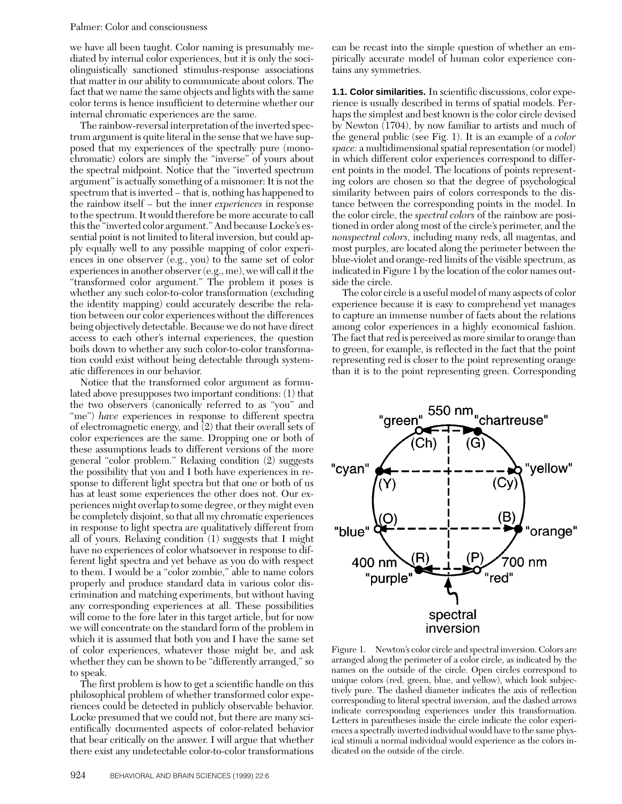## Palmer: Color and consciousness

we have all been taught. Color naming is presumably mediated by internal color experiences, but it is only the sociolinguistically sanctioned stimulus-response associations that matter in our ability to communicate about colors. The fact that we name the same objects and lights with the same color terms is hence insufficient to determine whether our internal chromatic experiences are the same.

The rainbow-reversal interpretation of the inverted spectrum argument is quite literal in the sense that we have supposed that my experiences of the spectrally pure (monochromatic) colors are simply the "inverse" of yours about the spectral midpoint. Notice that the "inverted spectrum argument" is actually something of a misnomer: It is not the spectrum that is inverted – that is, nothing has happened to the rainbow itself – but the inner *experiences* in response to the spectrum. It would therefore be more accurate to call this the "inverted color argument." And because Locke's essential point is not limited to literal inversion, but could apply equally well to any possible mapping of color experiences in one observer (e.g., you) to the same set of color experiences in another observer (e.g., me), we will call it the "transformed color argument." The problem it poses is whether any such color-to-color transformation (excluding the identity mapping) could accurately describe the relation between our color experiences without the differences being objectively detectable. Because we do not have direct access to each other's internal experiences, the question boils down to whether any such color-to-color transformation could exist without being detectable through systematic differences in our behavior.

Notice that the transformed color argument as formulated above presupposes two important conditions: (1) that the two observers (canonically referred to as "you" and "me") have experiences in response to different spectra of electromagnetic energy, and  $(2)$  that their overall sets of color experiences are the same. Dropping one or both of these assumptions leads to different versions of the more general "color problem." Relaxing condition (2) suggests the possibility that you and I both have experiences in response to different light spectra but that one or both of us has at least some experiences the other does not. Our experiences might overlap to some degree, or they might even be completely disjoint, so that all my chromatic experiences in response to light spectra are qualitatively different from all of yours. Relaxing condition (1) suggests that I might have no experiences of color whatsoever in response to different light spectra and yet behave as you do with respect to them. I would be a "color zombie," able to name colors properly and produce standard data in various color discrimination and matching experiments, but without having any corresponding experiences at all. These possibilities will come to the fore later in this target article, but for now we will concentrate on the standard form of the problem in which it is assumed that both you and I have the same set of color experiences, whatever those might be, and ask whether they can be shown to be "differently arranged," so to speak.

The first problem is how to get a scientific handle on this philosophical problem of whether transformed color experiences could be detected in publicly observable behavior. Locke presumed that we could not, but there are many scientifically documented aspects of color-related behavior that bear critically on the answer. I will argue that whether there exist any undetectable color-to-color transformations

924 BEHAVIORAL AND BRAIN SCIENCES (1999) 22:6

can be recast into the simple question of whether an empirically accurate model of human color experience contains any symmetries.

**1.1. Color similarities.** In scientific discussions, color experience is usually described in terms of spatial models. Perhaps the simplest and best known is the color circle devised by Newton (1704), by now familiar to artists and much of the general public (see Fig. 1). It is an example of a *color space:* a multidimensional spatial representation (or model) in which different color experiences correspond to different points in the model. The locations of points representing colors are chosen so that the degree of psychological similarity between pairs of colors corresponds to the distance between the corresponding points in the model. In the color circle, the *spectral colors* of the rainbow are positioned in order along most of the circle's perimeter, and the *nonspectral colors,* including many reds, all magentas, and most purples, are located along the perimeter between the blue-violet and orange-red limits of the visible spectrum, as indicated in Figure  $\bar{1}$  by the location of the color names outside the circle.

The color circle is a useful model of many aspects of color experience because it is easy to comprehend yet manages to capture an immense number of facts about the relations among color experiences in a highly economical fashion. The fact that red is perceived as more similar to orange than to green, for example, is reflected in the fact that the point representing red is closer to the point representing orange than it is to the point representing green. Corresponding



Figure 1. Newton's color circle and spectral inversion. Colors are arranged along the perimeter of a color circle, as indicated by the names on the outside of the circle. Open circles correspond to unique colors (red, green, blue, and yellow), which look subjectively pure. The dashed diameter indicates the axis of reflection corresponding to literal spectral inversion, and the dashed arrows indicate corresponding experiences under this transformation. Letters in parentheses inside the circle indicate the color experiences a spectrally inverted individual would have to the same physical stimuli a normal individual would experience as the colors indicated on the outside of the circle.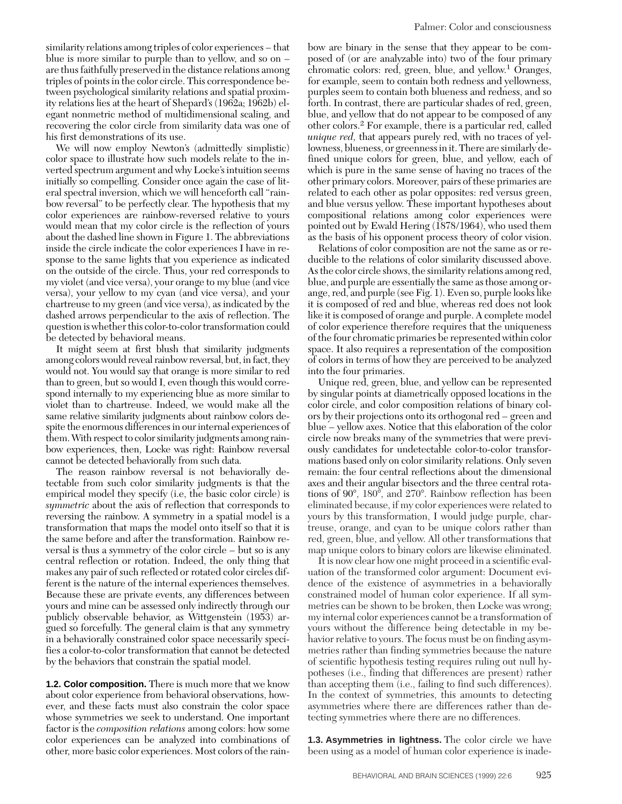similarity relations among triples of color experiences – that blue is more similar to purple than to yellow, and so on – are thus faithfully preserved in the distance relations among triples of points in the color circle. This correspondence between psychological similarity relations and spatial proximity relations lies at the heart of Shepard's (1962a; 1962b) elegant nonmetric method of multidimensional scaling, and recovering the color circle from similarity data was one of his first demonstrations of its use.

We will now employ Newton's (admittedly simplistic) color space to illustrate how such models relate to the inverted spectrum argument and why Locke's intuition seems initially so compelling. Consider once again the case of literal spectral inversion, which we will henceforth call "rainbow reversal" to be perfectly clear. The hypothesis that my color experiences are rainbow-reversed relative to yours would mean that my color circle is the reflection of yours about the dashed line shown in Figure 1. The abbreviations inside the circle indicate the color experiences I have in response to the same lights that you experience as indicated on the outside of the circle. Thus, your red corresponds to my violet (and vice versa), your orange to my blue (and vice versa), your yellow to my cyan (and vice versa), and your chartreuse to my green (and vice versa), as indicated by the dashed arrows perpendicular to the axis of reflection. The question is whether this color-to-color transformation could be detected by behavioral means.

It might seem at first blush that similarity judgments among colors would reveal rainbow reversal, but, in fact, they would not. You would say that orange is more similar to red than to green, but so would I, even though this would correspond internally to my experiencing blue as more similar to violet than to chartreuse. Indeed, we would make all the same relative similarity judgments about rainbow colors despite the enormous differences in our internal experiences of them. With respect to color similarity judgments among rainbow experiences, then, Locke was right: Rainbow reversal cannot be detected behaviorally from such data.

The reason rainbow reversal is not behaviorally detectable from such color similarity judgments is that the empirical model they specify (i.e, the basic color circle) is *symmetric* about the axis of reflection that corresponds to reversing the rainbow. A symmetry in a spatial model is a transformation that maps the model onto itself so that it is the same before and after the transformation. Rainbow reversal is thus a symmetry of the color circle – but so is any central reflection or rotation. Indeed, the only thing that makes any pair of such reflected or rotated color circles different is the nature of the internal experiences themselves. Because these are private events, any differences between yours and mine can be assessed only indirectly through our publicly observable behavior, as Wittgenstein (1953) argued so forcefully. The general claim is that any symmetry in a behaviorally constrained color space necessarily specifies a color-to-color transformation that cannot be detected by the behaviors that constrain the spatial model.

**1.2. Color composition.** There is much more that we know about color experience from behavioral observations, however, and these facts must also constrain the color space whose symmetries we seek to understand. One important factor is the *composition relations* among colors: how some color experiences can be analyzed into combinations of other, more basic color experiences. Most colors of the rain-

bow are binary in the sense that they appear to be composed of (or are analyzable into) two of the four primary chromatic colors: red, green, blue, and yellow.<sup>1</sup> Oranges, for example, seem to contain both redness and yellowness, purples seem to contain both blueness and redness, and so forth. In contrast, there are particular shades of red, green, blue, and yellow that do not appear to be composed of any other colors.<sup>2</sup> For example, there is a particular red, called *unique red,* that appears purely red, with no traces of yellowness, blueness, or greenness in it. There are similarly defined unique colors for green, blue, and yellow, each of which is pure in the same sense of having no traces of the other primary colors. Moreover, pairs of these primaries are related to each other as polar opposites: red versus green, and blue versus yellow. These important hypotheses about compositional relations among color experiences were pointed out by Ewald Hering (1878/1964), who used them as the basis of his opponent process theory of color vision.

Relations of color composition are not the same as or reducible to the relations of color similarity discussed above. As the color circle shows, the similarity relations among red, blue, and purple are essentially the same as those among orange, red, and purple (see Fig. 1). Even so, purple looks like it is composed of red and blue, whereas red does not look like it is composed of orange and purple. A complete model of color experience therefore requires that the uniqueness of the four chromatic primaries be represented within color space. It also requires a representation of the composition of colors in terms of how they are perceived to be analyzed into the four primaries.

Unique red, green, blue, and yellow can be represented by singular points at diametrically opposed locations in the color circle, and color composition relations of binary colors by their projections onto its orthogonal red – green and blue – yellow axes. Notice that this elaboration of the color circle now breaks many of the symmetries that were previously candidates for undetectable color-to-color transformations based only on color similarity relations. Only seven remain: the four central reflections about the dimensional axes and their angular bisectors and the three central rotations of  $90^{\circ}$ ,  $180^{\circ}$ , and  $270^{\circ}$ . Rainbow reflection has been eliminated because, if my color experiences were related to yours by this transformation, I would judge purple, chartreuse, orange, and cyan to be unique colors rather than red, green, blue, and yellow. All other transformations that map unique colors to binary colors are likewise eliminated.

It is now clear how one might proceed in a scientific evaluation of the transformed color argument: Document evidence of the existence of asymmetries in a behaviorally constrained model of human color experience. If all symmetries can be shown to be broken, then Locke was wrong; my internal color experiences cannot be a transformation of yours without the difference being detectable in my behavior relative to yours. The focus must be on finding asymmetries rather than finding symmetries because the nature of scientific hypothesis testing requires ruling out null hypotheses (i.e., finding that differences are present) rather than accepting them (i.e., failing to find such differences). In the context of symmetries, this amounts to detecting asymmetries where there are differences rather than detecting symmetries where there are no differences.

**1.3. Asymmetries in lightness.** The color circle we have been using as a model of human color experience is inade-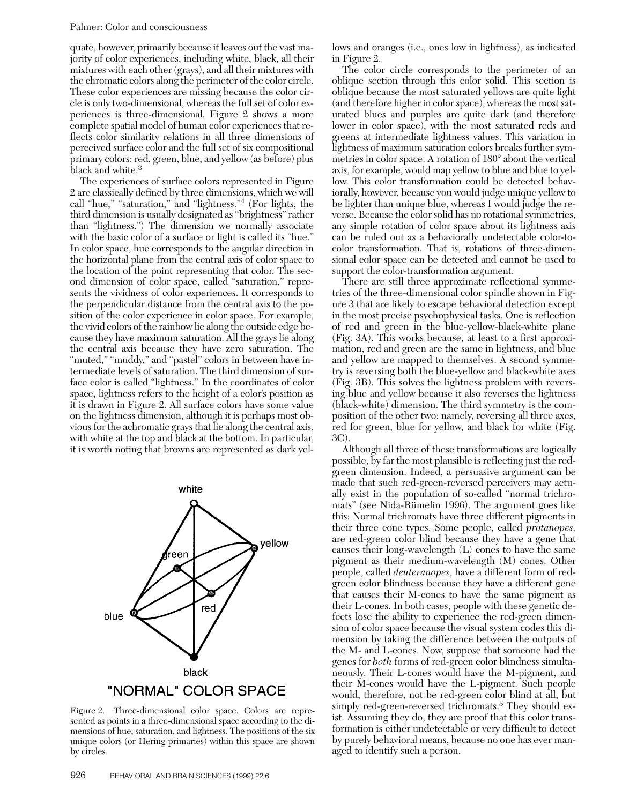## Palmer: Color and consciousness

quate, however, primarily because it leaves out the vast majority of color experiences, including white, black, all their mixtures with each other (grays), and all their mixtures with the chromatic colors along the perimeter of the color circle. These color experiences are missing because the color circle is only two-dimensional, whereas the full set of color experiences is three-dimensional. Figure 2 shows a more complete spatial model of human color experiences that reflects color similarity relations in all three dimensions of perceived surface color and the full set of six compositional primary colors: red, green, blue, and yellow (as before) plus black and white.<sup>3</sup>

The experiences of surface colors represented in Figure 2 are classically defined by three dimensions, which we will call "hue," "saturation," and "lightness."4 (For lights, the third dimension is usually designated as "brightness" rather than "lightness.") The dimension we normally associate with the basic color of a surface or light is called its "hue." In color space, hue corresponds to the angular direction in the horizontal plane from the central axis of color space to the location of the point representing that color. The second dimension of color space, called "saturation," represents the vividness of color experiences. It corresponds to the perpendicular distance from the central axis to the position of the color experience in color space. For example, the vivid colors of the rainbow lie along the outside edge because they have maximum saturation. All the grays lie along the central axis because they have zero saturation. The "muted," "muddy," and "pastel" colors in between have intermediate levels of saturation. The third dimension of surface color is called "lightness." In the coordinates of color space, lightness refers to the height of a color's position as it is drawn in Figure 2. All surface colors have some value on the lightness dimension, although it is perhaps most obvious for the achromatic grays that lie along the central axis, with white at the top and black at the bottom. In particular, it is worth noting that browns are represented as dark yel-



Figure 2. Three-dimensional color space. Colors are represented as points in a three-dimensional space according to the dimensions of hue, saturation, and lightness. The positions of the six unique colors (or Hering primaries) within this space are shown by circles.

lows and oranges (i.e., ones low in lightness), as indicated in Figure 2.

The color circle corresponds to the perimeter of an oblique section through this color solid. This section is oblique because the most saturated yellows are quite light (and therefore higher in color space), whereas the most saturated blues and purples are quite dark (and therefore lower in color space), with the most saturated reds and greens at intermediate lightness values. This variation in lightness of maximum saturation colors breaks further symmetries in color space. A rotation of 180° about the vertical axis, for example, would map yellow to blue and blue to yellow. This color transformation could be detected behaviorally, however, because you would judge unique yellow to be lighter than unique blue, whereas I would judge the reverse. Because the color solid has no rotational symmetries, any simple rotation of color space about its lightness axis can be ruled out as a behaviorally undetectable color-tocolor transformation. That is, rotations of three-dimensional color space can be detected and cannot be used to support the color-transformation argument.

There are still three approximate reflectional symmetries of the three-dimensional color spindle shown in Figure 3 that are likely to escape behavioral detection except in the most precise psychophysical tasks. One is reflection of red and green in the blue-yellow-black-white plane (Fig. 3A). This works because, at least to a first approximation, red and green are the same in lightness, and blue and yellow are mapped to themselves. A second symmetry is reversing both the blue-yellow and black-white axes (Fig. 3B). This solves the lightness problem with reversing blue and yellow because it also reverses the lightness (black-white) dimension. The third symmetry is the composition of the other two: namely, reversing all three axes, red for green, blue for yellow, and black for white (Fig. 3C).

Although all three of these transformations are logically possible, by far the most plausible is reflecting just the redgreen dimension. Indeed, a persuasive argument can be made that such red-green-reversed perceivers may actually exist in the population of so-called "normal trichromats" (see Nida-Rümelin 1996). The argument goes like this: Normal trichromats have three different pigments in their three cone types. Some people, called *protanopes,* are red-green color blind because they have a gene that causes their long-wavelength (L) cones to have the same pigment as their medium-wavelength (M) cones. Other people, called *deuteranopes,* have a different form of redgreen color blindness because they have a different gene that causes their M-cones to have the same pigment as their L-cones. In both cases, people with these genetic defects lose the ability to experience the red-green dimension of color space because the visual system codes this dimension by taking the difference between the outputs of the M- and L-cones. Now, suppose that someone had the genes for *both* forms of red-green color blindness simultaneously. Their L-cones would have the M-pigment, and their M-cones would have the L-pigment. Such people would, therefore, not be red-green color blind at all, but simply red-green-reversed trichromats.<sup>5</sup> They should exist. Assuming they do, they are proof that this color transformation is either undetectable or very difficult to detect by purely behavioral means, because no one has ever managed to identify such a person.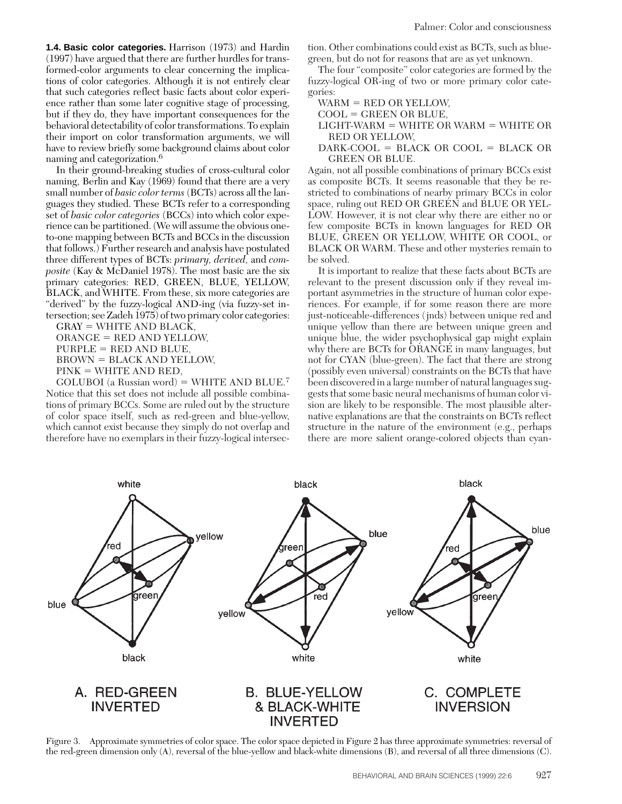**1.4. Basic color categories.** Harrison (1973) and Hardin (1997) have argued that there are further hurdles for transformed-color arguments to clear concerning the implications of color categories. Although it is not entirely clear that such categories reflect basic facts about color experience rather than some later cognitive stage of processing, but if they do, they have important consequences for the behavioral detectability of color transformations. To explain their import on color transformation arguments, we will have to review briefly some background claims about color naming and categorization.6

In their ground-breaking studies of cross-cultural color naming, Berlin and Kay (1969) found that there are a very small number of *basic color terms* (BCTs) across all the languages they studied. These BCTs refer to a corresponding set of *basic color categories* (BCCs) into which color experience can be partitioned. (We will assume the obvious oneto-one mapping between BCTs and BCCs in the discussion that follows.) Further research and analysis have postulated three different types of BCTs: *primary, derived,* and *composite* (Kay & McDaniel 1978). The most basic are the six primary categories: RED, GREEN, BLUE, YELLOW, BLACK, and WHITE. From these, six more categories are "derived" by the fuzzy-logical AND-ing (via fuzzy-set intersection; see Zadeh 1975) of two primary color categories:

 $GRAY = WHITE AND BLACK,$  $ORANGE = RED AND YELLOW$ ,  $PURPLE = RED AND BLUE$ ,  $BROWN = BLACK AND YELLOW,$  $PINK = WHICHND RED$ ,

 $GOLUBOI$  (a Russian word) = WHITE AND BLUE.<sup>7</sup> Notice that this set does not include all possible combinations of primary BCCs. Some are ruled out by the structure of color space itself, such as red-green and blue-yellow, which cannot exist because they simply do not overlap and therefore have no exemplars in their fuzzy-logical intersec-

tion. Other combinations could exist as BCTs, such as bluegreen, but do not for reasons that are as yet unknown.

The four "composite" color categories are formed by the fuzzy-logical OR-ing of two or more primary color categories:

- $WARM = RED OR YELLOW$
- $COOL = GREEN OR BLUE,$
- $LIGHT-WARM = WHITE OR WARM = WHITE OR$ RED OR YELLOW,
- $DARK-COOL = BLACK OR COOL = BLACK OR$ GREEN OR BLUE.

Again, not all possible combinations of primary BCCs exist as composite BCTs. It seems reasonable that they be restricted to combinations of nearby primary BCCs in color space, ruling out RED OR GREEN and BLUE OR YEL-LOW. However, it is not clear why there are either no or few composite BCTs in known languages for RED OR BLUE, GREEN OR YELLOW, WHITE OR COOL, or BLACK OR WARM. These and other mysteries remain to be solved.

It is important to realize that these facts about BCTs are relevant to the present discussion only if they reveal important asymmetries in the structure of human color experiences. For example, if for some reason there are more just-noticeable-differences (jnds) between unique red and unique yellow than there are between unique green and unique blue, the wider psychophysical gap might explain why there are BCTs for ORANGE in many languages, but not for CYAN (blue-green). The fact that there are strong (possibly even universal) constraints on the BCTs that have been discovered in a large number of natural languages suggests that some basic neural mechanisms of human color vision are likely to be responsible. The most plausible alternative explanations are that the constraints on BCTs reflect structure in the nature of the environment (e.g., perhaps there are more salient orange-colored objects than cyan-



Figure 3. Approximate symmetries of color space. The color space depicted in Figure 2 has three approximate symmetries: reversal of the red-green dimension only (A), reversal of the blue-yellow and black-white dimensions (B), and reversal of all three dimensions (C).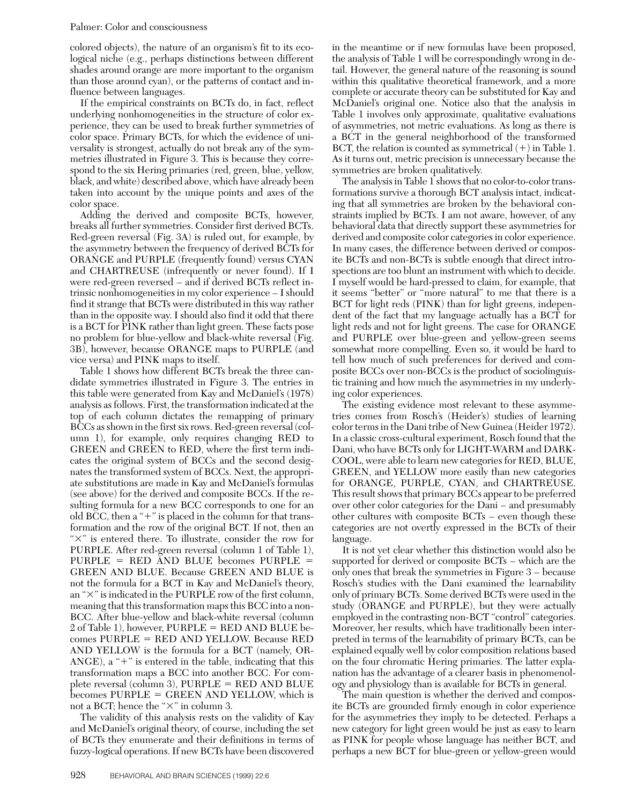colored objects), the nature of an organism's fit to its ecological niche (e.g., perhaps distinctions between different shades around orange are more important to the organism than those around cyan), or the patterns of contact and influence between languages.

If the empirical constraints on BCTs do, in fact, reflect underlying nonhomogeneities in the structure of color experience, they can be used to break further symmetries of color space. Primary BCTs, for which the evidence of universality is strongest, actually do not break any of the symmetries illustrated in Figure 3. This is because they correspond to the six Hering primaries (red, green, blue, yellow, black, and white) described above, which have already been taken into account by the unique points and axes of the color space.

Adding the derived and composite BCTs, however, breaks all further symmetries. Consider first derived BCTs. Red-green reversal (Fig. 3A) is ruled out, for example, by the asymmetry between the frequency of derived BCTs for ORANGE and PURPLE (frequently found) versus CYAN and CHARTREUSE (infrequently or never found). If I were red-green reversed – and if derived BCTs reflect intrinsic nonhomogeneities in my color experience – I should find it strange that BCTs were distributed in this way rather than in the opposite way. I should also find it odd that there is a BCT for PINK rather than light green. These facts pose no problem for blue-yellow and black-white reversal (Fig. 3B), however, because ORANGE maps to PURPLE (and vice versa) and PINK maps to itself.

Table 1 shows how different BCTs break the three candidate symmetries illustrated in Figure 3. The entries in this table were generated from Kay and McDaniel's (1978) analysis as follows. First, the transformation indicated at the top of each column dictates the remapping of primary BCCs as shown in the first six rows. Red-green reversal (column 1), for example, only requires changing RED to GREEN and GREEN to RED, where the first term indicates the original system of BCCs and the second designates the transformed system of BCCs. Next, the appropriate substitutions are made in Kay and McDaniel's formulas (see above) for the derived and composite BCCs. If the resulting formula for a new BCC corresponds to one for an old BCC, then  $a^2$  is placed in the column for that transformation and the row of the original BCT. If not, then an " $\times$ " is entered there. To illustrate, consider the row for PURPLE. After red-green reversal (column 1 of Table 1),  $PURPLE = RED AND BLUE becomes PURPLE =$ GREEN AND BLUE. Because GREEN AND BLUE is not the formula for a BCT in Kay and McDaniel's theory, an " $\times$ " is indicated in the PURPLE row of the first column, meaning that this transformation maps this BCC into a non-BCC. After blue-yellow and black-white reversal (column  $2$  of Table 1), however, PURPLE = RED AND BLUE be $comes$  PURPLE = RED AND YELLOW. Because RED AND YELLOW is the formula for a BCT (namely, OR-ANGE),  $a^*+$ " is entered in the table, indicating that this transformation maps a BCC into another BCC. For complete reversal (column 3),  $\text{PURPLE} = \text{RED AND BLUE}$  $\bar{b}$ ecomes PURPLE = GREEN AND YELLOW, which is not a BCT; hence the " $\times$ " in column 3.

The validity of this analysis rests on the validity of Kay and McDaniel's original theory, of course, including the set of BCTs they enumerate and their definitions in terms of fuzzy-logical operations. If new BCTs have been discovered in the meantime or if new formulas have been proposed, the analysis of Table 1 will be correspondingly wrong in detail. However, the general nature of the reasoning is sound within this qualitative theoretical framework, and a more complete or accurate theory can be substituted for Kay and McDaniel's original one. Notice also that the analysis in Table 1 involves only approximate, qualitative evaluations of asymmetries, not metric evaluations. As long as there is a BCT in the general neighborhood of the transformed BCT, the relation is counted as symmetrical  $(+)$  in Table 1. As it turns out, metric precision is unnecessary because the symmetries are broken qualitatively.

The analysis in Table 1 shows that no color-to-color transformations survive a thorough BCT analysis intact, indicating that all symmetries are broken by the behavioral constraints implied by BCTs. I am not aware, however, of any behavioral data that directly support these asymmetries for derived and composite color categories in color experience. In many cases, the difference between derived or composite BCTs and non-BCTs is subtle enough that direct introspections are too blunt an instrument with which to decide. I myself would be hard-pressed to claim, for example, that it seems "better" or "more natural" to me that there is a BCT for light reds (PINK) than for light greens, independent of the fact that my language actually has a BCT for light reds and not for light greens. The case for ORANGE and PURPLE over blue-green and yellow-green seems somewhat more compelling. Even so, it would be hard to tell how much of such preferences for derived and composite BCCs over non-BCCs is the product of sociolinguistic training and how much the asymmetries in my underlying color experiences.

The existing evidence most relevant to these asymmetries comes from Rosch's (Heider's) studies of learning color terms in the Dani tribe of New Guinea (Heider 1972). In a classic cross-cultural experiment, Rosch found that the Dani, who have BCTs only for LIGHT-WARM and DARK-COOL, were able to learn new categories for RED, BLUE, GREEN, and YELLOW more easily than new categories for ORANGE, PURPLE, CYAN, and CHARTREUSE. This result shows that primary BCCs appear to be preferred over other color categories for the Dani – and presumably other cultures with composite BCTs – even though these categories are not overtly expressed in the BCTs of their language.

It is not yet clear whether this distinction would also be supported for derived or composite BCTs – which are the only ones that break the symmetries in Figure 3 – because Rosch's studies with the Dani examined the learnability only of primary BCTs. Some derived BCTs were used in the study (ORANGE and PURPLE), but they were actually employed in the contrasting non-BCT "control" categories. Moreover, her results, which have traditionally been interpreted in terms of the learnability of primary BCTs, can be explained equally well by color composition relations based on the four chromatic Hering primaries. The latter explanation has the advantage of a clearer basis in phenomenology and physiology than is available for BCTs in general.

The main question is whether the derived and composite BCTs are grounded firmly enough in color experience for the asymmetries they imply to be detected. Perhaps a new category for light green would be just as easy to learn as PINK for people whose language has neither BCT, and perhaps a new BCT for blue-green or yellow-green would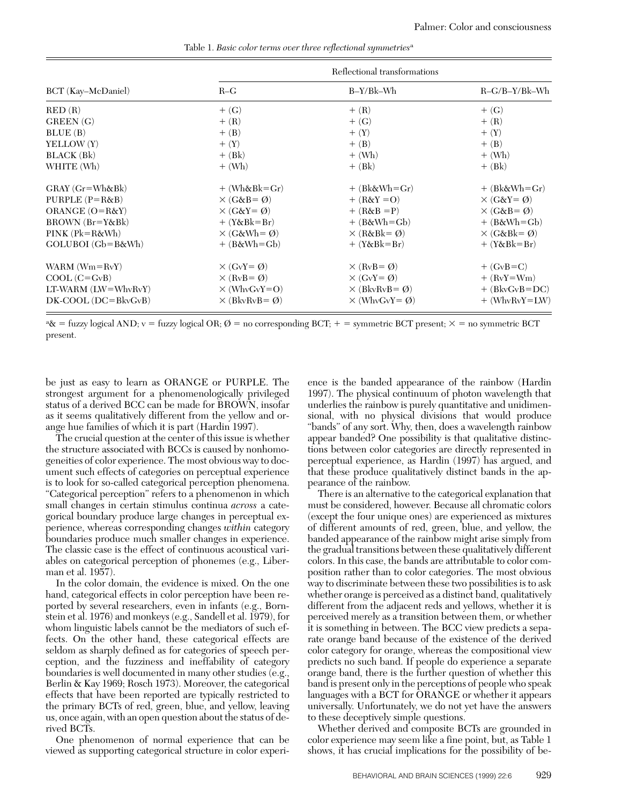|                           | Reflectional transformations |                      |                    |  |  |  |  |
|---------------------------|------------------------------|----------------------|--------------------|--|--|--|--|
| BCT (Kay–McDaniel)        | $R-G$                        | $B-Y/Bk-Wh$          | $R-G/B-Y/Bk-Wh$    |  |  |  |  |
| RED(R)                    | $+$ (G)                      | $+$ (R)              | $+$ (G)            |  |  |  |  |
| GREEN(G)                  | $+$ (R)                      | $+$ (G)              | $+$ (R)            |  |  |  |  |
| BLUE(B)                   | $+$ (B)                      | $+ (Y)$              | $+ (Y)$            |  |  |  |  |
| YELLOW (Y)                | $+ (Y)$                      | $+$ (B)              | $+$ (B)            |  |  |  |  |
| <b>BLACK</b> (Bk)         | $+$ (Bk)                     | $+$ (Wh)             | $+$ (Wh)           |  |  |  |  |
| WHITE (Wh)                | $+$ (Wh)                     | $+$ (Bk)             | $+$ (Bk)           |  |  |  |  |
| $GRAY(Gr=Wh\&Bk)$         | $+$ (Wh&Bk=Gr)               | $+$ (Bk&Wh=Gr)       | $+$ (Bk&Wh=Gr)     |  |  |  |  |
| PURPLE $(P=R\&B)$         | $\times$ (G&B= Ø)            | $+$ (R&Y = O)        | $\times$ (G&Y= Ø)  |  |  |  |  |
| ORANGE $(O=R\&Y)$         | $\times$ (G&Y= Ø)            | $+$ (R&B = P)        | $\times$ (G&B= Ø)  |  |  |  |  |
| BROWN (Br=Y&Bk)           | $+$ (Y&Bk=Br)                | $+$ (B&Wh=Gb)        | $+$ (B&Wh=Gb)      |  |  |  |  |
| $PINK$ ( $Pk = R&Wh$ )    | $\times$ (G&Wh = Ø)          | $\times$ (R&Bk= Ø)   | $\times$ (G&Bk= Ø) |  |  |  |  |
| GOLUBOI (Gb=B&Wh)         | $+$ (B&Wh=Gb)                | $+$ (Y&Bk=Br)        | $+$ (Y&Bk=Br)      |  |  |  |  |
| WARM $(Wm=RvY)$           | $\times$ (GvY = Ø)           | $\times$ (RvB= Ø)    | $+$ (GvB=C)        |  |  |  |  |
| $COOL$ ( $C = GvB$ )      | $\times$ (RvB= Ø)            | $\times$ (GvY = Ø)   | $+$ (RvY=Wm)       |  |  |  |  |
| LT-WARM (LW=WhvRvY)       | $\times$ (WhvGvY=O)          | $\times$ (BkvRvB= Ø) | $+$ (BkvGvB=DC)    |  |  |  |  |
| $DK-COOL$ ( $DC=BkvGvB$ ) | $\times$ (BkvRvB= Ø)         | $\times$ (WhvGvY= Ø) | $+$ (WhvRvY=LW)    |  |  |  |  |

Table 1. *Basic color terms over three reflectional symmetries*<sup>a</sup>

 $a\& = \text{fuzzy logical AND}; v = \text{fuzzy logical OR}; \emptyset = \text{no corresponding BCT}; + = \text{symmetric BCT present}; \times = \text{no symmetric BCT}$ present.

be just as easy to learn as ORANGE or PURPLE. The strongest argument for a phenomenologically privileged status of a derived BCC can be made for BROWN, insofar as it seems qualitatively different from the yellow and orange hue families of which it is part (Hardin 1997).

The crucial question at the center of this issue is whether the structure associated with BCCs is caused by nonhomogeneities of color experience. The most obvious way to document such effects of categories on perceptual experience is to look for so-called categorical perception phenomena. "Categorical perception" refers to a phenomenon in which small changes in certain stimulus continua *across* a categorical boundary produce large changes in perceptual experience, whereas corresponding changes *within* category boundaries produce much smaller changes in experience. The classic case is the effect of continuous acoustical variables on categorical perception of phonemes (e.g., Liberman et al. 1957).

In the color domain, the evidence is mixed. On the one hand, categorical effects in color perception have been reported by several researchers, even in infants (e.g., Bornstein et al. 1976) and monkeys (e.g., Sandell et al. 1979), for whom linguistic labels cannot be the mediators of such effects. On the other hand, these categorical effects are seldom as sharply defined as for categories of speech perception, and the fuzziness and ineffability of category boundaries is well documented in many other studies (e.g., Berlin & Kay 1969; Rosch 1973). Moreover, the categorical effects that have been reported are typically restricted to the primary BCTs of red, green, blue, and yellow, leaving us, once again, with an open question about the status of derived BCTs.

One phenomenon of normal experience that can be viewed as supporting categorical structure in color experience is the banded appearance of the rainbow (Hardin 1997). The physical continuum of photon wavelength that underlies the rainbow is purely quantitative and unidimensional, with no physical divisions that would produce "bands" of any sort. Why, then, does a wavelength rainbow appear banded? One possibility is that qualitative distinctions between color categories are directly represented in perceptual experience, as Hardin (1997) has argued, and that these produce qualitatively distinct bands in the appearance of the rainbow.

There is an alternative to the categorical explanation that must be considered, however. Because all chromatic colors (except the four unique ones) are experienced as mixtures of different amounts of red, green, blue, and yellow, the banded appearance of the rainbow might arise simply from the gradual transitions between these qualitatively different colors. In this case, the bands are attributable to color composition rather than to color categories. The most obvious way to discriminate between these two possibilities is to ask whether orange is perceived as a distinct band, qualitatively different from the adjacent reds and yellows, whether it is perceived merely as a transition between them, or whether it is something in between. The BCC view predicts a separate orange band because of the existence of the derived color category for orange, whereas the compositional view predicts no such band. If people do experience a separate orange band, there is the further question of whether this band is present only in the perceptions of people who speak languages with a BCT for ORANGE or whether it appears universally. Unfortunately, we do not yet have the answers to these deceptively simple questions.

Whether derived and composite BCTs are grounded in color experience may seem like a fine point, but, as Table 1 shows, it has crucial implications for the possibility of be-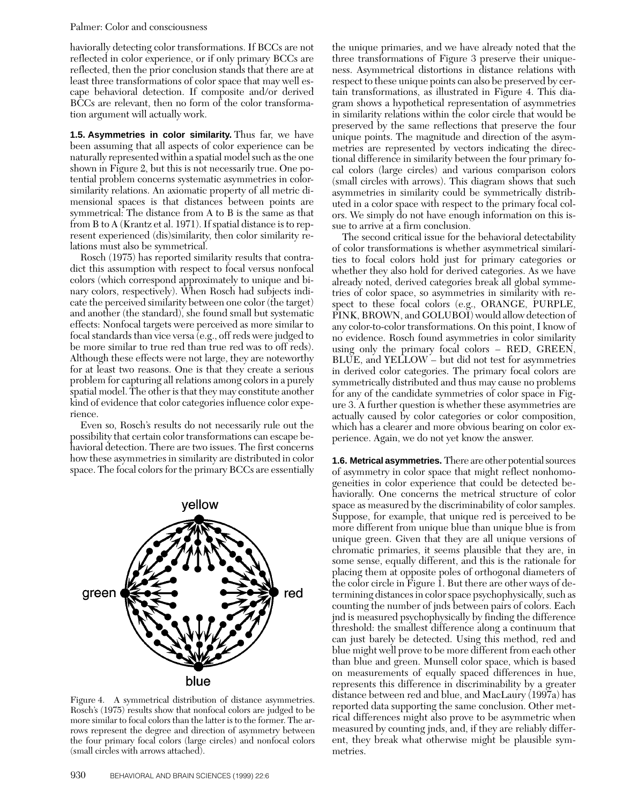## Palmer: Color and consciousness

haviorally detecting color transformations. If BCCs are not reflected in color experience, or if only primary BCCs are reflected, then the prior conclusion stands that there are at least three transformations of color space that may well escape behavioral detection. If composite and/or derived BCCs are relevant, then no form of the color transformation argument will actually work.

**1.5. Asymmetries in color similarity.** Thus far, we have been assuming that all aspects of color experience can be naturally represented within a spatial model such as the one shown in Figure 2, but this is not necessarily true. One potential problem concerns systematic asymmetries in colorsimilarity relations. An axiomatic property of all metric dimensional spaces is that distances between points are symmetrical: The distance from A to B is the same as that from B to A (Krantz et al. 1971). If spatial distance is to represent experienced (dis)similarity, then color similarity relations must also be symmetrical.

Rosch (1975) has reported similarity results that contradict this assumption with respect to focal versus nonfocal colors (which correspond approximately to unique and binary colors, respectively). When Rosch had subjects indicate the perceived similarity between one color (the target) and another (the standard), she found small but systematic effects: Nonfocal targets were perceived as more similar to focal standards than vice versa  $\bar{e}$ , off reds were judged to be more similar to true red than true red was to off reds). Although these effects were not large, they are noteworthy for at least two reasons. One is that they create a serious problem for capturing all relations among colors in a purely spatial model. The other is that they may constitute another kind of evidence that color categories influence color experience.

Even so, Rosch's results do not necessarily rule out the possibility that certain color transformations can escape behavioral detection. There are two issues. The first concerns how these asymmetries in similarity are distributed in color space. The focal colors for the primary BCCs are essentially



Figure 4. A symmetrical distribution of distance asymmetries. Rosch's (1975) results show that nonfocal colors are judged to be more similar to focal colors than the latter is to the former. The arrows represent the degree and direction of asymmetry between the four primary focal colors (large circles) and nonfocal colors (small circles with arrows attached).

the unique primaries, and we have already noted that the three transformations of Figure 3 preserve their uniqueness. Asymmetrical distortions in distance relations with respect to these unique points can also be preserved by certain transformations, as illustrated in Figure 4. This diagram shows a hypothetical representation of asymmetries in similarity relations within the color circle that would be preserved by the same reflections that preserve the four unique points. The magnitude and direction of the asymmetries are represented by vectors indicating the directional difference in similarity between the four primary focal colors (large circles) and various comparison colors (small circles with arrows). This diagram shows that such asymmetries in similarity could be symmetrically distributed in a color space with respect to the primary focal colors. We simply do not have enough information on this issue to arrive at a firm conclusion.

The second critical issue for the behavioral detectability of color transformations is whether asymmetrical similarities to focal colors hold just for primary categories or whether they also hold for derived categories. As we have already noted, derived categories break all global symmetries of color space, so asymmetries in similarity with respect to these focal colors (e.g., ORANGE, PURPLE, PINK, BROWN, and GOLUBOI) would allow detection of any color-to-color transformations. On this point, I know of no evidence. Rosch found asymmetries in color similarity using only the primary focal colors – RED, GREEN, BLUE, and YELLOW – but did not test for asymmetries in derived color categories. The primary focal colors are symmetrically distributed and thus may cause no problems for any of the candidate symmetries of color space in Figure 3. A further question is whether these asymmetries are actually caused by color categories or color composition, which has a clearer and more obvious bearing on color experience. Again, we do not yet know the answer.

**1.6. Metrical asymmetries.** There are other potential sources of asymmetry in color space that might reflect nonhomogeneities in color experience that could be detected behaviorally. One concerns the metrical structure of color space as measured by the discriminability of color samples. Suppose, for example, that unique red is perceived to be more different from unique blue than unique blue is from unique green. Given that they are all unique versions of chromatic primaries, it seems plausible that they are, in some sense, equally different, and this is the rationale for placing them at opposite poles of orthogonal diameters of the color circle in Figure 1. But there are other ways of determining distances in color space psychophysically, such as counting the number of jnds between pairs of colors. Each jnd is measured psychophysically by finding the difference threshold: the smallest difference along a continuum that can just barely be detected. Using this method, red and blue might well prove to be more different from each other than blue and green. Munsell color space, which is based on measurements of equally spaced differences in hue, represents this difference in discriminability by a greater distance between red and blue, and MacLaury (1997a) has reported data supporting the same conclusion. Other metrical differences might also prove to be asymmetric when measured by counting jnds, and, if they are reliably different, they break what otherwise might be plausible symmetries.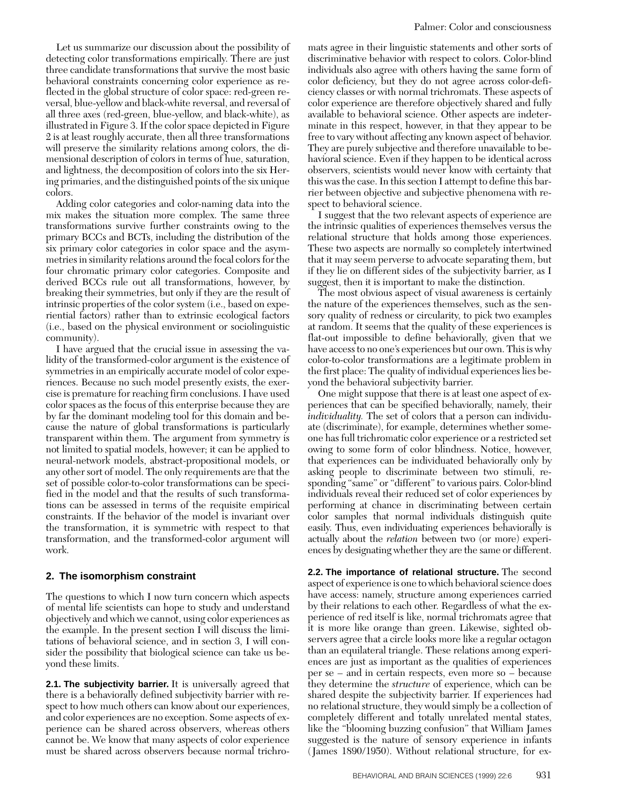Let us summarize our discussion about the possibility of detecting color transformations empirically. There are just three candidate transformations that survive the most basic behavioral constraints concerning color experience as reflected in the global structure of color space: red-green reversal, blue-yellow and black-white reversal, and reversal of all three axes (red-green, blue-yellow, and black-white), as illustrated in Figure 3. If the color space depicted in Figure 2 is at least roughly accurate, then all three transformations will preserve the similarity relations among colors, the dimensional description of colors in terms of hue, saturation, and lightness, the decomposition of colors into the six Hering primaries, and the distinguished points of the six unique colors.

Adding color categories and color-naming data into the mix makes the situation more complex. The same three transformations survive further constraints owing to the primary BCCs and BCTs, including the distribution of the six primary color categories in color space and the asymmetries in similarity relations around the focal colors for the four chromatic primary color categories. Composite and derived BCCs rule out all transformations, however, by breaking their symmetries, but only if they are the result of intrinsic properties of the color system (i.e., based on experiential factors) rather than to extrinsic ecological factors (i.e., based on the physical environment or sociolinguistic community).

I have argued that the crucial issue in assessing the validity of the transformed-color argument is the existence of symmetries in an empirically accurate model of color experiences. Because no such model presently exists, the exercise is premature for reaching firm conclusions. I have used color spaces as the focus of this enterprise because they are by far the dominant modeling tool for this domain and because the nature of global transformations is particularly transparent within them. The argument from symmetry is not limited to spatial models, however; it can be applied to neural-network models, abstract-propositional models, or any other sort of model. The only requirements are that the set of possible color-to-color transformations can be specified in the model and that the results of such transformations can be assessed in terms of the requisite empirical constraints. If the behavior of the model is invariant over the transformation, it is symmetric with respect to that transformation, and the transformed-color argument will work.

## **2. The isomorphism constraint**

The questions to which I now turn concern which aspects of mental life scientists can hope to study and understand objectively and which we cannot, using color experiences as the example. In the present section I will discuss the limitations of behavioral science, and in section 3, I will consider the possibility that biological science can take us beyond these limits.

**2.1. The subjectivity barrier.** It is universally agreed that there is a behaviorally defined subjectivity barrier with respect to how much others can know about our experiences, and color experiences are no exception. Some aspects of experience can be shared across observers, whereas others cannot be. We know that many aspects of color experience must be shared across observers because normal trichro-

mats agree in their linguistic statements and other sorts of discriminative behavior with respect to colors. Color-blind individuals also agree with others having the same form of color deficiency, but they do not agree across color-deficiency classes or with normal trichromats. These aspects of color experience are therefore objectively shared and fully available to behavioral science. Other aspects are indeterminate in this respect, however, in that they appear to be free to vary without affecting any known aspect of behavior. They are purely subjective and therefore unavailable to behavioral science. Even if they happen to be identical across observers, scientists would never know with certainty that this was the case. In this section I attempt to define this barrier between objective and subjective phenomena with respect to behavioral science.

I suggest that the two relevant aspects of experience are the intrinsic qualities of experiences themselves versus the relational structure that holds among those experiences. These two aspects are normally so completely intertwined that it may seem perverse to advocate separating them, but if they lie on different sides of the subjectivity barrier, as I suggest, then it is important to make the distinction.

The most obvious aspect of visual awareness is certainly the nature of the experiences themselves, such as the sensory quality of redness or circularity, to pick two examples at random. It seems that the quality of these experiences is flat-out impossible to define behaviorally, given that we have access to no one's experiences but our own. This is why color-to-color transformations are a legitimate problem in the first place: The quality of individual experiences lies beyond the behavioral subjectivity barrier.

One might suppose that there is at least one aspect of experiences that can be specified behaviorally, namely, their *individuality.* The set of colors that a person can individuate (discriminate), for example, determines whether someone has full trichromatic color experience or a restricted set owing to some form of color blindness. Notice, however, that experiences can be individuated behaviorally only by asking people to discriminate between two stimuli, responding "same" or "different" to various pairs. Color-blind individuals reveal their reduced set of color experiences by performing at chance in discriminating between certain color samples that normal individuals distinguish quite easily. Thus, even individuating experiences behaviorally is actually about the *relation* between two (or more) experiences by designating whether they are the same or different.

**2.2. The importance of relational structure.** The second aspect of experience is one to which behavioral science does have access: namely, structure among experiences carried by their relations to each other. Regardless of what the experience of red itself is like, normal trichromats agree that it is more like orange than green. Likewise, sighted observers agree that a circle looks more like a regular octagon than an equilateral triangle. These relations among experiences are just as important as the qualities of experiences per se – and in certain respects, even more so – because they determine the *structure* of experience, which can be shared despite the subjectivity barrier. If experiences had no relational structure, they would simply be a collection of completely different and totally unrelated mental states, like the "blooming buzzing confusion" that William James suggested is the nature of sensory experience in infants (James 1890/1950). Without relational structure, for ex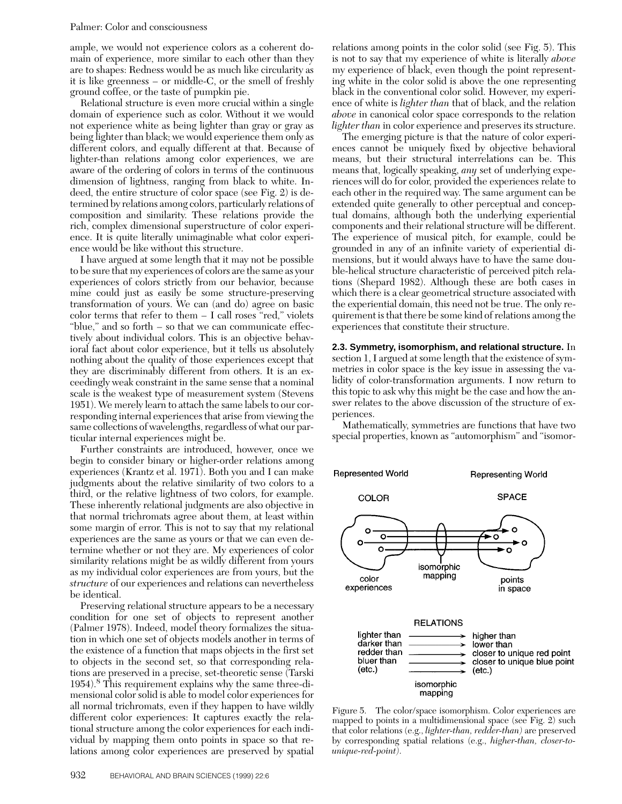ample, we would not experience colors as a coherent domain of experience, more similar to each other than they are to shapes: Redness would be as much like circularity as it is like greenness – or middle-C, or the smell of freshly ground coffee, or the taste of pumpkin pie.

Relational structure is even more crucial within a single domain of experience such as color. Without it we would not experience white as being lighter than gray or gray as being lighter than black; we would experience them only as different colors, and equally different at that. Because of lighter-than relations among color experiences, we are aware of the ordering of colors in terms of the continuous dimension of lightness, ranging from black to white. Indeed, the entire structure of color space (see Fig. 2) is determined by relations among colors, particularly relations of composition and similarity. These relations provide the rich, complex dimensional superstructure of color experience. It is quite literally unimaginable what color experience would be like without this structure.

I have argued at some length that it may not be possible to be sure that my experiences of colors are the same as your experiences of colors strictly from our behavior, because mine could just as easily be some structure-preserving transformation of yours. We can (and do) agree on basic color terms that refer to them – I call roses "red," violets "blue," and so forth – so that we can communicate effectively about individual colors. This is an objective behavioral fact about color experience, but it tells us absolutely nothing about the quality of those experiences except that they are discriminably different from others. It is an exceedingly weak constraint in the same sense that a nominal scale is the weakest type of measurement system (Stevens 1951). We merely learn to attach the same labels to our corresponding internal experiences that arise from viewing the same collections of wavelengths, regardless of what our particular internal experiences might be.

Further constraints are introduced, however, once we begin to consider binary or higher-order relations among experiences (Krantz et al. 1971). Both you and I can make judgments about the relative similarity of two colors to a third, or the relative lightness of two colors, for example. These inherently relational judgments are also objective in that normal trichromats agree about them, at least within some margin of error. This is not to say that my relational experiences are the same as yours or that we can even determine whether or not they are. My experiences of color similarity relations might be as wildly different from yours as my individual color experiences are from yours, but the *structure* of our experiences and relations can nevertheless be identical.

Preserving relational structure appears to be a necessary condition for one set of objects to represent another (Palmer 1978). Indeed, model theory formalizes the situation in which one set of objects models another in terms of the existence of a function that maps objects in the first set to objects in the second set, so that corresponding relations are preserved in a precise, set-theoretic sense (Tarski 1954).8 This requirement explains why the same three-dimensional color solid is able to model color experiences for all normal trichromats, even if they happen to have wildly different color experiences: It captures exactly the relational structure among the color experiences for each individual by mapping them onto points in space so that relations among color experiences are preserved by spatial

The emerging picture is that the nature of color experiences cannot be uniquely fixed by objective behavioral means, but their structural interrelations can be. This means that, logically speaking, *any* set of underlying experiences will do for color, provided the experiences relate to each other in the required way. The same argument can be extended quite generally to other perceptual and conceptual domains, although both the underlying experiential components and their relational structure will be different. The experience of musical pitch, for example, could be grounded in any of an infinite variety of experiential dimensions, but it would always have to have the same double-helical structure characteristic of perceived pitch relations (Shepard 1982). Although these are both cases in which there is a clear geometrical structure associated with the experiential domain, this need not be true. The only requirement is that there be some kind of relations among the experiences that constitute their structure.

**2.3. Symmetry, isomorphism, and relational structure.** In section 1, I argued at some length that the existence of symmetries in color space is the key issue in assessing the validity of color-transformation arguments. I now return to this topic to ask why this might be the case and how the answer relates to the above discussion of the structure of experiences.

Mathematically, symmetries are functions that have two special properties, known as "automorphism" and "isomor-



Figure 5. The color/space isomorphism. Color experiences are mapped to points in a multidimensional space (see Fig. 2) such that color relations (e.g., *lighter-than, redder-than)* are preserved by corresponding spatial relations (e.g., *higher-than, closer-tounique-red-point)*.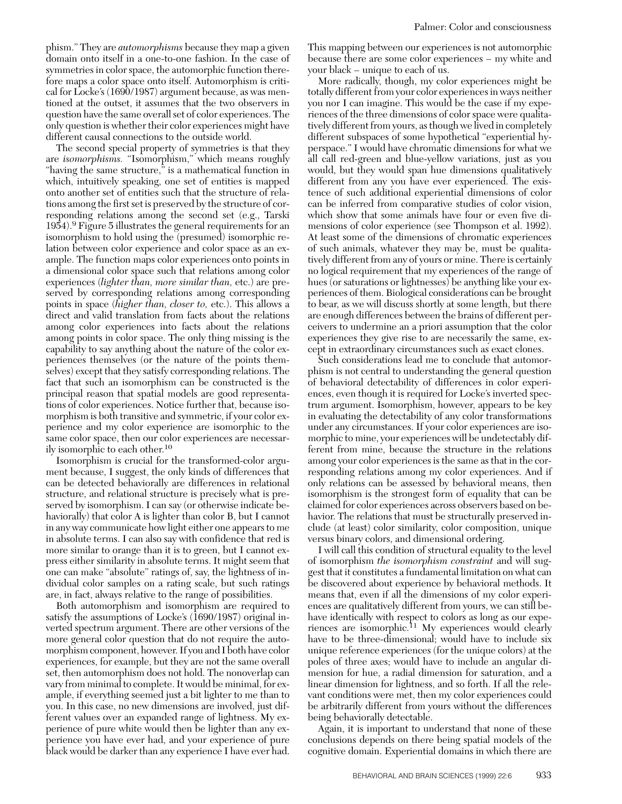phism." They are *automorphisms* because they map a given domain onto itself in a one-to-one fashion. In the case of symmetries in color space, the automorphic function therefore maps a color space onto itself. Automorphism is critical for Locke's (1690/1987) argument because, as was mentioned at the outset, it assumes that the two observers in question have the same overall set of color experiences. The only question is whether their color experiences might have different causal connections to the outside world.

The second special property of symmetries is that they are *isomorphisms.* "Isomorphism," which means roughly "having the same structure," is a mathematical function in which, intuitively speaking, one set of entities is mapped onto another set of entities such that the structure of relations among the first set is preserved by the structure of corresponding relations among the second set (e.g., Tarski 1954).<sup>9</sup> Figure 5 illustrates the general requirements for an isomorphism to hold using the (presumed) isomorphic relation between color experience and color space as an example. The function maps color experiences onto points in a dimensional color space such that relations among color experiences (*lighter than, more similar than,* etc.) are preserved by corresponding relations among corresponding points in space (*higher than, closer to,* etc.). This allows a direct and valid translation from facts about the relations among color experiences into facts about the relations among points in color space. The only thing missing is the capability to say anything about the nature of the color experiences themselves (or the nature of the points themselves) except that they satisfy corresponding relations. The fact that such an isomorphism can be constructed is the principal reason that spatial models are good representations of color experiences. Notice further that, because isomorphism is both transitive and symmetric, if your color experience and my color experience are isomorphic to the same color space, then our color experiences are necessarily isomorphic to each other.10

Isomorphism is crucial for the transformed-color argument because, I suggest, the only kinds of differences that can be detected behaviorally are differences in relational structure, and relational structure is precisely what is preserved by isomorphism. I can say (or otherwise indicate behaviorally) that color A is lighter than color B, but I cannot in any way communicate how light either one appears to me in absolute terms. I can also say with confidence that red is more similar to orange than it is to green, but I cannot express either similarity in absolute terms. It might seem that one can make "absolute" ratings of, say, the lightness of individual color samples on a rating scale, but such ratings are, in fact, always relative to the range of possibilities.

Both automorphism and isomorphism are required to satisfy the assumptions of Locke's (1690/1987) original inverted spectrum argument. There are other versions of the more general color question that do not require the automorphism component, however. If you and I both have color experiences, for example, but they are not the same overall set, then automorphism does not hold. The nonoverlap can vary from minimal to complete. It would be minimal, for example, if everything seemed just a bit lighter to me than to you. In this case, no new dimensions are involved, just different values over an expanded range of lightness. My experience of pure white would then be lighter than any experience you have ever had, and your experience of pure black would be darker than any experience I have ever had.

This mapping between our experiences is not automorphic because there are some color experiences – my white and your black – unique to each of us.

More radically, though, my color experiences might be totally different from your color experiences in ways neither you nor I can imagine. This would be the case if my experiences of the three dimensions of color space were qualitatively different from yours, as though we lived in completely different subspaces of some hypothetical "experiential hyperspace." I would have chromatic dimensions for what we all call red-green and blue-yellow variations, just as you would, but they would span hue dimensions qualitatively different from any you have ever experienced. The existence of such additional experiential dimensions of color can be inferred from comparative studies of color vision, which show that some animals have four or even five dimensions of color experience (see Thompson et al. 1992). At least some of the dimensions of chromatic experiences of such animals, whatever they may be, must be qualitatively different from any of yours or mine. There is certainly no logical requirement that my experiences of the range of hues (or saturations or lightnesses) be anything like your experiences of them. Biological considerations can be brought to bear, as we will discuss shortly at some length, but there are enough differences between the brains of different perceivers to undermine an a priori assumption that the color experiences they give rise to are necessarily the same, except in extraordinary circumstances such as exact clones.

Such considerations lead me to conclude that automorphism is not central to understanding the general question of behavioral detectability of differences in color experiences, even though it is required for Locke's inverted spectrum argument. Isomorphism, however, appears to be key in evaluating the detectability of any color transformations under any circumstances. If your color experiences are isomorphic to mine, your experiences will be undetectably different from mine, because the structure in the relations among your color experiences is the same as that in the corresponding relations among my color experiences. And if only relations can be assessed by behavioral means, then isomorphism is the strongest form of equality that can be claimed for color experiences across observers based on behavior. The relations that must be structurally preserved include (at least) color similarity, color composition, unique versus binary colors, and dimensional ordering.

I will call this condition of structural equality to the level of isomorphism *the isomorphism constraint* and will suggest that it constitutes a fundamental limitation on what can be discovered about experience by behavioral methods. It means that, even if all the dimensions of my color experiences are qualitatively different from yours, we can still behave identically with respect to colors as long as our experiences are isomorphic.<sup>11</sup> My experiences would clearly have to be three-dimensional; would have to include six unique reference experiences (for the unique colors) at the poles of three axes; would have to include an angular dimension for hue, a radial dimension for saturation, and a linear dimension for lightness, and so forth. If all the relevant conditions were met, then my color experiences could be arbitrarily different from yours without the differences being behaviorally detectable.

Again, it is important to understand that none of these conclusions depends on there being spatial models of the cognitive domain. Experiential domains in which there are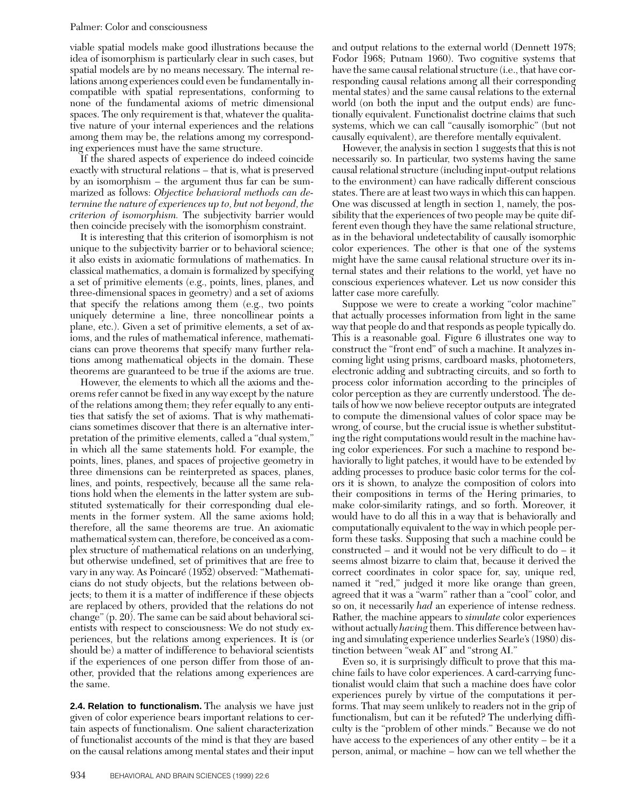## Palmer: Color and consciousness

viable spatial models make good illustrations because the idea of isomorphism is particularly clear in such cases, but spatial models are by no means necessary. The internal relations among experiences could even be fundamentally incompatible with spatial representations, conforming to none of the fundamental axioms of metric dimensional spaces. The only requirement is that, whatever the qualitative nature of your internal experiences and the relations among them may be, the relations among my corresponding experiences must have the same structure.

If the shared aspects of experience do indeed coincide exactly with structural relations – that is, what is preserved by an isomorphism – the argument thus far can be summarized as follows: *Objective behavioral methods can determine the nature of experiences up to, but not beyond, the criterion of isomorphism.* The subjectivity barrier would then coincide precisely with the isomorphism constraint.

It is interesting that this criterion of isomorphism is not unique to the subjectivity barrier or to behavioral science; it also exists in axiomatic formulations of mathematics. In classical mathematics, a domain is formalized by specifying a set of primitive elements (e.g., points, lines, planes, and three-dimensional spaces in geometry) and a set of axioms that specify the relations among them (e.g., two points uniquely determine a line, three noncollinear points a plane, etc.). Given a set of primitive elements, a set of axioms, and the rules of mathematical inference, mathematicians can prove theorems that specify many further relations among mathematical objects in the domain. These theorems are guaranteed to be true if the axioms are true.

However, the elements to which all the axioms and theorems refer cannot be fixed in any way except by the nature of the relations among them; they refer equally to any entities that satisfy the set of axioms. That is why mathematicians sometimes discover that there is an alternative interpretation of the primitive elements, called a "dual system," in which all the same statements hold. For example, the points, lines, planes, and spaces of projective geometry in three dimensions can be reinterpreted as spaces, planes, lines, and points, respectively, because all the same relations hold when the elements in the latter system are substituted systematically for their corresponding dual elements in the former system. All the same axioms hold; therefore, all the same theorems are true. An axiomatic mathematical system can, therefore, be conceived as a complex structure of mathematical relations on an underlying, but otherwise undefined, set of primitives that are free to vary in any way. As Poincaré (1952) observed: "Mathematicians do not study objects, but the relations between objects; to them it is a matter of indifference if these objects are replaced by others, provided that the relations do not change" (p. 20). The same can be said about behavioral scientists with respect to consciousness: We do not study experiences, but the relations among experiences. It is (or should be) a matter of indifference to behavioral scientists if the experiences of one person differ from those of another, provided that the relations among experiences are the same.

**2.4. Relation to functionalism.** The analysis we have just given of color experience bears important relations to certain aspects of functionalism. One salient characterization of functionalist accounts of the mind is that they are based on the causal relations among mental states and their input and output relations to the external world (Dennett 1978; Fodor 1968; Putnam 1960). Two cognitive systems that have the same causal relational structure (i.e., that have corresponding causal relations among all their corresponding mental states) and the same causal relations to the external world (on both the input and the output ends) are functionally equivalent. Functionalist doctrine claims that such systems, which we can call "causally isomorphic" (but not causally equivalent), are therefore mentally equivalent.

However, the analysis in section 1 suggests that this is not necessarily so. In particular, two systems having the same causal relational structure (including input-output relations to the environment) can have radically different conscious states. There are at least two ways in which this can happen. One was discussed at length in section 1, namely, the possibility that the experiences of two people may be quite different even though they have the same relational structure, as in the behavioral undetectability of causally isomorphic color experiences. The other is that one of the systems might have the same causal relational structure over its internal states and their relations to the world, yet have no conscious experiences whatever. Let us now consider this latter case more carefully.

Suppose we were to create a working "color machine" that actually processes information from light in the same way that people do and that responds as people typically do. This is a reasonable goal. Figure 6 illustrates one way to construct the "front end" of such a machine. It analyzes incoming light using prisms, cardboard masks, photometers, electronic adding and subtracting circuits, and so forth to process color information according to the principles of color perception as they are currently understood. The details of how we now believe receptor outputs are integrated to compute the dimensional values of color space may be wrong, of course, but the crucial issue is whether substituting the right computations would result in the machine having color experiences. For such a machine to respond behaviorally to light patches, it would have to be extended by adding processes to produce basic color terms for the colors it is shown, to analyze the composition of colors into their compositions in terms of the Hering primaries, to make color-similarity ratings, and so forth. Moreover, it would have to do all this in a way that is behaviorally and computationally equivalent to the way in which people perform these tasks. Supposing that such a machine could be constructed – and it would not be very difficult to do – it seems almost bizarre to claim that, because it derived the correct coordinates in color space for, say, unique red, named it "red," judged it more like orange than green, agreed that it was a "warm" rather than a "cool" color, and so on, it necessarily *had* an experience of intense redness. Rather, the machine appears to *simulate* color experiences without actually *having* them. This difference between having and simulating experience underlies Searle's (1980) distinction between "weak AI" and "strong AI."

Even so, it is surprisingly difficult to prove that this machine fails to have color experiences. A card-carrying functionalist would claim that such a machine does have color experiences purely by virtue of the computations it performs. That may seem unlikely to readers not in the grip of functionalism, but can it be refuted? The underlying difficulty is the "problem of other minds." Because we do not have access to the experiences of any other entity – be it a person, animal, or machine – how can we tell whether the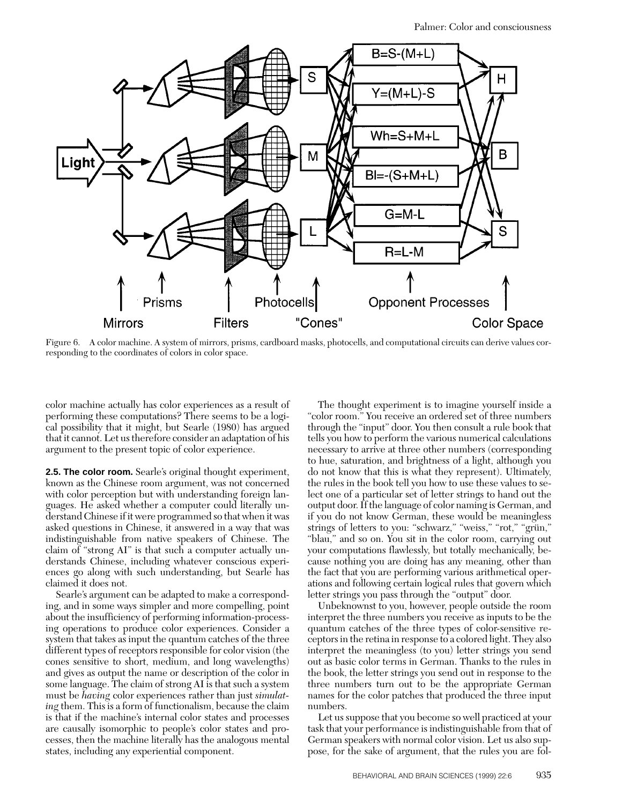

Figure 6. A color machine. A system of mirrors, prisms, cardboard masks, photocells, and computational circuits can derive values corresponding to the coordinates of colors in color space.

color machine actually has color experiences as a result of performing these computations? There seems to be a logical possibility that it might, but Searle (1980) has argued that it cannot. Let us therefore consider an adaptation of his argument to the present topic of color experience.

**2.5. The color room.** Searle's original thought experiment, known as the Chinese room argument, was not concerned with color perception but with understanding foreign languages. He asked whether a computer could literally understand Chinese if it were programmed so that when it was asked questions in Chinese, it answered in a way that was indistinguishable from native speakers of Chinese. The claim of "strong AI" is that such a computer actually understands Chinese, including whatever conscious experiences go along with such understanding, but Searle has claimed it does not.

Searle's argument can be adapted to make a corresponding, and in some ways simpler and more compelling, point about the insufficiency of performing information-processing operations to produce color experiences. Consider a system that takes as input the quantum catches of the three different types of receptors responsible for color vision (the cones sensitive to short, medium, and long wavelengths) and gives as output the name or description of the color in some language. The claim of strong AI is that such a system must be *having* color experiences rather than just *simulating* them. This is a form of functionalism, because the claim is that if the machine's internal color states and processes are causally isomorphic to people's color states and processes, then the machine literally has the analogous mental states, including any experiential component.

The thought experiment is to imagine yourself inside a "color room." You receive an ordered set of three numbers through the "input" door. You then consult a rule book that tells you how to perform the various numerical calculations necessary to arrive at three other numbers (corresponding to hue, saturation, and brightness of a light, although you do not know that this is what they represent). Ultimately, the rules in the book tell you how to use these values to select one of a particular set of letter strings to hand out the output door. If the language of color naming is German, and if you do not know German, these would be meaningless strings of letters to you: "schwarz," "weiss," "rot," "grün," "blau," and so on. You sit in the color room, carrying out your computations flawlessly, but totally mechanically, because nothing you are doing has any meaning, other than the fact that you are performing various arithmetical operations and following certain logical rules that govern which letter strings you pass through the "output" door.

Unbeknownst to you, however, people outside the room interpret the three numbers you receive as inputs to be the quantum catches of the three types of color-sensitive receptors in the retina in response to a colored light. They also interpret the meaningless (to you) letter strings you send out as basic color terms in German. Thanks to the rules in the book, the letter strings you send out in response to the three numbers turn out to be the appropriate German names for the color patches that produced the three input numbers.

Let us suppose that you become so well practiced at your task that your performance is indistinguishable from that of German speakers with normal color vision. Let us also suppose, for the sake of argument, that the rules you are fol-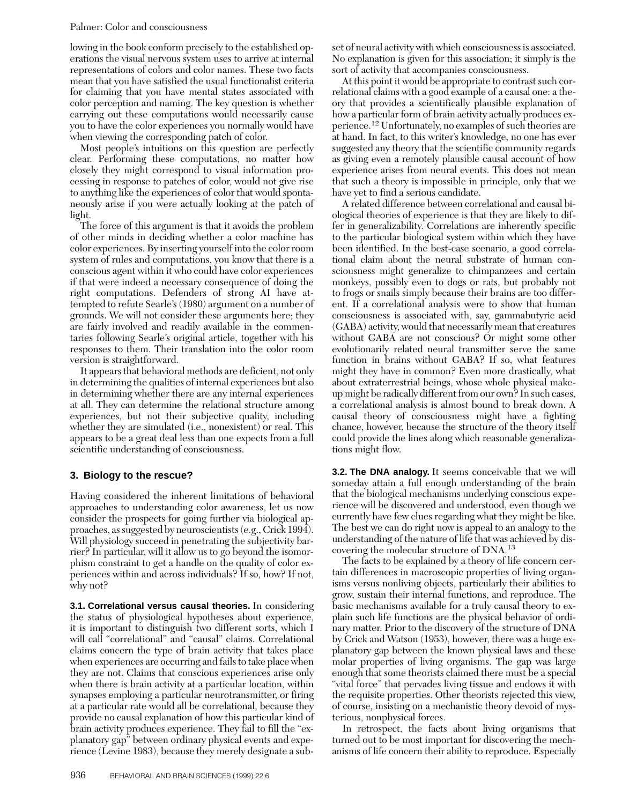## Palmer: Color and consciousness

lowing in the book conform precisely to the established operations the visual nervous system uses to arrive at internal representations of colors and color names. These two facts mean that you have satisfied the usual functionalist criteria for claiming that you have mental states associated with color perception and naming. The key question is whether carrying out these computations would necessarily cause you to have the color experiences you normally would have when viewing the corresponding patch of color.

Most people's intuitions on this question are perfectly clear. Performing these computations, no matter how closely they might correspond to visual information processing in response to patches of color, would not give rise to anything like the experiences of color that would spontaneously arise if you were actually looking at the patch of light.

The force of this argument is that it avoids the problem of other minds in deciding whether a color machine has color experiences. By inserting yourself into the color room system of rules and computations, you know that there is a conscious agent within it who could have color experiences if that were indeed a necessary consequence of doing the right computations. Defenders of strong AI have attempted to refute Searle's (1980) argument on a number of grounds. We will not consider these arguments here; they are fairly involved and readily available in the commentaries following Searle's original article, together with his responses to them. Their translation into the color room version is straightforward.

It appears that behavioral methods are deficient, not only in determining the qualities of internal experiences but also in determining whether there are any internal experiences at all. They can determine the relational structure among experiences, but not their subjective quality, including whether they are simulated (i.e., nonexistent) or real. This appears to be a great deal less than one expects from a full scientific understanding of consciousness.

## **3. Biology to the rescue?**

Having considered the inherent limitations of behavioral approaches to understanding color awareness, let us now consider the prospects for going further via biological approaches, as suggested by neuroscientists (e.g., Crick 1994). Will physiology succeed in penetrating the subjectivity barrier? In particular, will it allow us to go beyond the isomorphism constraint to get a handle on the quality of color experiences within and across individuals? If so, how? If not, why not?

**3.1. Correlational versus causal theories.** In considering the status of physiological hypotheses about experience, it is important to distinguish two different sorts, which I will call "correlational" and "causal" claims. Correlational claims concern the type of brain activity that takes place when experiences are occurring and fails to take place when they are not. Claims that conscious experiences arise only when there is brain activity at a particular location, within synapses employing a particular neurotransmitter, or firing at a particular rate would all be correlational, because they provide no causal explanation of how this particular kind of brain activity produces experience. They fail to fill the "explanatory gap" between ordinary physical events and experience (Levine 1983), because they merely designate a subset of neural activity with which consciousness is associated. No explanation is given for this association; it simply is the sort of activity that accompanies consciousness.

At this point it would be appropriate to contrast such correlational claims with a good example of a causal one: a theory that provides a scientifically plausible explanation of how a particular form of brain activity actually produces experience.12 Unfortunately, no examples of such theories are at hand. In fact, to this writer's knowledge, no one has ever suggested any theory that the scientific community regards as giving even a remotely plausible causal account of how experience arises from neural events. This does not mean that such a theory is impossible in principle, only that we have yet to find a serious candidate.

A related difference between correlational and causal biological theories of experience is that they are likely to differ in generalizability. Correlations are inherently specific to the particular biological system within which they have been identified. In the best-case scenario, a good correlational claim about the neural substrate of human consciousness might generalize to chimpanzees and certain monkeys, possibly even to dogs or rats, but probably not to frogs or snails simply because their brains are too different. If a correlational analysis were to show that human consciousness is associated with, say, gammabutyric acid (GABA) activity, would that necessarily mean that creatures without GABA are not conscious? Or might some other evolutionarily related neural transmitter serve the same function in brains without GABA? If so, what features might they have in common? Even more drastically, what about extraterrestrial beings, whose whole physical makeup might be radically different from our own? In such cases, a correlational analysis is almost bound to break down. A causal theory of consciousness might have a fighting chance, however, because the structure of the theory itself could provide the lines along which reasonable generalizations might flow.

**3.2. The DNA analogy.** It seems conceivable that we will someday attain a full enough understanding of the brain that the biological mechanisms underlying conscious experience will be discovered and understood, even though we currently have few clues regarding what they might be like. The best we can do right now is appeal to an analogy to the understanding of the nature of life that was achieved by discovering the molecular structure of DNA.<sup>13</sup>

The facts to be explained by a theory of life concern certain differences in macroscopic properties of living organisms versus nonliving objects, particularly their abilities to grow, sustain their internal functions, and reproduce. The basic mechanisms available for a truly causal theory to explain such life functions are the physical behavior of ordinary matter. Prior to the discovery of the structure of DNA by Crick and Watson (1953), however, there was a huge explanatory gap between the known physical laws and these molar properties of living organisms. The gap was large enough that some theorists claimed there must be a special "vital force" that pervades living tissue and endows it with the requisite properties. Other theorists rejected this view, of course, insisting on a mechanistic theory devoid of mysterious, nonphysical forces.

In retrospect, the facts about living organisms that turned out to be most important for discovering the mechanisms of life concern their ability to reproduce. Especially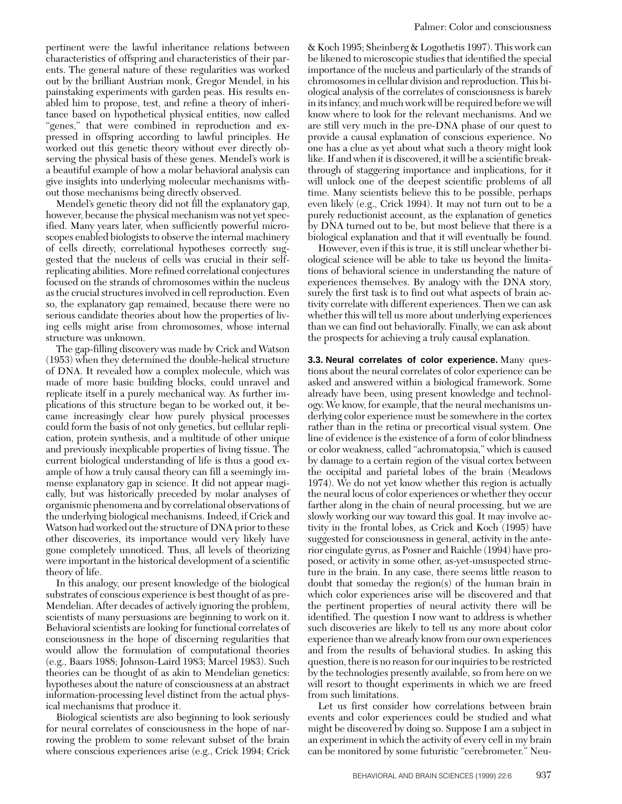pertinent were the lawful inheritance relations between characteristics of offspring and characteristics of their parents. The general nature of these regularities was worked out by the brilliant Austrian monk, Gregor Mendel, in his painstaking experiments with garden peas. His results enabled him to propose, test, and refine a theory of inheritance based on hypothetical physical entities, now called "genes," that were combined in reproduction and expressed in offspring according to lawful principles. He worked out this genetic theory without ever directly observing the physical basis of these genes. Mendel's work is a beautiful example of how a molar behavioral analysis can give insights into underlying molecular mechanisms without those mechanisms being directly observed.

Mendel's genetic theory did not fill the explanatory gap, however, because the physical mechanism was not yet specified. Many years later, when sufficiently powerful microscopes enabled biologists to observe the internal machinery of cells directly, correlational hypotheses correctly suggested that the nucleus of cells was crucial in their selfreplicating abilities. More refined correlational conjectures focused on the strands of chromosomes within the nucleus as the crucial structures involved in cell reproduction. Even so, the explanatory gap remained, because there were no serious candidate theories about how the properties of living cells might arise from chromosomes, whose internal structure was unknown.

The gap-filling discovery was made by Crick and Watson (1953) when they determined the double-helical structure of DNA. It revealed how a complex molecule, which was made of more basic building blocks, could unravel and replicate itself in a purely mechanical way. As further implications of this structure began to be worked out, it became increasingly clear how purely physical processes could form the basis of not only genetics, but cellular replication, protein synthesis, and a multitude of other unique and previously inexplicable properties of living tissue. The current biological understanding of life is thus a good example of how a truly causal theory can fill a seemingly immense explanatory gap in science. It did not appear magically, but was historically preceded by molar analyses of organismic phenomena and by correlational observations of the underlying biological mechanisms. Indeed, if Crick and Watson had worked out the structure of DNA prior to these other discoveries, its importance would very likely have gone completely unnoticed. Thus, all levels of theorizing were important in the historical development of a scientific theory of life.

In this analogy, our present knowledge of the biological substrates of conscious experience is best thought of as pre-Mendelian. After decades of actively ignoring the problem, scientists of many persuasions are beginning to work on it. Behavioral scientists are looking for functional correlates of consciousness in the hope of discerning regularities that would allow the formulation of computational theories (e.g., Baars 1988; Johnson-Laird 1983; Marcel 1983). Such theories can be thought of as akin to Mendelian genetics: hypotheses about the nature of consciousness at an abstract information-processing level distinct from the actual physical mechanisms that produce it.

Biological scientists are also beginning to look seriously for neural correlates of consciousness in the hope of narrowing the problem to some relevant subset of the brain where conscious experiences arise (e.g., Crick 1994; Crick

& Koch 1995; Sheinberg & Logothetis 1997). This work can be likened to microscopic studies that identified the special importance of the nucleus and particularly of the strands of chromosomes in cellular division and reproduction. This biological analysis of the correlates of consciousness is barely in its infancy, and much work will be required before we will know where to look for the relevant mechanisms. And we are still very much in the pre-DNA phase of our quest to provide a causal explanation of conscious experience. No one has a clue as yet about what such a theory might look like. If and when it is discovered, it will be a scientific breakthrough of staggering importance and implications, for it will unlock one of the deepest scientific problems of all time. Many scientists believe this to be possible, perhaps even likely (e.g., Crick 1994). It may not turn out to be a purely reductionist account, as the explanation of genetics by DNA turned out to be, but most believe that there is a biological explanation and that it will eventually be found.

However, even if this is true, it is still unclear whether biological science will be able to take us beyond the limitations of behavioral science in understanding the nature of experiences themselves. By analogy with the DNA story, surely the first task is to find out what aspects of brain activity correlate with different experiences. Then we can ask whether this will tell us more about underlying experiences than we can find out behaviorally. Finally, we can ask about the prospects for achieving a truly causal explanation.

**3.3. Neural correlates of color experience.** Many questions about the neural correlates of color experience can be asked and answered within a biological framework. Some already have been, using present knowledge and technology. We know, for example, that the neural mechanisms underlying color experience must be somewhere in the cortex rather than in the retina or precortical visual system. One line of evidence is the existence of a form of color blindness or color weakness, called "achromatopsia," which is caused by damage to a certain region of the visual cortex between the occipital and parietal lobes of the brain (Meadows 1974). We do not yet know whether this region is actually the neural locus of color experiences or whether they occur farther along in the chain of neural processing, but we are slowly working our way toward this goal. It may involve activity in the frontal lobes, as Crick and Koch (1995) have suggested for consciousness in general, activity in the anterior cingulate gyrus, as Posner and Raichle (1994) have proposed, or activity in some other, as-yet-unsuspected structure in the brain. In any case, there seems little reason to doubt that someday the region(s) of the human brain in which color experiences arise will be discovered and that the pertinent properties of neural activity there will be identified. The question I now want to address is whether such discoveries are likely to tell us any more about color experience than we already know from our own experiences and from the results of behavioral studies. In asking this question, there is no reason for our inquiries to be restricted by the technologies presently available, so from here on we will resort to thought experiments in which we are freed from such limitations.

Let us first consider how correlations between brain events and color experiences could be studied and what might be discovered by doing so. Suppose I am a subject in an experiment in which the activity of every cell in my brain can be monitored by some futuristic "cerebrometer." Neu-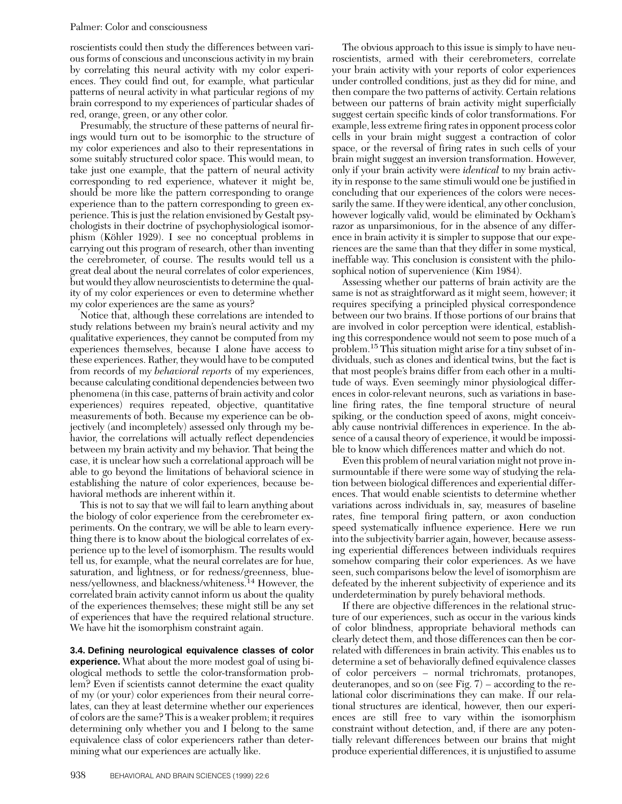## Palmer: Color and consciousness

roscientists could then study the differences between various forms of conscious and unconscious activity in my brain by correlating this neural activity with my color experiences. They could find out, for example, what particular patterns of neural activity in what particular regions of my brain correspond to my experiences of particular shades of red, orange, green, or any other color.

Presumably, the structure of these patterns of neural firings would turn out to be isomorphic to the structure of my color experiences and also to their representations in some suitably structured color space. This would mean, to take just one example, that the pattern of neural activity corresponding to red experience, whatever it might be, should be more like the pattern corresponding to orange experience than to the pattern corresponding to green experience. This is just the relation envisioned by Gestalt psychologists in their doctrine of psychophysiological isomorphism (Köhler 1929). I see no conceptual problems in carrying out this program of research, other than inventing the cerebrometer, of course. The results would tell us a great deal about the neural correlates of color experiences, but would they allow neuroscientists to determine the quality of my color experiences or even to determine whether my color experiences are the same as yours?

Notice that, although these correlations are intended to study relations between my brain's neural activity and my qualitative experiences, they cannot be computed from my experiences themselves, because I alone have access to these experiences. Rather, they would have to be computed from records of my *behavioral reports* of my experiences, because calculating conditional dependencies between two phenomena (in this case, patterns of brain activity and color experiences) requires repeated, objective, quantitative measurements of both. Because my experience can be objectively (and incompletely) assessed only through my behavior, the correlations will actually reflect dependencies between my brain activity and my behavior. That being the case, it is unclear how such a correlational approach will be able to go beyond the limitations of behavioral science in establishing the nature of color experiences, because behavioral methods are inherent within it.

This is not to say that we will fail to learn anything about the biology of color experience from the cerebrometer experiments. On the contrary, we will be able to learn everything there is to know about the biological correlates of experience up to the level of isomorphism. The results would tell us, for example, what the neural correlates are for hue, saturation, and lightness, or for redness/greenness, blueness/yellowness, and blackness/whiteness.14 However, the correlated brain activity cannot inform us about the quality of the experiences themselves; these might still be any set of experiences that have the required relational structure. We have hit the isomorphism constraint again.

**3.4. Defining neurological equivalence classes of color experience.** What about the more modest goal of using biological methods to settle the color-transformation problem? Even if scientists cannot determine the exact quality of my (or your) color experiences from their neural correlates, can they at least determine whether our experiences of colors are the same? This is a weaker problem; it requires determining only whether you and I belong to the same equivalence class of color experiencers rather than determining what our experiences are actually like.

The obvious approach to this issue is simply to have neuroscientists, armed with their cerebrometers, correlate your brain activity with your reports of color experiences under controlled conditions, just as they did for mine, and then compare the two patterns of activity. Certain relations between our patterns of brain activity might superficially suggest certain specific kinds of color transformations. For example, less extreme firing rates in opponent process color cells in your brain might suggest a contraction of color space, or the reversal of firing rates in such cells of your brain might suggest an inversion transformation. However, only if your brain activity were *identical* to my brain activity in response to the same stimuli would one be justified in concluding that our experiences of the colors were necessarily the same. If they were identical, any other conclusion, however logically valid, would be eliminated by Ockham's razor as unparsimonious, for in the absence of any difference in brain activity it is simpler to suppose that our experiences are the same than that they differ in some mystical, ineffable way. This conclusion is consistent with the philosophical notion of supervenience (Kim 1984).

Assessing whether our patterns of brain activity are the same is not as straightforward as it might seem, however; it requires specifying a principled physical correspondence between our two brains. If those portions of our brains that are involved in color perception were identical, establishing this correspondence would not seem to pose much of a problem.15 This situation might arise for a tiny subset of individuals, such as clones and identical twins, but the fact is that most people's brains differ from each other in a multitude of ways. Even seemingly minor physiological differences in color-relevant neurons, such as variations in baseline firing rates, the fine temporal structure of neural spiking, or the conduction speed of axons, might conceivably cause nontrivial differences in experience. In the absence of a causal theory of experience, it would be impossible to know which differences matter and which do not.

Even this problem of neural variation might not prove insurmountable if there were some way of studying the relation between biological differences and experiential differences. That would enable scientists to determine whether variations across individuals in, say, measures of baseline rates, fine temporal firing pattern, or axon conduction speed systematically influence experience. Here we run into the subjectivity barrier again, however, because assessing experiential differences between individuals requires somehow comparing their color experiences. As we have seen, such comparisons below the level of isomorphism are defeated by the inherent subjectivity of experience and its underdetermination by purely behavioral methods.

If there are objective differences in the relational structure of our experiences, such as occur in the various kinds of color blindness, appropriate behavioral methods can clearly detect them, and those differences can then be correlated with differences in brain activity. This enables us to determine a set of behaviorally defined equivalence classes of color perceivers – normal trichromats, protanopes, deuteranopes, and so on (see Fig. 7) – according to the relational color discriminations they can make. If our relational structures are identical, however, then our experiences are still free to vary within the isomorphism constraint without detection, and, if there are any potentially relevant differences between our brains that might produce experiential differences, it is unjustified to assume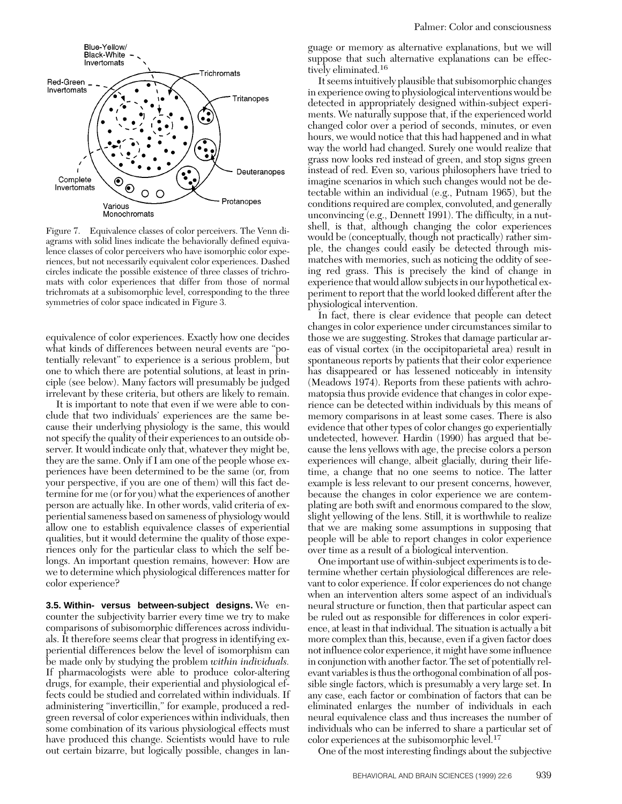

Figure 7. Equivalence classes of color perceivers. The Venn diagrams with solid lines indicate the behaviorally defined equivalence classes of color perceivers who have isomorphic color experiences, but not necessarily equivalent color experiences. Dashed circles indicate the possible existence of three classes of trichromats with color experiences that differ from those of normal trichromats at a subisomorphic level, corresponding to the three symmetries of color space indicated in Figure 3.

equivalence of color experiences. Exactly how one decides what kinds of differences between neural events are "potentially relevant" to experience is a serious problem, but one to which there are potential solutions, at least in principle (see below). Many factors will presumably be judged irrelevant by these criteria, but others are likely to remain.

It is important to note that even if we were able to conclude that two individuals' experiences are the same because their underlying physiology is the same, this would not specify the quality of their experiences to an outside observer. It would indicate only that, whatever they might be, they are the same. Only if I am one of the people whose experiences have been determined to be the same (or, from your perspective, if you are one of them) will this fact determine for me (or for you) what the experiences of another person are actually like. In other words, valid criteria of experiential sameness based on sameness of physiology would allow one to establish equivalence classes of experiential qualities, but it would determine the quality of those experiences only for the particular class to which the self belongs. An important question remains, however: How are we to determine which physiological differences matter for color experience?

**3.5. Within- versus between-subject designs.** We encounter the subjectivity barrier every time we try to make comparisons of subisomorphic differences across individuals. It therefore seems clear that progress in identifying experiential differences below the level of isomorphism can be made only by studying the problem *within individuals.* If pharmacologists were able to produce color-altering drugs, for example, their experiential and physiological effects could be studied and correlated within individuals. If administering "inverticillin," for example, produced a redgreen reversal of color experiences within individuals, then some combination of its various physiological effects must have produced this change. Scientists would have to rule out certain bizarre, but logically possible, changes in language or memory as alternative explanations, but we will suppose that such alternative explanations can be effectively eliminated.16

It seems intuitively plausible that subisomorphic changes in experience owing to physiological interventions would be detected in appropriately designed within-subject experiments. We naturally suppose that, if the experienced world changed color over a period of seconds, minutes, or even hours, we would notice that this had happened and in what way the world had changed. Surely one would realize that grass now looks red instead of green, and stop signs green instead of red. Even so, various philosophers have tried to imagine scenarios in which such changes would not be detectable within an individual (e.g., Putnam 1965), but the conditions required are complex, convoluted, and generally unconvincing (e.g., Dennett 1991). The difficulty, in a nutshell, is that, although changing the color experiences would be (conceptually, though not practically) rather simple, the changes could easily be detected through mismatches with memories, such as noticing the oddity of seeing red grass. This is precisely the kind of change in experience that would allow subjects in our hypothetical experiment to report that the world looked different after the physiological intervention.

In fact, there is clear evidence that people can detect changes in color experience under circumstances similar to those we are suggesting. Strokes that damage particular areas of visual cortex (in the occipitoparietal area) result in spontaneous reports by patients that their color experience has disappeared or has lessened noticeably in intensity (Meadows 1974). Reports from these patients with achromatopsia thus provide evidence that changes in color experience can be detected within individuals by this means of memory comparisons in at least some cases. There is also evidence that other types of color changes go experientially undetected, however. Hardin (1990) has argued that because the lens yellows with age, the precise colors a person experiences will change, albeit glacially, during their lifetime, a change that no one seems to notice. The latter example is less relevant to our present concerns, however, because the changes in color experience we are contemplating are both swift and enormous compared to the slow, slight yellowing of the lens. Still, it is worthwhile to realize that we are making some assumptions in supposing that people will be able to report changes in color experience over time as a result of a biological intervention.

One important use of within-subject experiments is to determine whether certain physiological differences are relevant to color experience. If color experiences do not change when an intervention alters some aspect of an individual's neural structure or function, then that particular aspect can be ruled out as responsible for differences in color experience, at least in that individual. The situation is actually a bit more complex than this, because, even if a given factor does not influence color experience, it might have some influence in conjunction with another factor. The set of potentially relevant variables is thus the orthogonal combination of all possible single factors, which is presumably a very large set. In any case, each factor or combination of factors that can be eliminated enlarges the number of individuals in each neural equivalence class and thus increases the number of individuals who can be inferred to share a particular set of color experiences at the subisomorphic level.17

One of the most interesting findings about the subjective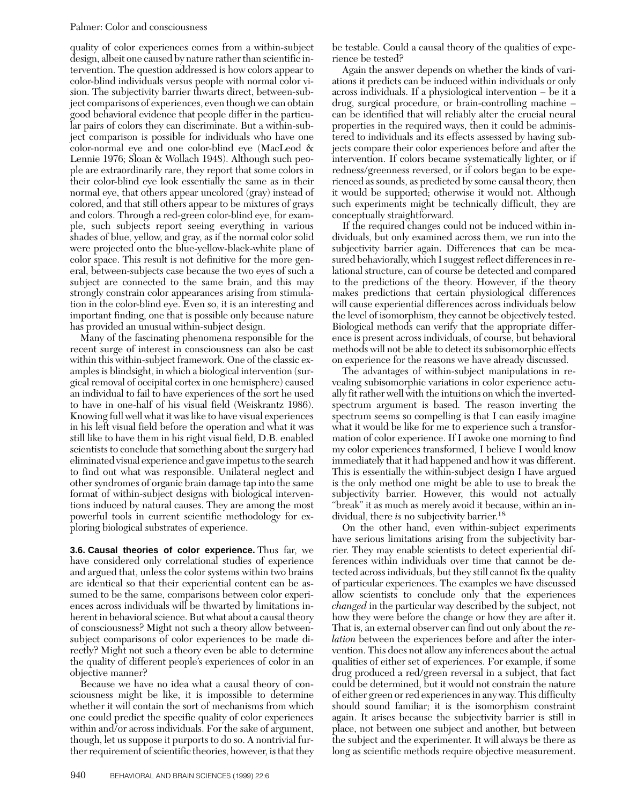## Palmer: Color and consciousness

quality of color experiences comes from a within-subject design, albeit one caused by nature rather than scientific intervention. The question addressed is how colors appear to color-blind individuals versus people with normal color vision. The subjectivity barrier thwarts direct, between-subject comparisons of experiences, even though we can obtain good behavioral evidence that people differ in the particular pairs of colors they can discriminate. But a within-subject comparison is possible for individuals who have one color-normal eye and one color-blind eye (MacLeod & Lennie 1976; Sloan & Wollach 1948). Although such people are extraordinarily rare, they report that some colors in their color-blind eye look essentially the same as in their normal eye, that others appear uncolored (gray) instead of colored, and that still others appear to be mixtures of grays and colors. Through a red-green color-blind eye, for example, such subjects report seeing everything in various shades of blue, yellow, and gray, as if the normal color solid were projected onto the blue-yellow-black-white plane of color space. This result is not definitive for the more general, between-subjects case because the two eyes of such a subject are connected to the same brain, and this may strongly constrain color appearances arising from stimulation in the color-blind eye. Even so, it is an interesting and important finding, one that is possible only because nature has provided an unusual within-subject design.

Many of the fascinating phenomena responsible for the recent surge of interest in consciousness can also be cast within this within-subject framework. One of the classic examples is blindsight, in which a biological intervention (surgical removal of occipital cortex in one hemisphere) caused an individual to fail to have experiences of the sort he used to have in one-half of his visual field (Weiskrantz 1986). Knowing full well what it was like to have visual experiences in his left visual field before the operation and what it was still like to have them in his right visual field, D.B. enabled scientists to conclude that something about the surgery had eliminated visual experience and gave impetus to the search to find out what was responsible. Unilateral neglect and other syndromes of organic brain damage tap into the same format of within-subject designs with biological interventions induced by natural causes. They are among the most powerful tools in current scientific methodology for exploring biological substrates of experience.

**3.6. Causal theories of color experience.** Thus far, we have considered only correlational studies of experience and argued that, unless the color systems within two brains are identical so that their experiential content can be assumed to be the same, comparisons between color experiences across individuals will be thwarted by limitations inherent in behavioral science. But what about a causal theory of consciousness? Might not such a theory allow betweensubject comparisons of color experiences to be made directly? Might not such a theory even be able to determine the quality of different people's experiences of color in an objective manner?

Because we have no idea what a causal theory of consciousness might be like, it is impossible to determine whether it will contain the sort of mechanisms from which one could predict the specific quality of color experiences within and/or across individuals. For the sake of argument, though, let us suppose it purports to do so. A nontrivial further requirement of scientific theories, however, is that they be testable. Could a causal theory of the qualities of experience be tested?

Again the answer depends on whether the kinds of variations it predicts can be induced within individuals or only across individuals. If a physiological intervention – be it a drug, surgical procedure, or brain-controlling machine – can be identified that will reliably alter the crucial neural properties in the required ways, then it could be administered to individuals and its effects assessed by having subjects compare their color experiences before and after the intervention. If colors became systematically lighter, or if redness/greenness reversed, or if colors began to be experienced as sounds, as predicted by some causal theory, then it would be supported; otherwise it would not. Although such experiments might be technically difficult, they are conceptually straightforward.

If the required changes could not be induced within individuals, but only examined across them, we run into the subjectivity barrier again. Differences that can be measured behaviorally, which I suggest reflect differences in relational structure, can of course be detected and compared to the predictions of the theory. However, if the theory makes predictions that certain physiological differences will cause experiential differences across individuals below the level of isomorphism, they cannot be objectively tested. Biological methods can verify that the appropriate difference is present across individuals, of course, but behavioral methods will not be able to detect its subisomorphic effects on experience for the reasons we have already discussed.

The advantages of within-subject manipulations in revealing subisomorphic variations in color experience actually fit rather well with the intuitions on which the invertedspectrum argument is based. The reason inverting the spectrum seems so compelling is that I can easily imagine what it would be like for me to experience such a transformation of color experience. If I awoke one morning to find my color experiences transformed, I believe I would know immediately that it had happened and how it was different. This is essentially the within-subject design I have argued is the only method one might be able to use to break the subjectivity barrier. However, this would not actually "break" it as much as merely avoid it because, within an individual, there *is* no subjectivity barrier.<sup>18</sup>

On the other hand, even within-subject experiments have serious limitations arising from the subjectivity barrier. They may enable scientists to detect experiential differences within individuals over time that cannot be detected across individuals, but they still cannot fix the quality of particular experiences. The examples we have discussed allow scientists to conclude only that the experiences *changed* in the particular way described by the subject, not how they were before the change or how they are after it. That is, an external observer can find out only about the *relation* between the experiences before and after the intervention. This does not allow any inferences about the actual qualities of either set of experiences. For example, if some drug produced a red/green reversal in a subject, that fact could be determined, but it would not constrain the nature of either green or red experiences in any way. This difficulty should sound familiar; it is the isomorphism constraint again. It arises because the subjectivity barrier is still in place, not between one subject and another, but between the subject and the experimenter. It will always be there as long as scientific methods require objective measurement.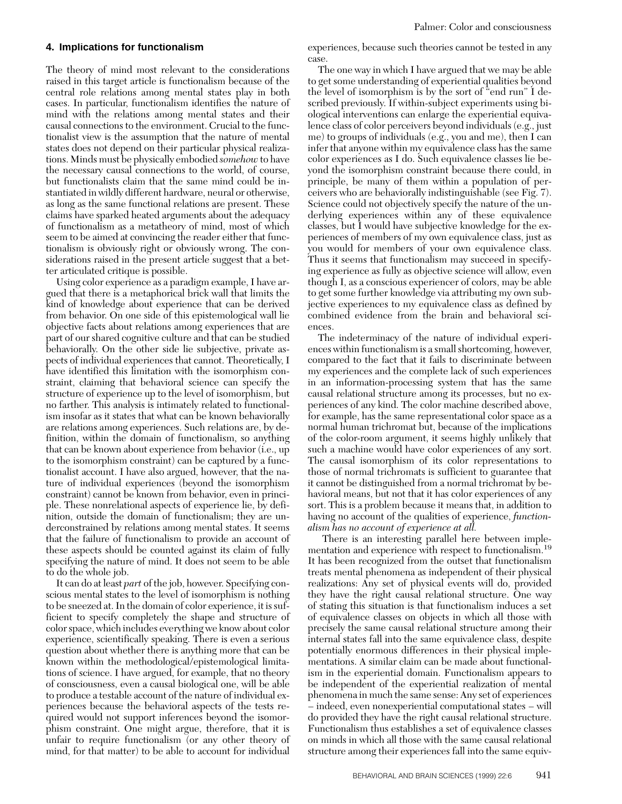## **4. Implications for functionalism**

The theory of mind most relevant to the considerations raised in this target article is functionalism because of the central role relations among mental states play in both cases. In particular, functionalism identifies the nature of mind with the relations among mental states and their causal connections to the environment. Crucial to the functionalist view is the assumption that the nature of mental states does not depend on their particular physical realizations. Minds must be physically embodied *somehow* to have the necessary causal connections to the world, of course, but functionalists claim that the same mind could be instantiated in wildly different hardware, neural or otherwise, as long as the same functional relations are present. These claims have sparked heated arguments about the adequacy of functionalism as a metatheory of mind, most of which seem to be aimed at convincing the reader either that functionalism is obviously right or obviously wrong. The considerations raised in the present article suggest that a better articulated critique is possible.

Using color experience as a paradigm example, I have argued that there is a metaphorical brick wall that limits the kind of knowledge about experience that can be derived from behavior. On one side of this epistemological wall lie objective facts about relations among experiences that are part of our shared cognitive culture and that can be studied behaviorally. On the other side lie subjective, private aspects of individual experiences that cannot. Theoretically, I have identified this limitation with the isomorphism constraint, claiming that behavioral science can specify the structure of experience up to the level of isomorphism, but no farther. This analysis is intimately related to functionalism insofar as it states that what can be known behaviorally are relations among experiences. Such relations are, by definition, within the domain of functionalism, so anything that can be known about experience from behavior (i.e., up to the isomorphism constraint) can be captured by a functionalist account. I have also argued, however, that the nature of individual experiences (beyond the isomorphism constraint) cannot be known from behavior, even in principle. These nonrelational aspects of experience lie, by definition, outside the domain of functionalism; they are underconstrained by relations among mental states. It seems that the failure of functionalism to provide an account of these aspects should be counted against its claim of fully specifying the nature of mind. It does not seem to be able to do the whole job.

It can do at least *part* of the job, however. Specifying conscious mental states to the level of isomorphism is nothing to be sneezed at. In the domain of color experience, it is sufficient to specify completely the shape and structure of color space, which includes everything we know about color experience, scientifically speaking. There is even a serious question about whether there is anything more that can be known within the methodological/epistemological limitations of science. I have argued, for example, that no theory of consciousness, even a causal biological one, will be able to produce a testable account of the nature of individual experiences because the behavioral aspects of the tests required would not support inferences beyond the isomorphism constraint. One might argue, therefore, that it is unfair to require functionalism (or any other theory of mind, for that matter) to be able to account for individual

experiences, because such theories cannot be tested in any case.

The one way in which I have argued that we may be able to get some understanding of experiential qualities beyond the level of isomorphism is by the sort of "end run" I described previously. If within-subject experiments using biological interventions can enlarge the experiential equivalence class of color perceivers beyond individuals (e.g., just me) to groups of individuals (e.g., you and me), then I can infer that anyone within my equivalence class has the same color experiences as I do. Such equivalence classes lie beyond the isomorphism constraint because there could, in principle, be many of them within a population of perceivers who are behaviorally indistinguishable (see Fig. 7). Science could not objectively specify the nature of the underlying experiences within any of these equivalence classes, but I would have subjective knowledge for the experiences of members of my own equivalence class, just as you would for members of your own equivalence class. Thus it seems that functionalism may succeed in specifying experience as fully as objective science will allow, even though I, as a conscious experiencer of colors, may be able to get some further knowledge via attributing my own subjective experiences to my equivalence class as defined by combined evidence from the brain and behavioral sciences.

The indeterminacy of the nature of individual experiences within functionalism is a small shortcoming, however, compared to the fact that it fails to discriminate between my experiences and the complete lack of such experiences in an information-processing system that has the same causal relational structure among its processes, but no experiences of any kind. The color machine described above, for example, has the same representational color space as a normal human trichromat but, because of the implications of the color-room argument, it seems highly unlikely that such a machine would have color experiences of any sort. The causal isomorphism of its color representations to those of normal trichromats is sufficient to guarantee that it cannot be distinguished from a normal trichromat by behavioral means, but not that it has color experiences of any sort. This is a problem because it means that, in addition to having no account of the qualities of experience, *functionalism has no account of experience at all.*

There is an interesting parallel here between implementation and experience with respect to functionalism.<sup>19</sup> It has been recognized from the outset that functionalism treats mental phenomena as independent of their physical realizations: Any set of physical events will do, provided they have the right causal relational structure. One way of stating this situation is that functionalism induces a set of equivalence classes on objects in which all those with precisely the same causal relational structure among their internal states fall into the same equivalence class, despite potentially enormous differences in their physical implementations. A similar claim can be made about functionalism in the experiential domain. Functionalism appears to be independent of the experiential realization of mental phenomena in much the same sense: Any set of experiences – indeed, even nonexperiential computational states – will do provided they have the right causal relational structure. Functionalism thus establishes a set of equivalence classes on minds in which all those with the same causal relational structure among their experiences fall into the same equiv-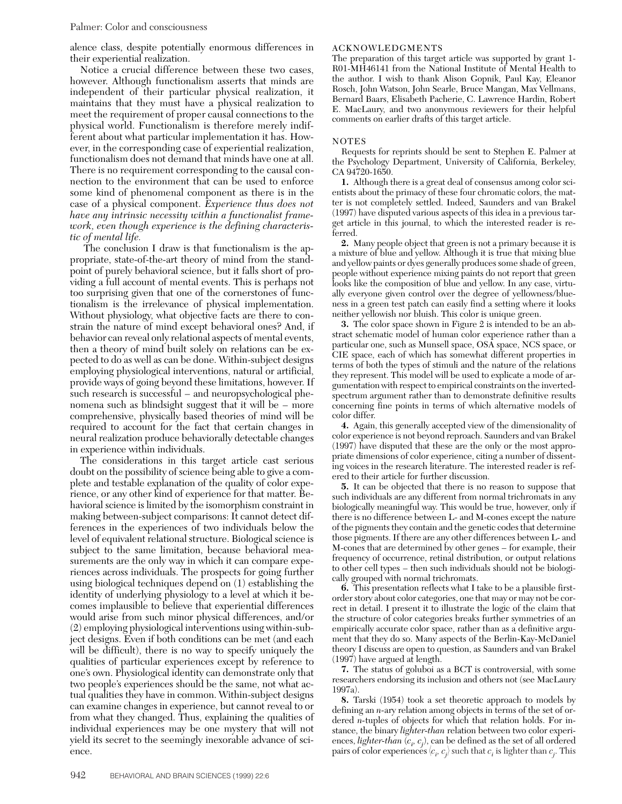## Palmer: Color and consciousness

alence class, despite potentially enormous differences in their experiential realization.

Notice a crucial difference between these two cases, however. Although functionalism asserts that minds are independent of their particular physical realization, it maintains that they must have a physical realization to meet the requirement of proper causal connections to the physical world. Functionalism is therefore merely indifferent about what particular implementation it has. However, in the corresponding case of experiential realization, functionalism does not demand that minds have one at all. There is no requirement corresponding to the causal connection to the environment that can be used to enforce some kind of phenomenal component as there is in the case of a physical component. *Experience thus does not have any intrinsic necessity within a functionalist framework, even though experience is the defining characteristic of mental life.*

The conclusion I draw is that functionalism is the appropriate, state-of-the-art theory of mind from the standpoint of purely behavioral science, but it falls short of providing a full account of mental events. This is perhaps not too surprising given that one of the cornerstones of functionalism is the irrelevance of physical implementation. Without physiology, what objective facts are there to constrain the nature of mind except behavioral ones? And, if behavior can reveal only relational aspects of mental events, then a theory of mind built solely on relations can be expected to do as well as can be done. Within-subject designs employing physiological interventions, natural or artificial, provide ways of going beyond these limitations, however. If such research is successful – and neuropsychological phenomena such as blindsight suggest that it will be – more comprehensive, physically based theories of mind will be required to account for the fact that certain changes in neural realization produce behaviorally detectable changes in experience within individuals.

The considerations in this target article cast serious doubt on the possibility of science being able to give a complete and testable explanation of the quality of color experience, or any other kind of experience for that matter. Behavioral science is limited by the isomorphism constraint in making between-subject comparisons: It cannot detect differences in the experiences of two individuals below the level of equivalent relational structure. Biological science is subject to the same limitation, because behavioral measurements are the only way in which it can compare experiences across individuals. The prospects for going further using biological techniques depend on (1) establishing the identity of underlying physiology to a level at which it becomes implausible to believe that experiential differences would arise from such minor physical differences, and/or (2) employing physiological interventions using within-subject designs. Even if both conditions can be met (and each will be difficult), there is no way to specify uniquely the qualities of particular experiences except by reference to one's own. Physiological identity can demonstrate only that two people's experiences should be the same, not what actual qualities they have in common. Within-subject designs can examine changes in experience, but cannot reveal to or from what they changed. Thus, explaining the qualities of individual experiences may be one mystery that will not yield its secret to the seemingly inexorable advance of science.

#### ACKNOWLEDGMENTS

The preparation of this target article was supported by grant 1- R01-MH46141 from the National Institute of Mental Health to the author. I wish to thank Alison Gopnik, Paul Kay, Eleanor Rosch, John Watson, John Searle, Bruce Mangan, Max Vellmans, Bernard Baars, Elisabeth Pacherie, C. Lawrence Hardin, Robert E. MacLaury, and two anonymous reviewers for their helpful comments on earlier drafts of this target article.

#### **NOTES**

Requests for reprints should be sent to Stephen E. Palmer at the Psychology Department, University of California, Berkeley, CA 94720-1650.

**1.** Although there is a great deal of consensus among color scientists about the primacy of these four chromatic colors, the matter is not completely settled. Indeed, Saunders and van Brakel (1997) have disputed various aspects of this idea in a previous target article in this journal, to which the interested reader is referred.

**2.** Many people object that green is not a primary because it is a mixture of blue and yellow. Although it is true that mixing blue and yellow paints or dyes generally produces some shade of green, people without experience mixing paints do not report that green looks like the composition of blue and yellow. In any case, virtually everyone given control over the degree of yellowness/blueness in a green test patch can easily find a setting where it looks neither yellowish nor bluish. This color is unique green.

**3.** The color space shown in Figure 2 is intended to be an abstract schematic model of human color experience rather than a particular one, such as Munsell space, OSA space, NCS space, or CIE space, each of which has somewhat different properties in terms of both the types of stimuli and the nature of the relations they represent. This model will be used to explicate a mode of argumentation with respect to empirical constraints on the invertedspectrum argument rather than to demonstrate definitive results concerning fine points in terms of which alternative models of color differ.

**4.** Again, this generally accepted view of the dimensionality of color experience is not beyond reproach. Saunders and van Brakel (1997) have disputed that these are the only or the most appropriate dimensions of color experience, citing a number of dissenting voices in the research literature. The interested reader is refered to their article for further discussion.

**5.** It can be objected that there is no reason to suppose that such individuals are any different from normal trichromats in any biologically meaningful way. This would be true, however, only if there is no difference between L- and M-cones except the nature of the pigments they contain and the genetic codes that determine those pigments. If there are any other differences between L- and M-cones that are determined by other genes – for example, their frequency of occurrence, retinal distribution, or output relations to other cell types – then such individuals should not be biologically grouped with normal trichromats.

**6.** This presentation reflects what I take to be a plausible firstorder story about color categories, one that may or may not be correct in detail. I present it to illustrate the logic of the claim that the structure of color categories breaks further symmetries of an empirically accurate color space, rather than as a definitive argument that they do so. Many aspects of the Berlin-Kay-McDaniel theory I discuss are open to question, as Saunders and van Brakel (1997) have argued at length.

**7.** The status of goluboi as a BCT is controversial, with some researchers endorsing its inclusion and others not (see MacLaury 1997a).

**8.** Tarski (1954) took a set theoretic approach to models by defining an *n-*ary relation among objects in terms of the set of ordered *n-*tuples of objects for which that relation holds. For instance, the binary *lighter-than* relation between two color experiences, *lighter-than*  $(c_i, c_j)$ , can be defined as the set of all ordered pairs of color experiences  $\langle c_i, c_j \rangle$  such that  $c_i$  is lighter than  $c_j$ . This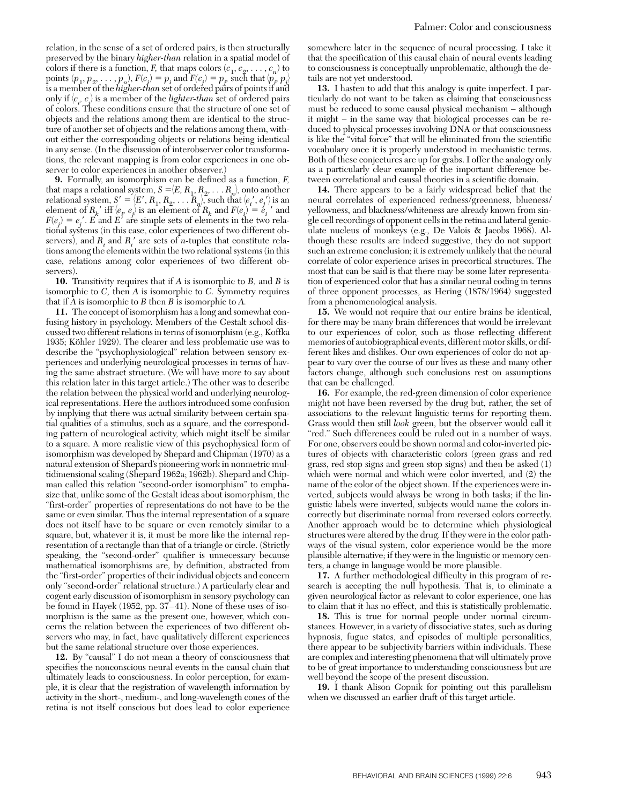relation, in the sense of a set of ordered pairs, is then structurally preserved by the binary *higher-than* relation in a spatial model of colors if there is a function, *F*, that maps colors  $(c_1, c_2, \ldots, c_n)$  to points  $(p_1, p_2, \ldots, p_n)$ ,  $F(c_j) = p_i$  and  $F(c_j) = p_j$ , such that  $(p_j, p_j)$ is a member of the *higher-than* set of ordered pairs of points if and only if  $\langle c_i, c_j \rangle$  is a member of the *lighter-than* set of ordered pairs of colors. These conditions ensure that the structure of one set of objects and the relations among them are identical to the structure of another set of objects and the relations among them, without either the corresponding objects or relations being identical in any sense. (In the discussion of interobserver color transformations, the relevant mapping is from color experiences in one observer to color experiences in another observer.)

**9.** Formally, an isomorphism can be defined as a function, *F,* that maps a relational system,  $S = \langle E, R_1, R_2, \ldots, R_n \rangle$ , onto another relational system,  $S' = \langle E', R_1, R_2, \ldots, R_n \rangle$ , such that  $\langle e'_i, e'_j \rangle$  is an element of  $R_k'$  iff  $\langle e_i, e_j \rangle$  is an element of  $R_k$  and  $F(e_i) = e_i'$  and  $F(e_j) = e_j'$ . *E* and *E*<sup>*i*</sup> are simple sets of elements in the two relational systems (in this case, color experiences of two different observers), and  $R_i$  and  $R'_i$  are sets of *n*-tuples that constitute relations among the elements within the two relational systems (in this case, relations among color experiences of two different observers).

**10.** Transitivity requires that if *A* is isomorphic to *B,* and *B* is isomorphic to *C,* then *A* is isomorphic to *C.* Symmetry requires that if *A* is isomorphic to *B* then *B* is isomorphic to *A.*

**11.** The concept of isomorphism has a long and somewhat confusing history in psychology. Members of the Gestalt school discussed two different relations in terms of isomorphism (e.g., Koffka 1935; Köhler 1929). The clearer and less problematic use was to describe the "psychophysiological" relation between sensory experiences and underlying neurological processes in terms of having the same abstract structure. (We will have more to say about this relation later in this target article.) The other was to describe the relation between the physical world and underlying neurological representations. Here the authors introduced some confusion by implying that there was actual similarity between certain spatial qualities of a stimulus, such as a square, and the corresponding pattern of neurological activity, which might itself be similar to a square. A more realistic view of this psychophysical form of isomorphism was developed by Shepard and Chipman (1970) as a natural extension of Shepard's pioneering work in nonmetric multidimensional scaling (Shepard 1962a; 1962b). Shepard and Chipman called this relation "second-order isomorphism" to emphasize that, unlike some of the Gestalt ideas about isomorphism, the "first-order" properties of representations do not have to be the same or even similar. Thus the internal representation of a square does not itself have to be square or even remotely similar to a square, but, whatever it is, it must be more like the internal representation of a rectangle than that of a triangle or circle. (Strictly speaking, the "second-order" qualifier is unnecessary because mathematical isomorphisms are, by definition, abstracted from the "first-order" properties of their individual objects and concern only "second-order" relational structure.) A particularly clear and cogent early discussion of isomorphism in sensory psychology can be found in Hayek (1952, pp. 37–41). None of these uses of isomorphism is the same as the present one, however, which concerns the relation between the experiences of two different observers who may, in fact, have qualitatively different experiences but the same relational structure over those experiences.

**12.** By "causal" I do not mean a theory of consciousness that specifies the nonconscious neural events in the causal chain that ultimately leads to consciousness. In color perception, for example, it is clear that the registration of wavelength information by activity in the short-, medium-, and long-wavelength cones of the retina is not itself conscious but does lead to color experience somewhere later in the sequence of neural processing. I take it that the specification of this causal chain of neural events leading to consciousness is conceptually unproblematic, although the details are not yet understood.

**13.** I hasten to add that this analogy is quite imperfect. I particularly do not want to be taken as claiming that consciousness must be reduced to some causal physical mechanism – although it might – in the same way that biological processes can be reduced to physical processes involving DNA or that consciousness is like the "vital force" that will be eliminated from the scientific vocabulary once it is properly understood in mechanistic terms. Both of these conjectures are up for grabs. I offer the analogy only as a particularly clear example of the important difference between correlational and causal theories in a scientific domain.

**14.** There appears to be a fairly widespread belief that the neural correlates of experienced redness/greenness, blueness/ yellowness, and blackness/whiteness are already known from single cell recordings of opponent cells in the retina and lateral geniculate nucleus of monkeys (e.g., De Valois & Jacobs 1968). Although these results are indeed suggestive, they do not support such an extreme conclusion; it is extremely unlikely that the neural correlate of color experience arises in precortical structures. The most that can be said is that there may be some later representation of experienced color that has a similar neural coding in terms of three opponent processes, as Hering (1878/1964) suggested from a phenomenological analysis.

**15.** We would not require that our entire brains be identical, for there may be many brain differences that would be irrelevant to our experiences of color, such as those reflecting different memories of autobiographical events, different motor skills, or different likes and dislikes. Our own experiences of color do not appear to vary over the course of our lives as these and many other factors change, although such conclusions rest on assumptions that can be challenged.

**16.** For example, the red-green dimension of color experience might not have been reversed by the drug but, rather, the set of associations to the relevant linguistic terms for reporting them. Grass would then still *look* green, but the observer would call it "red." Such differences could be ruled out in a number of ways. For one, observers could be shown normal and color-inverted pictures of objects with characteristic colors (green grass and red grass, red stop signs and green stop signs) and then be asked (1) which were normal and which were color inverted, and (2) the name of the color of the object shown. If the experiences were inverted, subjects would always be wrong in both tasks; if the linguistic labels were inverted, subjects would name the colors incorrectly but discriminate normal from reversed colors correctly. Another approach would be to determine which physiological structures were altered by the drug. If they were in the color pathways of the visual system, color experience would be the more plausible alternative; if they were in the linguistic or memory centers, a change in language would be more plausible.

**17.** A further methodological difficulty in this program of research is accepting the null hypothesis. That is, to eliminate a given neurological factor as relevant to color experience, one has to claim that it has no effect, and this is statistically problematic.

**18.** This is true for normal people under normal circumstances. However, in a variety of dissociative states, such as during hypnosis, fugue states, and episodes of multiple personalities, there appear to be subjectivity barriers within individuals. These are complex and interesting phenomena that will ultimately prove to be of great importance to understanding consciousness but are well beyond the scope of the present discussion.

**19.** I thank Alison Gopnik for pointing out this parallelism when we discussed an earlier draft of this target article.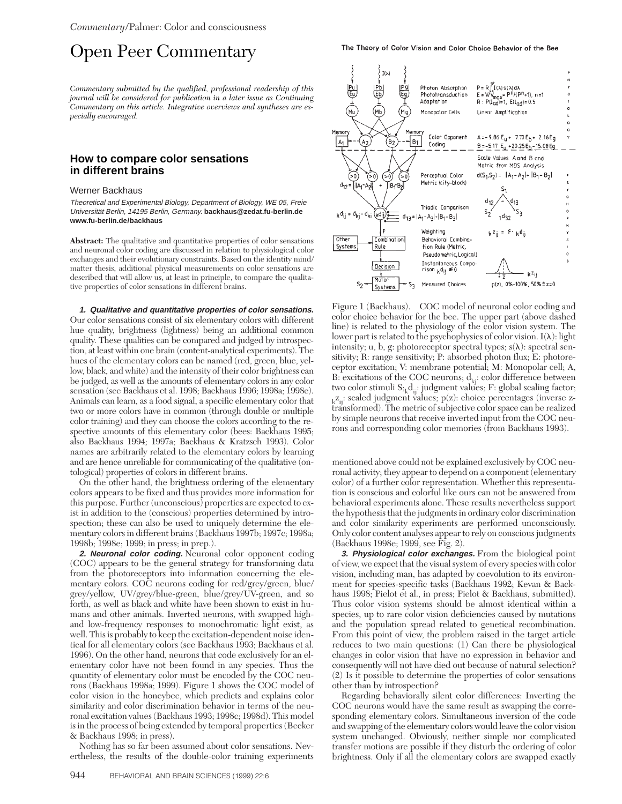## Open Peer Commentary

*Commentary submitted by the qualified, professional readership of this journal will be considered for publication in a later issue as Continuing Commentary on this article. Integrative overviews and syntheses are especially encouraged.*

## **How to compare color sensations in different brains**

#### Werner Backhaus

Theoretical and Experimental Biology, Department of Biology, WE 05, Freie Universität Berlin, 14195 Berlin, Germany. **backhaus@zedat.fu-berlin.de www.fu-berlin.de/backhaus**

Abstract: The qualitative and quantitative properties of color sensations and neuronal color coding are discussed in relation to physiological color exchanges and their evolutionary constraints. Based on the identity mind/ matter thesis, additional physical measurements on color sensations are described that will allow us, at least in principle, to compare the qualitative properties of color sensations in different brains.

**1. Qualitative and quantitative properties of color sensations.** Our color sensations consist of six elementary colors with different hue quality, brightness (lightness) being an additional common quality. These qualities can be compared and judged by introspection, at least within one brain (content-analytical experiments). The hues of the elementary colors can be named (red, green, blue, yellow, black, and white) and the intensity of their color brightness can be judged, as well as the amounts of elementary colors in any color sensation (see Backhaus et al. 1998; Backhaus 1996; 1998a; 1998e). Animals can learn, as a food signal, a specific elementary color that two or more colors have in common (through double or multiple color training) and they can choose the colors according to the respective amounts of this elementary color (bees: Backhaus 1995; also Backhaus 1994; 1997a; Backhaus & Kratzsch 1993). Color names are arbitrarily related to the elementary colors by learning and are hence unreliable for communicating of the qualitative (ontological) properties of colors in different brains.

On the other hand, the brightness ordering of the elementary colors appears to be fixed and thus provides more information for this purpose. Further (unconscious) properties are expected to exist in addition to the (conscious) properties determined by introspection; these can also be used to uniquely determine the elementary colors in different brains (Backhaus 1997b; 1997c; 1998a; 1998b; 1998e; 1999; in press; in prep.).

**2. Neuronal color coding.** Neuronal color opponent coding (COC) appears to be the general strategy for transforming data from the photoreceptors into information concerning the elementary colors. COC neurons coding for red/grey/green, blue/ grey/yellow, UV/grey/blue-green, blue/grey/UV-green, and so forth, as well as black and white have been shown to exist in humans and other animals. Inverted neurons, with swapped highand low-frequency responses to monochromatic light exist, as well. This is probably to keep the excitation-dependent noise identical for all elementary colors (see Backhaus 1993; Backhaus et al. 1996). On the other hand, neurons that code exclusively for an elementary color have not been found in any species. Thus the quantity of elementary color must be encoded by the COC neurons (Backhaus 1998a; 1999). Figure 1 shows the COC model of color vision in the honeybee, which predicts and explains color similarity and color discrimination behavior in terms of the neuronal excitation values (Backhaus 1993; 1998c; 1998d). This model is in the process of being extended by temporal properties (Becker & Backhaus 1998; in press).

Nothing has so far been assumed about color sensations. Nevertheless, the results of the double-color training experiments



Figure 1 (Backhaus). COC model of neuronal color coding and color choice behavior for the bee. The upper part (above dashed line) is related to the physiology of the color vision system. The lower part is related to the psychophysics of color vision.  $I(\lambda)$ : light intensity; u, b, g: photoreceptor spectral types;  $s(\lambda)$ : spectral sensitivity; R: range sensitivity; P: absorbed photon flux; E: photoreceptor excitation; V: membrane potential; M: Monopolar cell; A, B: excitations of the COC neurons;  $\mathbf{d_{ki:}}$  color difference between two color stimuli  $S_{i_k}d_{ij}$ : judgment values; F: global scaling factor; <sub>k</sub>z<sub>ij</sub>: scaled judgment values; p(z): choice percentages (inverse ztransformed). The metric of subjective color space can be realized by simple neurons that receive inverted input from the COC neurons and corresponding color memories (from Backhaus 1993).

mentioned above could not be explained exclusively by COC neuronal activity; they appear to depend on a component (elementary color) of a further color representation. Whether this representation is conscious and colorful like ours can not be answered from behavioral experiments alone. These results nevertheless support the hypothesis that the judgments in ordinary color discrimination and color similarity experiments are performed unconsciously. Only color content analyses appear to rely on conscious judgments (Backhaus 1998e; 1999, see Fig. 2).

**3. Physiological color exchanges.** From the biological point of view, we expect that the visual system of every species with color vision, including man, has adapted by coevolution to its environment for species-specific tasks (Backhaus 1992; Kevan & Backhaus 1998; Pielot et al., in press; Pielot & Backhaus, submitted). Thus color vision systems should be almost identical within a species, up to rare color vision deficiencies caused by mutations and the population spread related to genetical recombination. From this point of view, the problem raised in the target article reduces to two main questions: (1) Can there be physiological changes in color vision that have no expression in behavior and consequently will not have died out because of natural selection? (2) Is it possible to determine the properties of color sensations other than by introspection?

Regarding behaviorally silent color differences: Inverting the COC neurons would have the same result as swapping the corresponding elementary colors. Simultaneous inversion of the code and swapping of the elementary colors would leave the color vision system unchanged. Obviously, neither simple nor complicated transfer motions are possible if they disturb the ordering of color brightness. Only if all the elementary colors are swapped exactly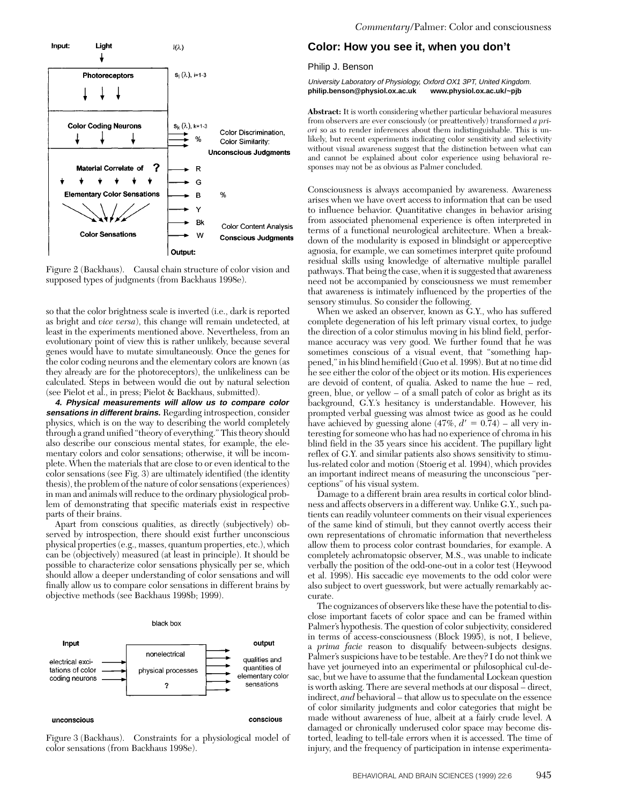

Figure 2 (Backhaus). Causal chain structure of color vision and supposed types of judgments (from Backhaus 1998e).

so that the color brightness scale is inverted (i.e., dark is reported as bright and *vice versa*), this change will remain undetected, at least in the experiments mentioned above. Nevertheless, from an evolutionary point of view this is rather unlikely, because several genes would have to mutate simultaneously. Once the genes for the color coding neurons and the elementary colors are known (as they already are for the photoreceptors), the unlikeliness can be calculated. Steps in between would die out by natural selection (see Pielot et al., in press; Pielot & Backhaus, submitted).

**4. Physical measurements will allow us to compare color sensations in different brains.** Regarding introspection, consider physics, which is on the way to describing the world completely through a grand unified "theory of everything." This theory should also describe our conscious mental states, for example, the elementary colors and color sensations; otherwise, it will be incomplete. When the materials that are close to or even identical to the color sensations (see Fig. 3) are ultimately identified (the identity thesis), the problem of the nature of color sensations (experiences) in man and animals will reduce to the ordinary physiological problem of demonstrating that specific materials exist in respective parts of their brains.

Apart from conscious qualities, as directly (subjectively) observed by introspection, there should exist further unconscious physical properties (e.g., masses, quantum properties, etc.), which can be (objectively) measured (at least in principle). It should be possible to characterize color sensations physically per se, which should allow a deeper understanding of color sensations and will finally allow us to compare color sensations in different brains by objective methods (see Backhaus 1998b; 1999).



unconscious

conscious

Figure 3 (Backhaus). Constraints for a physiological model of color sensations (from Backhaus 1998e).

## **Color: How you see it, when you don't**

Philip J. Benson

University Laboratory of Physiology, Oxford OX1 3PT, United Kingdom. **philip.benson@physiol.ox.ac.uk www.physiol.ox.ac.uk/~pjb**

**Abstract:** It is worth considering whether particular behavioral measures from observers are ever consciously (or preattentively) transformed *a priori* so as to render inferences about them indistinguishable. This is unlikely, but recent experiments indicating color sensitivity and selectivity without visual awareness suggest that the distinction between what can and cannot be explained about color experience using behavioral responses may not be as obvious as Palmer concluded.

Consciousness is always accompanied by awareness. Awareness arises when we have overt access to information that can be used to influence behavior. Quantitative changes in behavior arising from associated phenomenal experience is often interpreted in terms of a functional neurological architecture. When a breakdown of the modularity is exposed in blindsight or apperceptive agnosia, for example, we can sometimes interpret quite profound residual skills using knowledge of alternative multiple parallel pathways. That being the case, when it is suggested that awareness need not be accompanied by consciousness we must remember that awareness is intimately influenced by the properties of the sensory stimulus. So consider the following.

When we asked an observer, known as G.Y., who has suffered complete degeneration of his left primary visual cortex, to judge the direction of a color stimulus moving in his blind field, performance accuracy was very good. We further found that he was sometimes conscious of a visual event, that "something happened," in his blind hemifield (Guo et al. 1998). But at no time did he see either the color of the object or its motion. His experiences are devoid of content, of qualia. Asked to name the hue – red, green, blue, or yellow – of a small patch of color as bright as its background, G.Y.'s hesitancy is understandable. However, his prompted verbal guessing was almost twice as good as he could have achieved by guessing alone (47%,  $d' = 0.74$ ) – all very interesting for someone who has had no experience of chroma in his blind field in the 35 years since his accident. The pupillary light reflex of G.Y. and similar patients also shows sensitivity to stimulus-related color and motion (Stoerig et al. 1994), which provides an important indirect means of measuring the unconscious "perceptions" of his visual system.

Damage to a different brain area results in cortical color blindness and affects observers in a different way. Unlike G.Y., such patients can readily volunteer comments on their visual experiences of the same kind of stimuli, but they cannot overtly access their own representations of chromatic information that nevertheless allow them to process color contrast boundaries, for example. A completely achromatopsic observer, M.S., was unable to indicate verbally the position of the odd-one-out in a color test (Heywood et al. 1998). His saccadic eye movements to the odd color were also subject to overt guesswork, but were actually remarkably accurate.

The cognizances of observers like these have the potential to disclose important facets of color space and can be framed within Palmer's hypothesis. The question of color subjectivity, considered in terms of access-consciousness (Block 1995), is not, I believe, a *prima facie* reason to disqualify between-subjects designs. Palmer's suspicions have to be testable. Are they? I do not think we have yet journeyed into an experimental or philosophical cul-desac, but we have to assume that the fundamental Lockean question is worth asking. There are several methods at our disposal – direct, indirect, *and* behavioral – that allow us to speculate on the essence of color similarity judgments and color categories that might be made without awareness of hue, albeit at a fairly crude level. A damaged or chronically underused color space may become distorted, leading to tell-tale errors when it is accessed. The time of injury, and the frequency of participation in intense experimenta-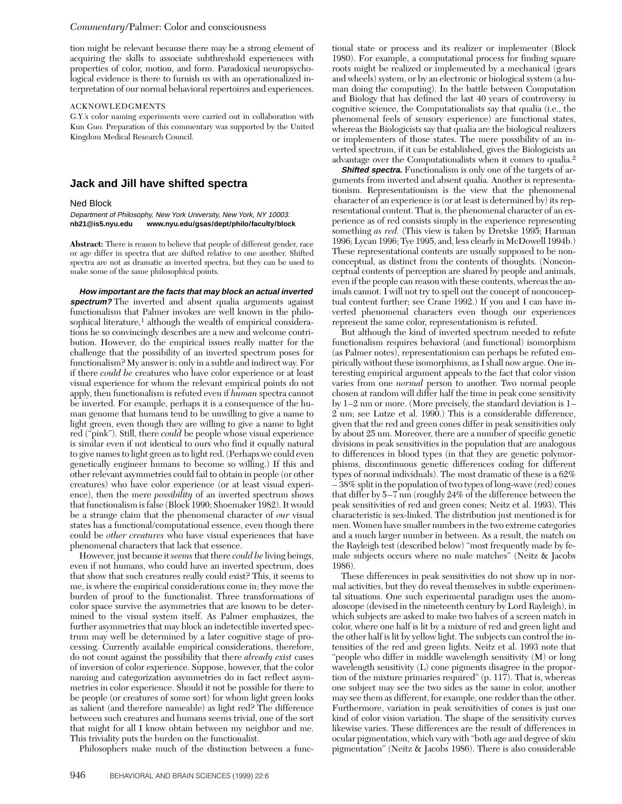## *Commentary/*Palmer: Color and consciousness

tion might be relevant because there may be a strong element of acquiring the skills to associate subthreshold experiences with properties of color, motion, and form. Paradoxical neuropsychological evidence is there to furnish us with an operationalized interpretation of our normal behavioral repertoires and experiences.

#### ACKNOWLEDGMENTS

G.Y.'s color naming experiments were carried out in collaboration with Kun Guo. Preparation of this commentary was supported by the United Kingdom Medical Research Council.

## **Jack and Jill have shifted spectra**

#### Ned Block

Department of Philosophy, New York University, New York, NY 10003. **nb21@is5.nyu.edu www.nyu.edu/gsas/dept/philo/faculty/block**

**Abstract:** There is reason to believe that people of different gender, race or age differ in spectra that are shifted relative to one another. Shifted spectra are not as dramatic as inverted spectra, but they can be used to make some of the same philosophical points.

**How important are the facts that may block an actual inverted spectrum?** The inverted and absent qualia arguments against functionalism that Palmer invokes are well known in the philosophical literature,<sup>1</sup> although the wealth of empirical considerations he so convincingly describes are a new and welcome contribution. However, do the empirical issues really matter for the challenge that the possibility of an inverted spectrum poses for functionalism? My answer is: only in a subtle and indirect way. For if there *could be* creatures who have color experience or at least visual experience for whom the relevant empirical points do not apply, then functionalism is refuted even if *human* spectra cannot be inverted. For example, perhaps it is a consequence of the human genome that humans tend to be unwilling to give a name to light green, even though they are willing to give a name to light red ("pink"). Still, there *could* be people whose visual experience is similar even if not identical to ours who find it equally natural to give names to light green as to light red. (Perhaps we could even genetically engineer humans to become so willing.) If this and other relevant asymmetries could fail to obtain in people (or other creatures) who have color experience (or at least visual experience), then the mere *possibility* of an inverted spectrum shows that functionalism is false (Block 1990; Shoemaker 1982). It would be a strange claim that the phenomenal character of *our* visual states has a functional/computational essence, even though there could be *other creatures* who have visual experiences that have phenomenal characters that lack that essence.

However, just because it *seems* that there *could be* living beings, even if not humans, who could have an inverted spectrum, does that show that such creatures really could exist? This, it seems to me, is where the empirical considerations come in; they move the burden of proof to the functionalist. Three transformations of color space survive the asymmetries that are known to be determined to the visual system itself. As Palmer emphasizes, the further asymmetries that may block an indetectible inverted spectrum may well be determined by a later cognitive stage of processing. Currently available empirical considerations, therefore, do not count against the possibility that there *already exist* cases of inversion of color experience. Suppose, however, that the color naming and categorization asymmetries do in fact reflect asymmetries in color experience. Should it not be possible for there to be people (or creatures of some sort) for whom light green looks as salient (and therefore nameable) as light red? The difference between such creatures and humans seems trivial, one of the sort that might for all I know obtain between my neighbor and me. This triviality puts the burden on the functionalist.

Philosophers make much of the distinction between a func-

tional state or process and its realizer or implementer (Block 1980). For example, a computational process for finding square roots might be realized or implemented by a mechanical (gears and wheels) system, or by an electronic or biological system (a human doing the computing). In the battle between Computation and Biology that has defined the last 40 years of controversy in cognitive science, the Computationalists say that qualia (i.e., the phenomenal feels of sensory experience) are functional states, whereas the Biologicists say that qualia are the biological realizers or implementers of those states. The mere possibility of an inverted spectrum, if it can be established, gives the Biologicists an advantage over the Computationalists when it comes to qualia.2

**Shifted spectra.** Functionalism is only one of the targets of arguments from inverted and absent qualia. Another is representationism. Representationism is the view that the phenomenal character of an experience is (or at least is determined by) its representational content. That is, the phenomenal character of an experience as of red consists simply in the experience representing something *as red.* (This view is taken by Dretske 1995; Harman 1996; Lycan 1996; Tye 1995, and, less clearly in McDowell 1994b.) These representational contents are usually supposed to be nonconceptual, as distinct from the contents of thoughts. (Nonconceptual contents of perception are shared by people and animals, even if the people can reason with these contents, whereas the animals cannot. I will not try to spell out the concept of nonconceptual content further; see Crane 1992.) If you and I can have inverted phenomenal characters even though our experiences represent the same color, representationism is refuted.

But although the kind of inverted spectrum needed to refute functionalism requires behavioral (and functional) isomorphism (as Palmer notes), representationism can perhaps be refuted empirically without these isomorphisms, as I shall now argue. One interesting empirical argument appeals to the fact that color vision varies from one *normal* person to another. Two normal people chosen at random will differ half the time in peak cone sensitivity by 1–2 nm or more. (More precisely, the standard deviation is 1– 2 nm; see Lutze et al. 1990.) This is a considerable difference, given that the red and green cones differ in peak sensitivities only by about 25 nm. Moreover, there are a number of specific genetic divisions in peak sensitivities in the population that are analogous to differences in blood types (in that they are genetic polymorphisms, discontinuous genetic differences coding for different types of normal individuals). The most dramatic of these is a 62% – 38% split in the population of two types of long-wave (red) cones that differ by 5–7 nm (roughly 24% of the difference between the peak sensitivities of red and green cones; Neitz et al. 1993). This characteristic is sex-linked. The distribution just mentioned is for men. Women have smaller numbers in the two extreme categories and a much larger number in between. As a result, the match on the Rayleigh test (described below) "most frequently made by female subjects occurs where no male matches" (Neitz & Jacobs 1986).

These differences in peak sensitivities do not show up in normal activities, but they do reveal themselves in subtle experimental situations. One such experimental paradigm uses the anomaloscope (devised in the nineteenth century by Lord Rayleigh), in which subjects are asked to make two halves of a screen match in color, where one half is lit by a mixture of red and green light and the other half is lit by yellow light. The subjects can control the intensities of the red and green lights. Neitz et al. 1993 note that "people who differ in middle wavelength sensitivity (M) or long wavelength sensitivity (L) cone pigments disagree in the proportion of the mixture primaries required" (p. 117). That is, whereas one subject may see the two sides as the same in color, another may see them as different, for example, one redder than the other. Furthermore, variation in peak sensitivities of cones is just one kind of color vision variation. The shape of the sensitivity curves likewise varies. These differences are the result of differences in ocular pigmentation, which vary with "both age and degree of skin pigmentation" (Neitz & Jacobs 1986). There is also considerable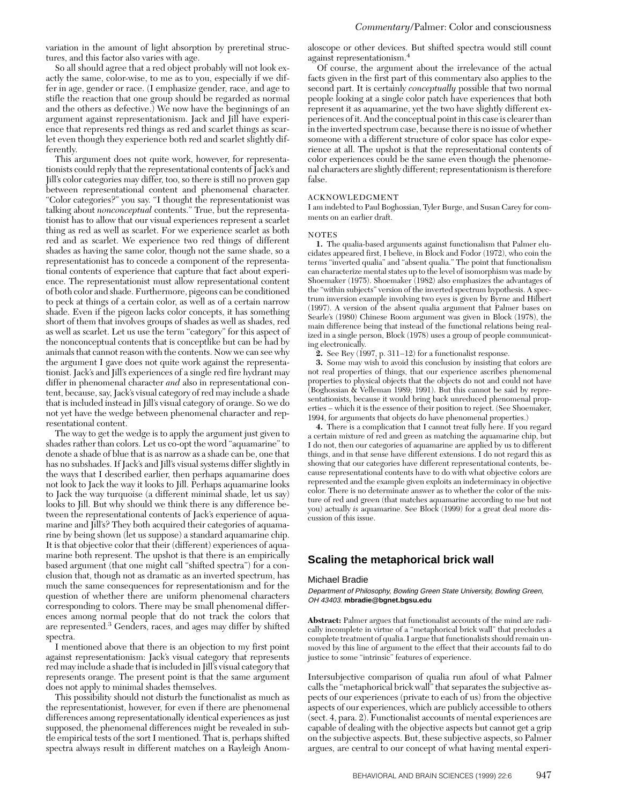variation in the amount of light absorption by preretinal structures, and this factor also varies with age.

So all should agree that a red object probably will not look exactly the same, color-wise, to me as to you, especially if we differ in age, gender or race. (I emphasize gender, race, and age to stifle the reaction that one group should be regarded as normal and the others as defective.) We now have the beginnings of an argument against representationism. Jack and Jill have experience that represents red things as red and scarlet things as scarlet even though they experience both red and scarlet slightly differently.

This argument does not quite work, however, for representationists could reply that the representational contents of Jack's and Jill's color categories may differ, too, so there is still no proven gap between representational content and phenomenal character. "Color categories?" you say. "I thought the representationist was talking about *nonconceptual* contents." True, but the representationist has to allow that our visual experiences represent a scarlet thing as red as well as scarlet. For we experience scarlet as both red and as scarlet. We experience two red things of different shades as having the same color, though not the same shade, so a representationist has to concede a component of the representational contents of experience that capture that fact about experience. The representationist must allow representational content of both color and shade. Furthermore, pigeons can be conditioned to peck at things of a certain color, as well as of a certain narrow shade. Even if the pigeon lacks color concepts, it has something short of them that involves groups of shades as well as shades, red as well as scarlet. Let us use the term "category" for this aspect of the nonconceptual contents that is conceptlike but can be had by animals that cannot reason with the contents. Now we can see why the argument I gave does not quite work against the representationist. Jack's and Jill's experiences of a single red fire hydrant may differ in phenomenal character *and* also in representational content, because, say, Jack's visual category of red may include a shade that is included instead in Jill's visual category of orange. So we do not yet have the wedge between phenomenal character and representational content.

The way to get the wedge is to apply the argument just given to shades rather than colors. Let us co-opt the word "aquamarine" to denote a shade of blue that is as narrow as a shade can be, one that has no subshades. If Jack's and Jill's visual systems differ slightly in the ways that I described earlier, then perhaps aquamarine does not look to Jack the way it looks to Jill. Perhaps aquamarine looks to Jack the way turquoise (a different minimal shade, let us say) looks to Jill. But why should we think there is any difference between the representational contents of Jack's experience of aquamarine and Jill's? They both acquired their categories of aquamarine by being shown (let us suppose) a standard aquamarine chip. It is that objective color that their (different) experiences of aquamarine both represent. The upshot is that there is an empirically based argument (that one might call "shifted spectra") for a conclusion that, though not as dramatic as an inverted spectrum, has much the same consequences for representationism and for the question of whether there are uniform phenomenal characters corresponding to colors. There may be small phenomenal differences among normal people that do not track the colors that are represented.3 Genders, races, and ages may differ by shifted spectra.

I mentioned above that there is an objection to my first point against representationism: Jack's visual category that represents red may include a shade that is included in Jill's visual category that represents orange. The present point is that the same argument does not apply to minimal shades themselves.

This possibility should not disturb the functionalist as much as the representationist, however, for even if there are phenomenal differences among representationally identical experiences as just supposed, the phenomenal differences might be revealed in subtle empirical tests of the sort I mentioned. That is, perhaps shifted spectra always result in different matches on a Rayleigh Anomaloscope or other devices. But shifted spectra would still count against representationism.4

Of course, the argument about the irrelevance of the actual facts given in the first part of this commentary also applies to the second part. It is certainly *conceptually* possible that two normal people looking at a single color patch have experiences that both represent it as aquamarine, yet the two have slightly different experiences of it. And the conceptual point in this case is clearer than in the inverted spectrum case, because there is no issue of whether someone with a different structure of color space has color experience at all. The upshot is that the representational contents of color experiences could be the same even though the phenomenal characters are slightly different; representationism is therefore false.

#### ACKNOWLEDGMENT

I am indebted to Paul Boghossian, Tyler Burge, and Susan Carey for comments on an earlier draft.

#### NOTES

**1.** The qualia-based arguments against functionalism that Palmer elucidates appeared first, I believe, in Block and Fodor (1972), who coin the terms "inverted qualia" and "absent qualia." The point that functionalism can characterize mental states up to the level of isomorphism was made by Shoemaker (1975). Shoemaker (1982) also emphasizes the advantages of the "within subjects" version of the inverted spectrum hypothesis. A spectrum inversion example involving two eyes is given by Byrne and Hilbert (1997). A version of the absent qualia argument that Palmer bases on Searle's (1980) Chinese Room argument was given in Block (1978), the main difference being that instead of the functional relations being realized in a single person, Block (1978) uses a group of people communicating electronically.

**2.** See Rey  $(1997, p. 311-12)$  for a functionalist response.

**3.** Some may wish to avoid this conclusion by insisting that colors are not real properties of things, that our experience ascribes phenomenal properties to physical objects that the objects do not and could not have (Boghossian & Velleman 1989; 1991). But this cannot be said by representationists, because it would bring back unreduced phenomenal properties – which it is the essence of their position to reject. (See Shoemaker, 1994, for arguments that objects do have phenomenal properties.)

**4.** There is a complication that I cannot treat fully here. If you regard a certain mixture of red and green as matching the aquamarine chip, but I do not, then our categories of aquamarine are applied by us to different things, and in that sense have different extensions. I do not regard this as showing that our categories have different representational contents, because representational contents have to do with what objective colors are represented and the example given exploits an indeterminacy in objective color. There is no determinate answer as to whether the color of the mixture of red and green (that matches aquamarine according to me but not you) actually *is* aquamarine. See Block (1999) for a great deal more discussion of this issue.

## **Scaling the metaphorical brick wall**

#### Michael Bradie

Department of Philosophy, Bowling Green State University, Bowling Green, OH 43403. **mbradie@bgnet.bgsu.edu**

**Abstract:** Palmer argues that functionalist accounts of the mind are radically incomplete in virtue of a "metaphorical brick wall" that precludes a complete treatment of qualia. I argue that functionalists should remain unmoved by this line of argument to the effect that their accounts fail to do justice to some "intrinsic" features of experience.

Intersubjective comparison of qualia run afoul of what Palmer calls the "metaphorical brick wall" that separates the subjective aspects of our experiences (private to each of us) from the objective aspects of our experiences, which are publicly accessible to others (sect. 4, para. 2). Functionalist accounts of mental experiences are capable of dealing with the objective aspects but cannot get a grip on the subjective aspects. But, these subjective aspects, so Palmer argues, are central to our concept of what having mental experi-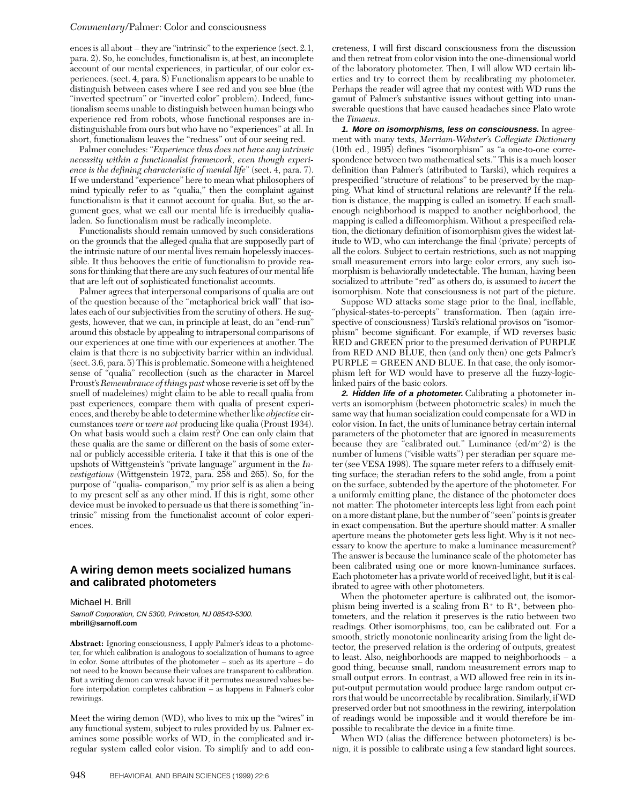## *Commentary/*Palmer: Color and consciousness

ences is all about – they are "intrinsic" to the experience (sect. 2.1, para. 2). So, he concludes, functionalism is, at best, an incomplete account of our mental experiences, in particular, of our color experiences. (sect. 4, para. 8) Functionalism appears to be unable to distinguish between cases where I see red and you see blue (the "inverted spectrum" or "inverted color" problem). Indeed, functionalism seems unable to distinguish between human beings who experience red from robots, whose functional responses are indistinguishable from ours but who have no "experiences" at all. In short, functionalism leaves the "redness" out of our seeing red.

Palmer concludes: "*Experience thus does not have any intrinsic necessity within a functionalist framework, even though experience is the defining characteristic of mental life*" (sect. 4, para. 7). If we understand "experience" here to mean what philosophers of mind typically refer to as "qualia," then the complaint against functionalism is that it cannot account for qualia. But, so the argument goes, what we call our mental life is irreducibly qualialaden. So functionalism must be radically incomplete.

Functionalists should remain unmoved by such considerations on the grounds that the alleged qualia that are supposedly part of the intrinsic nature of our mental lives remain hopelessly inaccessible. It thus behooves the critic of functionalism to provide reasons for thinking that there are any such features of our mental life that are left out of sophisticated functionalist accounts.

Palmer agrees that interpersonal comparisons of qualia are out of the question because of the "metaphorical brick wall" that isolates each of our subjectivities from the scrutiny of others. He suggests, however, that we can, in principle at least, do an "end-run" around this obstacle by appealing to intrapersonal comparisons of our experiences at one time with our experiences at another. The claim is that there is no subjectivity barrier within an individual. (sect. 3.6, para. 5) This is problematic. Someone with a heightened sense of "qualia" recollection (such as the character in Marcel Proust's *Remembrance of things past* whose reverie is set off by the smell of madeleines) might claim to be able to recall qualia from past experiences, compare them with qualia of present experiences, and thereby be able to determine whether like *objective* circumstances *were* or *were not* producing like qualia (Proust 1934). On what basis would such a claim rest? One can only claim that these qualia are the same or different on the basis of some external or publicly accessible criteria. I take it that this is one of the upshots of Wittgenstein's "private language" argument in the *Investigations* (Wittgenstein 1972, para. 258 and 265). So, for the purpose of "qualia- comparison," my prior self is as alien a being to my present self as any other mind. If this is right, some other device must be invoked to persuade us that there is something "intrinsic" missing from the functionalist account of color experiences.

## **A wiring demon meets socialized humans and calibrated photometers**

#### Michael H. Brill

Sarnoff Corporation, CN 5300, Princeton, NJ 08543-5300. **mbrill@sarnoff.com**

Abstract: Ignoring consciousness, I apply Palmer's ideas to a photometer, for which calibration is analogous to socialization of humans to agree in color. Some attributes of the photometer – such as its aperture – do not need to be known because their values are transparent to calibration. But a writing demon can wreak havoc if it permutes measured values before interpolation completes calibration – as happens in Palmer's color rewirings.

Meet the wiring demon (WD), who lives to mix up the "wires" in any functional system, subject to rules provided by us. Palmer examines some possible works of WD, in the complicated and irregular system called color vision. To simplify and to add concreteness, I will first discard consciousness from the discussion and then retreat from color vision into the one-dimensional world of the laboratory photometer. Then, I will allow WD certain liberties and try to correct them by recalibrating my photometer. Perhaps the reader will agree that my contest with WD runs the gamut of Palmer's substantive issues without getting into unanswerable questions that have caused headaches since Plato wrote the *Timaeus*.

**1. More on isomorphisms, less on consciousness.** In agreement with many texts, *Merriam-Webster's Collegiate Dictionary* (10th ed., 1995) defines "isomorphism" as "a one-to-one correspondence between two mathematical sets." This is a much looser definition than Palmer's (attributed to Tarski), which requires a prespecified "structure of relations" to be preserved by the mapping. What kind of structural relations are relevant? If the relation is distance, the mapping is called an isometry. If each smallenough neighborhood is mapped to another neighborhood, the mapping is called a diffeomorphism. Without a prespecified relation, the dictionary definition of isomorphism gives the widest latitude to WD, who can interchange the final (private) percepts of all the colors. Subject to certain restrictions, such as not mapping small measurement errors into large color errors, any such isomorphism is behaviorally undetectable. The human, having been socialized to attribute "red" as others do, is assumed to *invert* the isomorphism. Note that consciousness is not part of the picture.

Suppose WD attacks some stage prior to the final, ineffable, "physical-states-to-percepts" transformation. Then (again irrespective of consciousness) Tarski's relational provisos on "isomorphism" become significant. For example, if WD reverses basic RED and GREEN prior to the presumed derivation of PURPLE from RED AND BLUE, then (and only then) one gets Palmer's  $PURPLE = GREEN AND BLUE$ . In that case, the only isomorphism left for WD would have to preserve all the fuzzy-logiclinked pairs of the basic colors.

**2. Hidden life of a photometer.** Calibrating a photometer inverts an isomorphism (between photometric scales) in much the same way that human socialization could compensate for a WD in color vision. In fact, the units of luminance betray certain internal parameters of the photometer that are ignored in measurements because they are "calibrated out." Luminance  $(\text{cd/m}^2)$  is the number of lumens ("visible watts") per steradian per square meter (see VESA 1998). The square meter refers to a diffusely emitting surface; the steradian refers to the solid angle, from a point on the surface, subtended by the aperture of the photometer. For a uniformly emitting plane, the distance of the photometer does not matter: The photometer intercepts less light from each point on a more distant plane, but the number of "seen" points is greater in exact compensation. But the aperture should matter: A smaller aperture means the photometer gets less light. Why is it not necessary to know the aperture to make a luminance measurement? The answer is because the luminance scale of the photometer has been calibrated using one or more known-luminance surfaces. Each photometer has a private world of received light, but it is calibrated to agree with other photometers.

When the photometer aperture is calibrated out, the isomorphism being inverted is a scaling from  $R^+$  to  $R^+$ , between photometers, and the relation it preserves is the ratio between two readings. Other isomorphisms, too, can be calibrated out. For a smooth, strictly monotonic nonlinearity arising from the light detector, the preserved relation is the ordering of outputs, greatest to least. Also, neighborhoods are mapped to neighborhoods – a good thing, because small, random measurement errors map to small output errors. In contrast, a WD allowed free rein in its input-output permutation would produce large random output errors that would be uncorrectable by recalibration. Similarly, if WD preserved order but not smoothness in the rewiring, interpolation of readings would be impossible and it would therefore be impossible to recalibrate the device in a finite time.

When WD (alias the difference between photometers) is benign, it is possible to calibrate using a few standard light sources.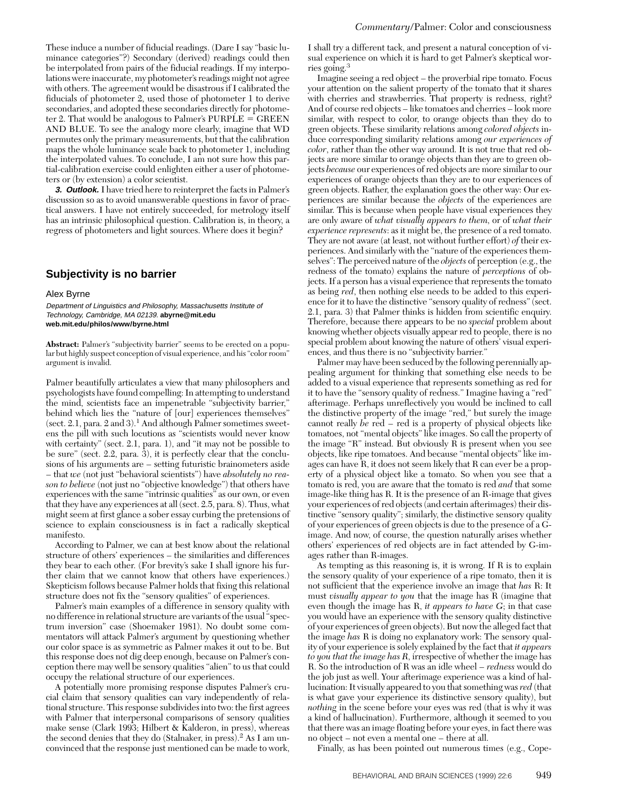These induce a number of fiducial readings. (Dare I say "basic luminance categories"?) Secondary (derived) readings could then be interpolated from pairs of the fiducial readings. If my interpolations were inaccurate, my photometer's readings might not agree with others. The agreement would be disastrous if I calibrated the fiducials of photometer 2, used those of photometer 1 to derive secondaries, and adopted these secondaries directly for photometer 2. That would be analogous to Palmer's  $\text{PURPLE} = \text{GREEN}$ AND BLUE. To see the analogy more clearly, imagine that WD permutes only the primary measurements, but that the calibration maps the whole luminance scale back to photometer 1, including the interpolated values. To conclude, I am not sure how this partial-calibration exercise could enlighten either a user of photometers or (by extension) a color scientist.

**3. Outlook.** I have tried here to reinterpret the facts in Palmer's discussion so as to avoid unanswerable questions in favor of practical answers. I have not entirely succeeded, for metrology itself has an intrinsic philosophical question. Calibration is, in theory, a regress of photometers and light sources. Where does it begin?

## **Subjectivity is no barrier**

#### Alex Byrne

Department of Linguistics and Philosophy, Massachusetts Institute of Technology, Cambridge, MA 02139. **abyrne@mit.edu web.mit.edu/philos/www/byrne.html**

Abstract: Palmer's "subjectivity barrier" seems to be erected on a popular but highly suspect conception of visual experience, and his "color room" argument is invalid.

Palmer beautifully articulates a view that many philosophers and psychologists have found compelling: In attempting to understand the mind, scientists face an impenetrable "subjectivity barrier," behind which lies the "nature of [our] experiences themselves" (sect. 2.1, para. 2 and 3).1 And although Palmer sometimes sweetens the pill with such locutions as "scientists would never know with certainty" (sect. 2.1, para. 1), and "it may not be possible to be sure" (sect. 2.2, para. 3), it is perfectly clear that the conclusions of his arguments are – setting futuristic brainometers aside – that *we* (not just "behavioral scientists") have *absolutely no reason to believe* (not just no "objective knowledge") that others have experiences with the same "intrinsic qualities" as our own, or even that they have any experiences at all (sect. 2.5, para. 8). Thus, what might seem at first glance a sober essay curbing the pretensions of science to explain consciousness is in fact a radically skeptical manifesto.

According to Palmer, we can at best know about the relational structure of others' experiences – the similarities and differences they bear to each other. (For brevity's sake I shall ignore his further claim that we cannot know that others have experiences.) Skepticism follows because Palmer holds that fixing this relational structure does not fix the "sensory qualities" of experiences.

Palmer's main examples of a difference in sensory quality with no difference in relational structure are variants of the usual "spectrum inversion" case (Shoemaker 1981). No doubt some commentators will attack Palmer's argument by questioning whether our color space is as symmetric as Palmer makes it out to be. But this response does not dig deep enough, because on Palmer's conception there may well be sensory qualities "alien" to us that could occupy the relational structure of our experiences.

A potentially more promising response disputes Palmer's crucial claim that sensory qualities can vary independently of relational structure. This response subdivides into two: the first agrees with Palmer that interpersonal comparisons of sensory qualities make sense (Clark 1993; Hilbert & Kalderon, in press), whereas the second denies that they do (Stalnaker, in press).<sup>2</sup> As I am unconvinced that the response just mentioned can be made to work, I shall try a different tack, and present a natural conception of visual experience on which it is hard to get Palmer's skeptical worries going.3

Imagine seeing a red object – the proverbial ripe tomato. Focus your attention on the salient property of the tomato that it shares with cherries and strawberries. That property is redness, right? And of course red objects – like tomatoes and cherries – look more similar, with respect to color, to orange objects than they do to green objects. These similarity relations among *colored objects* induce corresponding similarity relations among *our experiences of color*, rather than the other way around. It is not true that red objects are more similar to orange objects than they are to green objects *because* our experiences of red objects are more similar to our experiences of orange objects than they are to our experiences of green objects. Rather, the explanation goes the other way: Our experiences are similar because the *objects* of the experiences are similar. This is because when people have visual experiences they are only aware of *what visually appears to them*, or of *what their experience represents*: as it might be, the presence of a red tomato. They are not aware (at least, not without further effort) *of* their experiences. And similarly with the "nature of the experiences themselves": The perceived nature of the *objects* of perception (e.g., the redness of the tomato) explains the nature of *perceptions* of objects. If a person has a visual experience that represents the tomato as being *red*, then nothing else needs to be added to this experience for it to have the distinctive "sensory quality of redness" (sect. 2.1, para. 3) that Palmer thinks is hidden from scientific enquiry. Therefore, because there appears to be no *special* problem about knowing whether objects visually appear red to people, there is no special problem about knowing the nature of others' visual experiences, and thus there is no "subjectivity barrier."

Palmer may have been seduced by the following perennially appealing argument for thinking that something else needs to be added to a visual experience that represents something as red for it to have the "sensory quality of redness." Imagine having a "red" afterimage. Perhaps unreflectively you would be inclined to call the distinctive property of the image "red," but surely the image cannot really *be* red – red is a property of physical objects like tomatoes, not "mental objects" like images. So call the property of the image "R" instead. But obviously R is present when you see objects, like ripe tomatoes. And because "mental objects" like images can have R, it does not seem likely that R can ever be a property of a physical object like a tomato. So when you see that a tomato is red, you are aware that the tomato is red *and* that some image-like thing has R. It is the presence of an R-image that gives your experiences of red objects (and certain afterimages) their distinctive "sensory quality"; similarly, the distinctive sensory quality of your experiences of green objects is due to the presence of a Gimage. And now, of course, the question naturally arises whether others' experiences of red objects are in fact attended by G-images rather than R-images.

As tempting as this reasoning is, it is wrong. If R is to explain the sensory quality of your experience of a ripe tomato, then it is not sufficient that the experience involve an image that *has* R: It must *visually appear to you* that the image has R (imagine that even though the image has R, *it appears to have G*; in that case you would have an experience with the sensory quality distinctive of your experiences of green objects). But now the alleged fact that the image *has* R is doing no explanatory work: The sensory quality of your experience is solely explained by the fact that *it appears to you that the image has R*, irrespective of whether the image has R. So the introduction of R was an idle wheel – *redness* would do the job just as well. Your afterimage experience was a kind of hallucination: It visually appeared to you that something was *red* (that is what gave your experience its distinctive sensory quality), but *nothing* in the scene before your eyes was red (that is why it was a kind of hallucination). Furthermore, although it seemed to you that there was an image floating before your eyes, in fact there was no object – not even a mental one – there at all.

Finally, as has been pointed out numerous times (e.g., Cope-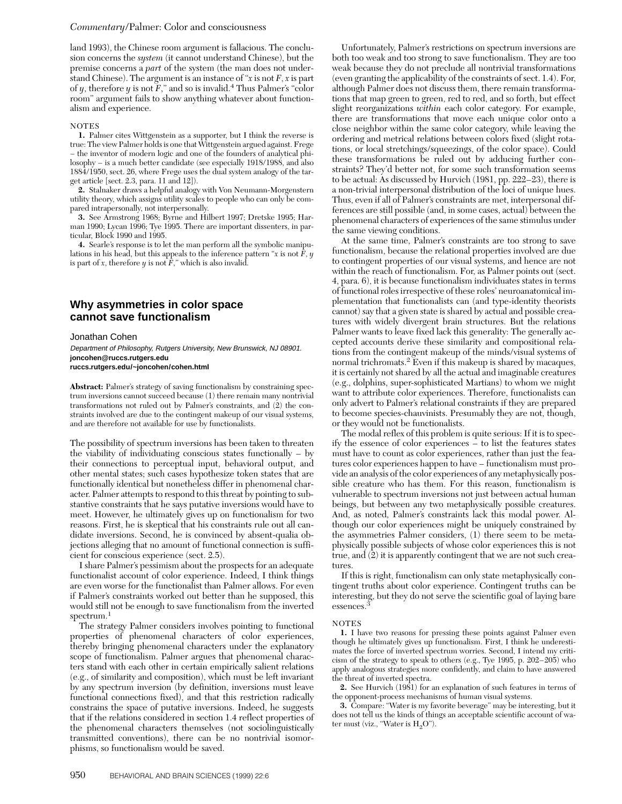## *Commentary/*Palmer: Color and consciousness

land 1993), the Chinese room argument is fallacious. The conclusion concerns the *system* (it cannot understand Chinese), but the premise concerns a *part* of the system (the man does not understand Chinese). The argument is an instance of "*x* is not *F*, *x* is part of  $y$ , therefore  $y$  is not  $\overline{F}$ ," and so is invalid.<sup>4</sup> Thus Palmer's "color" room" argument fails to show anything whatever about functionalism and experience.

#### **NOTES**

**1.** Palmer cites Wittgenstein as a supporter, but I think the reverse is true: The view Palmer holds is one that Wittgenstein argued against. Frege – the inventor of modern logic and one of the founders of analytical philosophy – is a much better candidate (see especially 1918/1988, and also 1884/1950, sect. 26, where Frege uses the dual system analogy of the target article [sect. 2.3, para. 11 and 12]).

**2.** Stalnaker draws a helpful analogy with Von Neumann-Morgenstern utility theory, which assigns utility scales to people who can only be compared intrapersonally, not interpersonally.

**3.** See Armstrong 1968; Byrne and Hilbert 1997; Dretske 1995; Harman 1990; Lycan 1996; Tye 1995. There are important dissenters, in particular, Block 1990 and 1995.

**4.** Searle's response is to let the man perform all the symbolic manipulations in his head, but this appeals to the inference pattern "*x* is not *F*, *y* is part of *x*, therefore *y* is not *F*," which is also invalid.

## **Why asymmetries in color space cannot save functionalism**

Jonathan Cohen

Department of Philosophy, Rutgers University, New Brunswick, NJ 08901. **joncohen@ruccs.rutgers.edu ruccs.rutgers.edu/~joncohen/cohen.html**

**Abstract:** Palmer's strategy of saving functionalism by constraining spectrum inversions cannot succeed because (1) there remain many nontrivial transformations not ruled out by Palmer's constraints, and (2) the constraints involved are due to the contingent makeup of our visual systems, and are therefore not available for use by functionalists.

The possibility of spectrum inversions has been taken to threaten the viability of individuating conscious states functionally – by their connections to perceptual input, behavioral output, and other mental states; such cases hypothesize token states that are functionally identical but nonetheless differ in phenomenal character. Palmer attempts to respond to this threat by pointing to substantive constraints that he says putative inversions would have to meet. However, he ultimately gives up on functionalism for two reasons. First, he is skeptical that his constraints rule out all candidate inversions. Second, he is convinced by absent-qualia objections alleging that no amount of functional connection is sufficient for conscious experience (sect. 2.5).

I share Palmer's pessimism about the prospects for an adequate functionalist account of color experience. Indeed, I think things are even worse for the functionalist than Palmer allows. For even if Palmer's constraints worked out better than he supposed, this would still not be enough to save functionalism from the inverted spectrum.<sup>1</sup>

The strategy Palmer considers involves pointing to functional properties of phenomenal characters of color experiences, thereby bringing phenomenal characters under the explanatory scope of functionalism. Palmer argues that phenomenal characters stand with each other in certain empirically salient relations (e.g., of similarity and composition), which must be left invariant by any spectrum inversion (by definition, inversions must leave functional connections fixed), and that this restriction radically constrains the space of putative inversions. Indeed, he suggests that if the relations considered in section 1.4 reflect properties of the phenomenal characters themselves (not sociolinguistically transmitted conventions), there can be no nontrivial isomorphisms, so functionalism would be saved.

Unfortunately, Palmer's restrictions on spectrum inversions are both too weak and too strong to save functionalism. They are too weak because they do not preclude all nontrivial transformations (even granting the applicability of the constraints of sect. 1.4). For, although Palmer does not discuss them, there remain transformations that map green to green, red to red, and so forth, but effect slight reorganizations *within* each color category. For example, there are transformations that move each unique color onto a close neighbor within the same color category, while leaving the ordering and metrical relations between colors fixed (slight rotations, or local stretchings/squeezings, of the color space). Could these transformations be ruled out by adducing further constraints? They'd better not, for some such transformation seems to be actual: As discussed by Hurvich (1981, pp. 222–23), there is a non-trivial interpersonal distribution of the loci of unique hues. Thus, even if all of Palmer's constraints are met, interpersonal differences are still possible (and, in some cases, actual) between the phenomenal characters of experiences of the same stimulus under the same viewing conditions.

At the same time, Palmer's constraints are too strong to save functionalism, because the relational properties involved are due to contingent properties of our visual systems, and hence are not within the reach of functionalism. For, as Palmer points out (sect. 4, para. 6), it is because functionalism individuates states in terms of functional roles irrespective of these roles' neuroanatomical implementation that functionalists can (and type-identity theorists cannot) say that a given state is shared by actual and possible creatures with widely divergent brain structures. But the relations Palmer wants to leave fixed lack this generality: The generally accepted accounts derive these similarity and compositional relations from the contingent makeup of the minds/visual systems of normal trichromats.<sup>2</sup> Even if this makeup is shared by macaques, it is certainly not shared by all the actual and imaginable creatures (e.g., dolphins, super-sophisticated Martians) to whom we might want to attribute color experiences. Therefore, functionalists can only advert to Palmer's relational constraints if they are prepared to become species-chauvinists. Presumably they are not, though, or they would not be functionalists.

The modal reflex of this problem is quite serious: If it is to specify the essence of color experiences – to list the features states must have to count as color experiences, rather than just the features color experiences happen to have – functionalism must provide an analysis of the color experiences of any metaphysically possible creature who has them. For this reason, functionalism is vulnerable to spectrum inversions not just between actual human beings, but between any two metaphysically possible creatures. And, as noted, Palmer's constraints lack this modal power. Although our color experiences might be uniquely constrained by the asymmetries Palmer considers, (1) there seem to be metaphysically possible subjects of whose color experiences this is not true, and  $(2)$  it is apparently contingent that we are not such creatures.

If this is right, functionalism can only state metaphysically contingent truths about color experience. Contingent truths can be interesting, but they do not serve the scientific goal of laying bare essences.<sup>3</sup>

#### **NOTES**

**1.** I have two reasons for pressing these points against Palmer even though he ultimately gives up functionalism. First, I think he underestimates the force of inverted spectrum worries. Second, I intend my criticism of the strategy to speak to others (e.g., Tye 1995, p. 202–205) who apply analogous strategies more confidently, and claim to have answered the threat of inverted spectra.

**2.** See Hurvich (1981) for an explanation of such features in terms of the opponent-process mechanisms of human visual systems.

**3.** Compare: "Water is my favorite beverage" may be interesting, but it does not tell us the kinds of things an acceptable scientific account of water must (viz., "Water is  $H<sub>2</sub>O$ ").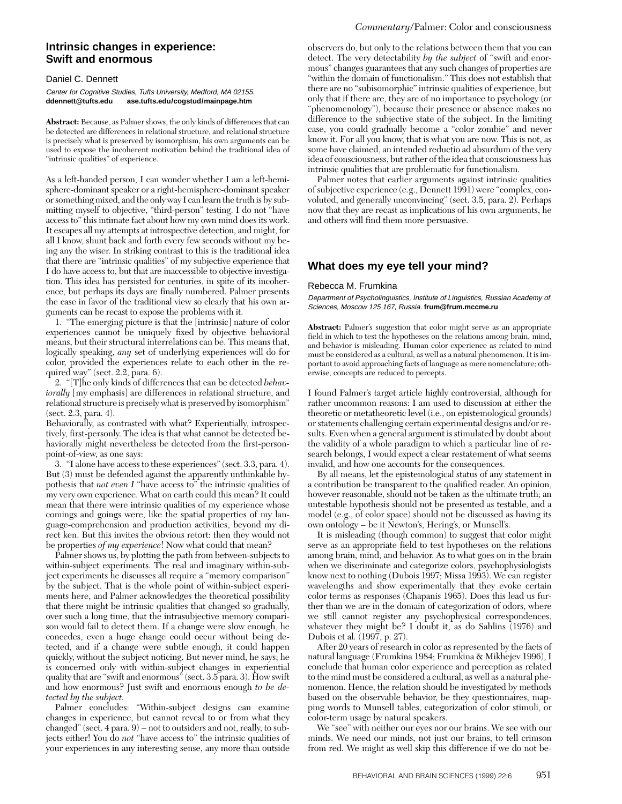## **Intrinsic changes in experience: Swift and enormous**

#### Daniel C. Dennett

Center for Cognitive Studies, Tufts University, Medford, MA 02155. **ddennett@tufts.edu ase.tufts.edu/cogstud/mainpage.htm**

**Abstract:** Because, as Palmer shows, the only kinds of differences that can be detected are differences in relational structure, and relational structure is precisely what is preserved by isomorphism, his own arguments can be used to expose the incoherent motivation behind the traditional idea of "intrinsic qualities" of experience.

As a left-handed person, I can wonder whether I am a left-hemisphere-dominant speaker or a right-hemisphere-dominant speaker or something mixed, and the only way I can learn the truth is by submitting myself to objective, "third-person" testing. I do not "have access to" this intimate fact about how my own mind does its work. It escapes all my attempts at introspective detection, and might, for all I know, shunt back and forth every few seconds without my being any the wiser. In striking contrast to this is the traditional idea that there are "intrinsic qualities" of my subjective experience that I do have access to, but that are inaccessible to objective investigation. This idea has persisted for centuries, in spite of its incoherence, but perhaps its days are finally numbered. Palmer presents the case in favor of the traditional view so clearly that his own arguments can be recast to expose the problems with it.

1. "The emerging picture is that the [intrinsic] nature of color experiences cannot be uniquely fixed by objective behavioral means, but their structural interrelations can be. This means that, logically speaking, *any* set of underlying experiences will do for color, provided the experiences relate to each other in the required way" (sect. 2.2, para. 6).

2. "[T]he only kinds of differences that can be detected *behaviorally* [my emphasis] are differences in relational structure, and relational structure is precisely what is preserved by isomorphism" (sect. 2.3, para. 4).

Behaviorally, as contrasted with what? Experientially, introspectively, first-personly. The idea is that what cannot be detected behaviorally might nevertheless be detected from the first-personpoint-of-view, as one says:

3. "I alone have access to these experiences" (sect. 3.3, para. 4). But (3) must be defended against the apparently unthinkable hypothesis that *not even I* "have access to" the intrinsic qualities of my very own experience. What on earth could this mean? It could mean that there were intrinsic qualities of my experience whose comings and goings were, like the spatial properties of my language-comprehension and production activities, beyond my direct ken. But this invites the obvious retort: then they would not be properties *of my experience*! Now what could that mean?

Palmer shows us, by plotting the path from between-subjects to within-subject experiments. The real and imaginary within-subject experiments he discusses all require a "memory comparison" by the subject. That is the whole point of within-subject experiments here, and Palmer acknowledges the theoretical possibility that there might be intrinsic qualities that changed so gradually, over such a long time, that the intrasubjective memory comparison would fail to detect them. If a change were slow enough, he concedes, even a huge change could occur without being detected, and if a change were subtle enough, it could happen quickly, without the subject noticing. But never mind, he says; he is concerned only with within-subject changes in experiential quality that are "swift and enormous" (sect. 3.5 para. 3). How swift and how enormous? Just swift and enormous enough *to be detected by the subject.*

Palmer concludes: "Within-subject designs can examine changes in experience, but cannot reveal to or from what they changed" (sect. 4 para. 9) – not to outsiders and not, really, to subjects either! You do *not* "have access to" the intrinsic qualities of your experiences in any interesting sense, any more than outside

observers do, but only to the relations between them that you can detect. The very detectability *by the subject* of "swift and enormous" changes guarantees that any such changes of properties are "within the domain of functionalism." This does not establish that there are no "subisomorphic" intrinsic qualities of experience, but only that if there are, they are of no importance to psychology (or "phenomenology"), because their presence or absence makes no difference to the subjective state of the subject. In the limiting case, you could gradually become a "color zombie" and never know it. For all you know, that is what you are now. This is not, as some have claimed, an intended reductio ad absurdum of the very idea of consciousness, but rather of the idea that consciousness has intrinsic qualities that are problematic for functionalism.

Palmer notes that earlier arguments against intrinsic qualities of subjective experience (e.g., Dennett 1991) were "complex, convoluted, and generally unconvincing" (sect. 3.5, para. 2). Perhaps now that they are recast as implications of his own arguments, he and others will find them more persuasive.

## **What does my eye tell your mind?**

#### Rebecca M. Frumkina

Department of Psycholinguistics, Institute of Linguistics, Russian Academy of Sciences, Moscow 125 167, Russia. **frum@frum.mccme.ru**

Abstract: Palmer's suggestion that color might serve as an appropriate field in which to test the hypotheses on the relations among brain, mind, and behavior is misleading. Human color experience as related to mind must be considered as a cultural, as well as a natural phenomenon. It is important to avoid approaching facts of language as mere nomenclature; otherwise, concepts are reduced to percepts.

I found Palmer's target article highly controversial, although for rather uncommon reasons: I am used to discussion at either the theoretic or metatheoretic level (i.e., on epistemological grounds) or statements challenging certain experimental designs and/or results. Even when a general argument is stimulated by doubt about the validity of a whole paradigm to which a particular line of research belongs, I would expect a clear restatement of what seems invalid, and how one accounts for the consequences.

By all means, let the epistemological status of any statement in a contribution be transparent to the qualified reader. An opinion, however reasonable, should not be taken as the ultimate truth; an untestable hypothesis should not be presented as testable, and a model (e.g., of color space) should not be discussed as having its own ontology – be it Newton's, Hering's, or Munsell's.

It is misleading (though common) to suggest that color might serve as an appropriate field to test hypotheses on the relations among brain, mind, and behavior. As to what goes on in the brain when we discriminate and categorize colors, psychophysiologists know next to nothing (Dubois 1997; Missa 1993). We can register wavelengths and show experimentally that they evoke certain color terms as responses (Chapanis 1965). Does this lead us further than we are in the domain of categorization of odors, where we still cannot register any psychophysical correspondences, whatever they might be? I doubt it, as do Sahlins (1976) and Dubois et al. (1997, p. 27).

After 20 years of research in color as represented by the facts of natural language (Frumkina 1984; Frumkina & Mikhejev 1996), I conclude that human color experience and perception as related to the mind must be considered a cultural, as well as a natural phenomenon. Hence, the relation should be investigated by methods based on the observable behavior, be they questionnaires, mapping words to Munsell tables, categorization of color stimuli, or color-term usage by natural speakers.

We "see" with neither our eyes nor our brains. We see with our minds. We need our minds, not just our brains, to tell crimson from red. We might as well skip this difference if we do not be-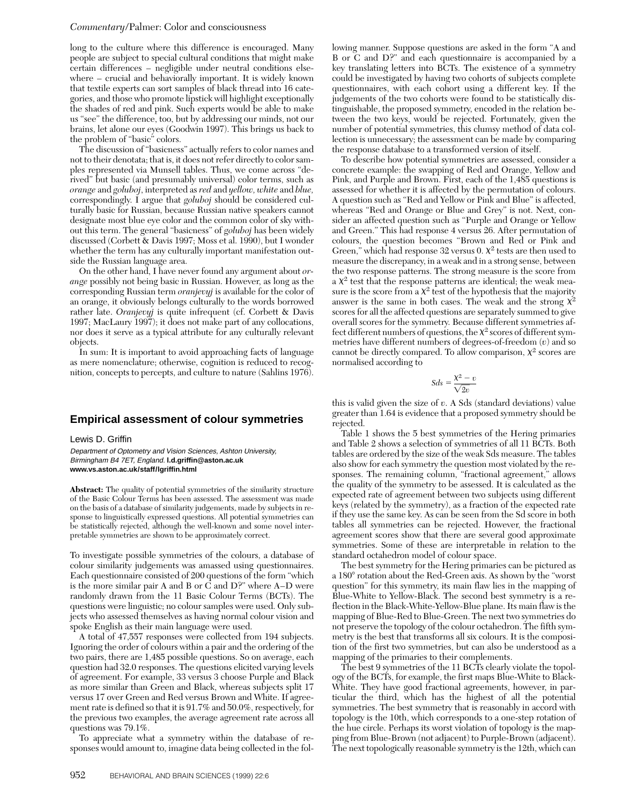## *Commentary/*Palmer: Color and consciousness

long to the culture where this difference is encouraged. Many people are subject to special cultural conditions that might make certain differences – negligible under neutral conditions elsewhere – crucial and behaviorally important. It is widely known that textile experts can sort samples of black thread into 16 categories, and those who promote lipstick will highlight exceptionally the shades of red and pink. Such experts would be able to make us "see" the difference, too, but by addressing our minds, not our brains, let alone our eyes (Goodwin 1997). This brings us back to the problem of "basic" colors.

The discussion of "basicness" actually refers to color names and not to their denotata; that is, it does not refer directly to color samples represented via Munsell tables. Thus, we come across "derived" but basic (and presumably universal) color terms, such as *orange* and *goluboj*, interpreted as *red* and *yellow, white* and *blue,* correspondingly. I argue that *goluboj* should be considered culturally basic for Russian, because Russian native speakers cannot designate most blue eye color and the common color of sky without this term. The general "basicness" of *goluboj* has been widely discussed (Corbett & Davis 1997; Moss et al. 1990), but I wonder whether the term has any culturally important manifestation outside the Russian language area.

On the other hand, I have never found any argument about *orange* possibly not being basic in Russian. However, as long as the corresponding Russian term *oranjevyj* is available for the color of an orange, it obviously belongs culturally to the words borrowed rather late. *Oranjevyj* is quite infrequent (cf. Corbett & Davis 1997; MacLaury 1997); it does not make part of any collocations, nor does it serve as a typical attribute for any culturally relevant objects.

In sum: It is important to avoid approaching facts of language as mere nomenclature; otherwise, cognition is reduced to recognition, concepts to percepts, and culture to nature (Sahlins 1976).

## **Empirical assessment of colour symmetries**

Lewis D. Griffin

Department of Optometry and Vision Sciences, Ashton University, Birmingham B4 7ET, England. **l.d.griffin@aston.ac.uk www.vs.aston.ac.uk/staff/lgriffin.html**

**Abstract:** The quality of potential symmetries of the similarity structure of the Basic Colour Terms has been assessed. The assessment was made on the basis of a database of similarity judgements, made by subjects in response to linguistically expressed questions. All potential symmetries can be statistically rejected, although the well-known and some novel interpretable symmetries are shown to be approximately correct.

To investigate possible symmetries of the colours, a database of colour similarity judgements was amassed using questionnaires. Each questionnaire consisted of 200 questions of the form "which is the more similar pair A and B or C and D?" where A–D were randomly drawn from the 11 Basic Colour Terms (BCTs). The questions were linguistic; no colour samples were used. Only subjects who assessed themselves as having normal colour vision and spoke English as their main language were used.

A total of 47,557 responses were collected from 194 subjects. Ignoring the order of colours within a pair and the ordering of the two pairs, there are 1,485 possible questions. So on average, each question had 32.0 responses. The questions elicited varying levels of agreement. For example, 33 versus 3 choose Purple and Black as more similar than Green and Black, whereas subjects split 17 versus 17 over Green and Red versus Brown and White. If agreement rate is defined so that it is 91.7% and 50.0%, respectively, for the previous two examples, the average agreement rate across all questions was 79.1%.

To appreciate what a symmetry within the database of responses would amount to, imagine data being collected in the following manner. Suppose questions are asked in the form "A and B or C and D?" and each questionnaire is accompanied by a key translating letters into BCTs. The existence of a symmetry could be investigated by having two cohorts of subjects complete questionnaires, with each cohort using a different key. If the judgements of the two cohorts were found to be statistically distinguishable, the proposed symmetry, encoded in the relation between the two keys, would be rejected. Fortunately, given the number of potential symmetries, this clumsy method of data collection is unnecessary; the assessment can be made by comparing the response database to a transformed version of itself.

To describe how potential symmetries are assessed, consider a concrete example: the swapping of Red and Orange, Yellow and Pink, and Purple and Brown. First, each of the 1,485 questions is assessed for whether it is affected by the permutation of colours. A question such as "Red and Yellow or Pink and Blue" is affected, whereas "Red and Orange or Blue and Grey" is not. Next, consider an affected question such as "Purple and Orange or Yellow and Green." This had response 4 versus 26. After permutation of colours, the question becomes "Brown and Red or Pink and Green," which had response 32 versus 0.  $\chi^2$  tests are then used to measure the discrepancy, in a weak and in a strong sense, between the two response patterns. The strong measure is the score from a  $\chi^2$  test that the response patterns are identical; the weak measure is the score from a  $\chi^2$  test of the hypothesis that the majority answer is the same in both cases. The weak and the strong  $\chi^2$ scores for all the affected questions are separately summed to give overall scores for the symmetry. Because different symmetries affect different numbers of questions, the  $\chi^2$  scores of different symmetries have different numbers of degrees-of-freedom (*v*) and so cannot be directly compared. To allow comparison,  $\chi^2$  scores are normalised according to

$$
Sds = \frac{\chi^2 - v}{\sqrt{2v}}
$$

this is valid given the size of *v*. A Sds (standard deviations) value greater than 1.64 is evidence that a proposed symmetry should be rejected.

Table 1 shows the 5 best symmetries of the Hering primaries and Table 2 shows a selection of symmetries of all 11 BCTs. Both tables are ordered by the size of the weak Sds measure. The tables also show for each symmetry the question most violated by the responses. The remaining column, "fractional agreement," allows the quality of the symmetry to be assessed. It is calculated as the expected rate of agreement between two subjects using different keys (related by the symmetry), as a fraction of the expected rate if they use the same key. As can be seen from the Sd score in both tables all symmetries can be rejected. However, the fractional agreement scores show that there are several good approximate symmetries. Some of these are interpretable in relation to the standard octahedron model of colour space.

The best symmetry for the Hering primaries can be pictured as a 180° rotation about the Red-Green axis. As shown by the "worst" question" for this symmetry, its main flaw lies in the mapping of Blue-White to Yellow-Black. The second best symmetry is a reflection in the Black-White-Yellow-Blue plane. Its main flaw is the mapping of Blue-Red to Blue-Green. The next two symmetries do not preserve the topology of the colour octahedron. The fifth symmetry is the best that transforms all six colours. It is the composition of the first two symmetries, but can also be understood as a mapping of the primaries to their complements.

The best 9 symmetries of the 11 BCTs clearly violate the topology of the BCTs, for example, the first maps Blue-White to Black-White. They have good fractional agreements, however, in particular the third, which has the highest of all the potential symmetries. The best symmetry that is reasonably in accord with topology is the 10th, which corresponds to a one-step rotation of the hue circle. Perhaps its worst violation of topology is the mapping from Blue-Brown (not adjacent) to Purple-Brown (adjacent). The next topologically reasonable symmetry is the 12th, which can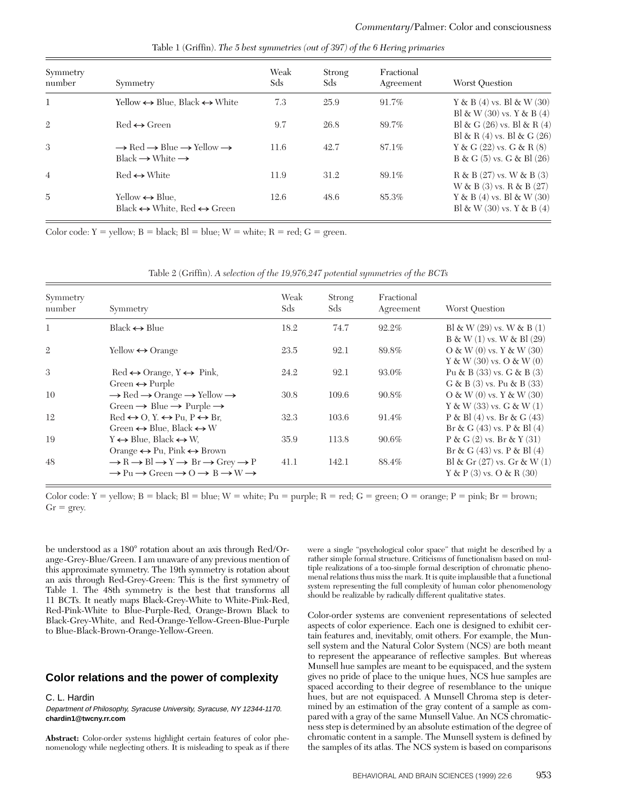| Symmetry<br>number | Symmetry                                                                                                         | Weak<br>Sds | Strong<br>Sds | Fractional<br>Agreement | <b>Worst Question</b>                                            |
|--------------------|------------------------------------------------------------------------------------------------------------------|-------------|---------------|-------------------------|------------------------------------------------------------------|
|                    | Yellow $\leftrightarrow$ Blue, Black $\leftrightarrow$ White                                                     | 7.3         | 25.9          | $91.7\%$                | Y & B $(4)$ vs. Bl & W $(30)$<br>Bl & W (30) vs. Y & B (4)       |
| 2                  | $Red \leftrightarrow Green$                                                                                      | 9.7         | 26.8          | 89.7%                   | Bl & G $(26)$ vs. Bl & R $(4)$<br>Bl & R $(4)$ vs. Bl & G $(26)$ |
| 3                  | $\rightarrow$ Red $\rightarrow$ Blue $\rightarrow$ Yellow $\rightarrow$<br>$Black \rightarrow White \rightarrow$ | 11.6        | 42.7          | 87.1%                   | Y & G $(22)$ vs. G & R $(8)$<br>B & G $(5)$ vs. G & Bl $(26)$    |
| 4                  | $Red \leftrightarrow White$                                                                                      | 11.9        | 31.2          | 89.1%                   | R & B $(27)$ vs. W & B $(3)$<br>W & B (3) vs. R & B (27)         |
| 5                  | Yellow $\leftrightarrow$ Blue.<br>$Black \leftrightarrow White, Red \leftrightarrow Green$                       | 12.6        | 48.6          | 85.3%                   | Y & B $(4)$ vs. Bl & W $(30)$<br>Bl & W (30) vs. Y & B (4)       |

Table 1 (Griffin). *The 5 best symmetries (out of 397) of the 6 Hering primaries*

Color code:  $Y =$  yellow;  $B =$  black;  $B =$  blue;  $W =$  white;  $R =$  red;  $G =$  green.

|  |  |  |  | Table 2 (Griffin). A selection of the 19.976.247 potential symmetries of the BCTs |  |
|--|--|--|--|-----------------------------------------------------------------------------------|--|
|  |  |  |  |                                                                                   |  |

| Symmetry<br>number | Symmetry                                                                                           | Weak<br>Sds | Strong<br>Sds | Fractional<br>Agreement | Worst Question                  |
|--------------------|----------------------------------------------------------------------------------------------------|-------------|---------------|-------------------------|---------------------------------|
| 1                  | $Black \leftrightarrow Blue$                                                                       | 18.2        | 74.7          | $92.2\%$                | Bl & W $(29)$ vs. W & B $(1)$   |
|                    |                                                                                                    |             |               |                         | $B \& W(1)$ vs. W & Bl (29)     |
| $\mathfrak{2}$     | Yellow $\leftrightarrow$ Orange                                                                    | 23.5        | 92.1          | 89.8%                   | O & W (0) vs. Y & W (30)        |
|                    |                                                                                                    |             |               |                         | Y & W (30) vs. O & W (0)        |
| 3                  | $Red \leftrightarrow Orange, Y \leftrightarrow Pink,$                                              | 24.2        | 92.1          | 93.0%                   | Pu & B $(33)$ vs. G & B $(3)$   |
|                    | Green $\leftrightarrow$ Purple                                                                     |             |               |                         | G & B $(3)$ vs. Pu & B $(33)$   |
| 10                 | $\rightarrow$ Red $\rightarrow$ Orange $\rightarrow$ Yellow $\rightarrow$                          | 30.8        | 109.6         | 90.8%                   | O & W (0) vs. Y & W (30)        |
|                    | Green $\rightarrow$ Blue $\rightarrow$ Purple $\rightarrow$                                        |             |               |                         | Y & W $(33)$ vs. G & W $(1)$    |
| 12                 | $Red \leftrightarrow O, Y \leftrightarrow Pu, P \leftrightarrow Br$                                | 32.3        | 103.6         | 91.4%                   | P & Bl $(4)$ vs. Br & G $(43)$  |
|                    | Green $\leftrightarrow$ Blue, Black $\leftrightarrow$ W                                            |             |               |                         | Br & G $(43)$ vs. P & Bl $(4)$  |
| 19                 | $Y \leftrightarrow Blue$ , Black $\leftrightarrow W$ ,                                             | 35.9        | 113.8         | 90.6%                   | $P & G (2)$ vs. Br & Y (31)     |
|                    | Orange $\leftrightarrow$ Pu, Pink $\leftrightarrow$ Brown                                          |             |               |                         | Br & G $(43)$ vs. P & Bl $(4)$  |
| 48                 | $\rightarrow R \rightarrow Bl \rightarrow Y \rightarrow Br \rightarrow Grey \rightarrow P$         | 41.1        | 142.1         | 88.4%                   | Bl & Gr $(27)$ vs. Gr & W $(1)$ |
|                    | $\rightarrow$ Pu $\rightarrow$ Green $\rightarrow$ O $\rightarrow$ B $\rightarrow$ W $\rightarrow$ |             |               |                         | Y & P (3) vs. O & R (30)        |

Color code:  $Y =$  yellow;  $B =$  black;  $Bl =$  blue;  $W =$  white;  $Pu =$  purple;  $R =$  red;  $G =$  green;  $O =$  orange;  $P =$  pink;  $Br =$  brown;  $Gr = grey.$ 

be understood as a 180° rotation about an axis through Red/Orange-Grey-Blue/Green. I am unaware of any previous mention of this approximate symmetry. The 19th symmetry is rotation about an axis through Red-Grey-Green: This is the first symmetry of Table 1. The 48th symmetry is the best that transforms all 11 BCTs. It neatly maps Black-Grey-White to White-Pink-Red, Red-Pink-White to Blue-Purple-Red, Orange-Brown Black to Black-Grey-White, and Red-Orange-Yellow-Green-Blue-Purple to Blue-Black-Brown-Orange-Yellow-Green.

## **Color relations and the power of complexity**

#### C. L. Hardin

Department of Philosophy, Syracuse University, Syracuse, NY 12344-1170. **chardin1@twcny.rr.com**

**Abstract:** Color-order systems highlight certain features of color phenomenology while neglecting others. It is misleading to speak as if there

were a single "psychological color space" that might be described by a rather simple formal structure. Criticisms of functionalism based on multiple realizations of a too-simple formal description of chromatic phenomenal relations thus miss the mark. It is quite implausible that a functional system representing the full complexity of human color phenomenology should be realizable by radically different qualitative states.

Color-order systems are convenient representations of selected aspects of color experience. Each one is designed to exhibit certain features and, inevitably, omit others. For example, the Munsell system and the Natural Color System (NCS) are both meant to represent the appearance of reflective samples. But whereas Munsell hue samples are meant to be equispaced, and the system gives no pride of place to the unique hues, NCS hue samples are spaced according to their degree of resemblance to the unique hues, but are not equispaced. A Munsell Chroma step is determined by an estimation of the gray content of a sample as compared with a gray of the same Munsell Value. An NCS chromaticness step is determined by an absolute estimation of the degree of chromatic content in a sample. The Munsell system is defined by the samples of its atlas. The NCS system is based on comparisons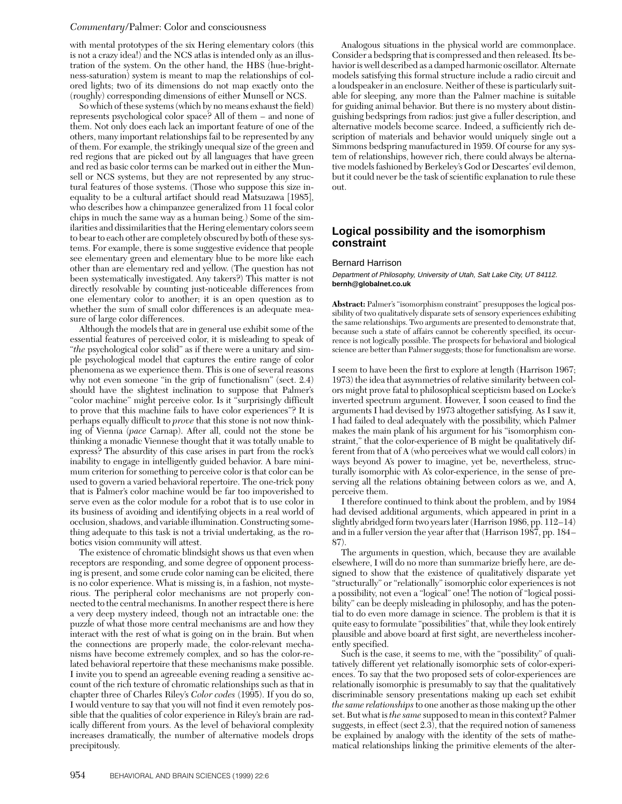## *Commentary/*Palmer: Color and consciousness

with mental prototypes of the six Hering elementary colors (this is not a crazy idea!) and the NCS atlas is intended only as an illustration of the system. On the other hand, the HBS (hue-brightness-saturation) system is meant to map the relationships of colored lights; two of its dimensions do not map exactly onto the (roughly) corresponding dimensions of either Munsell or NCS.

So which of these systems (which by no means exhaust the field) represents psychological color space? All of them – and none of them. Not only does each lack an important feature of one of the others, many important relationships fail to be represented by any of them. For example, the strikingly unequal size of the green and red regions that are picked out by all languages that have green and red as basic color terms can be marked out in either the Munsell or NCS systems, but they are not represented by any structural features of those systems. (Those who suppose this size inequality to be a cultural artifact should read Matsuzawa [1985], who describes how a chimpanzee generalized from 11 focal color chips in much the same way as a human being.) Some of the similarities and dissimilarities that the Hering elementary colors seem to bear to each other are completely obscured by both of these systems. For example, there is some suggestive evidence that people see elementary green and elementary blue to be more like each other than are elementary red and yellow. (The question has not been systematically investigated. Any takers?) This matter is not directly resolvable by counting just-noticeable differences from one elementary color to another; it is an open question as to whether the sum of small color differences is an adequate measure of large color differences.

Although the models that are in general use exhibit some of the essential features of perceived color, it is misleading to speak of "*the* psychological color solid" as if there were a unitary and simple psychological model that captures the entire range of color phenomena as we experience them. This is one of several reasons why not even someone "in the grip of functionalism" (sect. 2.4) should have the slightest inclination to suppose that Palmer's "color machine" might perceive color. Is it "surprisingly difficult to prove that this machine fails to have color experiences"? It is perhaps equally difficult to *prove* that this stone is not now thinking of Vienna (*pace* Carnap). After all, could not the stone be thinking a monadic Viennese thought that it was totally unable to express? The absurdity of this case arises in part from the rock's inability to engage in intelligently guided behavior. A bare minimum criterion for something to perceive color is that color can be used to govern a varied behavioral repertoire. The one-trick pony that is Palmer's color machine would be far too impoverished to serve even as the color module for a robot that is to use color in its business of avoiding and identifying objects in a real world of occlusion, shadows, and variable illumination. Constructing something adequate to this task is not a trivial undertaking, as the robotics vision community will attest.

The existence of chromatic blindsight shows us that even when receptors are responding, and some degree of opponent processing is present, and some crude color naming can be elicited, there is no color experience. What is missing is, in a fashion, not mysterious. The peripheral color mechanisms are not properly connected to the central mechanisms. In another respect there is here a very deep mystery indeed, though not an intractable one: the puzzle of what those more central mechanisms are and how they interact with the rest of what is going on in the brain. But when the connections are properly made, the color-relevant mechanisms have become extremely complex, and so has the color-related behavioral repertoire that these mechanisms make possible. I invite you to spend an agreeable evening reading a sensitive account of the rich texture of chromatic relationships such as that in chapter three of Charles Riley's *Color codes* (1995). If you do so, I would venture to say that you will not find it even remotely possible that the qualities of color experience in Riley's brain are radically different from yours. As the level of behavioral complexity increases dramatically, the number of alternative models drops precipitously.

Analogous situations in the physical world are commonplace. Consider a bedspring that is compressed and then released. Its behavior is well described as a damped harmonic oscillator. Alternate models satisfying this formal structure include a radio circuit and a loudspeaker in an enclosure. Neither of these is particularly suitable for sleeping, any more than the Palmer machine is suitable for guiding animal behavior. But there is no mystery about distinguishing bedsprings from radios: just give a fuller description, and alternative models become scarce. Indeed, a sufficiently rich description of materials and behavior would uniquely single out a Simmons bedspring manufactured in 1959. Of course for any system of relationships, however rich, there could always be alternative models fashioned by Berkeley's God or Descartes' evil demon, but it could never be the task of scientific explanation to rule these out.

## **Logical possibility and the isomorphism constraint**

#### Bernard Harrison

Department of Philosophy, University of Utah, Salt Lake City, UT 84112. **bernh@globalnet.co.uk**

**Abstract:** Palmer's "isomorphism constraint" presupposes the logical possibility of two qualitatively disparate sets of sensory experiences exhibiting the same relationships. Two arguments are presented to demonstrate that, because such a state of affairs cannot be coherently specified, its occurrence is not logically possible. The prospects for behavioral and biological science are better than Palmer suggests; those for functionalism are worse.

I seem to have been the first to explore at length (Harrison 1967; 1973) the idea that asymmetries of relative similarity between colors might prove fatal to philosophical scepticism based on Locke's inverted spectrum argument. However, I soon ceased to find the arguments I had devised by 1973 altogether satisfying. As I saw it, I had failed to deal adequately with the possibility, which Palmer makes the main plank of his argument for his "isomorphism constraint," that the color-experience of B might be qualitatively different from that of A (who perceives what we would call colors) in ways beyond A's power to imagine, yet be, nevertheless, structurally isomorphic with A's color-experience, in the sense of preserving all the relations obtaining between colors as we, and A, perceive them.

I therefore continued to think about the problem, and by 1984 had devised additional arguments, which appeared in print in a slightly abridged form two years later (Harrison 1986, pp. 112–14) and in a fuller version the year after that (Harrison 1987, pp. 184– 87).

The arguments in question, which, because they are available elsewhere, I will do no more than summarize briefly here, are designed to show that the existence of qualitatively disparate yet "structurally" or "relationally" isomorphic color experiences is not a possibility, not even a "logical" one! The notion of "logical possibility" can be deeply misleading in philosophy, and has the potential to do even more damage in science. The problem is that it is quite easy to formulate "possibilities" that, while they look entirely plausible and above board at first sight, are nevertheless incoherently specified.

Such is the case, it seems to me, with the "possibility" of qualitatively different yet relationally isomorphic sets of color-experiences. To say that the two proposed sets of color-experiences are relationally isomorphic is presumably to say that the qualitatively discriminable sensory presentations making up each set exhibit *the same relationships*to one another as those making up the other set. But what is *the same* supposed to mean in this context? Palmer suggests, in effect (sect 2.3), that the required notion of sameness be explained by analogy with the identity of the sets of mathematical relationships linking the primitive elements of the alter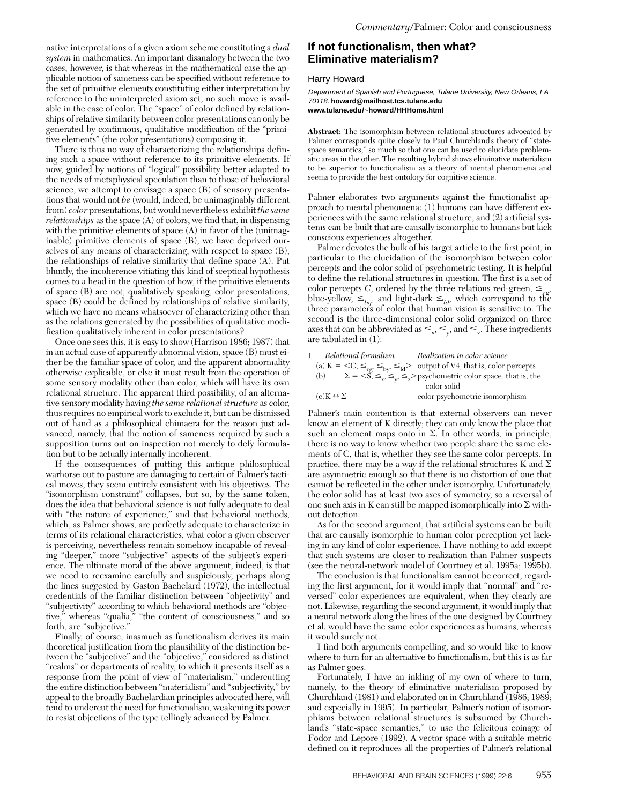native interpretations of a given axiom scheme constituting a *dual system* in mathematics. An important disanalogy between the two cases, however, is that whereas in the mathematical case the applicable notion of sameness can be specified without reference to the set of primitive elements constituting either interpretation by reference to the uninterpreted axiom set, no such move is available in the case of color. The "space" of color defined by relationships of relative similarity between color presentations can only be generated by continuous, qualitative modification of the "primitive elements" (the color presentations) composing it.

There is thus no way of characterizing the relationships defining such a space without reference to its primitive elements. If now, guided by notions of "logical" possibility better adapted to the needs of metaphysical speculation than to those of behavioral science, we attempt to envisage a space (B) of sensory presentations that would not *be* (would, indeed, be unimaginably different from) *color* presentations, but would nevertheless exhibit *the same relationships* as the space (A) of colors, we find that, in dispensing with the primitive elements of space (A) in favor of the (unimaginable) primitive elements of space (B), we have deprived ourselves of any means of characterizing, with respect to space (B), the relationships of relative similarity that define space (A). Put bluntly, the incoherence vitiating this kind of sceptical hypothesis comes to a head in the question of how, if the primitive elements of space (B) are not, qualitatively speaking, color presentations, space (B) could be defined by relationships of relative similarity, which we have no means whatsoever of characterizing other than as the relations generated by the possibilities of qualitative modification qualitatively inherent in color presentations?

Once one sees this, it is easy to show (Harrison 1986; 1987) that in an actual case of apparently abnormal vision, space (B) must either be the familiar space of color, and the apparent abnormality otherwise explicable, or else it must result from the operation of some sensory modality other than color, which will have its own relational structure. The apparent third possibility, of an alternative sensory modality having *the same relational structure* as color, thus requires no empirical work to exclude it, but can be dismissed out of hand as a philosophical chimaera for the reason just advanced, namely, that the notion of sameness required by such a supposition turns out on inspection not merely to defy formulation but to be actually internally incoherent.

If the consequences of putting this antique philosophical warhorse out to pasture are damaging to certain of Palmer's tactical moves, they seem entirely consistent with his objectives. The "isomorphism constraint" collapses, but so, by the same token, does the idea that behavioral science is not fully adequate to deal with "the nature of experience," and that behavioral methods, which, as Palmer shows, are perfectly adequate to characterize in terms of its relational characteristics, what color a given observer is perceiving, nevertheless remain somehow incapable of revealing "deeper," more "subjective" aspects of the subject's experience. The ultimate moral of the above argument, indeed, is that we need to reexamine carefully and suspiciously, perhaps along the lines suggested by Gaston Bachelard (1972), the intellectual credentials of the familiar distinction between "objectivity" and "subjectivity" according to which behavioral methods are "objective," whereas "qualia," "the content of consciousness," and so forth, are "subjective."

Finally, of course, inasmuch as functionalism derives its main theoretical justification from the plausibility of the distinction between the "subjective" and the "objective," considered as distinct "realms" or departments of reality, to which it presents itself as a response from the point of view of "materialism," undercutting the entire distinction between "materialism" and "subjectivity," by appeal to the broadly Bachelardian principles advocated here, will tend to undercut the need for functionalism, weakening its power to resist objections of the type tellingly advanced by Palmer.

## **If not functionalism, then what? Eliminative materialism?**

#### Harry Howard

Department of Spanish and Portuguese, Tulane University, New Orleans, LA 70118. **howard@mailhost.tcs.tulane.edu www.tulane.edu/~howard/HHHome.html**

**Abstract:** The isomorphism between relational structures advocated by Palmer corresponds quite closely to Paul Churchland's theory of "statespace semantics," so much so that one can be used to elucidate problematic areas in the other. The resulting hybrid shows eliminative materialism to be superior to functionalism as a theory of mental phenomena and seems to provide the best ontology for cognitive science.

Palmer elaborates two arguments against the functionalist approach to mental phenomena: (1) humans can have different experiences with the same relational structure, and (2) artificial systems can be built that are causally isomorphic to humans but lack conscious experiences altogether.

Palmer devotes the bulk of his target article to the first point, in particular to the elucidation of the isomorphism between color percepts and the color solid of psychometric testing. It is helpful to define the relational structures in question. The first is a set of color percepts *C*, ordered by the three relations red-green,  $\leq$ blue-yellow,  $\leq_{by}$  and light-dark  $\leq_{ld}$ , which correspond to the three parameters of color that human vision is sensitive to. The second is the three-dimensional color solid organized on three axes that can be abbreviated as  $\leq_x$ ,  $\leq_y$ , and  $\leq_z$ . These ingredients are tabulated in (1):

| 1. | Relational formalism          | Realization in color science                                                                       |
|----|-------------------------------|----------------------------------------------------------------------------------------------------|
|    |                               | (a) $K = \langle C, \leq_{rg}, \leq_{by}, \leq_{ld} \rangle$ output of V4, that is, color percepts |
|    | (b)                           | $\Sigma = \langle S, \leq_{x} \leq_{y}, \leq_{z} \rangle$ psychometric color space, that is, the   |
|    |                               | color solid                                                                                        |
|    | $(c)K \leftrightarrow \Sigma$ | color psychometric isomorphism                                                                     |

Palmer's main contention is that external observers can never know an element of K directly; they can only know the place that such an element maps onto in  $\Sigma$ . In other words, in principle, there is no way to know whether two people share the same elements of C, that is, whether they see the same color percepts. In practice, there may be a way if the relational structures K and  $\Sigma$ are asymmetric enough so that there is no distortion of one that cannot be reflected in the other under isomorphy. Unfortunately, the color solid has at least two axes of symmetry, so a reversal of one such axis in K can still be mapped isomorphically into  $\Sigma$  without detection.

As for the second argument, that artificial systems can be built that are causally isomorphic to human color perception yet lacking in any kind of color experience, I have nothing to add except that such systems are closer to realization than Palmer suspects (see the neural-network model of Courtney et al. 1995a; 1995b).

The conclusion is that functionalism cannot be correct, regarding the first argument, for it would imply that "normal" and "reversed" color experiences are equivalent, when they clearly are not. Likewise, regarding the second argument, it would imply that a neural network along the lines of the one designed by Courtney et al. would have the same color experiences as humans, whereas it would surely not.

I find both arguments compelling, and so would like to know where to turn for an alternative to functionalism, but this is as far as Palmer goes.

Fortunately, I have an inkling of my own of where to turn, namely, to the theory of eliminative materialism proposed by Churchland (1981) and elaborated on in Churchland (1986; 1989; and especially in 1995). In particular, Palmer's notion of isomorphisms between relational structures is subsumed by Churchland's "state-space semantics," to use the felicitous coinage of Fodor and Lepore (1992). A vector space with a suitable metric defined on it reproduces all the properties of Palmer's relational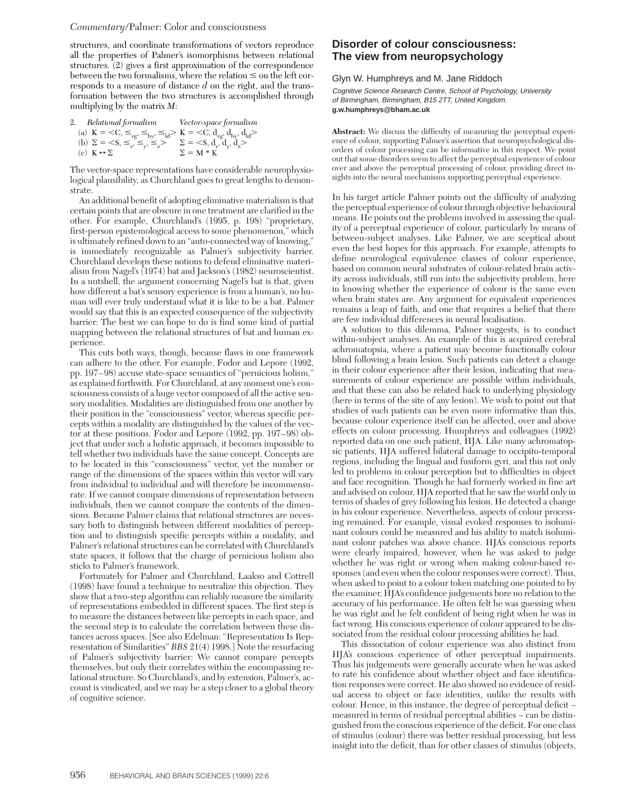## *Commentary/*Palmer: Color and consciousness

structures, and coordinate transformations of vectors reproduce all the properties of Palmer's isomorphisms between relational structures. (2) gives a first approximation of the correspondence between the two formalisms, where the relation  $\leq$  on the left corresponds to a measure of distance *d* on the right, and the transformation between the two structures is accomplished through multiplying by the matrix *M*:

| 2. Relational formalism                                                                                                                                                                                                                                                                                                                                         | Vector-space formalism |
|-----------------------------------------------------------------------------------------------------------------------------------------------------------------------------------------------------------------------------------------------------------------------------------------------------------------------------------------------------------------|------------------------|
|                                                                                                                                                                                                                                                                                                                                                                 |                        |
| $\begin{array}{l} {\rm (a)} \ \ K = <\!C, \, \leq_{\rm rg}, \leq_{\rm by}, \leq_{\rm ld} > K = <\!C, \, d_{\rm rg}, \, d_{\rm by}, \, d_{\rm ld} \hspace{-0.8mm} > \\ {\rm (b)} \ \Sigma = <\!S, \, \leq_{\rm x}, \leq_{\rm y} \leq_{\rm z} \hspace{-0.8mm} > \hspace{-0.8mm} \sum = <\!S, \, d_{\rm x}, d_{\rm y}, \, d_{\rm z} \hspace{-0.8mm} > \end{array}$ |                        |
| (c) $K \leftrightarrow \Sigma$                                                                                                                                                                                                                                                                                                                                  | $\Sigma = M * K$       |

The vector-space representations have considerable neurophysiological plausibility, as Churchland goes to great lengths to demonstrate.

An additional benefit of adopting eliminative materialism is that certain points that are obscure in one treatment are clarified in the other. For example, Churchland's (1995, p. 198) "proprietary, first-person epistemological access to some phenomenon," which is ultimately refined down to an "auto-connected way of knowing," is immediately recognizable as Palmer's subjectivity barrier. Churchland develops these notions to defend eliminative materialism from Nagel's (1974) bat and Jackson's (1982) neuroscientist. In a nutshell, the argument concerning Nagel's bat is that, given how different a bat's sensory experience is from a human's, no human will ever truly understand what it is like to be a bat. Palmer would say that this is an expected consequence of the subjectivity barrier: The best we can hope to do is find some kind of partial mapping between the relational structures of bat and human experience.

This cuts both ways, though, because flaws in one framework can adhere to the other. For example, Fodor and Lepore (1992, pp. 197–98) accuse state-space semantics of "pernicious holism," as explained forthwith. For Churchland, at any moment one's consciousness consists of a huge vector composed of all the active sensory modalities. Modalities are distinguished from one another by their position in the "consciousness" vector, whereas specific percepts within a modality are distinguished by the values of the vector at these positions. Fodor and Lepore (1992, pp. 197–98) object that under such a holistic approach, it becomes impossible to tell whether two individuals have the same concept. Concepts are to be located in this "consciousness" vector, yet the number or range of the dimensions of the spaces within this vector will vary from individual to individual and will therefore be incommensurate. If we cannot compare dimensions of representation between individuals, then we cannot compare the contents of the dimensions. Because Palmer claims that relational structures are necessary both to distinguish between different modalities of perception and to distinguish specific percepts within a modality, and Palmer's relational structures can be correlated with Churchland's state spaces, it follows that the charge of pernicious holism also sticks to Palmer's framework.

Fortunately for Palmer and Churchland, Laakso and Cottrell (1998) have found a technique to neutralize this objection. They show that a two-step algorithm can reliably measure the similarity of representations embedded in different spaces. The first step is to measure the distances between like percepts in each space, and the second step is to calculate the correlation between these distances across spaces. [See also Edelman: "Representation Is Representation of Similarities" *BBS* 21(4) 1998.] Note the resurfacing of Palmer's subjectivity barrier: We cannot compare percepts themselves, but only their correlates within the encompassing relational structure. So Churchland's, and by extension, Palmer's, account is vindicated, and we may be a step closer to a global theory of cognitive science.

## **Disorder of colour consciousness: The view from neuropsychology**

## Glyn W. Humphreys and M. Jane Riddoch

Cognitive Science Research Centre, School of Psychology, University of Birmingham, Birmingham, B15 2TT, United Kingdom. **g.w.humphreys@bham.ac.uk**

**Abstract:** We discuss the difficulty of measuring the perceptual experience of colour, supporting Palmer's assertion that neuropsychological disorders of colour processing can be informative in this respect. We point out that some disorders seem to affect the perceptual experience of colour over and above the perceptual processing of colour, providing direct insights into the neural mechanisms supporting perceptual experience.

In his target article Palmer points out the difficulty of analyzing the perceptual experience of colour through objective behavioural means. He points out the problems involved in assessing the quality of a perceptual experience of colour, particularly by means of between-subject analyses. Like Palmer, we are sceptical about even the best hopes for this approach. For example, attempts to define neurological equivalence classes of colour experience, based on common neural substrates of colour-related brain activity across individuals, still run into the subjectivity problem, here in knowing whether the experience of colour is the same even when brain states are. Any argument for equivalent experiences remains a leap of faith, and one that requires a belief that there are few individual differences in neural localisation.

A solution to this dilemma, Palmer suggests, is to conduct within-subject analyses. An example of this is acquired cerebral achromatopsia, where a patient may become functionally colour blind following a brain lesion. Such patients can detect a change in their colour experience after their lesion, indicating that measurements of colour experience are possible within individuals, and that these can also be related back to underlying physiology (here in terms of the site of any lesion). We wish to point out that studies of such patients can be even more informative than this, because colour experience itself can be affected, over and above effects on colour processing. Humphreys and colleagues (1992) reported data on one such patient, HJA. Like many achromatopsic patients, HJA suffered bilateral damage to occipito-temporal regions, including the lingual and fusiform gyri, and this not only led to problems in colour perception but to difficulties in object and face recognition. Though he had formerly worked in fine art and advised on colour, HJA reported that he saw the world only in terms of shades of grey following his lesion. He detected a change in his colour experience. Nevertheless, aspects of colour processing remained. For example, visual evoked responses to isoluminant colours could be measured and his ability to match isoluminant colour patches was above chance. HJA's conscious reports were clearly impaired, however, when he was asked to judge whether he was right or wrong when making colour-based responses (and even when the colour responses were correct). Thus, when asked to point to a colour token matching one pointed to by the examiner, HJA's confidence judgements bore no relation to the accuracy of his performance. He often felt he was guessing when he was right and he felt confident of being right when he was in fact wrong. His conscious experience of colour appeared to be dissociated from the residual colour processing abilities he had.

This dissociation of colour experience was also distinct from HJA's conscious experience of other perceptual impairments. Thus his judgements were generally accurate when he was asked to rate his confidence about whether object and face identification responses were correct. He also showed no evidence of residual access to object or face identities, unlike the results with colour. Hence, in this instance, the degree of perceptual deficit – measured in terms of residual perceptual abilities – can be distinguished from the conscious experience of the deficit. For one class of stimulus (colour) there was better residual processing, but less insight into the deficit, than for other classes of stimulus (objects,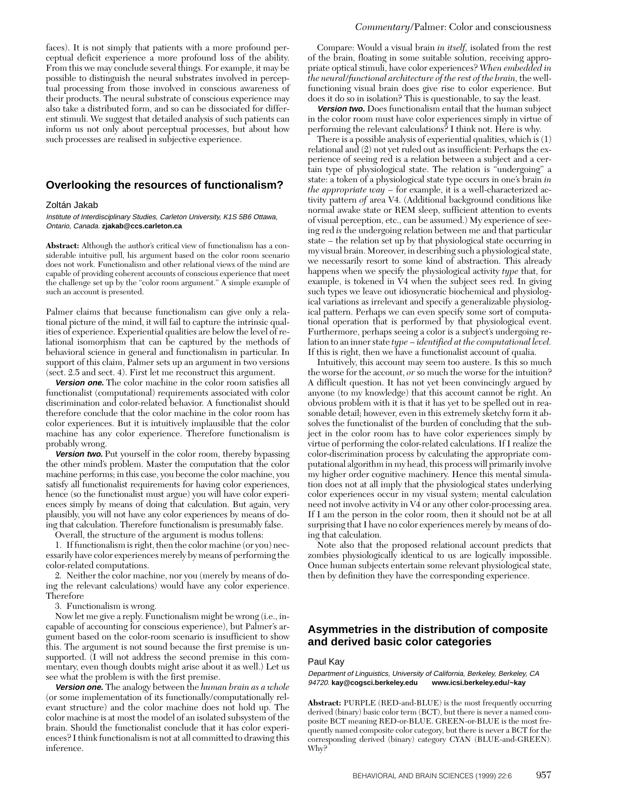faces). It is not simply that patients with a more profound perceptual deficit experience a more profound loss of the ability. From this we may conclude several things. For example, it may be possible to distinguish the neural substrates involved in perceptual processing from those involved in conscious awareness of their products. The neural substrate of conscious experience may also take a distributed form, and so can be dissociated for different stimuli. We suggest that detailed analysis of such patients can inform us not only about perceptual processes, but about how such processes are realised in subjective experience.

## **Overlooking the resources of functionalism?**

#### Zoltán Jakab

Institute of Interdisciplinary Studies, Carleton University, K1S 5B6 Ottawa, Ontario, Canada. **zjakab@ccs.carleton.ca**

**Abstract:** Although the author's critical view of functionalism has a considerable intuitive pull, his argument based on the color room scenario does not work. Functionalism and other relational views of the mind are capable of providing coherent accounts of conscious experience that meet the challenge set up by the "color room argument." A simple example of such an account is presented.

Palmer claims that because functionalism can give only a relational picture of the mind, it will fail to capture the intrinsic qualities of experience. Experiential qualities are below the level of relational isomorphism that can be captured by the methods of behavioral science in general and functionalism in particular. In support of this claim, Palmer sets up an argument in two versions (sect. 2.5 and sect. 4). First let me reconstruct this argument.

**Version one.** The color machine in the color room satisfies all functionalist (computational) requirements associated with color discrimination and color-related behavior. A functionalist should therefore conclude that the color machine in the color room has color experiences. But it is intuitively implausible that the color machine has any color experience. Therefore functionalism is probably wrong.

**Version two.** Put yourself in the color room, thereby bypassing the other mind's problem. Master the computation that the color machine performs; in this case, you become the color machine, you satisfy all functionalist requirements for having color experiences, hence (so the functionalist must argue) you will have color experiences simply by means of doing that calculation. But again, very plausibly, you will not have any color experiences by means of doing that calculation. Therefore functionalism is presumably false.

Overall, the structure of the argument is modus tollens:

1. If functionalism is right, then the color machine (or you) necessarily have color experiences merely by means of performing the color-related computations.

2. Neither the color machine, nor you (merely by means of doing the relevant calculations) would have any color experience. Therefore

3. Functionalism is wrong.

Now let me give a reply. Functionalism might be wrong (i.e., incapable of accounting for conscious experience), but Palmer's argument based on the color-room scenario is insufficient to show this. The argument is not sound because the first premise is unsupported. (I will not address the second premise in this commentary, even though doubts might arise about it as well.) Let us see what the problem is with the first premise.

**Version one.** The analogy between the *human brain as a whole* (or some implementation of its functionally/computationally relevant structure) and the color machine does not hold up. The color machine is at most the model of an isolated subsystem of the brain. Should the functionalist conclude that it has color experiences? I think functionalism is not at all committed to drawing this inference.

Compare: Would a visual brain *in itself,* isolated from the rest of the brain, floating in some suitable solution, receiving appropriate optical stimuli, have color experiences? *When embedded in the neural/functional architecture of the rest of the brain,* the wellfunctioning visual brain does give rise to color experience. But does it do so in isolation? This is questionable, to say the least.

**Version two.** Does functionalism entail that the human subject in the color room must have color experiences simply in virtue of performing the relevant calculations? I think not. Here is why.

There is a possible analysis of experiential qualities, which is (1) relational and (2) not yet ruled out as insufficient: Perhaps the experience of seeing red is a relation between a subject and a certain type of physiological state. The relation is "undergoing" a state: a token of a physiological state type occurs in one's brain *in the appropriate way* – for example, it is a well-characterized activity pattern *of* area V4. (Additional background conditions like normal awake state or REM sleep, sufficient attention to events of visual perception, etc., can be assumed.) My experience of seeing red *is* the undergoing relation between me and that particular state – the relation set up by that physiological state occurring in my visual brain. Moreover, in describing such a physiological state, we necessarily resort to some kind of abstraction. This already happens when we specify the physiological activity *type* that, for example, is tokened in V4 when the subject sees red. In giving such types we leave out idiosyncratic biochemical and physiological variations as irrelevant and specify a generalizable physiological pattern. Perhaps we can even specify some sort of computational operation that is performed by that physiological event. Furthermore, perhaps seeing a color is a subject's undergoing relation to an inner state *type – identified at the computational level.* If this is right, then we have a functionalist account of qualia.

Intuitively, this account may seem too austere. Is this so much the worse for the account, *or* so much the worse for the intuition? A difficult question. It has not yet been convincingly argued by anyone (to my knowledge) that this account cannot be right. An obvious problem with it is that it has yet to be spelled out in reasonable detail; however, even in this extremely sketchy form it absolves the functionalist of the burden of concluding that the subject in the color room has to have color experiences simply by virtue of performing the color-related calculations. If I realize the color-discrimination process by calculating the appropriate computational algorithm in my head, this process will primarily involve my higher order cognitive machinery. Hence this mental simulation does not at all imply that the physiological states underlying color experiences occur in my visual system; mental calculation need not involve activity in V4 or any other color-processing area. If I am the person in the color room, then it should not be at all surprising that I have no color experiences merely by means of doing that calculation.

Note also that the proposed relational account predicts that zombies physiologically identical to us are logically impossible. Once human subjects entertain some relevant physiological state, then by definition they have the corresponding experience.

## **Asymmetries in the distribution of composite and derived basic color categories**

#### Paul Kay

Department of Linguistics, University of California, Berkeley, Berkeley, CA 94720. **kay@cogsci.berkeley.edu www.icsi.berkeley.edu/~kay**

**Abstract:** PURPLE (RED-and-BLUE) is the most frequently occurring derived (binary) basic color term (BCT), but there is never a named composite BCT meaning RED-or-BLUE. GREEN-or-BLUE is the most frequently named composite color category, but there is never a BCT for the corresponding derived (binary) category CYAN (BLUE-and-GREEN). Why?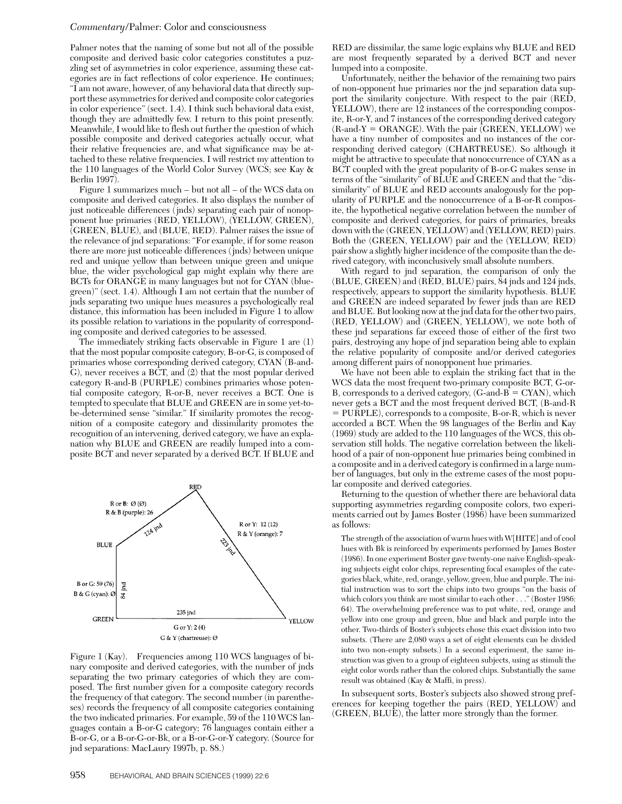## *Commentary/*Palmer: Color and consciousness

Palmer notes that the naming of some but not all of the possible composite and derived basic color categories constitutes a puzzling set of asymmetries in color experience, assuming these categories are in fact reflections of color experience. He continues; "I am not aware, however, of any behavioral data that directly support these asymmetries for derived and composite color categories in color experience" (sect. 1.4). I think such behavioral data exist, though they are admittedly few. I return to this point presently. Meanwhile, I would like to flesh out further the question of which possible composite and derived categories actually occur, what their relative frequencies are, and what significance may be attached to these relative frequencies. I will restrict my attention to the 110 languages of the World Color Survey (WCS; see Kay & Berlin 1997).

Figure 1 summarizes much – but not all – of the WCS data on composite and derived categories. It also displays the number of just noticeable differences (jnds) separating each pair of nonopponent hue primaries (RED, YELLOW), (YELLOW, GREEN), (GREEN, BLUE), and (BLUE, RED). Palmer raises the issue of the relevance of jnd separations: "For example, if for some reason there are more just noticeable differences (jnds) between unique red and unique yellow than between unique green and unique blue, the wider psychological gap might explain why there are BCTs for ORANGE in many languages but not for CYAN (bluegreen)" (sect. 1.4). Although I am not certain that the number of jnds separating two unique hues measures a psychologically real distance, this information has been included in Figure 1 to allow its possible relation to variations in the popularity of corresponding composite and derived categories to be assessed.

The immediately striking facts observable in Figure 1 are (1) that the most popular composite category, B-or-G, is composed of primaries whose corresponding derived category, CYAN (B-and- $\overline{G}$ ), never receives a BCT, and  $(2)$  that the most popular derived category R-and-B (PURPLE) combines primaries whose potential composite category, R-or-B, never receives a BCT. One is tempted to speculate that BLUE and GREEN are in some yet-tobe-determined sense "similar." If similarity promotes the recognition of a composite category and dissimilarity promotes the recognition of an intervening, derived category, we have an explanation why BLUE and GREEN are readily lumped into a composite BCT and never separated by a derived BCT. If BLUE and



Figure 1 (Kay). Frequencies among 110 WCS languages of binary composite and derived categories, with the number of jnds separating the two primary categories of which they are composed. The first number given for a composite category records the frequency of that category. The second number (in parentheses) records the frequency of all composite categories containing the two indicated primaries. For example, 59 of the 110 WCS languages contain a B-or-G category; 76 languages contain either a B-or-G, or a B-or-G-or-Bk, or a B-or-G-or-Y category. (Source for jnd separations: MacLaury 1997b, p. 88.)

RED are dissimilar, the same logic explains why BLUE and RED are most frequently separated by a derived BCT and never lumped into a composite.

Unfortunately, neither the behavior of the remaining two pairs of non-opponent hue primaries nor the jnd separation data support the similarity conjecture. With respect to the pair (RED, YELLOW), there are 12 instances of the corresponding composite, R-or-Y, and 7 instances of the corresponding derived category  $(R-and-Y = ORANGE)$ . With the pair (GREEN, YELLOW) we have a tiny number of composites and no instances of the corresponding derived category (CHARTREUSE). So although it might be attractive to speculate that nonoccurrence of CYAN as a BCT coupled with the great popularity of B-or-G makes sense in terms of the "similarity" of BLUE and GREEN and that the "dissimilarity" of BLUE and RED accounts analogously for the popularity of PURPLE and the nonoccurrence of a B-or-R composite, the hypothetical negative correlation between the number of composite and derived categories, for pairs of primaries, breaks down with the (GREEN, YELLOW) and (YELLOW, RED) pairs. Both the (GREEN, YELLOW) pair and the (YELLOW, RED) pair show a slightly higher incidence of the composite than the derived category, with inconclusively small absolute numbers.

With regard to jnd separation, the comparison of only the (BLUE, GREEN) and (RED, BLUE) pairs, 84 jnds and 124 jnds, respectively, appears to support the similarity hypothesis. BLUE and GREEN are indeed separated by fewer jnds than are RED and BLUE. But looking now at the jnd data for the other two pairs, (RED, YELLOW) and (GREEN, YELLOW), we note both of these jnd separations far exceed those of either of the first two pairs, destroying any hope of jnd separation being able to explain the relative popularity of composite and/or derived categories among different pairs of nonopponent hue primaries.

We have not been able to explain the striking fact that in the WCS data the most frequent two-primary composite BCT, G-or-B, corresponds to a derived category,  $(G$ -and- $B = CYAN)$ , which never gets a BCT and the most frequent derived BCT, (B-and-R 5 PURPLE), corresponds to a composite, B-or-R, which is never accorded a BCT. When the 98 languages of the Berlin and Kay (1969) study are added to the 110 languages of the WCS, this observation still holds. The negative correlation between the likelihood of a pair of non-opponent hue primaries being combined in a composite and in a derived category is confirmed in a large number of languages, but only in the extreme cases of the most popular composite and derived categories.

Returning to the question of whether there are behavioral data supporting asymmetries regarding composite colors, two experiments carried out by James Boster (1986) have been summarized as follows:

The strength of the association of warm hues with W[HITE] and of cool hues with Bk is reinforced by experiments performed by James Boster (1986). In one experiment Boster gave twenty-one naive English-speaking subjects eight color chips, representing focal examples of the categories black, white, red, orange, yellow, green, blue and purple. The initial instruction was to sort the chips into two groups "on the basis of which colors you think are most similar to each other . . ." (Boster 1986: 64). The overwhelming preference was to put white, red, orange and yellow into one group and green, blue and black and purple into the other. Two-thirds of Boster's subjects chose this exact division into two subsets. (There are 2,080 ways a set of eight elements can be divided into two non-empty subsets.) In a second experiment, the same instruction was given to a group of eighteen subjects, using as stimuli the eight color words rather than the colored chips. Substantially the same result was obtained (Kay & Maffi, in press).

In subsequent sorts, Boster's subjects also showed strong preferences for keeping together the pairs (RED, YELLOW) and (GREEN, BLUE), the latter more strongly than the former.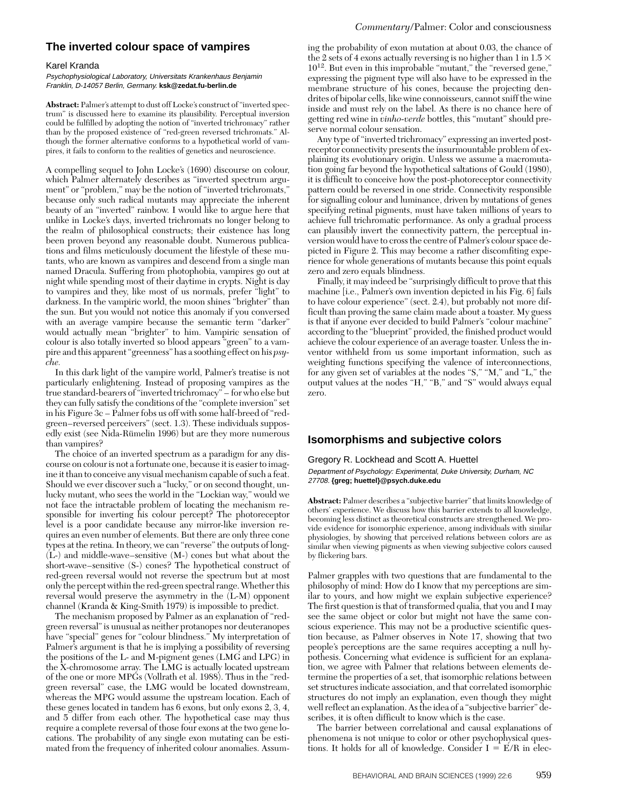## **The inverted colour space of vampires**

#### Karel Kranda

Psychophysiological Laboratory, Universitats Krankenhaus Benjamin Franklin, D-14057 Berlin, Germany. **ksk@zedat.fu-berlin.de**

**Abstract:** Palmer's attempt to dust off Locke's construct of "inverted spectrum" is discussed here to examine its plausibility. Perceptual inversion could be fulfilled by adopting the notion of "inverted trichromacy" rather than by the proposed existence of "red-green reversed trichromats." Although the former alternative conforms to a hypothetical world of vampires, it fails to conform to the realities of genetics and neuroscience.

A compelling sequel to John Locke's (1690) discourse on colour, which Palmer alternately describes as "inverted spectrum argument" or "problem," may be the notion of "inverted trichromats," because only such radical mutants may appreciate the inherent beauty of an "inverted" rainbow. I would like to argue here that unlike in Locke's days, inverted trichromats no longer belong to the realm of philosophical constructs; their existence has long been proven beyond any reasonable doubt. Numerous publications and films meticulously document the lifestyle of these mutants, who are known as vampires and descend from a single man named Dracula. Suffering from photophobia, vampires go out at night while spending most of their daytime in crypts. Night is day to vampires and they, like most of us normals, prefer "light" to darkness. In the vampiric world, the moon shines "brighter" than the sun. But you would not notice this anomaly if you conversed with an average vampire because the semantic term "darker" would actually mean "brighter" to him. Vampiric sensation of colour is also totally inverted so blood appears "green" to a vampire and this apparent "greenness" has a soothing effect on his *psyche.*

In this dark light of the vampire world, Palmer's treatise is not particularly enlightening. Instead of proposing vampires as the true standard-bearers of "inverted trichromacy" – for who else but they can fully satisfy the conditions of the "complete inversion" set in his Figure 3c – Palmer fobs us off with some half-breed of "redgreen–reversed perceivers" (sect. 1.3). These individuals supposedly exist (see Nida-Rümelin 1996) but are they more numerous than vampires?

The choice of an inverted spectrum as a paradigm for any discourse on colour is not a fortunate one, because it is easier to imagine it than to conceive any visual mechanism capable of such a feat. Should we ever discover such a "lucky," or on second thought, unlucky mutant, who sees the world in the "Lockian way," would we not face the intractable problem of locating the mechanism responsible for inverting his colour percept? The photoreceptor level is a poor candidate because any mirror-like inversion requires an even number of elements. But there are only three cone types at the retina. In theory, we can "reverse" the outputs of long-  $(L)$  and middle-wave–sensitive  $(M-)$  cones but what about the short-wave–sensitive (S-) cones? The hypothetical construct of red-green reversal would not reverse the spectrum but at most only the percept within the red-green spectral range. Whether this reversal would preserve the asymmetry in the (L-M) opponent channel (Kranda & King-Smith 1979) is impossible to predict.

The mechanism proposed by Palmer as an explanation of "redgreen reversal" is unusual as neither protanopes nor deuteranopes have "special" genes for "colour blindness." My interpretation of Palmer's argument is that he is implying a possibility of reversing the positions of the L- and M-pigment genes (LMG and LPG) in the X-chromosome array. The LMG is actually located upstream of the one or more MPGs (Vollrath et al. 1988). Thus in the "redgreen reversal" case, the LMG would be located downstream, whereas the MPG would assume the upstream location. Each of these genes located in tandem has 6 exons, but only exons 2, 3, 4, and 5 differ from each other. The hypothetical case may thus require a complete reversal of those four exons at the two gene locations. The probability of any single exon mutating can be estimated from the frequency of inherited colour anomalies. Assuming the probability of exon mutation at about 0.03, the chance of the 2 sets of 4 exons actually reversing is no higher than 1 in  $1.5 \times$  $10^{12}$ . But even in this improbable "mutant," the "reversed gene," expressing the pigment type will also have to be expressed in the membrane structure of his cones, because the projecting dendrites of bipolar cells, like wine connoisseurs, cannot sniff the wine inside and must rely on the label. As there is no chance here of getting red wine in *vinho-verde* bottles, this "mutant" should preserve normal colour sensation.

Any type of "inverted trichromacy" expressing an inverted postreceptor connectivity presents the insurmountable problem of explaining its evolutionary origin. Unless we assume a macromutation going far beyond the hypothetical saltations of Gould (1980), it is difficult to conceive how the post-photoreceptor connectivity pattern could be reversed in one stride. Connectivity responsible for signalling colour and luminance, driven by mutations of genes specifying retinal pigments, must have taken millions of years to achieve full trichromatic performance. As only a gradual process can plausibly invert the connectivity pattern, the perceptual inversion would have to cross the centre of Palmer's colour space depicted in Figure 2. This may become a rather discomfiting experience for whole generations of mutants because this point equals zero and zero equals blindness.

Finally, it may indeed be "surprisingly difficult to prove that this machine [i.e., Palmer's own invention depicted in his Fig. 6] fails to have colour experience" (sect. 2.4), but probably not more difficult than proving the same claim made about a toaster. My guess is that if anyone ever decided to build Palmer's "colour machine" according to the "blueprint" provided, the finished product would achieve the colour experience of an average toaster. Unless the inventor withheld from us some important information, such as weighting functions specifying the valence of interconnections, for any given set of variables at the nodes "S," "M," and "L," the output values at the nodes "H," "B," and "S" would always equal zero.

## **Isomorphisms and subjective colors**

Gregory R. Lockhead and Scott A. Huettel Department of Psychology: Experimental, Duke University, Durham, NC 27708. **{greg; huettel}@psych.duke.edu**

**Abstract:** Palmer describes a "subjective barrier" that limits knowledge of others' experience. We discuss how this barrier extends to all knowledge, becoming less distinct as theoretical constructs are strengthened. We provide evidence for isomorphic experience, among individuals with similar physiologies, by showing that perceived relations between colors are as similar when viewing pigments as when viewing subjective colors caused by flickering bars.

Palmer grapples with two questions that are fundamental to the philosophy of mind: How do I know that my perceptions are similar to yours, and how might we explain subjective experience? The first question is that of transformed qualia, that you and I may see the same object or color but might not have the same conscious experience. This may not be a productive scientific question because, as Palmer observes in Note 17, showing that two people's perceptions are the same requires accepting a null hypothesis. Concerning what evidence is sufficient for an explanation, we agree with Palmer that relations between elements determine the properties of a set, that isomorphic relations between set structures indicate association, and that correlated isomorphic structures do not imply an explanation, even though they might well reflect an explanation. As the idea of a "subjective barrier" describes, it is often difficult to know which is the case.

The barrier between correlational and causal explanations of phenomena is not unique to color or other psychophysical questions. It holds for all of knowledge. Consider  $I = E/R$  in elec-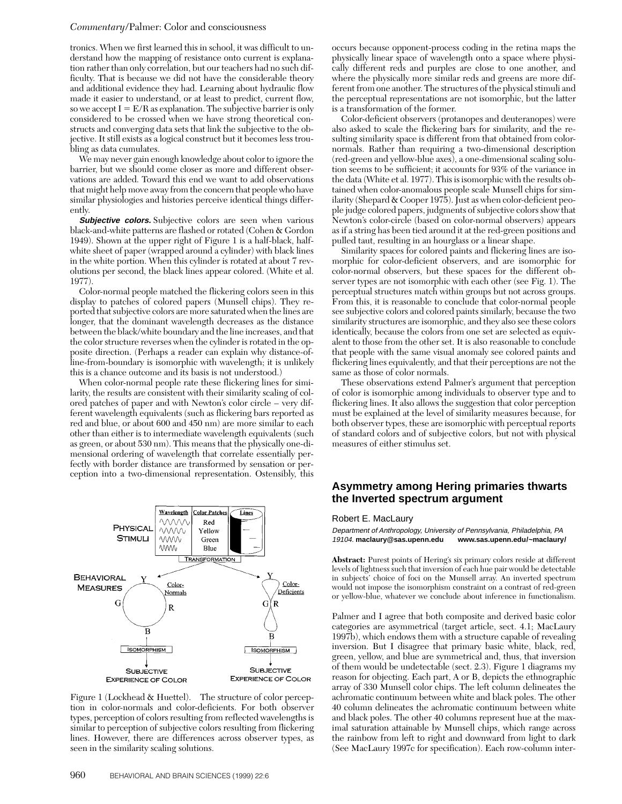## *Commentary/*Palmer: Color and consciousness

tronics. When we first learned this in school, it was difficult to understand how the mapping of resistance onto current is explanation rather than only correlation, but our teachers had no such difficulty. That is because we did not have the considerable theory and additional evidence they had. Learning about hydraulic flow made it easier to understand, or at least to predict, current flow, so we accept  $I = E/R$  as explanation. The subjective barrier is only considered to be crossed when we have strong theoretical constructs and converging data sets that link the subjective to the objective. It still exists as a logical construct but it becomes less troubling as data cumulates.

We may never gain enough knowledge about color to ignore the barrier, but we should come closer as more and different observations are added. Toward this end we want to add observations that might help move away from the concern that people who have similar physiologies and histories perceive identical things differently.

**Subjective colors.** Subjective colors are seen when various black-and-white patterns are flashed or rotated (Cohen & Gordon 1949). Shown at the upper right of Figure 1 is a half-black, halfwhite sheet of paper (wrapped around a cylinder) with black lines in the white portion. When this cylinder is rotated at about 7 revolutions per second, the black lines appear colored. (White et al. 1977).

Color-normal people matched the flickering colors seen in this display to patches of colored papers (Munsell chips). They reported that subjective colors are more saturated when the lines are longer, that the dominant wavelength decreases as the distance between the black/white boundary and the line increases, and that the color structure reverses when the cylinder is rotated in the opposite direction. (Perhaps a reader can explain why distance-ofline-from-boundary is isomorphic with wavelength; it is unlikely this is a chance outcome and its basis is not understood.)

When color-normal people rate these flickering lines for similarity, the results are consistent with their similarity scaling of colored patches of paper and with Newton's color circle – very different wavelength equivalents (such as flickering bars reported as red and blue, or about 600 and 450 nm) are more similar to each other than either is to intermediate wavelength equivalents (such as green, or about 530 nm). This means that the physically one-dimensional ordering of wavelength that correlate essentially perfectly with border distance are transformed by sensation or perception into a two-dimensional representation. Ostensibly, this



Figure 1 (Lockhead & Huettel). The structure of color perception in color-normals and color-deficients. For both observer types, perception of colors resulting from reflected wavelengths is similar to perception of subjective colors resulting from flickering lines. However, there are differences across observer types, as seen in the similarity scaling solutions.

occurs because opponent-process coding in the retina maps the physically linear space of wavelength onto a space where physically different reds and purples are close to one another, and where the physically more similar reds and greens are more different from one another. The structures of the physical stimuli and the perceptual representations are not isomorphic, but the latter is a transformation of the former.

Color-deficient observers (protanopes and deuteranopes) were also asked to scale the flickering bars for similarity, and the resulting similarity space is different from that obtained from colornormals. Rather than requiring a two-dimensional description (red-green and yellow-blue axes), a one-dimensional scaling solution seems to be sufficient; it accounts for 93% of the variance in the data (White et al. 1977). This is isomorphic with the results obtained when color-anomalous people scale Munsell chips for similarity (Shepard & Cooper 1975). Just as when color-deficient people judge colored papers, judgments of subjective colors show that Newton's color-circle (based on color-normal observers) appears as if a string has been tied around it at the red-green positions and pulled taut, resulting in an hourglass or a linear shape.

Similarity spaces for colored paints and flickering lines are isomorphic for color-deficient observers, and are isomorphic for color-normal observers, but these spaces for the different observer types are not isomorphic with each other (see Fig. 1). The perceptual structures match within groups but not across groups. From this, it is reasonable to conclude that color-normal people see subjective colors and colored paints similarly, because the two similarity structures are isomorphic, and they also see these colors identically, because the colors from one set are selected as equivalent to those from the other set. It is also reasonable to conclude that people with the same visual anomaly see colored paints and flickering lines equivalently, and that their perceptions are not the same as those of color normals.

These observations extend Palmer's argument that perception of color is isomorphic among individuals to observer type and to flickering lines. It also allows the suggestion that color perception must be explained at the level of similarity measures because, for both observer types, these are isomorphic with perceptual reports of standard colors and of subjective colors, but not with physical measures of either stimulus set.

## **Asymmetry among Hering primaries thwarts the Inverted spectrum argument**

#### Robert E. MacLaury

Department of Anthropology, University of Pennsylvania, Philadelphia, PA 19104. **maclaury@sas.upenn.edu www.sas.upenn.edu/~maclaury/**

**Abstract:** Purest points of Hering's six primary colors reside at different levels of lightness such that inversion of each hue pair would be detectable in subjects' choice of foci on the Munsell array. An inverted spectrum would not impose the isomorphism constraint on a contrast of red-green or yellow-blue, whatever we conclude about inference in functionalism.

Palmer and I agree that both composite and derived basic color categories are asymmetrical (target article, sect. 4.1; MacLaury 1997b), which endows them with a structure capable of revealing inversion. But I disagree that primary basic white, black, red, green, yellow, and blue are symmetrical and, thus, that inversion of them would be undetectable (sect. 2.3). Figure 1 diagrams my reason for objecting. Each part, A or B, depicts the ethnographic array of 330 Munsell color chips. The left column delineates the achromatic continuum between white and black poles. The other 40 column delineates the achromatic continuum between white and black poles. The other 40 columns represent hue at the maximal saturation attainable by Munsell chips, which range across the rainbow from left to right and downward from light to dark (See MacLaury 1997c for specification). Each row-column inter-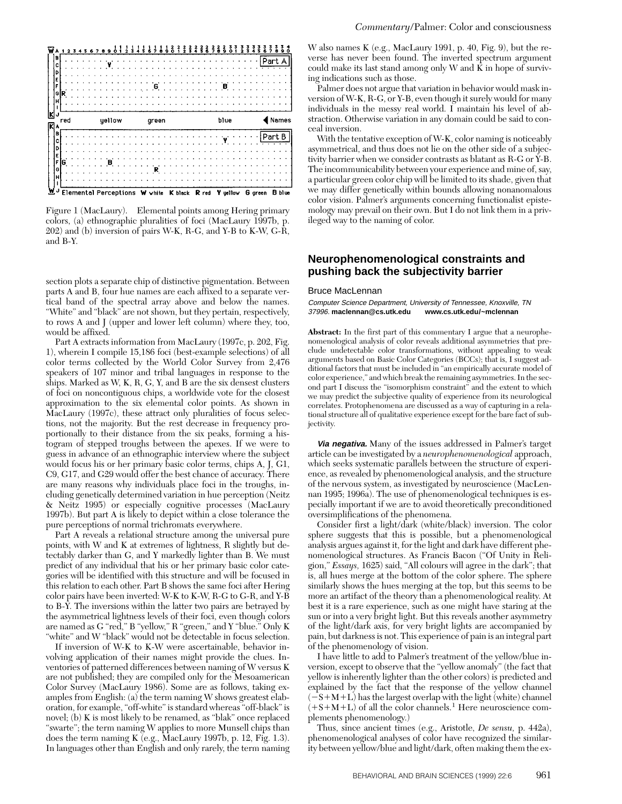

Figure 1 (MacLaury). Elemental points among Hering primary colors, (a) ethnographic pluralities of foci (MacLaury 1997b, p. 202) and (b) inversion of pairs W-K, R-G, and Y-B to K-W, G-R, and B-Y.

section plots a separate chip of distinctive pigmentation. Between parts A and B, four hue names are each affixed to a separate vertical band of the spectral array above and below the names. "White" and "black" are not shown, but they pertain, respectively, to rows A and J (upper and lower left column) where they, too, would be affixed.

Part A extracts information from MacLaury (1997c, p. 202, Fig. 1), wherein I compile 15,186 foci (best-example selections) of all color terms collected by the World Color Survey from 2,476 speakers of 107 minor and tribal languages in response to the ships. Marked as W, K, R, G, Y, and B are the six densest clusters of foci on noncontiguous chips, a worldwide vote for the closest approximation to the six elemental color points. As shown in MacLaury (1997c), these attract only pluralities of focus selections, not the majority. But the rest decrease in frequency proportionally to their distance from the six peaks, forming a histogram of stepped troughs between the apexes. If we were to guess in advance of an ethnographic interview where the subject would focus his or her primary basic color terms, chips A, J, G1, C9, G17, and G29 would offer the best chance of accuracy. There are many reasons why individuals place foci in the troughs, including genetically determined variation in hue perception (Neitz & Neitz 1995) or especially cognitive processes (MacLaury 1997b). But part A is likely to depict within a close tolerance the pure perceptions of normal trichromats everywhere.

Part A reveals a relational structure among the universal pure points, with W and K at extremes of lightness, R slightly but detectably darker than G, and Y markedly lighter than B. We must predict of any individual that his or her primary basic color categories will be identified with this structure and will be focused in this relation to each other. Part B shows the same foci after Hering color pairs have been inverted: W-K to K-W, R-G to G-R, and Y-B to B-Y. The inversions within the latter two pairs are betrayed by the asymmetrical lightness levels of their foci, even though colors are named as G "red," B "yellow," R "green," and Y "blue." Only K "white" and W "black" would not be detectable in focus selection.

If inversion of W-K to K-W were ascertainable, behavior involving application of their names might provide the clues. Inventories of patterned differences between naming of W versus K are not published; they are compiled only for the Mesoamerican Color Survey (MacLaury 1986). Some are as follows, taking examples from English: (a) the term naming W shows greatest elaboration, for example, "off-white" is standard whereas "off-black" is novel; (b) K is most likely to be renamed, as "blak" once replaced "swarte"; the term naming W applies to more Munsell chips than does the term naming K (e.g., MacLaury 1997b, p. 12, Fig. 1.3). In languages other than English and only rarely, the term naming

W also names K (e.g., MacLaury 1991, p. 40, Fig. 9), but the reverse has never been found. The inverted spectrum argument could make its last stand among only W and  $\vec{k}$  in hope of surviving indications such as those.

Palmer does not argue that variation in behavior would mask inversion of W-K, R-G, or Y-B, even though it surely would for many individuals in the messy real world. I maintain his level of abstraction. Otherwise variation in any domain could be said to conceal inversion.

With the tentative exception of W-K, color naming is noticeably asymmetrical, and thus does not lie on the other side of a subjectivity barrier when we consider contrasts as blatant as R-G or Y-B. The incommunicability between your experience and mine of, say, a particular green color chip will be limited to its shade, given that we may differ genetically within bounds allowing nonanomalous color vision. Palmer's arguments concerning functionalist epistemology may prevail on their own. But I do not link them in a privileged way to the naming of color.

## **Neurophenomenological constraints and pushing back the subjectivity barrier**

#### Bruce MacLennan

Computer Science Department, University of Tennessee, Knoxville, TN 37996. **maclennan@cs.utk.edu www.cs.utk.edu/~mclennan**

**Abstract:** In the first part of this commentary I argue that a neurophenomenological analysis of color reveals additional asymmetries that preclude undetectable color transformations, without appealing to weak arguments based on Basic Color Categories (BCCs); that is, I suggest additional factors that must be included in "an empirically accurate model of color experience," and which break the remaining asymmetries. In the second part I discuss the "isomorphism constraint" and the extent to which we may predict the subjective quality of experience from its neurological correlates. Protophenomena are discussed as a way of capturing in a relational structure all of qualitative experience except for the bare fact of subjectivity.

**Via negativa.** Many of the issues addressed in Palmer's target article can be investigated by a *neurophenomenological* approach, which seeks systematic parallels between the structure of experience, as revealed by phenomenological analysis, and the structure of the nervous system, as investigated by neuroscience (MacLennan 1995; 1996a). The use of phenomenological techniques is especially important if we are to avoid theoretically preconditioned oversimplifications of the phenomena.

Consider first a light/dark (white/black) inversion. The color sphere suggests that this is possible, but a phenomenological analysis argues against it, for the light and dark have different phenomenological structures. As Francis Bacon ("Of Unity in Religion," *Essays,* 1625) said, "All colours will agree in the dark"; that is, all hues merge at the bottom of the color sphere. The sphere similarly shows the hues merging at the top, but this seems to be more an artifact of the theory than a phenomenological reality. At best it is a rare experience, such as one might have staring at the sun or into a very bright light. But this reveals another asymmetry of the light/dark axis, for very bright lights are accompanied by pain, but darkness is not. This experience of pain is an integral part of the phenomenology of vision.

I have little to add to Palmer's treatment of the yellow/blue inversion, except to observe that the "yellow anomaly" (the fact that yellow is inherently lighter than the other colors) is predicted and explained by the fact that the response of the yellow channel  $(-S+M+L)$  has the largest overlap with the light (white) channel  $(+S+M+L)$  of all the color channels.<sup>1</sup> Here neuroscience complements phenomenology.)

Thus, since ancient times (e.g., Aristotle, *De sensu,* p. 442a), phenomenological analyses of color have recognized the similarity between yellow/blue and light/dark, often making them the ex-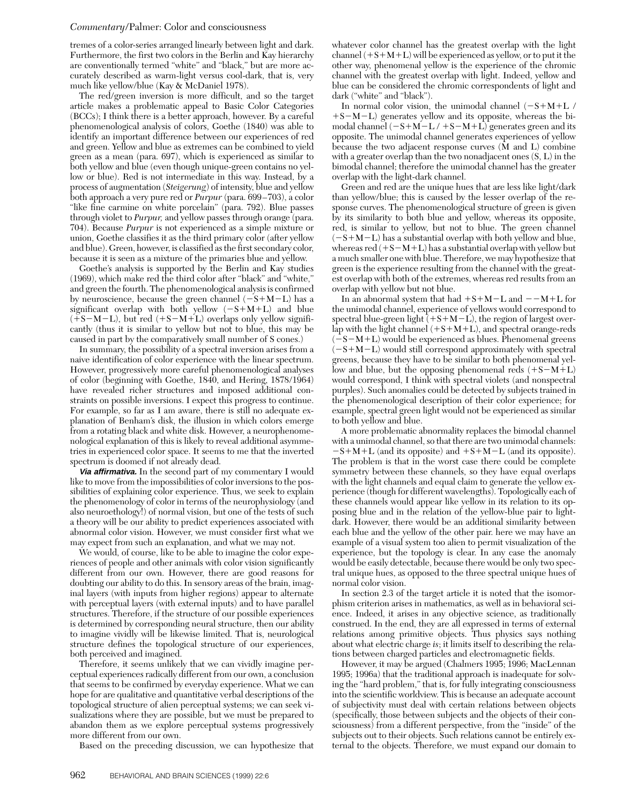## *Commentary/*Palmer: Color and consciousness

tremes of a color-series arranged linearly between light and dark. Furthermore, the first two colors in the Berlin and Kay hierarchy are conventionally termed "white" and "black," but are more accurately described as warm-light versus cool-dark, that is, very much like yellow/blue (Kay & McDaniel 1978).

The red/green inversion is more difficult, and so the target article makes a problematic appeal to Basic Color Categories (BCCs); I think there is a better approach, however. By a careful phenomenological analysis of colors, Goethe (1840) was able to identify an important difference between our experiences of red and green. Yellow and blue as extremes can be combined to yield green as a mean (para. 697), which is experienced as similar to both yellow and blue (even though unique-green contains no yellow or blue). Red is not intermediate in this way. Instead, by a process of augmentation (*Steigerung*) of intensity, blue and yellow both approach a very pure red or *Purpur* (para. 699–703), a color "like fine carmine on white porcelain" (para. 792). Blue passes through violet to *Purpur,* and yellow passes through orange (para. 704). Because *Purpur* is not experienced as a simple mixture or union, Goethe classifies it as the third primary color (after yellow and blue). Green, however, is classified as the first secondary color, because it is seen as a mixture of the primaries blue and yellow.

Goethe's analysis is supported by the Berlin and Kay studies (1969), which make red the third color after "black" and "white," and green the fourth. The phenomenological analysis is confirmed by neuroscience, because the green channel  $(-S+M-L)$  has a significant overlap with both yellow  $(-S+M+L)$  and blue  $(+S-M-L)$ , but red  $(+S-M+L)$  overlaps only yellow significantly (thus it is similar to yellow but not to blue, this may be caused in part by the comparatively small number of S cones.)

In summary, the possibility of a spectral inversion arises from a naive identification of color experience with the linear spectrum. However, progressively more careful phenomenological analyses of color (beginning with Goethe, 1840, and Hering, 1878/1964) have revealed richer structures and imposed additional constraints on possible inversions. I expect this progress to continue. For example, so far as I am aware, there is still no adequate explanation of Benham's disk, the illusion in which colors emerge from a rotating black and white disk. However, a neurophenomenological explanation of this is likely to reveal additional asymmetries in experienced color space. It seems to me that the inverted spectrum is doomed if not already dead.

**Via affirmativa.** In the second part of my commentary I would like to move from the impossibilities of color inversions to the possibilities of explaining color experience. Thus, we seek to explain the phenomenology of color in terms of the neurophysiology (and also neuroethology!) of normal vision, but one of the tests of such a theory will be our ability to predict experiences associated with abnormal color vision. However, we must consider first what we may expect from such an explanation, and what we may not.

We would, of course, like to be able to imagine the color experiences of people and other animals with color vision significantly different from our own. However, there are good reasons for doubting our ability to do this. In sensory areas of the brain, imaginal layers (with inputs from higher regions) appear to alternate with perceptual layers (with external inputs) and to have parallel structures. Therefore, if the structure of our possible experiences is determined by corresponding neural structure, then our ability to imagine vividly will be likewise limited. That is, neurological structure defines the topological structure of our experiences, both perceived and imagined.

Therefore, it seems unlikely that we can vividly imagine perceptual experiences radically different from our own, a conclusion that seems to be confirmed by everyday experience. What we can hope for are qualitative and quantitative verbal descriptions of the topological structure of alien perceptual systems; we can seek visualizations where they are possible, but we must be prepared to abandon them as we explore perceptual systems progressively more different from our own.

Based on the preceding discussion, we can hypothesize that

whatever color channel has the greatest overlap with the light channel  $(+S+M+L)$  will be experienced as yellow, or to put it the other way, phenomenal yellow is the experience of the chromic channel with the greatest overlap with light. Indeed, yellow and blue can be considered the chromic correspondents of light and dark ("white" and "black").

In normal color vision, the unimodal channel  $(-S+M+L)$  $+S-M-L$ ) generates yellow and its opposite, whereas the bimodal channel  $(-S+M-L / +S-M+L)$  generates green and its opposite. The unimodal channel generates experiences of yellow because the two adjacent response curves (M and L) combine with a greater overlap than the two nonadjacent ones (S, L) in the bimodal channel; therefore the unimodal channel has the greater overlap with the light-dark channel.

Green and red are the unique hues that are less like light/dark than yellow/blue; this is caused by the lesser overlap of the response curves. The phenomenological structure of green is given by its similarity to both blue and yellow, whereas its opposite, red, is similar to yellow, but not to blue. The green channel  $(-S+M-L)$  has a substantial overlap with both yellow and blue, whereas red  $(+S-M+L)$  has a substantial overlap with yellow but a much smaller one with blue. Therefore, we may hypothesize that green is the experience resulting from the channel with the greatest overlap with both of the extremes, whereas red results from an overlap with yellow but not blue.

In an abnormal system that had  $+S+M-L$  and  $--M+L$  for the unimodal channel, experience of yellows would correspond to spectral blue-green light  $(+S+M-L)$ , the region of largest overlap with the light channel  $(+S+M+L)$ , and spectral orange-reds  $(-S-M+L)$  would be experienced as blues. Phenomenal greens  $(-S+M-L)$  would still correspond approximately with spectral greens, because they have to be similar to both phenomenal yellow and blue, but the opposing phenomenal reds  $(+S-M+L)$ would correspond, I think with spectral violets (and nonspectral purples). Such anomalies could be detected by subjects trained in the phenomenological description of their color experience; for example, spectral green light would not be experienced as similar to both yellow and blue.

A more problematic abnormality replaces the bimodal channel with a unimodal channel, so that there are two unimodal channels:  $-S+M+L$  (and its opposite) and  $+S+M-L$  (and its opposite). The problem is that in the worst case there could be complete symmetry between these channels, so they have equal overlaps with the light channels and equal claim to generate the yellow experience (though for different wavelengths). Topologically each of these channels would appear like yellow in its relation to its opposing blue and in the relation of the yellow-blue pair to lightdark. However, there would be an additional similarity between each blue and the yellow of the other pair. here we may have an example of a visual system too alien to permit visualization of the experience, but the topology is clear. In any case the anomaly would be easily detectable, because there would be only two spectral unique hues, as opposed to the three spectral unique hues of normal color vision.

In section 2.3 of the target article it is noted that the isomorphism criterion arises in mathematics, as well as in behavioral science. Indeed, it arises in any objective science, as traditionally construed. In the end, they are all expressed in terms of external relations among primitive objects. Thus physics says nothing about what electric charge *is*; it limits itself to describing the relations between charged particles and electromagnetic fields.

However, it may be argued (Chalmers 1995; 1996; MacLennan 1995; 1996a) that the traditional approach is inadequate for solving the "hard problem," that is, for fully integrating consciousness into the scientific worldview. This is because an adequate account of subjectivity must deal with certain relations between objects (specifically, those between subjects and the objects of their consciousness) from a different perspective, from the "inside" of the subjects out to their objects. Such relations cannot be entirely external to the objects. Therefore, we must expand our domain to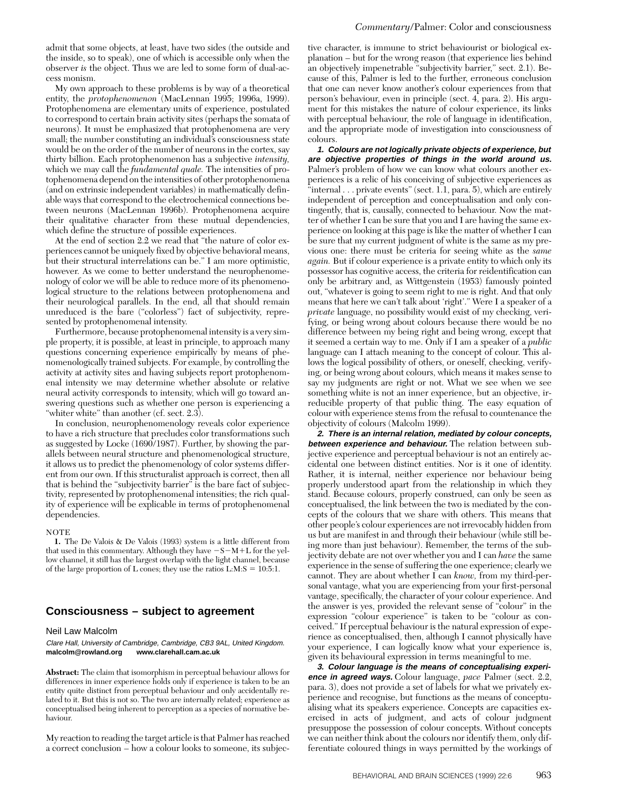admit that some objects, at least, have two sides (the outside and the inside, so to speak), one of which is accessible only when the observer *is* the object. Thus we are led to some form of dual-access monism.

My own approach to these problems is by way of a theoretical entity, the *protophenomenon* (MacLennan 1995; 1996a, 1999). Protophenomena are elementary units of experience, postulated to correspond to certain brain activity sites (perhaps the somata of neurons). It must be emphasized that protophenomena are very small; the number constituting an individual's consciousness state would be on the order of the number of neurons in the cortex, say thirty billion. Each protophenomenon has a subjective *intensity,* which we may call the *fundamental quale.* The intensities of protophenomena depend on the intensities of other protophenomena (and on extrinsic independent variables) in mathematically definable ways that correspond to the electrochemical connections between neurons (MacLennan 1996b). Protophenomena acquire their qualitative character from these mutual dependencies, which define the structure of possible experiences.

At the end of section 2.2 we read that "the nature of color experiences cannot be uniquely fixed by objective behavioral means, but their structural interrelations can be." I am more optimistic, however. As we come to better understand the neurophenomenology of color we will be able to reduce more of its phenomenological structure to the relations between protophenomena and their neurological parallels. In the end, all that should remain unreduced is the bare ("colorless") fact of subjectivity, represented by protophenomenal intensity.

Furthermore, because protophenomenal intensity is a very simple property, it is possible, at least in principle, to approach many questions concerning experience empirically by means of phenomenologically trained subjects. For example, by controlling the activity at activity sites and having subjects report protophenomenal intensity we may determine whether absolute or relative neural activity corresponds to intensity, which will go toward answering questions such as whether one person is experiencing a "whiter white" than another (cf. sect. 2.3).

In conclusion, neurophenomenology reveals color experience to have a rich structure that precludes color transformations such as suggested by Locke (1690/1987). Further, by showing the parallels between neural structure and phenomenological structure, it allows us to predict the phenomenology of color systems different from our own. If this structuralist approach is correct, then all that is behind the "subjectivity barrier" is the bare fact of subjectivity, represented by protophenomenal intensities; the rich quality of experience will be explicable in terms of protophenomenal dependencies.

#### NOTE

**1.** The De Valois & De Valois (1993) system is a little different from that used in this commentary. Although they have  $-S-M+L$  for the yellow channel, it still has the largest overlap with the light channel, because of the large proportion of L cones; they use the ratios  $L:M:S = 10:5:1$ .

## **Consciousness – subject to agreement**

## Neil Law Malcolm

#### Clare Hall, University of Cambridge, Cambridge, CB3 9AL, United Kingdom. **malcolm@rowland.org www.clarehall.cam.ac.uk**

**Abstract:** The claim that isomorphism in perceptual behaviour allows for differences in inner experience holds only if experience is taken to be an entity quite distinct from perceptual behaviour and only accidentally related to it. But this is not so. The two are internally related; experience as conceptualised being inherent to perception as a species of normative behaviour.

My reaction to reading the target article is that Palmer has reached a correct conclusion – how a colour looks to someone, its subjec-

tive character, is immune to strict behaviourist or biological explanation – but for the wrong reason (that experience lies behind an objectively impenetrable "subjectivity barrier," sect. 2.1). Because of this, Palmer is led to the further, erroneous conclusion that one can never know another's colour experiences from that person's behaviour, even in principle (sect. 4, para. 2). His argument for this mistakes the nature of colour experience, its links with perceptual behaviour, the role of language in identification, and the appropriate mode of investigation into consciousness of colours.

**1. Colours are not logically private objects of experience, but are objective properties of things in the world around us.** Palmer's problem of how we can know what colours another experiences is a relic of his conceiving of subjective experiences as "internal  $\ldots$  private events" (sect. 1.1, para. 5), which are entirely independent of perception and conceptualisation and only contingently, that is, causally, connected to behaviour. Now the matter of whether I can be sure that you and I are having the same experience on looking at this page is like the matter of whether I can be sure that my current judgment of white is the same as my previous one: there must be criteria for seeing white as the *same again.* But if colour experience is a private entity to which only its possessor has cognitive access, the criteria for reidentification can only be arbitrary and, as Wittgenstein (1953) famously pointed out, "whatever is going to seem right to me is right. And that only means that here we can't talk about 'right'." Were I a speaker of a *private* language, no possibility would exist of my checking, verifying, or being wrong about colours because there would be no difference between my being right and being wrong, except that it seemed a certain way to me. Only if I am a speaker of a *public* language can I attach meaning to the concept of colour. This allows the logical possibility of others, or oneself, checking, verifying, or being wrong about colours, which means it makes sense to say my judgments are right or not. What we see when we see something white is not an inner experience, but an objective, irreducible property of that public thing. The easy equation of colour with experience stems from the refusal to countenance the objectivity of colours (Malcolm 1999).

**2. There is an internal relation, mediated by colour concepts, between experience and behaviour.** The relation between subjective experience and perceptual behaviour is not an entirely accidental one between distinct entities. Nor is it one of identity. Rather, it is internal, neither experience nor behaviour being properly understood apart from the relationship in which they stand. Because colours, properly construed, can only be seen as conceptualised, the link between the two is mediated by the concepts of the colours that we share with others. This means that other people's colour experiences are not irrevocably hidden from us but are manifest in and through their behaviour (while still being more than just behaviour). Remember, the terms of the subjectivity debate are not over whether you and I can *have* the same experience in the sense of suffering the one experience; clearly we cannot. They are about whether I can *know,* from my third-personal vantage, what you are experiencing from your first-personal vantage, specifically, the character of your colour experience. And the answer is yes, provided the relevant sense of "colour" in the expression "colour experience" is taken to be "colour as conceived." If perceptual behaviour is the natural expression of experience as conceptualised, then, although I cannot physically have your experience, I can logically know what your experience is, given its behavioural expression in terms meaningful to me.

**3. Colour language is the means of conceptualising experience in agreed ways.** Colour language, *pace* Palmer (sect. 2.2, para. 3), does not provide a set of labels for what we privately experience and recognise, but functions as the means of conceptualising what its speakers experience. Concepts are capacities exercised in acts of judgment, and acts of colour judgment presuppose the possession of colour concepts. Without concepts we can neither think about the colours nor identify them, only differentiate coloured things in ways permitted by the workings of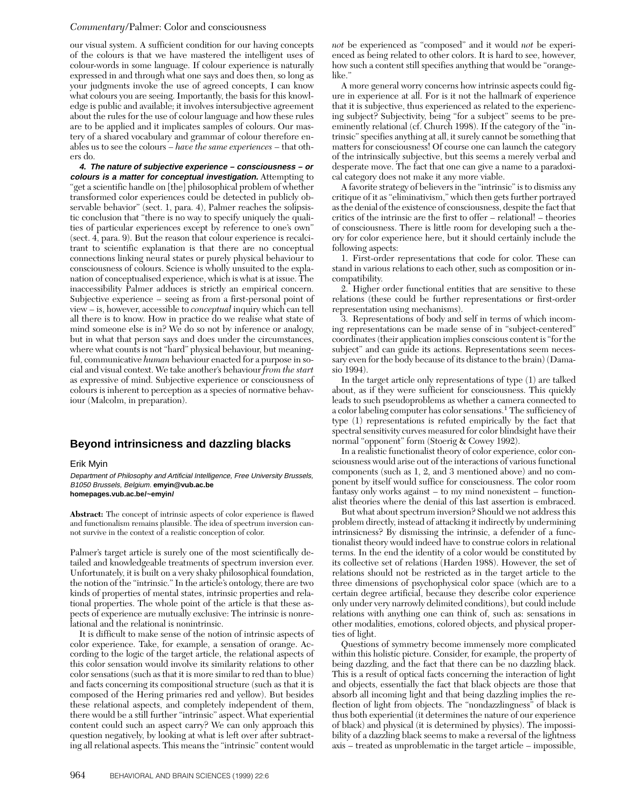## *Commentary/*Palmer: Color and consciousness

our visual system. A sufficient condition for our having concepts of the colours is that we have mastered the intelligent uses of colour-words in some language. If colour experience is naturally expressed in and through what one says and does then, so long as your judgments invoke the use of agreed concepts, I can know what colours you are seeing. Importantly, the basis for this knowledge is public and available; it involves intersubjective agreement about the rules for the use of colour language and how these rules are to be applied and it implicates samples of colours. Our mastery of a shared vocabulary and grammar of colour therefore enables us to see the colours – *have the same experiences* – that others do.

**4. The nature of subjective experience – consciousness – or colours is a matter for conceptual investigation.** Attempting to "get a scientific handle on [the] philosophical problem of whether transformed color experiences could be detected in publicly observable behavior" (sect. 1, para. 4), Palmer reaches the solipsistic conclusion that "there is no way to specify uniquely the qualities of particular experiences except by reference to one's own" (sect. 4, para. 9). But the reason that colour experience is recalcitrant to scientific explanation is that there are no conceptual connections linking neural states or purely physical behaviour to consciousness of colours. Science is wholly unsuited to the explanation of conceptualised experience, which is what is at issue. The inaccessibility Palmer adduces is strictly an empirical concern. Subjective experience – seeing as from a first-personal point of view – is, however, accessible to *conceptual* inquiry which can tell all there is to know. How in practice do we realise what state of mind someone else is in? We do so not by inference or analogy, but in what that person says and does under the circumstances, where what counts is not "hard" physical behaviour, but meaningful, communicative *human* behaviour enacted for a purpose in social and visual context. We take another's behaviour *from the start* as expressive of mind. Subjective experience or consciousness of colours is inherent to perception as a species of normative behaviour (Malcolm, in preparation).

## **Beyond intrinsicness and dazzling blacks**

#### Erik Myin

Department of Philosophy and Artificial Intelligence, Free University Brussels, B1050 Brussels, Belgium. **emyin@vub.ac.be homepages.vub.ac.be/~emyin/**

**Abstract:** The concept of intrinsic aspects of color experience is flawed and functionalism remains plausible. The idea of spectrum inversion cannot survive in the context of a realistic conception of color.

Palmer's target article is surely one of the most scientifically detailed and knowledgeable treatments of spectrum inversion ever. Unfortunately, it is built on a very shaky philosophical foundation, the notion of the "intrinsic." In the article's ontology, there are two kinds of properties of mental states, intrinsic properties and relational properties. The whole point of the article is that these aspects of experience are mutually exclusive: The intrinsic is nonrelational and the relational is nonintrinsic.

It is difficult to make sense of the notion of intrinsic aspects of color experience. Take, for example, a sensation of orange. According to the logic of the target article, the relational aspects of this color sensation would involve its similarity relations to other color sensations (such as that it is more similar to red than to blue) and facts concerning its compositional structure (such as that it is composed of the Hering primaries red and yellow). But besides these relational aspects, and completely independent of them, there would be a still further "intrinsic" aspect. What experiential content could such an aspect carry? We can only approach this question negatively, by looking at what is left over after subtracting all relational aspects. This means the "intrinsic" content would *not* be experienced as "composed" and it would *not* be experienced as being related to other colors. It is hard to see, however, how such a content still specifies anything that would be "orangelike."

A more general worry concerns how intrinsic aspects could figure in experience at all. For is it not the hallmark of experience that it is subjective, thus experienced as related to the experiencing subject? Subjectivity, being "for a subject" seems to be preeminently relational (cf. Church 1998). If the category of the "intrinsic" specifies anything at all, it surely cannot be something that matters for consciousness! Of course one can launch the category of the intrinsically subjective, but this seems a merely verbal and desperate move. The fact that one can give a name to a paradoxical category does not make it any more viable.

A favorite strategy of believers in the "intrinsic" is to dismiss any critique of it as "eliminativism," which then gets further portrayed as the denial of the existence of consciousness, despite the fact that critics of the intrinsic are the first to offer – relational! – theories of consciousness. There is little room for developing such a theory for color experience here, but it should certainly include the following aspects:

1. First-order representations that code for color. These can stand in various relations to each other, such as composition or incompatibility.

2. Higher order functional entities that are sensitive to these relations (these could be further representations or first-order representation using mechanisms).

3. Representations of body and self in terms of which incoming representations can be made sense of in "subject-centered" coordinates (their application implies conscious content is "for the subject" and can guide its actions. Representations seem necessary even for the body because of its distance to the brain) (Damasio 1994).

In the target article only representations of type (1) are talked about, as if they were sufficient for consciousness. This quickly leads to such pseudoproblems as whether a camera connected to a color labeling computer has color sensations.<sup>1</sup> The sufficiency of type (1) representations is refuted empirically by the fact that spectral sensitivity curves measured for color blindsight have their normal "opponent" form (Stoerig & Cowey 1992).

In a realistic functionalist theory of color experience, color consciousness would arise out of the interactions of various functional components (such as 1, 2, and 3 mentioned above) and no component by itself would suffice for consciousness. The color room fantasy only works against – to my mind nonexistent – functionalist theories where the denial of this last assertion is embraced.

But what about spectrum inversion? Should we not address this problem directly, instead of attacking it indirectly by undermining intrinsicness? By dismissing the intrinsic, a defender of a functionalist theory would indeed have to construe colors in relational terms. In the end the identity of a color would be constituted by its collective set of relations (Harden 1988). However, the set of relations should not be restricted as in the target article to the three dimensions of psychophysical color space (which are to a certain degree artificial, because they describe color experience only under very narrowly delimited conditions), but could include relations with anything one can think of, such as: sensations in other modalities, emotions, colored objects, and physical properties of light.

Questions of symmetry become immensely more complicated within this holistic picture. Consider, for example, the property of being dazzling, and the fact that there can be no dazzling black. This is a result of optical facts concerning the interaction of light and objects, essentially the fact that black objects are those that absorb all incoming light and that being dazzling implies the reflection of light from objects. The "nondazzlingness" of black is thus both experiential (it determines the nature of our experience of black) and physical (it is determined by physics). The impossibility of a dazzling black seems to make a reversal of the lightness axis – treated as unproblematic in the target article – impossible,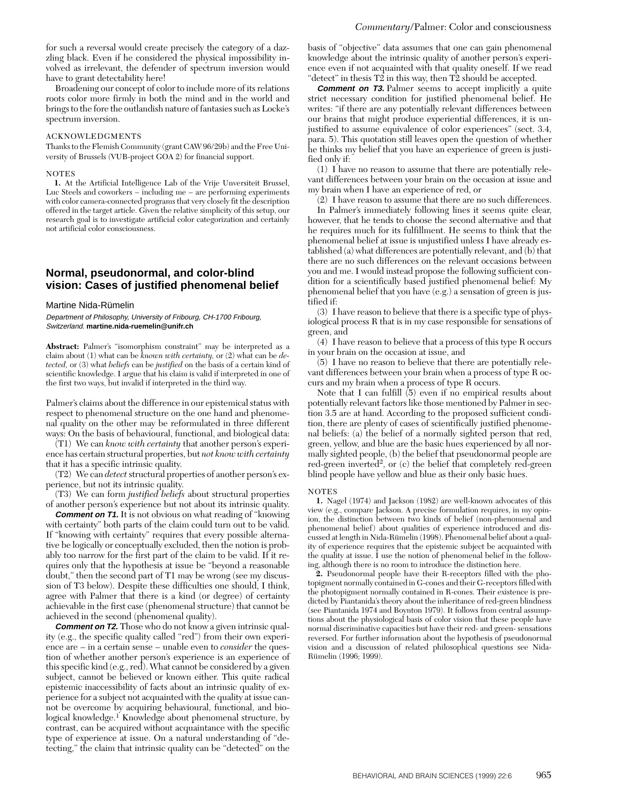Broadening our concept of color to include more of its relations roots color more firmly in both the mind and in the world and brings to the fore the outlandish nature of fantasies such as Locke's spectrum inversion.

#### ACKNOWLEDGMENTS

Thanks to the Flemish Community (grant CAW 96/29b) and the Free University of Brussels (VUB-project GOA 2) for financial support.

#### **NOTES**

**1.** At the Artificial Intelligence Lab of the Vrije Unversiteit Brussel, Luc Steels and coworkers – including me – are performing experiments with color camera-connected programs that very closely fit the description offered in the target article. Given the relative simplicity of this setup, our research goal is to investigate artificial color categorization and certainly not artificial color consciousness.

## **Normal, pseudonormal, and color-blind vision: Cases of justified phenomenal belief**

#### Martine Nida-Rümelin

Department of Philosophy, University of Fribourg, CH-1700 Fribourg, Switzerland. **martine.nida-ruemelin@unifr.ch**

Abstract: Palmer's "isomorphism constraint" may be interpreted as a claim about (1) what can be *known with certainty,* or (2) what can be *detected,* or (3) what *beliefs* can be *justified* on the basis of a certain kind of scientific knowledge. I argue that his claim is valid if interpreted in one of the first two ways, but invalid if interpreted in the third way.

Palmer's claims about the difference in our epistemical status with respect to phenomenal structure on the one hand and phenomenal quality on the other may be reformulated in three different ways: On the basis of behavioural, functional, and biological data:

(T1) We can *know with certainty* that another person's experience has certain structural properties, but *not know with certainty* that it has a specific intrinsic quality.

(T2) We can *detect*structural properties of another person's experience, but not its intrinsic quality.

(T3) We can form *justified beliefs* about structural properties of another person's experience but not about its intrinsic quality.

**Comment on T1.** It is not obvious on what reading of "knowing" with certainty" both parts of the claim could turn out to be valid. If "knowing with certainty" requires that every possible alternative be logically or conceptually excluded, then the notion is probably too narrow for the first part of the claim to be valid. If it requires only that the hypothesis at issue be "beyond a reasonable doubt," then the second part of T1 may be wrong (see my discussion of T3 below). Despite these difficulties one should, I think, agree with Palmer that there is a kind (or degree) of certainty achievable in the first case (phenomenal structure) that cannot be achieved in the second (phenomenal quality).

**Comment on T2.** Those who do not know a given intrinsic quality (e.g., the specific quality called "red") from their own experience are – in a certain sense – unable even to *consider* the question of whether another person's experience is an experience of this specific kind (e.g., red). What cannot be considered by a given subject, cannot be believed or known either. This quite radical epistemic inaccessibility of facts about an intrinsic quality of experience for a subject not acquainted with the quality at issue cannot be overcome by acquiring behavioural, functional, and biological knowledge.<sup>1</sup> Knowledge about phenomenal structure, by contrast, can be acquired without acquaintance with the specific type of experience at issue. On a natural understanding of "detecting," the claim that intrinsic quality can be "detected" on the

basis of "objective" data assumes that one can gain phenomenal knowledge about the intrinsic quality of another person's experience even if not acquainted with that quality oneself. If we read "detect" in thesis T2 in this way, then T2 should be accepted.

**Comment on T3.** Palmer seems to accept implicitly a quite strict necessary condition for justified phenomenal belief. He writes: "if there are any potentially relevant differences between our brains that might produce experiential differences, it is unjustified to assume equivalence of color experiences" (sect. 3.4, para. 5). This quotation still leaves open the question of whether he thinks my belief that you have an experience of green is justified only if:

(1) I have no reason to assume that there are potentially relevant differences between your brain on the occasion at issue and my brain when I have an experience of red, or

(2) I have reason to assume that there are no such differences. In Palmer's immediately following lines it seems quite clear, however, that he tends to choose the second alternative and that he requires much for its fulfillment. He seems to think that the phenomenal belief at issue is unjustified unless I have already established (a) what differences are potentially relevant, and (b) that there are no such differences on the relevant occasions between you and me. I would instead propose the following sufficient condition for a scientifically based justified phenomenal belief: My phenomenal belief that you have (e.g.) a sensation of green is justified if:

(3) I have reason to believe that there is a specific type of physiological process R that is in my case responsible for sensations of green, and

(4) I have reason to believe that a process of this type R occurs in your brain on the occasion at issue, and

(5) I have no reason to believe that there are potentially relevant differences between your brain when a process of type R occurs and my brain when a process of type R occurs.

Note that I can fulfill (5) even if no empirical results about potentially relevant factors like those mentioned by Palmer in section 3.5 are at hand. According to the proposed sufficient condition, there are plenty of cases of scientifically justified phenomenal beliefs: (a) the belief of a normally sighted person that red, green, yellow, and blue are the basic hues experienced by all normally sighted people, (b) the belief that pseudonormal people are red-green inverted<sup>2</sup>, or (c) the belief that completely red-green blind people have yellow and blue as their only basic hues.

## NOTES

**1.** Nagel (1974) and Jackson (1982) are well-known advocates of this view (e.g., compare Jackson. A precise formulation requires, in my opinion, the distinction between two kinds of belief (non-phenomenal and phenomenal belief) about qualities of experience introduced and discussed at length in Nida-Rümelin (1998). Phenomenal belief about a quality of experience requires that the epistemic subject be acquainted with the quality at issue. I use the notion of phenomenal belief in the following, although there is no room to introduce the distinction here.

**2.** Pseudonormal people have their R-receptors filled with the photopigment normally contained in G-cones and their G-receptors filled with the photopigment normally contained in R-cones. Their existence is predicted by Piantanida's theory about the inheritance of red-green blindness (see Piantanida 1974 and Boynton 1979). It follows from central assumptions about the physiological basis of color vision that these people have normal discriminative capacities but have their red- and green- sensations reversed. For further information about the hypothesis of pseudonormal vision and a discussion of related philosophical questions see Nida-Rümelin (1996; 1999).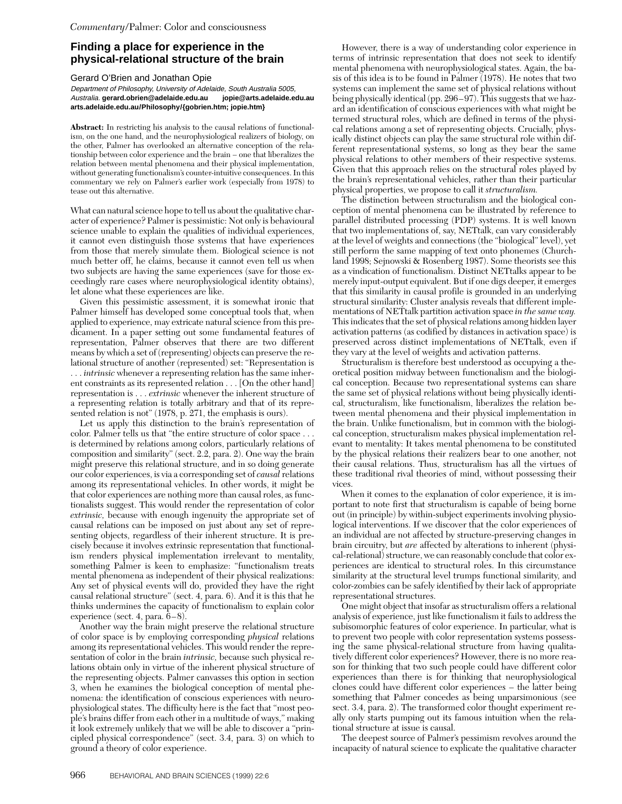## **Finding a place for experience in the physical-relational structure of the brain**

## Gerard O'Brien and Jonathan Opie

Department of Philosophy, University of Adelaide, South Australia 5005, Australia. **gerard.obrien@adelaide.edu.au jopie@arts.adelaide.edu.au arts.adelaide.edu.au/Philosophy/{gobrien.htm; jopie.htm}**

**Abstract:** In restricting his analysis to the causal relations of functionalism, on the one hand, and the neurophysiological realizers of biology, on the other, Palmer has overlooked an alternative conception of the relationship between color experience and the brain – one that liberalizes the relation between mental phenomena and their physical implementation, without generating functionalism's counter-intuitive consequences. In this commentary we rely on Palmer's earlier work (especially from 1978) to tease out this alternative.

What can natural science hope to tell us about the qualitative character of experience? Palmer is pessimistic: Not only is behavioural science unable to explain the qualities of individual experiences, it cannot even distinguish those systems that have experiences from those that merely simulate them. Biological science is not much better off, he claims, because it cannot even tell us when two subjects are having the same experiences (save for those exceedingly rare cases where neurophysiological identity obtains), let alone what these experiences are like.

Given this pessimistic assessment, it is somewhat ironic that Palmer himself has developed some conceptual tools that, when applied to experience, may extricate natural science from this predicament. In a paper setting out some fundamental features of representation, Palmer observes that there are two different means by which a set of (representing) objects can preserve the relational structure of another (represented) set: "Representation is . . . *intrinsic* whenever a representing relation has the same inherent constraints as its represented relation . . . [On the other hand] representation is . . . *extrinsic* whenever the inherent structure of a representing relation is totally arbitrary and that of its represented relation is not" (1978, p. 271, the emphasis is ours).

Let us apply this distinction to the brain's representation of color. Palmer tells us that "the entire structure of color space . . . is determined by relations among colors, particularly relations of composition and similarity" (sect. 2.2, para. 2). One way the brain might preserve this relational structure, and in so doing generate our color experiences, is via a corresponding set of *causal* relations among its representational vehicles. In other words, it might be that color experiences are nothing more than causal roles, as functionalists suggest. This would render the representation of color *extrinsic,* because with enough ingenuity the appropriate set of causal relations can be imposed on just about any set of representing objects, regardless of their inherent structure. It is precisely because it involves extrinsic representation that functionalism renders physical implementation irrelevant to mentality, something Palmer is keen to emphasize: "functionalism treats mental phenomena as independent of their physical realizations: Any set of physical events will do, provided they have the right causal relational structure" (sect. 4, para. 6). And it is this that he thinks undermines the capacity of functionalism to explain color experience (sect. 4, para. 6–8).

Another way the brain might preserve the relational structure of color space is by employing corresponding *physical* relations among its representational vehicles. This would render the representation of color in the brain *intrinsic,* because such physical relations obtain only in virtue of the inherent physical structure of the representing objects. Palmer canvasses this option in section 3, when he examines the biological conception of mental phenomena: the identification of conscious experiences with neurophysiological states. The difficulty here is the fact that "most people's brains differ from each other in a multitude of ways," making it look extremely unlikely that we will be able to discover a "principled physical correspondence" (sect. 3.4, para. 3) on which to ground a theory of color experience.

However, there is a way of understanding color experience in terms of intrinsic representation that does not seek to identify mental phenomena with neurophysiological states. Again, the basis of this idea is to be found in Palmer  $(1978)$ . He notes that two systems can implement the same set of physical relations without being physically identical (pp. 296–97). This suggests that we hazard an identification of conscious experiences with what might be termed structural roles, which are defined in terms of the physical relations among a set of representing objects. Crucially, physically distinct objects can play the same structural role within different representational systems, so long as they bear the same physical relations to other members of their respective systems. Given that this approach relies on the structural roles played by the brain's representational vehicles, rather than their particular physical properties, we propose to call it *structuralism.*

The distinction between structuralism and the biological conception of mental phenomena can be illustrated by reference to parallel distributed processing (PDP) systems. It is well known that two implementations of, say, NETtalk, can vary considerably at the level of weights and connections (the "biological" level), yet still perform the same mapping of text onto phonemes (Churchland 1998; Sejnowski & Rosenberg 1987). Some theorists see this as a vindication of functionalism. Distinct NETtalks appear to be merely input-output equivalent. But if one digs deeper, it emerges that this similarity in causal profile is grounded in an underlying structural similarity: Cluster analysis reveals that different implementations of NETtalk partition activation space *in the same way.* This indicates that the set of physical relations among hidden layer activation patterns (as codified by distances in activation space) is preserved across distinct implementations of NETtalk, even if they vary at the level of weights and activation patterns.

Structuralism is therefore best understood as occupying a theoretical position midway between functionalism and the biological conception. Because two representational systems can share the same set of physical relations without being physically identical, structuralism, like functionalism, liberalizes the relation between mental phenomena and their physical implementation in the brain. Unlike functionalism, but in common with the biological conception, structuralism makes physical implementation relevant to mentality: It takes mental phenomena to be constituted by the physical relations their realizers bear to one another, not their causal relations. Thus, structuralism has all the virtues of these traditional rival theories of mind, without possessing their vices.

When it comes to the explanation of color experience, it is important to note first that structuralism is capable of being borne out (in principle) by within-subject experiments involving physiological interventions. If we discover that the color experiences of an individual are not affected by structure-preserving changes in brain circuitry, but *are* affected by alterations to inherent (physical-relational) structure, we can reasonably conclude that color experiences are identical to structural roles. In this circumstance similarity at the structural level trumps functional similarity, and color-zombies can be safely identified by their lack of appropriate representational structures.

One might object that insofar as structuralism offers a relational analysis of experience, just like functionalism it fails to address the subisomorphic features of color experience. In particular, what is to prevent two people with color representation systems possessing the same physical-relational structure from having qualitatively different color experiences? However, there is no more reason for thinking that two such people could have different color experiences than there is for thinking that neurophysiological clones could have different color experiences – the latter being something that Palmer concedes as being unparsimonious (see sect. 3.4, para. 2). The transformed color thought experiment really only starts pumping out its famous intuition when the relational structure at issue is causal.

The deepest source of Palmer's pessimism revolves around the incapacity of natural science to explicate the qualitative character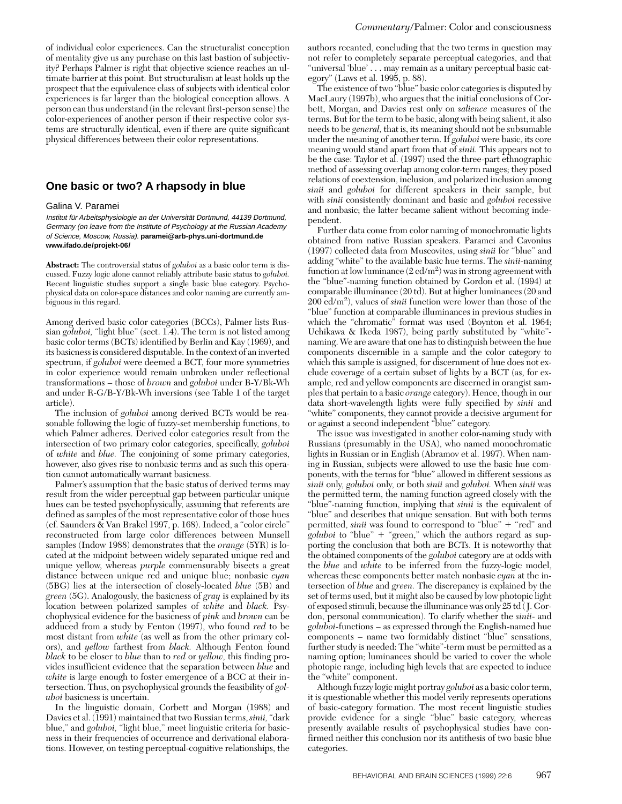of individual color experiences. Can the structuralist conception of mentality give us any purchase on this last bastion of subjectivity? Perhaps Palmer is right that objective science reaches an ultimate barrier at this point. But structuralism at least holds up the prospect that the equivalence class of subjects with identical color experiences is far larger than the biological conception allows. A person can thus understand (in the relevant first-person sense) the color-experiences of another person if their respective color systems are structurally identical, even if there are quite significant physical differences between their color representations.

## **One basic or two? A rhapsody in blue**

#### Galina V. Paramei

Institut für Arbeitsphysiologie an der Universität Dortmund, 44139 Dortmund, Germany (on leave from the Institute of Psychology at the Russian Academy of Science, Moscow, Russia). **paramei@arb-phys.uni-dortmund.de www.ifado.de/projekt-06/**

**Abstract:** The controversial status of *goluboi* as a basic color term is discussed. Fuzzy logic alone cannot reliably attribute basic status to *goluboi.* Recent linguistic studies support a single basic blue category. Psychophysical data on color-space distances and color naming are currently ambiguous in this regard.

Among derived basic color categories (BCCs), Palmer lists Russian *goluboi,* "light blue" (sect. 1.4). The term is not listed among basic color terms (BCTs) identified by Berlin and Kay (1969), and its basicness is considered disputable. In the context of an inverted spectrum, if *goluboi* were deemed a BCT, four more symmetries in color experience would remain unbroken under reflectional transformations – those of *brown* and *goluboi* under B-Y/Bk-Wh and under R-G/B-Y/Bk-Wh inversions (see Table 1 of the target article).

The inclusion of *goluboi* among derived BCTs would be reasonable following the logic of fuzzy-set membership functions, to which Palmer adheres. Derived color categories result from the intersection of two primary color categories, specifically, *goluboi* of *white* and *blue.* The conjoining of some primary categories, however, also gives rise to nonbasic terms and as such this operation cannot automatically warrant basicness.

Palmer's assumption that the basic status of derived terms may result from the wider perceptual gap between particular unique hues can be tested psychophysically, assuming that referents are defined as samples of the most representative color of those hues (cf. Saunders & Van Brakel 1997, p. 168). Indeed, a "color circle" reconstructed from large color differences between Munsell samples (Indow 1988) demonstrates that the *orange* (5YR) is located at the midpoint between widely separated unique red and unique yellow, whereas *purple* commensurably bisects a great distance between unique red and unique blue; nonbasic *cyan* (5BG) lies at the intersection of closely-located *blue* (5B) and *green* (5G). Analogously, the basicness of *gray* is explained by its location between polarized samples of *white* and *black.* Psychophysical evidence for the basicness of *pink* and *brown* can be adduced from a study by Fenton (1997), who found *red* to be most distant from *white* (as well as from the other primary colors), and *yellow* farthest from *black.* Although Fenton found *black* to be closer to *blue* than to *red* or *yellow,* this finding provides insufficient evidence that the separation between *blue* and *white* is large enough to foster emergence of a BCC at their intersection. Thus, on psychophysical grounds the feasibility of *goluboi* basicness is uncertain.

In the linguistic domain, Corbett and Morgan (1988) and Davies et al. (1991) maintained that two Russian terms, *sinii,*"dark blue," and *goluboi,* "light blue," meet linguistic criteria for basicness in their frequencies of occurrence and derivational elaborations. However, on testing perceptual-cognitive relationships, the

authors recanted, concluding that the two terms in question may not refer to completely separate perceptual categories, and that "universal 'blue' . . . may remain as a unitary perceptual basic category" (Laws et al. 1995, p. 88).

The existence of two "blue" basic color categories is disputed by MacLaury (1997b), who argues that the initial conclusions of Corbett, Morgan, and Davies rest only on *salience* measures of the terms. But for the term to be basic, along with being salient, it also needs to be *general*, that is, its meaning should not be subsumable under the meaning of another term. If *goluboi* were basic, its core meaning would stand apart from that of *sinii.* This appears not to be the case: Taylor et al. (1997) used the three-part ethnographic method of assessing overlap among color-term ranges; they posed relations of coextension, inclusion, and polarized inclusion among *sinii* and *goluboi* for different speakers in their sample, but with *sinii* consistently dominant and basic and *goluboi* recessive and nonbasic; the latter became salient without becoming independent.

Further data come from color naming of monochromatic lights obtained from native Russian speakers. Paramei and Cavonius (1997) collected data from Muscovites, using *sinii* for "blue" and adding "white" to the available basic hue terms. The *sinii*-naming function at low luminance  $(2 \text{ cd/m}^2)$  was in strong agreement with the "blue"-naming function obtained by Gordon et al. (1994) at comparable illuminance (20 td). But at higher luminances (20 and 200 cd/m<sup>2</sup> ), values of *sinii* function were lower than those of the "blue" function at comparable illuminances in previous studies in which the "chromatic" format was used (Boynton et al. 1964; Uchikawa & Ikeda 1987), being partly substituted by "white" naming. We are aware that one has to distinguish between the hue components discernible in a sample and the color category to which this sample is assigned, for discernment of hue does not exclude coverage of a certain subset of lights by a BCT (as, for example, red and yellow components are discerned in orangist samples that pertain to a basic *orange* category). Hence, though in our data short-wavelength lights were fully specified by *sinii* and "white" components, they cannot provide a decisive argument for or against a second independent "blue" category.

The issue was investigated in another color-naming study with Russians (presumably in the USA), who named monochromatic lights in Russian or in English (Abramov et al. 1997). When naming in Russian, subjects were allowed to use the basic hue components, with the terms for "blue" allowed in different sessions as *sinii* only, *goluboi* only, or both *sinii* and *goluboi.* When *sinii* was the permitted term, the naming function agreed closely with the "blue"-naming function, implying that *sinii* is the equivalent of "blue" and describes that unique sensation. But with both terms permitted, *sinii* was found to correspond to "blue" + "red" and *goluboi* to "blue" + "green," which the authors regard as supporting the conclusion that both are BCTs. It is noteworthy that the obtained components of the *goluboi* category are at odds with the *blue* and *white* to be inferred from the fuzzy-logic model, whereas these components better match nonbasic *cyan* at the intersection of *blue* and *green.* The discrepancy is explained by the set of terms used, but it might also be caused by low photopic light of exposed stimuli, because the illuminance was only 25 td (J. Gordon, personal communication). To clarify whether the *sinii*- and *goluboi*-functions – as expressed through the English-named hue components – name two formidably distinct "blue" sensations, further study is needed: The "white"-term must be permitted as a naming option; luminances should be varied to cover the whole photopic range, including high levels that are expected to induce the "white" component.

Although fuzzy logic might portray *goluboi* as a basic color term, it is questionable whether this model verily represents operations of basic-category formation. The most recent linguistic studies provide evidence for a single "blue" basic category, whereas presently available results of psychophysical studies have confirmed neither this conclusion nor its antithesis of two basic blue categories.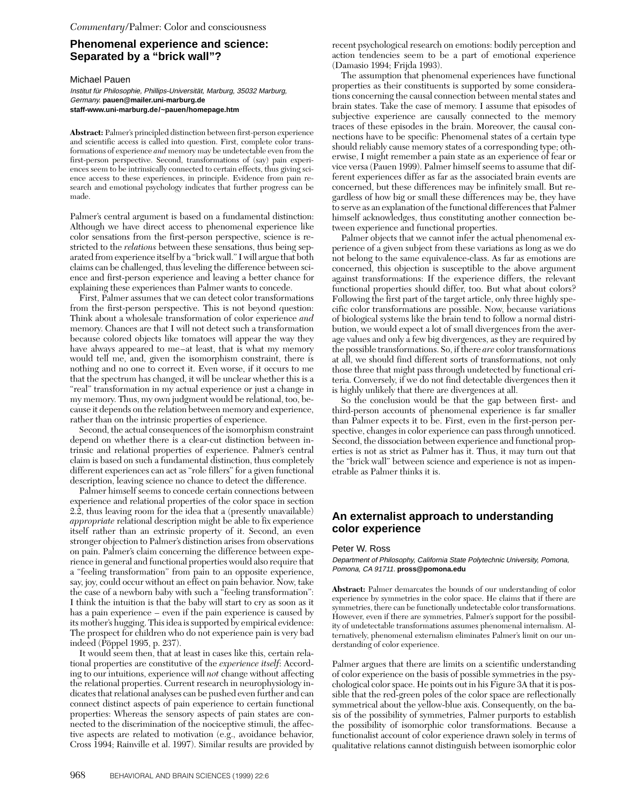## **Phenomenal experience and science: Separated by a "brick wall"?**

Michael Pauen

Institut für Philosophie, Phillips-Universität, Marburg, 35032 Marburg, Germany. **pauen@mailer.uni-marburg.de staff-www.uni-marburg.de/~pauen/homepage.htm**

**Abstract:** Palmer's principled distinction between first-person experience and scientific access is called into question. First, complete color transformations of experience *and* memory may be undetectable even from the first-person perspective. Second, transformations of (say) pain experiences seem to be intrinsically connected to certain effects, thus giving science access to these experiences, in principle. Evidence from pain research and emotional psychology indicates that further progress can be made.

Palmer's central argument is based on a fundamental distinction: Although we have direct access to phenomenal experience like color sensations from the first-person perspective, science is restricted to the *relations* between these sensations, thus being separated from experience itself by a "brick wall." I will argue that both claims can be challenged, thus leveling the difference between science and first-person experience and leaving a better chance for explaining these experiences than Palmer wants to concede.

First, Palmer assumes that we can detect color transformations from the first-person perspective. This is not beyond question: Think about a wholesale transformation of color experience *and* memory. Chances are that I will not detect such a transformation because colored objects like tomatoes will appear the way they have always appeared to me–at least, that is what my memory would tell me, and, given the isomorphism constraint, there is nothing and no one to correct it. Even worse, if it occurs to me that the spectrum has changed, it will be unclear whether this is a "real" transformation in my actual experience or just a change in my memory. Thus, my own judgment would be relational, too, because it depends on the relation between memory and experience, rather than on the intrinsic properties of experience.

Second, the actual consequences of the isomorphism constraint depend on whether there is a clear-cut distinction between intrinsic and relational properties of experience. Palmer's central claim is based on such a fundamental distinction, thus completely different experiences can act as "role fillers" for a given functional description, leaving science no chance to detect the difference.

Palmer himself seems to concede certain connections between experience and relational properties of the color space in section 2.2, thus leaving room for the idea that a (presently unavailable) *appropriate* relational description might be able to fix experience itself rather than an extrinsic property of it. Second, an even stronger objection to Palmer's distinction arises from observations on pain. Palmer's claim concerning the difference between experience in general and functional properties would also require that a "feeling transformation" from pain to an opposite experience, say, joy, could occur without an effect on pain behavior. Now, take the case of a newborn baby with such a "feeling transformation": I think the intuition is that the baby will start to cry as soon as it has a pain experience – even if the pain experience is caused by its mother's hugging. This idea is supported by empirical evidence: The prospect for children who do not experience pain is very bad indeed (Pöppel 1995, p. 237).

It would seem then, that at least in cases like this, certain relational properties are constitutive of the *experience itself*: According to our intuitions, experience will *not* change without affecting the relational properties. Current research in neurophysiology indicates that relational analyses can be pushed even further and can connect distinct aspects of pain experience to certain functional properties: Whereas the sensory aspects of pain states are connected to the discrimination of the nociceptive stimuli, the affective aspects are related to motivation (e.g., avoidance behavior, Cross 1994; Rainville et al. 1997). Similar results are provided by recent psychological research on emotions: bodily perception and action tendencies seem to be a part of emotional experience (Damasio 1994; Frijda 1993).

The assumption that phenomenal experiences have functional properties as their constituents is supported by some considerations concerning the causal connection between mental states and brain states. Take the case of memory. I assume that episodes of subjective experience are causally connected to the memory traces of these episodes in the brain. Moreover, the causal connections have to be specific: Phenomenal states of a certain type should reliably cause memory states of a corresponding type; otherwise, I might remember a pain state as an experience of fear or vice versa (Pauen 1999). Palmer himself seems to assume that different experiences differ as far as the associated brain events are concerned, but these differences may be infinitely small. But regardless of how big or small these differences may be, they have to serve as an explanation of the functional differences that Palmer himself acknowledges, thus constituting another connection between experience and functional properties.

Palmer objects that we cannot infer the actual phenomenal experience of a given subject from these variations as long as we do not belong to the same equivalence-class. As far as emotions are concerned, this objection is susceptible to the above argument against transformations: If the experience differs, the relevant functional properties should differ, too. But what about colors? Following the first part of the target article, only three highly specific color transformations are possible. Now, because variations of biological systems like the brain tend to follow a normal distribution, we would expect a lot of small divergences from the average values and only a few big divergences, as they are required by the possible transformations. So, if there *are* color transformations at all, we should find different sorts of transformations, not only those three that might pass through undetected by functional criteria. Conversely, if we do not find detectable divergences then it is highly unlikely that there are divergences at all.

So the conclusion would be that the gap between first- and third-person accounts of phenomenal experience is far smaller than Palmer expects it to be. First, even in the first-person perspective, changes in color experience can pass through unnoticed. Second, the dissociation between experience and functional properties is not as strict as Palmer has it. Thus, it may turn out that the "brick wall" between science and experience is not as impenetrable as Palmer thinks it is.

## **An externalist approach to understanding color experience**

#### Peter W. Ross

Department of Philosophy, California State Polytechnic University, Pomona, Pomona, CA 91711. **pross@pomona.edu**

Abstract: Palmer demarcates the bounds of our understanding of color experience by symmetries in the color space. He claims that if there are symmetries, there can be functionally undetectable color transformations. However, even if there are symmetries, Palmer's support for the possibility of undetectable transformations assumes phenomenal internalism. Alternatively, phenomenal externalism eliminates Palmer's limit on our understanding of color experience.

Palmer argues that there are limits on a scientific understanding of color experience on the basis of possible symmetries in the psychological color space. He points out in his Figure 3A that it is possible that the red-green poles of the color space are reflectionally symmetrical about the yellow-blue axis. Consequently, on the basis of the possibility of symmetries, Palmer purports to establish the possibility of isomorphic color transformations. Because a functionalist account of color experience drawn solely in terms of qualitative relations cannot distinguish between isomorphic color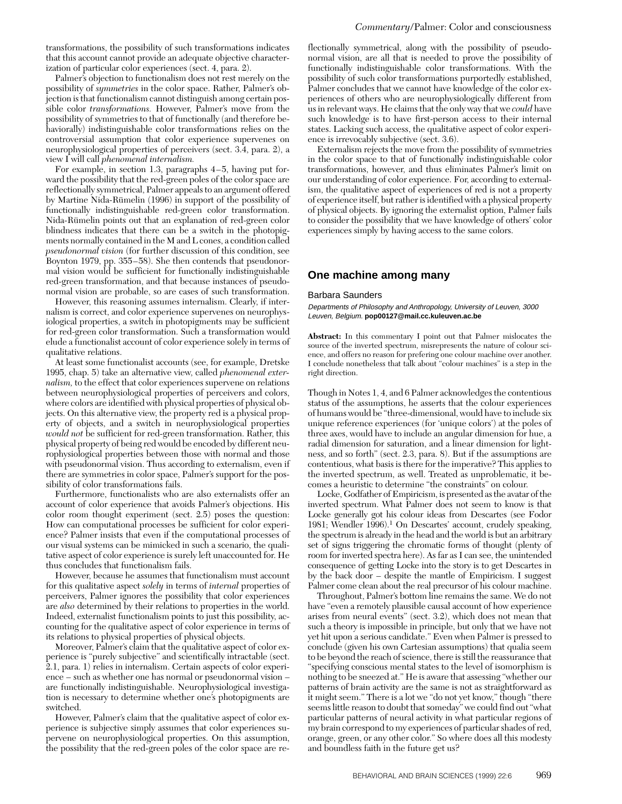transformations, the possibility of such transformations indicates that this account cannot provide an adequate objective characterization of particular color experiences (sect. 4, para. 2).

Palmer's objection to functionalism does not rest merely on the possibility of *symmetries* in the color space. Rather, Palmer's objection is that functionalism cannot distinguish among certain possible color *transformations.* However, Palmer's move from the possibility of symmetries to that of functionally (and therefore behaviorally) indistinguishable color transformations relies on the controversial assumption that color experience supervenes on neurophysiological properties of perceivers (sect. 3.4, para. 2), a view I will call *phenomenal internalism.*

For example, in section 1.3, paragraphs 4–5, having put forward the possibility that the red-green poles of the color space are reflectionally symmetrical, Palmer appeals to an argument offered by Martine Nida-Rümelin (1996) in support of the possibility of functionally indistinguishable red-green color transformation. Nida-Rümelin points out that an explanation of red-green color blindness indicates that there can be a switch in the photopigments normally contained in the M and L cones, a condition called *pseudonormal vision* (for further discussion of this condition, see Boynton 1979, pp. 355–58). She then contends that pseudonormal vision would be sufficient for functionally indistinguishable red-green transformation, and that because instances of pseudonormal vision are probable, so are cases of such transformation.

However, this reasoning assumes internalism. Clearly, if internalism is correct, and color experience supervenes on neurophysiological properties, a switch in photopigments may be sufficient for red-green color transformation. Such a transformation would elude a functionalist account of color experience solely in terms of qualitative relations.

At least some functionalist accounts (see, for example, Dretske 1995, chap. 5) take an alternative view, called *phenomenal externalism,* to the effect that color experiences supervene on relations between neurophysiological properties of perceivers and colors, where colors are identified with physical properties of physical objects. On this alternative view, the property red is a physical property of objects, and a switch in neurophysiological properties *would not* be sufficient for red-green transformation. Rather, this physical property of being red would be encoded by different neurophysiological properties between those with normal and those with pseudonormal vision. Thus according to externalism, even if there are symmetries in color space, Palmer's support for the possibility of color transformations fails.

Furthermore, functionalists who are also externalists offer an account of color experience that avoids Palmer's objections. His color room thought experiment (sect. 2.5) poses the question: How can computational processes be sufficient for color experience? Palmer insists that even if the computational processes of our visual systems can be mimicked in such a scenario, the qualitative aspect of color experience is surely left unaccounted for. He thus concludes that functionalism fails.

However, because he assumes that functionalism must account for this qualitative aspect *solely* in terms of *internal* properties of perceivers, Palmer ignores the possibility that color experiences are *also* determined by their relations to properties in the world. Indeed, externalist functionalism points to just this possibility, accounting for the qualitative aspect of color experience in terms of its relations to physical properties of physical objects.

Moreover, Palmer's claim that the qualitative aspect of color experience is "purely subjective" and scientifically intractable (sect. 2.1, para. 1) relies in internalism. Certain aspects of color experience – such as whether one has normal or pseudonormal vision – are functionally indistinguishable. Neurophysiological investigation is necessary to determine whether one's photopigments are switched.

However, Palmer's claim that the qualitative aspect of color experience is subjective simply assumes that color experiences supervene on neurophysiological properties. On this assumption, the possibility that the red-green poles of the color space are re-

flectionally symmetrical, along with the possibility of pseudonormal vision, are all that is needed to prove the possibility of functionally indistinguishable color transformations. With the possibility of such color transformations purportedly established, Palmer concludes that we cannot have knowledge of the color experiences of others who are neurophysiologically different from us in relevant ways. He claims that the only way that we *could* have such knowledge is to have first-person access to their internal states. Lacking such access, the qualitative aspect of color experience is irrevocably subjective (sect. 3.6).

Externalism rejects the move from the possibility of symmetries in the color space to that of functionally indistinguishable color transformations, however, and thus eliminates Palmer's limit on our understanding of color experience. For, according to externalism, the qualitative aspect of experiences of red is not a property of experience itself, but rather is identified with a physical property of physical objects. By ignoring the externalist option, Palmer fails to consider the possibility that we have knowledge of others' color experiences simply by having access to the same colors.

## **One machine among many**

#### Barbara Saunders

Departments of Philosophy and Anthropology, University of Leuven, 3000 Leuven, Belgium. **pop00127@mail.cc.kuleuven.ac.be**

**Abstract:** In this commentary I point out that Palmer mislocates the source of the inverted spectrum, misrepresents the nature of colour science, and offers no reason for prefering one colour machine over another. I conclude nonetheless that talk about "colour machines" is a step in the right direction.

Though in Notes 1, 4, and 6 Palmer acknowledges the contentious status of the assumptions, he asserts that the colour experiences of humans would be "three-dimensional, would have to include six unique reference experiences (for 'unique colors') at the poles of three axes, would have to include an angular dimension for hue, a radial dimension for saturation, and a linear dimension for lightness, and so forth" (sect. 2.3, para. 8). But if the assumptions are contentious, what basis is there for the imperative? This applies to the inverted spectrum, as well. Treated as unproblematic, it becomes a heuristic to determine "the constraints" on colour.

Locke, Godfather of Empiricism, is presented as the avatar of the inverted spectrum. What Palmer does not seem to know is that Locke generally got his colour ideas from Descartes (see Fodor 1981; Wendler 1996).<sup>1</sup> On Descartes' account, crudely speaking, the spectrum is already in the head and the world is but an arbitrary set of signs triggering the chromatic forms of thought (plenty of room for inverted spectra here). As far as I can see, the unintended consequence of getting Locke into the story is to get Descartes in by the back door – despite the mantle of Empiricism. I suggest Palmer come clean about the real precursor of his colour machine.

Throughout, Palmer's bottom line remains the same. We do not have "even a remotely plausible causal account of how experience arises from neural events" (sect. 3.2), which does not mean that such a theory is impossible in principle, but only that we have not yet hit upon a serious candidate." Even when Palmer is pressed to conclude (given his own Cartesian assumptions) that qualia seem to be beyond the reach of science, there is still the reassurance that "specifying conscious mental states to the level of isomorphism is nothing to be sneezed at." He is aware that assessing "whether our patterns of brain activity are the same is not as straightforward as it might seem." There is a lot we "do not yet know," though "there seems little reason to doubt that someday" we could find out "what particular patterns of neural activity in what particular regions of my brain correspond to my experiences of particular shades of red, orange, green, or any other color." So where does all this modesty and boundless faith in the future get us?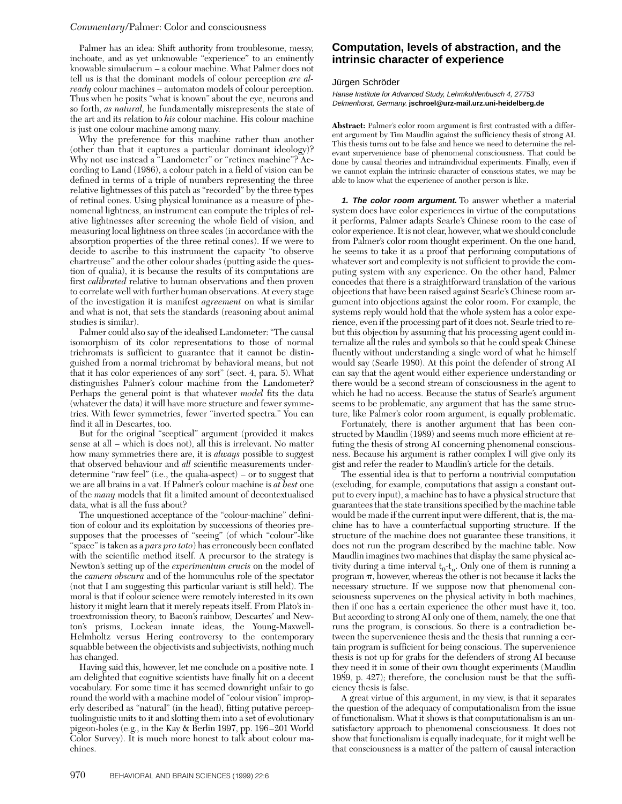## *Commentary/*Palmer: Color and consciousness

Palmer has an idea: Shift authority from troublesome, messy, inchoate, and as yet unknowable "experience" to an eminently knowable simulacrum – a colour machine. What Palmer does not tell us is that the dominant models of colour perception *are already* colour machines – automaton models of colour perception. Thus when he posits "what is known" about the eye, neurons and so forth, *as natural,* he fundamentally misrepresents the state of the art and its relation to *his* colour machine. His colour machine is just one colour machine among many.

Why the preference for this machine rather than another (other than that it captures a particular dominant ideology)? Why not use instead a "Landometer" or "retinex machine"? According to Land (1986), a colour patch in a field of vision can be defined in terms of a triple of numbers representing the three relative lightnesses of this patch as "recorded" by the three types of retinal cones. Using physical luminance as a measure of phenomenal lightness, an instrument can compute the triples of relative lightnesses after screening the whole field of vision, and measuring local lightness on three scales (in accordance with the absorption properties of the three retinal cones). If we were to decide to ascribe to this instrument the capacity "to observe chartreuse" and the other colour shades (putting aside the question of qualia), it is because the results of its computations are first *calibrated* relative to human observations and then proven to correlate well with further human observations. At every stage of the investigation it is manifest *agreement* on what is similar and what is not, that sets the standards (reasoning about animal studies is similar).

Palmer could also say of the idealised Landometer: "The causal isomorphism of its color representations to those of normal trichromats is sufficient to guarantee that it cannot be distinguished from a normal trichromat by behavioral means, but not that it has color experiences of any sort" (sect. 4, para. 5). What distinguishes Palmer's colour machine from the Landometer? Perhaps the general point is that whatever *model* fits the data (whatever the data) it will have more structure and fewer symmetries. With fewer symmetries, fewer "inverted spectra." You can find it all in Descartes, too.

But for the original "sceptical" argument (provided it makes sense at all – which is does not), all this is irrelevant. No matter how many symmetries there are, it is *always* possible to suggest that observed behaviour and *all* scientific measurements underdetermine "raw feel" (i.e., the qualia-aspect) – or to suggest that we are all brains in a vat. If Palmer's colour machine is *at best* one of the *many* models that fit a limited amount of decontextualised data, what is all the fuss about?

The unquestioned acceptance of the "colour-machine" definition of colour and its exploitation by successions of theories presupposes that the processes of "seeing" (of which "colour"-like "space" is taken as a *pars pro toto*) has erroneously been conflated with the scientific method itself. A precursor to the strategy is Newton's setting up of the *experimentum crucis* on the model of the *camera obscura* and of the homunculus role of the spectator (not that I am suggesting this particular variant is still held). The moral is that if colour science were remotely interested in its own history it might learn that it merely repeats itself. From Plato's introextromission theory, to Bacon's rainbow, Descartes' and Newton's prisms, Lockean innate ideas, the Young-Maxwell-Helmholtz versus Hering controversy to the contemporary squabble between the objectivists and subjectivists, nothing much has changed.

Having said this, however, let me conclude on a positive note. I am delighted that cognitive scientists have finally hit on a decent vocabulary. For some time it has seemed downright unfair to go round the world with a machine model of "colour vision" improperly described as "natural" (in the head), fitting putative perceptuolinguistic units to it and slotting them into a set of evolutionary pigeon-holes (e.g., in the Kay & Berlin 1997, pp. 196–201 World Color Survey). It is much more honest to talk about colour machines.

## **Computation, levels of abstraction, and the intrinsic character of experience**

#### Jürgen Schröder

Hanse Institute for Advanced Study, Lehmkuhlenbusch 4, 27753 Delmenhorst, Germany. **jschroel@urz-mail.urz.uni-heidelberg.de**

**Abstract:** Palmer's color room argument is first contrasted with a different argument by Tim Maudlin against the sufficiency thesis of strong AI. This thesis turns out to be false and hence we need to determine the relevant supervenience base of phenomenal consciousness. That could be done by causal theories and intraindividual experiments. Finally, even if we cannot explain the intrinsic character of conscious states, we may be able to know what the experience of another person is like.

**1. The color room argument.** To answer whether a material system does have color experiences in virtue of the computations it performs, Palmer adapts Searle's Chinese room to the case of color experience. It is not clear, however, what we should conclude from Palmer's color room thought experiment. On the one hand, he seems to take it as a proof that performing computations of whatever sort and complexity is not sufficient to provide the computing system with any experience. On the other hand, Palmer concedes that there is a straightforward translation of the various objections that have been raised against Searle's Chinese room argument into objections against the color room. For example, the systems reply would hold that the whole system has a color experience, even if the processing part of it does not. Searle tried to rebut this objection by assuming that his processing agent could internalize all the rules and symbols so that he could speak Chinese fluently without understanding a single word of what he himself would say (Searle 1980). At this point the defender of strong AI can say that the agent would either experience understanding or there would be a second stream of consciousness in the agent to which he had no access. Because the status of Searle's argument seems to be problematic, any argument that has the same structure, like Palmer's color room argument, is equally problematic.

Fortunately, there is another argument that has been constructed by Maudlin (1989) and seems much more efficient at refuting the thesis of strong AI concerning phenomenal consciousness. Because his argument is rather complex I will give only its gist and refer the reader to Maudlin's article for the details.

The essential idea is that to perform a nontrivial computation (excluding, for example, computations that assign a constant output to every input), a machine has to have a physical structure that guarantees that the state transitions specified by the machine table would be made if the current input were different, that is, the machine has to have a counterfactual supporting structure. If the structure of the machine does not guarantee these transitions, it does not run the program described by the machine table. Now Maudlin imagines two machines that display the same physical activity during a time interval  $t_0-t_n$ . Only one of them is running a program  $\pi$ , however, whereas the other is not because it lacks the necessary structure. If we suppose now that phenomenal consciousness supervenes on the physical activity in both machines, then if one has a certain experience the other must have it, too. But according to strong AI only one of them, namely, the one that runs the program, is conscious. So there is a contradiction between the supervenience thesis and the thesis that running a certain program is sufficient for being conscious. The supervenience thesis is not up for grabs for the defenders of strong AI because they need it in some of their own thought experiments (Maudlin 1989, p. 427); therefore, the conclusion must be that the sufficiency thesis is false.

A great virtue of this argument, in my view, is that it separates the question of the adequacy of computationalism from the issue of functionalism. What it shows is that computationalism is an unsatisfactory approach to phenomenal consciousness. It does not show that functionalism is equally inadequate, for it might well be that consciousness is a matter of the pattern of causal interaction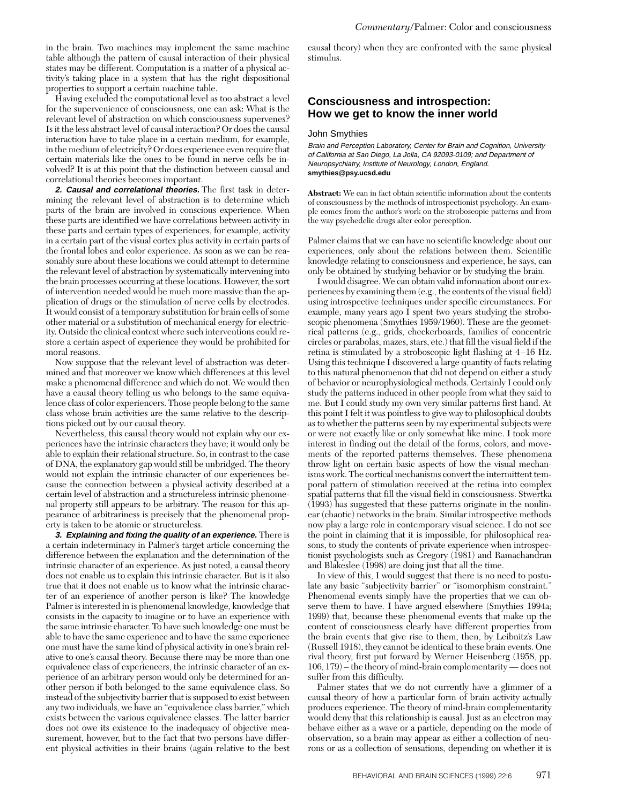in the brain. Two machines may implement the same machine table although the pattern of causal interaction of their physical states may be different. Computation is a matter of a physical activity's taking place in a system that has the right dispositional properties to support a certain machine table.

Having excluded the computational level as too abstract a level for the supervenience of consciousness, one can ask: What is the relevant level of abstraction on which consciousness supervenes? Is it the less abstract level of causal interaction? Or does the causal interaction have to take place in a certain medium, for example, in the medium of electricity? Or does experience even require that certain materials like the ones to be found in nerve cells be involved? It is at this point that the distinction between causal and correlational theories becomes important.

**2. Causal and correlational theories.** The first task in determining the relevant level of abstraction is to determine which parts of the brain are involved in conscious experience. When these parts are identified we have correlations between activity in these parts and certain types of experiences, for example, activity in a certain part of the visual cortex plus activity in certain parts of the frontal lobes and color experience. As soon as we can be reasonably sure about these locations we could attempt to determine the relevant level of abstraction by systematically intervening into the brain processes occurring at these locations. However, the sort of intervention needed would be much more massive than the application of drugs or the stimulation of nerve cells by electrodes. It would consist of a temporary substitution for brain cells of some other material or a substitution of mechanical energy for electricity. Outside the clinical context where such interventions could restore a certain aspect of experience they would be prohibited for moral reasons.

Now suppose that the relevant level of abstraction was determined and that moreover we know which differences at this level make a phenomenal difference and which do not. We would then have a causal theory telling us who belongs to the same equivalence class of color experiencers. Those people belong to the same class whose brain activities are the same relative to the descriptions picked out by our causal theory.

Nevertheless, this causal theory would not explain why our experiences have the intrinsic characters they have; it would only be able to explain their relational structure. So, in contrast to the case of DNA, the explanatory gap would still be unbridged. The theory would not explain the intrinsic character of our experiences because the connection between a physical activity described at a certain level of abstraction and a structureless intrinsic phenomenal property still appears to be arbitrary. The reason for this appearance of arbitrariness is precisely that the phenomenal property is taken to be atomic or structureless.

**3. Explaining and fixing the quality of an experience.** There is a certain indeterminacy in Palmer's target article concerning the difference between the explanation and the determination of the intrinsic character of an experience. As just noted, a causal theory does not enable us to explain this intrinsic character. But is it also true that it does not enable us to know what the intrinsic character of an experience of another person is like? The knowledge Palmer is interested in is phenomenal knowledge, knowledge that consists in the capacity to imagine or to have an experience with the same intrinsic character. To have such knowledge one must be able to have the same experience and to have the same experience one must have the same kind of physical activity in one's brain relative to one's causal theory. Because there may be more than one equivalence class of experiencers, the intrinsic character of an experience of an arbitrary person would only be determined for another person if both belonged to the same equivalence class. So instead of the subjectivity barrier that is supposed to exist between any two individuals, we have an "equivalence class barrier," which exists between the various equivalence classes. The latter barrier does not owe its existence to the inadequacy of objective measurement, however, but to the fact that two persons have different physical activities in their brains (again relative to the best

causal theory) when they are confronted with the same physical stimulus.

## **Consciousness and introspection: How we get to know the inner world**

#### John Smythies

Brain and Perception Laboratory, Center for Brain and Cognition, University of California at San Diego, La Jolla, CA 92093-0109; and Department of Neuropsychiatry, Institute of Neurology, London, England. **smythies@psy.ucsd.edu**

**Abstract:** We can in fact obtain scientific information about the contents of consciousness by the methods of introspectionist psychology. An example comes from the author's work on the stroboscopic patterns and from the way psychedelic drugs alter color perception.

Palmer claims that we can have no scientific knowledge about our experiences, only about the relations between them. Scientific knowledge relating to consciousness and experience, he says, can only be obtained by studying behavior or by studying the brain.

I would disagree. We can obtain valid information about our experiences by examining them (e.g., the contents of the visual field) using introspective techniques under specific circumstances. For example, many years ago I spent two years studying the stroboscopic phenomena (Smythies 1959/1960). These are the geometrical patterns (e.g., grids, checkerboards, families of concentric circles or parabolas, mazes, stars, etc.) that fill the visual field if the retina is stimulated by a stroboscopic light flashing at 4–16 Hz. Using this technique I discovered a large quantity of facts relating to this natural phenomenon that did not depend on either a study of behavior or neurophysiological methods. Certainly I could only study the patterns induced in other people from what they said to me. But I could study my own very similar patterns first hand. At this point I felt it was pointless to give way to philosophical doubts as to whether the patterns seen by my experimental subjects were or were not exactly like or only somewhat like mine. I took more interest in finding out the detail of the forms, colors, and movements of the reported patterns themselves. These phenomena throw light on certain basic aspects of how the visual mechanisms work. The cortical mechanisms convert the intermittent temporal pattern of stimulation received at the retina into complex spatial patterns that fill the visual field in consciousness. Stwertka (1993) has suggested that these patterns originate in the nonlinear (chaotic) networks in the brain. Similar introspective methods now play a large role in contemporary visual science. I do not see the point in claiming that it is impossible, for philosophical reasons, to study the contents of private experience when introspectionist psychologists such as Gregory (1981) and Ramachandran and Blakeslee (1998) are doing just that all the time.

In view of this, I would suggest that there is no need to postulate any basic "subjectivity barrier" or "isomorphism constraint." Phenomenal events simply have the properties that we can observe them to have. I have argued elsewhere (Smythies 1994a; 1999) that, because these phenomenal events that make up the content of consciousness clearly have different properties from the brain events that give rise to them, then, by Leibnitz's Law (Russell 1918), they cannot be identical to these brain events. One rival theory, first put forward by Werner Heisenberg (1958, pp. 106, 179) – the theory of mind-brain complementarity — does not suffer from this difficulty.

Palmer states that we do not currently have a glimmer of a causal theory of how a particular form of brain activity actually produces experience. The theory of mind-brain complementarity would deny that this relationship is causal. Just as an electron may behave either as a wave or a particle, depending on the mode of observation, so a brain may appear as either a collection of neurons or as a collection of sensations, depending on whether it is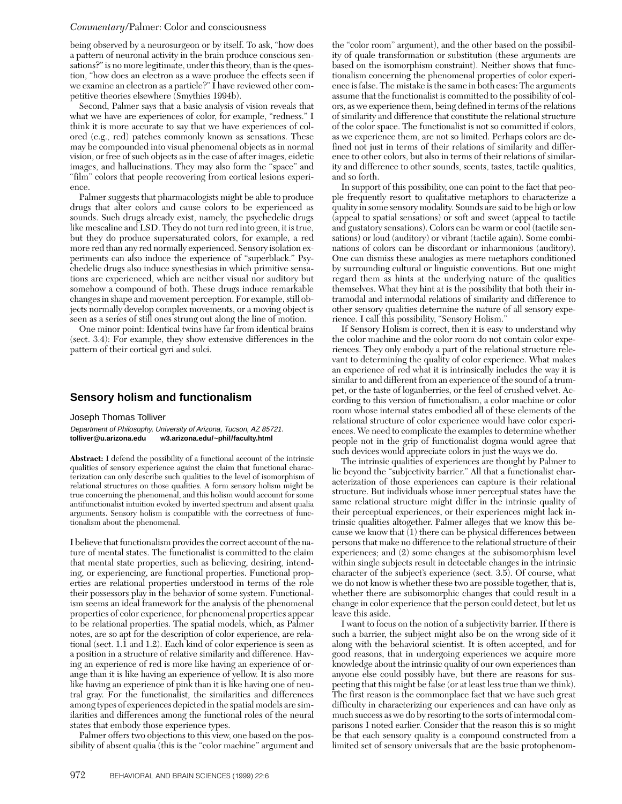## *Commentary/*Palmer: Color and consciousness

being observed by a neurosurgeon or by itself. To ask, "how does a pattern of neuronal activity in the brain produce conscious sensations?" is no more legitimate, under this theory, than is the question, "how does an electron as a wave produce the effects seen if we examine an electron as a particle?" I have reviewed other competitive theories elsewhere (Smythies 1994b).

Second, Palmer says that a basic analysis of vision reveals that what we have are experiences of color, for example, "redness." I think it is more accurate to say that we have experiences of colored (e.g., red) patches commonly known as sensations. These may be compounded into visual phenomenal objects as in normal vision, or free of such objects as in the case of after images, eidetic images, and hallucinations. They may also form the "space" and "film" colors that people recovering from cortical lesions experience.

Palmer suggests that pharmacologists might be able to produce drugs that alter colors and cause colors to be experienced as sounds. Such drugs already exist, namely, the psychedelic drugs like mescaline and LSD. They do not turn red into green, it is true, but they do produce supersaturated colors, for example, a red more red than any red normally experienced. Sensory isolation experiments can also induce the experience of "superblack." Psychedelic drugs also induce synesthesias in which primitive sensations are experienced, which are neither visual nor auditory but somehow a compound of both. These drugs induce remarkable changes in shape and movement perception. For example, still objects normally develop complex movements, or a moving object is seen as a series of still ones strung out along the line of motion.

One minor point: Identical twins have far from identical brains (sect. 3.4): For example, they show extensive differences in the pattern of their cortical gyri and sulci.

## **Sensory holism and functionalism**

Joseph Thomas Tolliver

Department of Philosophy, University of Arizona, Tucson, AZ 85721. **tolliver@u.arizona.edu w3.arizona.edu/~phil/faculty.html**

**Abstract:** I defend the possibility of a functional account of the intrinsic qualities of sensory experience against the claim that functional characterization can only describe such qualities to the level of isomorphism of relational structures on those qualities. A form sensory holism might be true concerning the phenomenal, and this holism would account for some antifunctionalist intuition evoked by inverted spectrum and absent qualia arguments. Sensory holism is compatible with the correctness of functionalism about the phenomenal.

I believe that functionalism provides the correct account of the nature of mental states. The functionalist is committed to the claim that mental state properties, such as believing, desiring, intending, or experiencing, are functional properties. Functional properties are relational properties understood in terms of the role their possessors play in the behavior of some system. Functionalism seems an ideal framework for the analysis of the phenomenal properties of color experience, for phenomenal properties appear to be relational properties. The spatial models, which, as Palmer notes, are so apt for the description of color experience, are relational (sect. 1.1 and 1.2). Each kind of color experience is seen as a position in a structure of relative similarity and difference. Having an experience of red is more like having an experience of orange than it is like having an experience of yellow. It is also more like having an experience of pink than it is like having one of neutral gray. For the functionalist, the similarities and differences among types of experiences depicted in the spatial models are similarities and differences among the functional roles of the neural states that embody those experience types.

Palmer offers two objections to this view, one based on the possibility of absent qualia (this is the "color machine" argument and the "color room" argument), and the other based on the possibility of quale transformation or substitution (these arguments are based on the isomorphism constraint). Neither shows that functionalism concerning the phenomenal properties of color experience is false. The mistake is the same in both cases: The arguments assume that the functionalist is committed to the possibility of colors, as we experience them, being defined in terms of the relations of similarity and difference that constitute the relational structure of the color space. The functionalist is not so committed if colors, as we experience them, are not so limited. Perhaps colors are defined not just in terms of their relations of similarity and difference to other colors, but also in terms of their relations of similarity and difference to other sounds, scents, tastes, tactile qualities, and so forth.

In support of this possibility, one can point to the fact that people frequently resort to qualitative metaphors to characterize a quality in some sensory modality. Sounds are said to be high or low (appeal to spatial sensations) or soft and sweet (appeal to tactile and gustatory sensations). Colors can be warm or cool (tactile sensations) or loud (auditory) or vibrant (tactile again). Some combinations of colors can be discordant or inharmonious (auditory). One can dismiss these analogies as mere metaphors conditioned by surrounding cultural or linguistic conventions. But one might regard them as hints at the underlying nature of the qualities themselves. What they hint at is the possibility that both their intramodal and intermodal relations of similarity and difference to other sensory qualities determine the nature of all sensory experience. I call this possibility, "Sensory Holism."

If Sensory Holism is correct, then it is easy to understand why the color machine and the color room do not contain color experiences. They only embody a part of the relational structure relevant to determining the quality of color experience. What makes an experience of red what it is intrinsically includes the way it is similar to and different from an experience of the sound of a trumpet, or the taste of loganberries, or the feel of crushed velvet. According to this version of functionalism, a color machine or color room whose internal states embodied all of these elements of the relational structure of color experience would have color experiences. We need to complicate the examples to determine whether people not in the grip of functionalist dogma would agree that such devices would appreciate colors in just the ways we do.

The intrinsic qualities of experiences are thought by Palmer to lie beyond the "subjectivity barrier." All that a functionalist characterization of those experiences can capture is their relational structure. But individuals whose inner perceptual states have the same relational structure might differ in the intrinsic quality of their perceptual experiences, or their experiences might lack intrinsic qualities altogether. Palmer alleges that we know this because we know that (1) there can be physical differences between persons that make no difference to the relational structure of their experiences; and (2) some changes at the subisomorphism level within single subjects result in detectable changes in the intrinsic character of the subject's experience (sect. 3.5). Of course, what we do not know is whether these two are possible together, that is, whether there are subisomorphic changes that could result in a change in color experience that the person could detect, but let us leave this aside.

I want to focus on the notion of a subjectivity barrier. If there is such a barrier, the subject might also be on the wrong side of it along with the behavioral scientist. It is often accepted, and for good reasons, that in undergoing experiences we acquire more knowledge about the intrinsic quality of our own experiences than anyone else could possibly have, but there are reasons for suspecting that this might be false (or at least less true than we think). The first reason is the commonplace fact that we have such great difficulty in characterizing our experiences and can have only as much success as we do by resorting to the sorts of intermodal comparisons I noted earlier. Consider that the reason this is so might be that each sensory quality is a compound constructed from a limited set of sensory universals that are the basic protophenom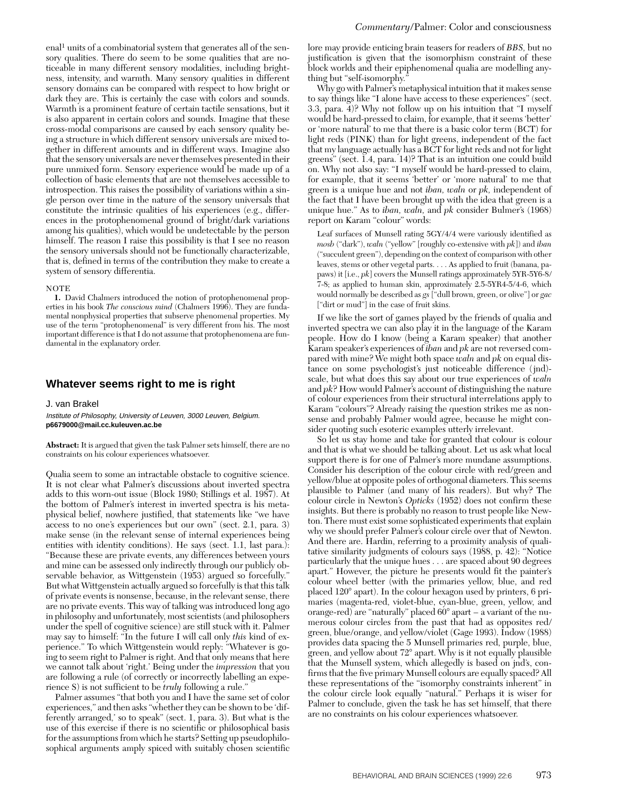$enal<sup>1</sup>$  units of a combinatorial system that generates all of the sensory qualities. There do seem to be some qualities that are noticeable in many different sensory modalities, including brightness, intensity, and warmth. Many sensory qualities in different sensory domains can be compared with respect to how bright or dark they are. This is certainly the case with colors and sounds. Warmth is a prominent feature of certain tactile sensations, but it is also apparent in certain colors and sounds. Imagine that these cross-modal comparisons are caused by each sensory quality being a structure in which different sensory universals are mixed together in different amounts and in different ways. Imagine also that the sensory universals are never themselves presented in their pure unmixed form. Sensory experience would be made up of a collection of basic elements that are not themselves accessible to introspection. This raises the possibility of variations within a single person over time in the nature of the sensory universals that constitute the intrinsic qualities of his experiences (e.g., differences in the protophenomenal ground of bright/dark variations among his qualities), which would be undetectable by the person himself. The reason I raise this possibility is that I see no reason the sensory universals should not be functionally characterizable, that is, defined in terms of the contribution they make to create a system of sensory differentia.

#### NOTE

**1.** David Chalmers introduced the notion of protophenomenal properties in his book *The conscious mind* (Chalmers 1996). They are fundamental nonphysical properties that subserve phenomenal properties. My use of the term "protophenomenal" is very different from his. The most important difference is that I do not assume that protophenomena are fundamental in the explanatory order.

## **Whatever seems right to me is right**

J. van Brakel

Institute of Philosophy, University of Leuven, 3000 Leuven, Belgium. **p6679000@mail.cc.kuleuven.ac.be**

**Abstract:** It is argued that given the task Palmer sets himself, there are no constraints on his colour experiences whatsoever.

Qualia seem to some an intractable obstacle to cognitive science. It is not clear what Palmer's discussions about inverted spectra adds to this worn-out issue (Block 1980; Stillings et al. 1987). At the bottom of Palmer's interest in inverted spectra is his metaphysical belief, nowhere justified, that statements like "we have access to no one's experiences but our own" (sect. 2.1, para. 3) make sense (in the relevant sense of internal experiences being entities with identity conditions). He says (sect. 1.1, last para.): "Because these are private events, any differences between yours and mine can be assessed only indirectly through our publicly observable behavior, as Wittgenstein (1953) argued so forcefully." But what Wittgenstein actually argued so forcefully is that this talk of private events is nonsense, because, in the relevant sense, there are no private events. This way of talking was introduced long ago in philosophy and unfortunately, most scientists (and philosophers under the spell of cognitive science) are still stuck with it. Palmer may say to himself: "In the future I will call only *this* kind of experience." To which Wittgenstein would reply: "Whatever is going to seem right to Palmer is right. And that only means that here we cannot talk about 'right.' Being under the *impression* that you are following a rule (of correctly or incorrectly labelling an experience S) is not sufficient to be *truly* following a rule."

Palmer assumes "that both you and I have the same set of color experiences," and then asks "whether they can be shown to be 'differently arranged,' so to speak" (sect. 1, para. 3). But what is the use of this exercise if there is no scientific or philosophical basis for the assumptions from which he starts? Setting up pseudophilosophical arguments amply spiced with suitably chosen scientific

lore may provide enticing brain teasers for readers of *BBS,* but no justification is given that the isomorphism constraint of these block worlds and their epiphenomenal qualia are modelling anything but "self-isomorphy."

Why go with Palmer's metaphysical intuition that it makes sense to say things like "I alone have access to these experiences" (sect. 3.3, para. 4)? Why not follow up on his intuition that "I myself would be hard-pressed to claim, for example, that it seems 'better' or 'more natural' to me that there is a basic color term (BCT) for light reds (PINK) than for light greens, independent of the fact that my language actually has a BCT for light reds and not for light greens" (sect. 1.4, para. 14)? That is an intuition one could build on. Why not also say: "I myself would be hard-pressed to claim, for example, that it seems 'better' or 'more natural' to me that green is a unique hue and not *iban, waln* or *pk,* independent of the fact that I have been brought up with the idea that green is a unique hue." As to *iban, waln,* and *pk* consider Bulmer's (1968) report on Karam "colour" words:

Leaf surfaces of Munsell rating 5GY/4/4 were variously identified as *mosb* ("dark"), *waln* ("yellow" [roughly co-extensive with *pk*]) and *iban* ("succulent green"), depending on the context of comparison with other leaves, stems or other vegetal parts. . . . As applied to fruit (banana, papaws) it [i.e., *pk*] covers the Munsell ratings approximately 5YR-5Y6-8/ 7-8; as applied to human skin, approximately 2.5-5YR4-5/4-6, which would normally be described as *gs* ["dull brown, green, or olive"] or *gac* ["dirt or mud"] in the case of fruit skins.

If we like the sort of games played by the friends of qualia and inverted spectra we can also play it in the language of the Karam people. How do I know (being a Karam speaker) that another Karam speaker's experiences of *iban* and *pk* are not reversed compared with mine? We might both space *waln* and *pk* on equal distance on some psychologist's just noticeable difference (jnd) scale, but what does this say about our true experiences of *waln* and *pk*? How would Palmer's account of distinguishing the nature of colour experiences from their structural interrelations apply to Karam "colours"? Already raising the question strikes me as nonsense and probably Palmer would agree, because he might consider quoting such esoteric examples utterly irrelevant.

So let us stay home and take for granted that colour is colour and that is what we should be talking about. Let us ask what local support there is for one of Palmer's more mundane assumptions. Consider his description of the colour circle with red/green and yellow/blue at opposite poles of orthogonal diameters. This seems plausible to Palmer (and many of his readers). But why? The colour circle in Newton's *Opticks* (1952) does not confirm these insights. But there is probably no reason to trust people like Newton. There must exist some sophisticated experiments that explain why we should prefer Palmer's colour circle over that of Newton. And there are. Hardin, referring to a proximity analysis of qualitative similarity judgments of colours says (1988, p. 42): "Notice particularly that the unique hues . . . are spaced about 90 degrees apart." However, the picture he presents would fit the painter's colour wheel better (with the primaries yellow, blue, and red placed 1208 apart). In the colour hexagon used by printers, 6 primaries (magenta-red, violet-blue, cyan-blue, green, yellow, and orange-red) are "naturally" placed  $60^{\circ}$  apart – a variant of the numerous colour circles from the past that had as opposites red/ green, blue/orange, and yellow/violet (Gage 1993). Indow (1988) provides data spacing the 5 Munsell primaries red, purple, blue, green, and yellow about  $72^{\circ}$  apart. Why is it not equally plausible that the Munsell system, which allegedly is based on jnd's, confirms that the five primary Munsell colours are equally spaced? All these representations of the "isomorphy constraints inherent" in the colour circle look equally "natural." Perhaps it is wiser for Palmer to conclude, given the task he has set himself, that there are no constraints on his colour experiences whatsoever.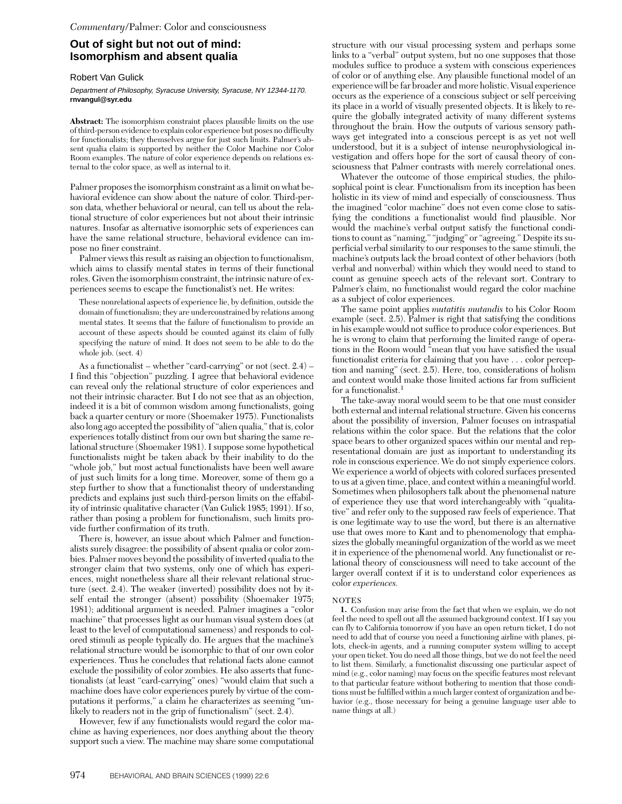## **Out of sight but not out of mind: Isomorphism and absent qualia**

Robert Van Gulick

Department of Philosophy, Syracuse University, Syracuse, NY 12344-1170. **rnvangul@syr.edu**

**Abstract:** The isomorphism constraint places plausible limits on the use of third-person evidence to explain color experience but poses no difficulty for functionalists; they themselves argue for just such limits. Palmer's absent qualia claim is supported by neither the Color Machine nor Color Room examples. The nature of color experience depends on relations external to the color space, as well as internal to it.

Palmer proposes the isomorphism constraint as a limit on what behavioral evidence can show about the nature of color. Third-person data, whether behavioral or neural, can tell us about the relational structure of color experiences but not about their intrinsic natures. Insofar as alternative isomorphic sets of experiences can have the same relational structure, behavioral evidence can impose no finer constraint.

Palmer views this result as raising an objection to functionalism, which aims to classify mental states in terms of their functional roles. Given the isomorphism constraint, the intrinsic nature of experiences seems to escape the functionalist's net. He writes:

These nonrelational aspects of experience lie, by definition, outside the domain of functionalism; they are underconstrained by relations among mental states. It seems that the failure of functionalism to provide an account of these aspects should be counted against its claim of fully specifying the nature of mind. It does not seem to be able to do the whole job. (sect. 4)

As a functionalist – whether "card-carrying" or not (sect. 2.4) – I find this "objection" puzzling. I agree that behavioral evidence can reveal only the relational structure of color experiences and not their intrinsic character. But I do not see that as an objection, indeed it is a bit of common wisdom among functionalists, going back a quarter century or more (Shoemaker 1975). Functionalists also long ago accepted the possibility of "alien qualia," that is, color experiences totally distinct from our own but sharing the same relational structure (Shoemaker 1981). I suppose some hypothetical functionalists might be taken aback by their inability to do the "whole job," but most actual functionalists have been well aware of just such limits for a long time. Moreover, some of them go a step further to show that a functionalist theory of understanding predicts and explains just such third-person limits on the effability of intrinsic qualitative character (Van Gulick 1985; 1991). If so, rather than posing a problem for functionalism, such limits provide further confirmation of its truth.

There is, however, an issue about which Palmer and functionalists surely disagree: the possibility of absent qualia or color zombies. Palmer moves beyond the possibility of inverted qualia to the stronger claim that two systems, only one of which has experiences, might nonetheless share all their relevant relational structure (sect. 2.4). The weaker (inverted) possibility does not by itself entail the stronger (absent) possibility (Shoemaker 1975; 1981); additional argument is needed. Palmer imagines a "color machine" that processes light as our human visual system does (at least to the level of computational sameness) and responds to colored stimuli as people typically do. He argues that the machine's relational structure would be isomorphic to that of our own color experiences. Thus he concludes that relational facts alone cannot exclude the possibility of color zombies. He also asserts that functionalists (at least "card-carrying" ones) "would claim that such a machine does have color experiences purely by virtue of the computations it performs," a claim he characterizes as seeming "unlikely to readers not in the grip of functionalism" (sect. 2.4).

However, few if any functionalists would regard the color machine as having experiences, nor does anything about the theory support such a view. The machine may share some computational

structure with our visual processing system and perhaps some links to a "verbal" output system, but no one supposes that those modules suffice to produce a system with conscious experiences of color or of anything else. Any plausible functional model of an experience will be far broader and more holistic. Visual experience occurs as the experience of a conscious subject or self perceiving its place in a world of visually presented objects. It is likely to require the globally integrated activity of many different systems throughout the brain. How the outputs of various sensory pathways get integrated into a conscious percept is as yet not well understood, but it is a subject of intense neurophysiological investigation and offers hope for the sort of causal theory of consciousness that Palmer contrasts with merely correlational ones.

Whatever the outcome of those empirical studies, the philosophical point is clear. Functionalism from its inception has been holistic in its view of mind and especially of consciousness. Thus the imagined "color machine" does not even come close to satisfying the conditions a functionalist would find plausible. Nor would the machine's verbal output satisfy the functional conditions to count as "naming," "judging" or "agreeing." Despite its superficial verbal similarity to our responses to the same stimuli, the machine's outputs lack the broad context of other behaviors (both verbal and nonverbal) within which they would need to stand to count as genuine speech acts of the relevant sort. Contrary to Palmer's claim, no functionalist would regard the color machine as a subject of color experiences.

The same point applies *mutatitis mutandis* to his Color Room example (sect. 2.5). Palmer is right that satisfying the conditions in his example would not suffice to produce color experiences. But he is wrong to claim that performing the limited range of operations in the Room would "mean that you have satisfied the usual functionalist criteria for claiming that you have . . . color perception and naming" (sect. 2.5). Here, too, considerations of holism and context would make those limited actions far from sufficient for a functionalist.<sup>1</sup>

The take-away moral would seem to be that one must consider both external and internal relational structure. Given his concerns about the possibility of inversion, Palmer focuses on intraspatial relations within the color space. But the relations that the color space bears to other organized spaces within our mental and representational domain are just as important to understanding its role in conscious experience. We do not simply experience colors. We experience a world of objects with colored surfaces presented to us at a given time, place, and context within a meaningful world. Sometimes when philosophers talk about the phenomenal nature of experience they use that word interchangeably with "qualitative" and refer only to the supposed raw feels of experience. That is one legitimate way to use the word, but there is an alternative use that owes more to Kant and to phenomenology that emphasizes the globally meaningful organization of the world as we meet it in experience of the phenomenal world. Any functionalist or relational theory of consciousness will need to take account of the larger overall context if it is to understand color experiences as color *experiences.*

#### **NOTES**

**1.** Confusion may arise from the fact that when we explain, we do not feel the need to spell out all the assumed background context. If I say you can fly to California tomorrow if you have an open return ticket, I do not need to add that of course you need a functioning airline with planes, pilots, check-in agents, and a running computer system willing to accept your open ticket. You do need all those things, but we do not feel the need to list them. Similarly, a functionalist discussing one particular aspect of mind (e.g., color naming) may focus on the specific features most relevant to that particular feature without bothering to mention that those conditions must be fulfilled within a much larger context of organization and behavior (e.g., those necessary for being a genuine language user able to name things at all.)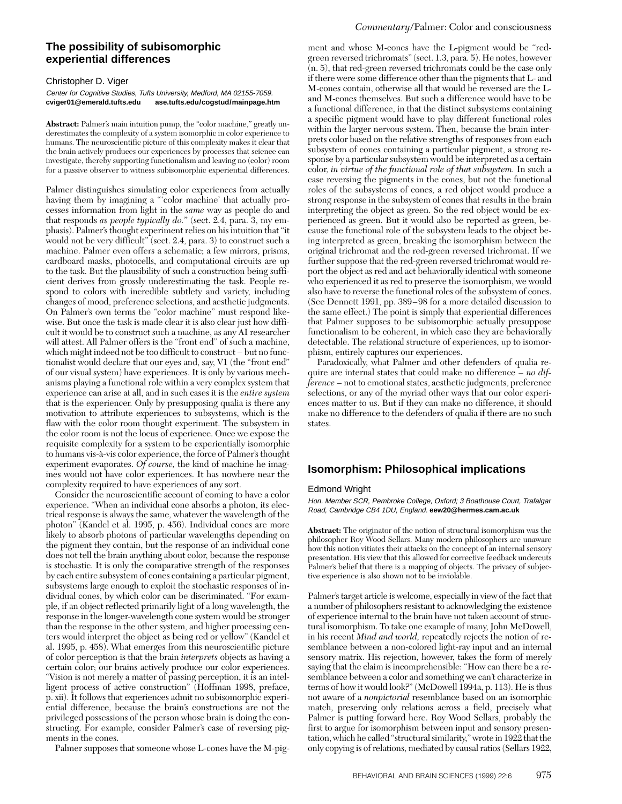## **The possibility of subisomorphic experiential differences**

## Christopher D. Viger

Center for Cognitive Studies, Tufts University, Medford, MA 02155-7059.<br>cviger01@emerald.tufts.edu ase.tufts.edu/cogstud/mainpage.ht **cviger01@emerald.tufts.edu ase.tufts.edu/cogstud/mainpage.htm**

**Abstract:** Palmer's main intuition pump, the "color machine," greatly underestimates the complexity of a system isomorphic in color experience to humans. The neuroscientific picture of this complexity makes it clear that the brain actively produces our experiences by processes that science can investigate, thereby supporting functionalism and leaving no (color) room for a passive observer to witness subisomorphic experiential differences.

Palmer distinguishes simulating color experiences from actually having them by imagining a "'color machine' that actually processes information from light in the *same* way as people do and that responds *as people typically do.*" (sect. 2.4, para. 3, my emphasis). Palmer's thought experiment relies on his intuition that "it would not be very difficult" (sect. 2.4, para. 3) to construct such a machine. Palmer even offers a schematic; a few mirrors, prisms, cardboard masks, photocells, and computational circuits are up to the task. But the plausibility of such a construction being sufficient derives from grossly underestimating the task. People respond to colors with incredible subtlety and variety, including changes of mood, preference selections, and aesthetic judgments. On Palmer's own terms the "color machine" must respond likewise. But once the task is made clear it is also clear just how difficult it would be to construct such a machine, as any AI researcher will attest. All Palmer offers is the "front end" of such a machine, which might indeed not be too difficult to construct – but no functionalist would declare that our eyes and, say, V1 (the "front end" of our visual system) have experiences. It is only by various mechanisms playing a functional role within a very complex system that experience can arise at all, and in such cases it is the *entire system* that is the experiencer. Only by presupposing qualia is there any motivation to attribute experiences to subsystems, which is the flaw with the color room thought experiment. The subsystem in the color room is not the locus of experience. Once we expose the requisite complexity for a system to be experientially isomorphic to humans vis-à-vis color experience, the force of Palmer's thought experiment evaporates. *Of course,* the kind of machine he imagines would not have color experiences. It has nowhere near the complexity required to have experiences of any sort.

Consider the neuroscientific account of coming to have a color experience. "When an individual cone absorbs a photon, its electrical response is always the same, whatever the wavelength of the photon" (Kandel et al. 1995, p. 456). Individual cones are more likely to absorb photons of particular wavelengths depending on the pigment they contain, but the response of an individual cone does not tell the brain anything about color, because the response is stochastic. It is only the comparative strength of the responses by each entire subsystem of cones containing a particular pigment, subsystems large enough to exploit the stochastic responses of individual cones, by which color can be discriminated. "For example, if an object reflected primarily light of a long wavelength, the response in the longer-wavelength cone system would be stronger than the response in the other system, and higher processing centers would interpret the object as being red or yellow" (Kandel et al. 1995, p. 458). What emerges from this neuroscientific picture of color perception is that the brain *interprets* objects as having a certain color; our brains actively produce our color experiences. "Vision is not merely a matter of passing perception, it is an intelligent process of active construction" (Hoffman 1998, preface, p. xii). It follows that experiences admit no subisomorphic experiential difference, because the brain's constructions are not the privileged possessions of the person whose brain is doing the constructing. For example, consider Palmer's case of reversing pigments in the cones.

Palmer supposes that someone whose L-cones have the M-pig-

ment and whose M-cones have the L-pigment would be "redgreen reversed trichromats" (sect. 1.3, para. 5). He notes, however (n. 5), that red-green reversed trichromats could be the case only if there were some difference other than the pigments that L- and M-cones contain, otherwise all that would be reversed are the Land M-cones themselves. But such a difference would have to be a functional difference, in that the distinct subsystems containing a specific pigment would have to play different functional roles within the larger nervous system. Then, because the brain interprets color based on the relative strengths of responses from each subsystem of cones containing a particular pigment, a strong response by a particular subsystem would be interpreted as a certain color, *in virtue of the functional role of that subsystem.* In such a case reversing the pigments in the cones, but not the functional roles of the subsystems of cones, a red object would produce a strong response in the subsystem of cones that results in the brain interpreting the object as green. So the red object would be experienced as green. But it would also be reported as green, because the functional role of the subsystem leads to the object being interpreted as green, breaking the isomorphism between the original trichromat and the red-green reversed trichromat. If we further suppose that the red-green reversed trichromat would report the object as red and act behaviorally identical with someone who experienced it as red to preserve the isomorphism, we would also have to reverse the functional roles of the subsystem of cones. (See Dennett 1991, pp. 389–98 for a more detailed discussion to the same effect.) The point is simply that experiential differences that Palmer supposes to be subisomorphic actually presuppose functionalism to be coherent, in which case they are behaviorally detectable. The relational structure of experiences, up to isomorphism, entirely captures our experiences.

Paradoxically, what Palmer and other defenders of qualia require are internal states that could make no difference – *no difference* – not to emotional states, aesthetic judgments, preference selections, or any of the myriad other ways that our color experiences matter to us. But if they can make no difference, it should make no difference to the defenders of qualia if there are no such states.

## **Isomorphism: Philosophical implications**

#### Edmond Wright

Hon. Member SCR, Pembroke College, Oxford; 3 Boathouse Court, Trafalgar Road, Cambridge CB4 1DU, England. **eew20@hermes.cam.ac.uk**

**Abstract:** The originator of the notion of structural isomorphism was the philosopher Roy Wood Sellars. Many modern philosophers are unaware how this notion vitiates their attacks on the concept of an internal sensory presentation. His view that this allowed for corrective feedback undercuts Palmer's belief that there is a mapping of objects. The privacy of subjective experience is also shown not to be inviolable.

Palmer's target article is welcome, especially in view of the fact that a number of philosophers resistant to acknowledging the existence of experience internal to the brain have not taken account of structural isomorphism. To take one example of many, John McDowell, in his recent *Mind and world,* repeatedly rejects the notion of resemblance between a non-colored light-ray input and an internal sensory matrix. His rejection, however, takes the form of merely saying that the claim is incomprehensible: "How can there be a resemblance between a color and something we can't characterize in terms of how it would look?" (McDowell 1994a, p. 113). He is thus not aware of a *nonpictorial* resemblance based on an isomorphic match, preserving only relations across a field, precisely what Palmer is putting forward here. Roy Wood Sellars, probably the first to argue for isomorphism between input and sensory presentation, which he called "structural similarity," wrote in 1922 that the only copying is of relations, mediated by causal ratios (Sellars 1922,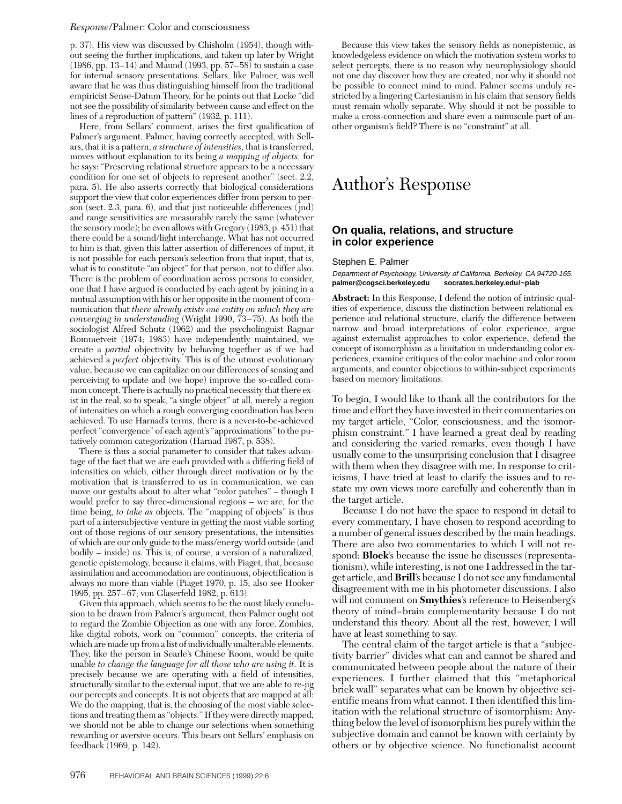## *Response/*Palmer: Color and consciousness

p. 37). His view was discussed by Chisholm (1954), though without seeing the further implications, and taken up later by Wright (1986, pp. 13–14) and Maund (1993, pp. 57–58) to sustain a case for internal sensory presentations. Sellars, like Palmer, was well aware that he was thus distinguishing himself from the traditional empiricist Sense-Datum Theory, for he points out that Locke "did not see the possibility of similarity between cause and effect on the lines of a reproduction of pattern" (1932, p. 111).

Here, from Sellars' comment, arises the first qualification of Palmer's argument. Palmer, having correctly accepted, with Sellars, that it is a pattern, *a structure of intensities,* that is transferred, moves without explanation to its being *a mapping of objects,* for he says: "Preserving relational structure appears to be a necessary condition for one set of objects to represent another" (sect. 2.2, para. 5). He also asserts correctly that biological considerations support the view that color experiences differ from person to per- $\overline{\text{son}}$  (sect. 2.3, para. 6), and that just noticeable differences (jnd) and range sensitivities are measurably rarely the same (whatever the sensory mode); he even allows with Gregory (1983, p. 451) that there could be a sound/light interchange. What has not occurred to him is that, given this latter assertion of differences of input, it is not possible for each person's selection from that input, that is, what is to constitute "an object" for that person, not to differ also. There is the problem of coordination across persons to consider, one that I have argued is conducted by each agent by joining in a mutual assumption with his or her opposite in the moment of communication that *there already exists one entity on which they are converging in understanding* (Wright 1990, 73–75). As both the sociologist Alfred Schutz (1962) and the psycholinguist Ragnar Rommetveit (1974; 1983) have independently maintained, we create a *partial* objectivity by behaving together as if we had achieved a *perfect* objectivity. This is of the utmost evolutionary value, because we can capitalize on our differences of sensing and perceiving to update and (we hope) improve the so-called common concept. There is actually no practical necessity that there exist in the real, so to speak, "a single object" at all, merely a region of intensities on which a rough converging coordination has been achieved. To use Harnad's terms, there is a never-to-be-achieved perfect "convergence" of each agent's "approximations" to the putatively common categorization (Harnad 1987, p. 538).

There is thus a social parameter to consider that takes advantage of the fact that we are each provided with a differing field of intensities on which, either through direct motivation or by the motivation that is transferred to us in communication, we can move our gestalts about to alter what "color patches" – though I would prefer to say three-dimensional regions – we are, for the time being, *to take as* objects. The "mapping of objects" is thus part of a intersubjective venture in getting the most viable sorting out of those regions of our sensory presentations, the intensities of which are our only guide to the mass/energy world outside (and bodily – inside) us. This is, of course, a version of a naturalized, genetic epistemology, because it claims, with Piaget, that, because assimilation and accommodation are continuous, objectification is always no more than viable (Piaget 1970, p. 15; also see Hooker 1995, pp. 257–67; von Glaserfeld 1982, p. 613).

Given this approach, which seems to be the most likely conclusion to be drawn from Palmer's argument, then Palmer ought not to regard the Zombie Objection as one with any force. Zombies, like digital robots, work on "common" concepts, the criteria of which are made up from a list of individually unalterable elements. They, like the person in Searle's Chinese Room, would be quite unable *to change the language for all those who are using it.* It is precisely because we are operating with a field of intensities, structurally similar to the external input, that we are able to re-jig our percepts and concepts. It is not objects that are mapped at all: We do the mapping, that is, the choosing of the most viable selections and treating them as "objects." If they were directly mapped, we should not be able to change our selections when something rewarding or aversive occurs. This bears out Sellars' emphasis on feedback (1969, p. 142).

Because this view takes the sensory fields as nonepistemic, as knowledgeless evidence on which the motivation system works to select percepts, there is no reason why neurophysiology should not one day discover how they are created, nor why it should not be possible to connect mind to mind. Palmer seems unduly restricted by a lingering Cartesianism in his claim that sensory fields must remain wholly separate. Why should it not be possible to make a cross-connection and share even a minuscule part of another organism's field? There is no "constraint" at all.

## Author's Response

## **On qualia, relations, and structure in color experience**

#### Stephen E. Palmer

Department of Psychology, University of California, Berkeley, CA 94720-165. **palmer@cogsci.berkeley.edu socrates.berkeley.edu/~plab**

**Abstract:** In this Response, I defend the notion of intrinsic qualities of experience, discuss the distinction between relational experience and relational structure, clarify the difference between narrow and broad interpretations of color experience, argue against externalist approaches to color experience, defend the concept of isomorphism as a limitation in understanding color experiences, examine critiques of the color machine and color room arguments, and counter objections to within-subject experiments based on memory limitations.

To begin, I would like to thank all the contributors for the time and effort they have invested in their commentaries on my target article, "Color, consciousness, and the isomorphism constraint." I have learned a great deal by reading and considering the varied remarks, even though I have usually come to the unsurprising conclusion that I disagree with them when they disagree with me. In response to criticisms, I have tried at least to clarify the issues and to restate my own views more carefully and coherently than in the target article.

Because I do not have the space to respond in detail to every commentary, I have chosen to respond according to a number of general issues described by the main headings. There are also two commentaries to which I will not respond: **Block**'s because the issue he discusses (representationism), while interesting, is not one I addressed in the target article, and **Brill**'s because I do not see any fundamental disagreement with me in his photometer discussions. I also will not comment on **Smythies**'s reference to Heisenberg's theory of mind–brain complementarity because I do not understand this theory. About all the rest, however, I will have at least something to say.

The central claim of the target article is that a "subjectivity barrier" divides what can and cannot be shared and communicated between people about the nature of their experiences. I further claimed that this "metaphorical brick wall" separates what can be known by objective scientific means from what cannot. I then identified this limitation with the relational structure of isomorphism: Anything below the level of isomorphism lies purely within the subjective domain and cannot be known with certainty by others or by objective science. No functionalist account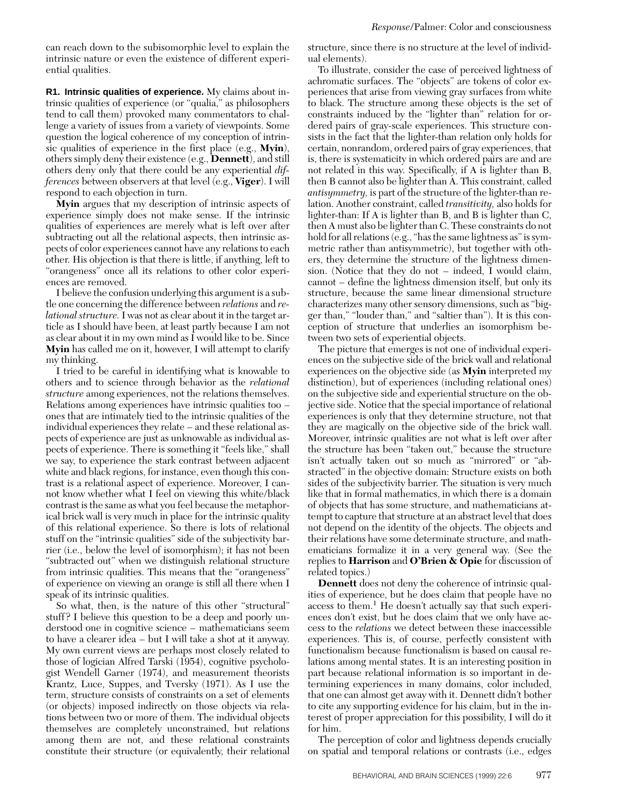can reach down to the subisomorphic level to explain the intrinsic nature or even the existence of different experiential qualities.

**R1. Intrinsic qualities of experience.** My claims about intrinsic qualities of experience (or "qualia," as philosophers tend to call them) provoked many commentators to challenge a variety of issues from a variety of viewpoints. Some question the logical coherence of my conception of intrinsic qualities of experience in the first place (e.g., **Myin**), others simply deny their existence (e.g., **Dennett**), and still others deny only that there could be any experiential *differences* between observers at that level (e.g., **Viger**). I will respond to each objection in turn.

**Myin** argues that my description of intrinsic aspects of experience simply does not make sense. If the intrinsic qualities of experiences are merely what is left over after subtracting out all the relational aspects, then intrinsic aspects of color experiences cannot have any relations to each other. His objection is that there is little, if anything, left to "orangeness" once all its relations to other color experiences are removed.

I believe the confusion underlying this argument is a subtle one concerning the difference between *relations* and *relational structure.*I was not as clear about it in the target article as I should have been, at least partly because I am not as clear about it in my own mind as I would like to be. Since **Myin** has called me on it, however, I will attempt to clarify my thinking.

I tried to be careful in identifying what is knowable to others and to science through behavior as the *relational structure* among experiences, not the relations themselves. Relations among experiences have intrinsic qualities too – ones that are intimately tied to the intrinsic qualities of the individual experiences they relate – and these relational aspects of experience are just as unknowable as individual aspects of experience. There is something it "feels like," shall we say, to experience the stark contrast between adjacent white and black regions, for instance, even though this contrast is a relational aspect of experience. Moreover, I cannot know whether what I feel on viewing this white/black contrast is the same as what you feel because the metaphorical brick wall is very much in place for the intrinsic quality of this relational experience. So there is lots of relational stuff on the "intrinsic qualities" side of the subjectivity barrier (i.e., below the level of isomorphism); it has not been "subtracted out" when we distinguish relational structure from intrinsic qualities. This means that the "orangeness" of experience on viewing an orange is still all there when I speak of its intrinsic qualities.

So what, then, is the nature of this other "structural" stuff? I believe this question to be a deep and poorly understood one in cognitive science – mathematicians seem to have a clearer idea – but I will take a shot at it anyway. My own current views are perhaps most closely related to those of logician Alfred Tarski (1954), cognitive psychologist Wendell Garner (1974), and measurement theorists Krantz, Luce, Suppes, and Tversky (1971). As I use the term, structure consists of constraints on a set of elements (or objects) imposed indirectly on those objects via relations between two or more of them. The individual objects themselves are completely unconstrained, but relations among them are not, and these relational constraints constitute their structure (or equivalently, their relational

structure, since there is no structure at the level of individual elements).

To illustrate, consider the case of perceived lightness of achromatic surfaces. The "objects" are tokens of color experiences that arise from viewing gray surfaces from white to black. The structure among these objects is the set of constraints induced by the "lighter than" relation for ordered pairs of gray-scale experiences. This structure consists in the fact that the lighter-than relation only holds for certain, nonrandom, ordered pairs of gray experiences, that is, there is systematicity in which ordered pairs are and are not related in this way. Specifically, if A is lighter than B, then B cannot also be lighter than A. This constraint, called *antisymmetry,* is part of the structure of the lighter-than relation. Another constraint, called *transitivity,* also holds for lighter-than: If A is lighter than B, and B is lighter than C, then A must also be lighter than C. These constraints do not hold for all relations (e.g., "has the same lightness as" is symmetric rather than antisymmetric), but together with others, they determine the structure of the lightness dimension. (Notice that they do not – indeed, I would claim, cannot – define the lightness dimension itself, but only its structure, because the same linear dimensional structure characterizes many other sensory dimensions, such as "bigger than," "louder than," and "saltier than"). It is this conception of structure that underlies an isomorphism between two sets of experiential objects.

The picture that emerges is not one of individual experiences on the subjective side of the brick wall and relational experiences on the objective side (as **Myin** interpreted my distinction), but of experiences (including relational ones) on the subjective side and experiential structure on the objective side. Notice that the special importance of relational experiences is only that they determine structure, not that they are magically on the objective side of the brick wall. Moreover, intrinsic qualities are not what is left over after the structure has been "taken out," because the structure isn't actually taken out so much as "mirrored" or "abstracted" in the objective domain: Structure exists on both sides of the subjectivity barrier. The situation is very much like that in formal mathematics, in which there is a domain of objects that has some structure, and mathematicians attempt to capture that structure at an abstract level that does not depend on the identity of the objects. The objects and their relations have some determinate structure, and mathematicians formalize it in a very general way. (See the replies to **Harrison** and **O'Brien & Opie** for discussion of related topics.)

**Dennett** does not deny the coherence of intrinsic qualities of experience, but he does claim that people have no access to them.<sup>1</sup> He doesn't actually say that such experiences don't exist, but he does claim that we only have access to the *relations* we detect between these inaccessible experiences. This is, of course, perfectly consistent with functionalism because functionalism is based on causal relations among mental states. It is an interesting position in part because relational information is so important in determining experiences in many domains, color included, that one can almost get away with it. Dennett didn't bother to cite any supporting evidence for his claim, but in the interest of proper appreciation for this possibility, I will do it for him.

The perception of color and lightness depends crucially on spatial and temporal relations or contrasts (i.e., edges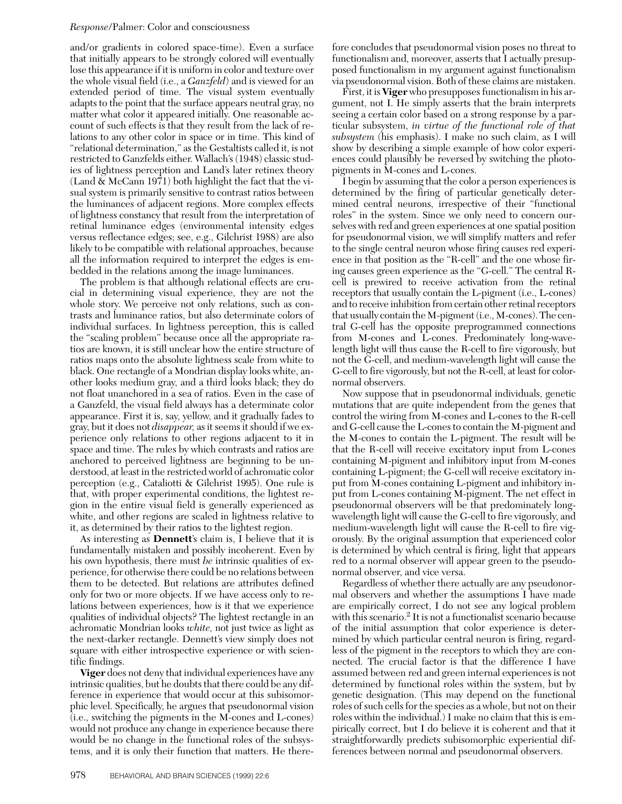## *Response/*Palmer: Color and consciousness

and/or gradients in colored space-time). Even a surface that initially appears to be strongly colored will eventually lose this appearance if it is uniform in color and texture over the whole visual field (i.e., a *Ganzfeld*) and is viewed for an extended period of time. The visual system eventually adapts to the point that the surface appears neutral gray, no matter what color it appeared initially. One reasonable account of such effects is that they result from the lack of relations to any other color in space or in time. This kind of "relational determination," as the Gestaltists called it, is not restricted to Ganzfelds either. Wallach's (1948) classic studies of lightness perception and Land's later retinex theory (Land & McCann 1971) both highlight the fact that the visual system is primarily sensitive to contrast ratios between the luminances of adjacent regions. More complex effects of lightness constancy that result from the interpretation of retinal luminance edges (environmental intensity edges versus reflectance edges; see, e.g., Gilchrist 1988) are also likely to be compatible with relational approaches, because all the information required to interpret the edges is embedded in the relations among the image luminances.

The problem is that although relational effects are crucial in determining visual experience, they are not the whole story. We perceive not only relations, such as contrasts and luminance ratios, but also determinate colors of individual surfaces. In lightness perception, this is called the "scaling problem" because once all the appropriate ratios are known, it is still unclear how the entire structure of ratios maps onto the absolute lightness scale from white to black. One rectangle of a Mondrian display looks white, another looks medium gray, and a third looks black; they do not float unanchored in a sea of ratios. Even in the case of a Ganzfeld, the visual field always has a determinate color appearance. First it is, say, yellow, and it gradually fades to gray, but it does not *disappear,* as it seems it should if we experience only relations to other regions adjacent to it in space and time. The rules by which contrasts and ratios are anchored to perceived lightness are beginning to be understood, at least in the restricted world of achromatic color perception (e.g., Cataliotti & Gilchrist 1995). One rule is that, with proper experimental conditions, the lightest region in the entire visual field is generally experienced as white, and other regions are scaled in lightness relative to it, as determined by their ratios to the lightest region.

As interesting as **Dennett**'s claim is, I believe that it is fundamentally mistaken and possibly incoherent. Even by his own hypothesis, there must *be* intrinsic qualities of experience, for otherwise there could be no relations between them to be detected. But relations are attributes defined only for two or more objects. If we have access only to relations between experiences, how is it that we experience qualities of individual objects? The lightest rectangle in an achromatic Mondrian looks *white,* not just twice as light as the next-darker rectangle. Dennett's view simply does not square with either introspective experience or with scientific findings.

**Viger** does not deny that individual experiences have any intrinsic qualities, but he doubts that there could be any difference in experience that would occur at this subisomorphic level. Specifically, he argues that pseudonormal vision (i.e., switching the pigments in the M-cones and L-cones) would not produce any change in experience because there would be no change in the functional roles of the subsystems, and it is only their function that matters. He therefore concludes that pseudonormal vision poses no threat to functionalism and, moreover, asserts that I actually presupposed functionalism in my argument against functionalism via pseudonormal vision. Both of these claims are mistaken.

First, it is **Viger** who presupposes functionalism in his argument, not I. He simply asserts that the brain interprets seeing a certain color based on a strong response by a particular subsystem, *in virtue of the functional role of that subsystem* (his emphasis). I make no such claim, as I will show by describing a simple example of how color experiences could plausibly be reversed by switching the photopigments in M-cones and L-cones.

I begin by assuming that the color a person experiences is determined by the firing of particular genetically determined central neurons, irrespective of their "functional roles" in the system. Since we only need to concern ourselves with red and green experiences at one spatial position for pseudonormal vision, we will simplify matters and refer to the single central neuron whose firing causes red experience in that position as the "R-cell" and the one whose firing causes green experience as the "G-cell." The central Rcell is prewired to receive activation from the retinal receptors that usually contain the L-pigment (i.e., L-cones) and to receive inhibition from certain other retinal receptors that usually contain the M-pigment (i.e., M-cones). The central G-cell has the opposite preprogrammed connections from M-cones and L-cones. Predominately long-wavelength light will thus cause the R-cell to fire vigorously, but not the G-cell, and medium-wavelength light will cause the G-cell to fire vigorously, but not the R-cell, at least for colornormal observers.

Now suppose that in pseudonormal individuals, genetic mutations that are quite independent from the genes that control the wiring from M-cones and L-cones to the R-cell and G-cell cause the L-cones to contain the M-pigment and the M-cones to contain the L-pigment. The result will be that the R-cell will receive excitatory input from L-cones containing M-pigment and inhibitory input from M-cones containing L-pigment; the G-cell will receive excitatory input from M-cones containing L-pigment and inhibitory input from L-cones containing M-pigment. The net effect in pseudonormal observers will be that predominately longwavelength light will cause the G-cell to fire vigorously, and medium-wavelength light will cause the R-cell to fire vigorously. By the original assumption that experienced color is determined by which central is firing, light that appears red to a normal observer will appear green to the pseudonormal observer, and vice versa.

Regardless of whether there actually are any pseudonormal observers and whether the assumptions I have made are empirically correct, I do not see any logical problem with this scenario.<sup>2</sup> It is not a functionalist scenario because of the initial assumption that color experience is determined by which particular central neuron is firing, regardless of the pigment in the receptors to which they are connected. The crucial factor is that the difference I have assumed between red and green internal experiences is not determined by functional roles within the system, but by genetic designation. (This may depend on the functional roles of such cells for the species as a whole, but not on their roles within the individual.) I make no claim that this is empirically correct, but I do believe it is coherent and that it straightforwardly predicts subisomorphic experiential differences between normal and pseudonormal observers.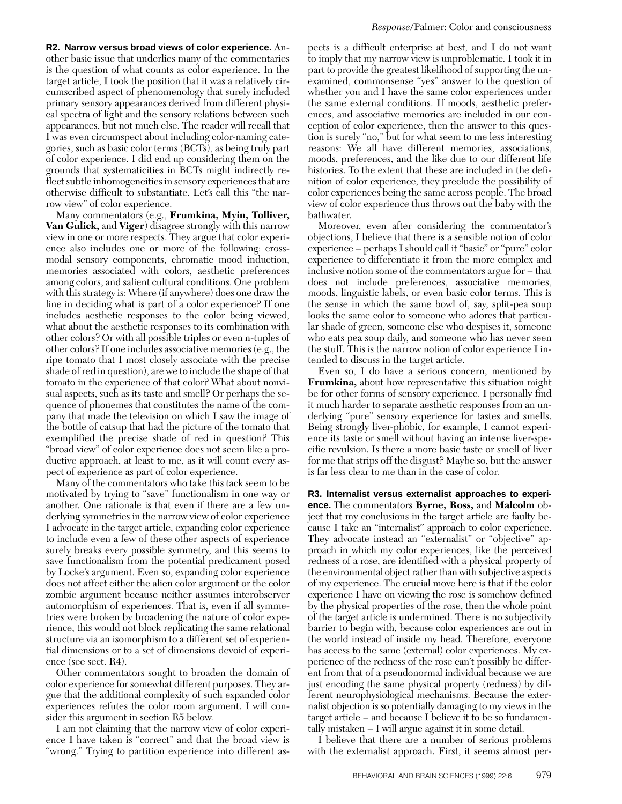**R2. Narrow versus broad views of color experience.** Another basic issue that underlies many of the commentaries is the question of what counts as color experience. In the target article, I took the position that it was a relatively circumscribed aspect of phenomenology that surely included primary sensory appearances derived from different physical spectra of light and the sensory relations between such appearances, but not much else. The reader will recall that I was even circumspect about including color-naming categories, such as basic color terms (BCTs), as being truly part of color experience. I did end up considering them on the grounds that systematicities in BCTs might indirectly reflect subtle inhomogeneities in sensory experiences that are otherwise difficult to substantiate. Let's call this "the narrow view" of color experience.

Many commentators (e.g., **Frumkina, Myin, Tolliver, Van Gulick,** and **Viger**) disagree strongly with this narrow view in one or more respects. They argue that color experience also includes one or more of the following: crossmodal sensory components, chromatic mood induction, memories associated with colors, aesthetic preferences among colors, and salient cultural conditions. One problem with this strategy is: Where (if anywhere) does one draw the line in deciding what is part of a color experience? If one includes aesthetic responses to the color being viewed, what about the aesthetic responses to its combination with other colors? Or with all possible triples or even n-tuples of other colors? If one includes associative memories (e.g., the ripe tomato that I most closely associate with the precise shade of red in question), are we to include the shape of that tomato in the experience of that color? What about nonvisual aspects, such as its taste and smell? Or perhaps the sequence of phonemes that constitutes the name of the company that made the television on which I saw the image of the bottle of catsup that had the picture of the tomato that exemplified the precise shade of red in question? This "broad view" of color experience does not seem like a productive approach, at least to me, as it will count every aspect of experience as part of color experience.

Many of the commentators who take this tack seem to be motivated by trying to "save" functionalism in one way or another. One rationale is that even if there are a few underlying symmetries in the narrow view of color experience I advocate in the target article, expanding color experience to include even a few of these other aspects of experience surely breaks every possible symmetry, and this seems to save functionalism from the potential predicament posed by Locke's argument. Even so, expanding color experience does not affect either the alien color argument or the color zombie argument because neither assumes interobserver automorphism of experiences. That is, even if all symmetries were broken by broadening the nature of color experience, this would not block replicating the same relational structure via an isomorphism to a different set of experiential dimensions or to a set of dimensions devoid of experience (see sect. R4).

Other commentators sought to broaden the domain of color experience for somewhat different purposes. They argue that the additional complexity of such expanded color experiences refutes the color room argument. I will consider this argument in section R5 below.

I am not claiming that the narrow view of color experience I have taken is "correct" and that the broad view is "wrong." Trying to partition experience into different as-

pects is a difficult enterprise at best, and I do not want to imply that my narrow view is unproblematic. I took it in part to provide the greatest likelihood of supporting the unexamined, commonsense "yes" answer to the question of whether you and I have the same color experiences under the same external conditions. If moods, aesthetic preferences, and associative memories are included in our conception of color experience, then the answer to this question is surely "no," but for what seem to me less interesting reasons: We all have different memories, associations, moods, preferences, and the like due to our different life histories. To the extent that these are included in the definition of color experience, they preclude the possibility of color experiences being the same across people. The broad view of color experience thus throws out the baby with the bathwater.

Moreover, even after considering the commentator's objections, I believe that there is a sensible notion of color experience – perhaps I should call it "basic" or "pure" color experience to differentiate it from the more complex and inclusive notion some of the commentators argue for – that does not include preferences, associative memories, moods, linguistic labels, or even basic color terms. This is the sense in which the same bowl of, say, split-pea soup looks the same color to someone who adores that particular shade of green, someone else who despises it, someone who eats pea soup daily, and someone who has never seen the stuff. This is the narrow notion of color experience I intended to discuss in the target article.

Even so, I do have a serious concern, mentioned by **Frumkina,** about how representative this situation might be for other forms of sensory experience. I personally find it much harder to separate aesthetic responses from an underlying "pure" sensory experience for tastes and smells. Being strongly liver-phobic, for example, I cannot experience its taste or smell without having an intense liver-specific revulsion. Is there a more basic taste or smell of liver for me that strips off the disgust? Maybe so, but the answer is far less clear to me than in the case of color.

**R3. Internalist versus externalist approaches to experience.** The commentators **Byrne, Ross,** and **Malcolm** object that my conclusions in the target article are faulty because I take an "internalist" approach to color experience. They advocate instead an "externalist" or "objective" approach in which my color experiences, like the perceived redness of a rose, are identified with a physical property of the environmental object rather than with subjective aspects of my experience. The crucial move here is that if the color experience I have on viewing the rose is somehow defined by the physical properties of the rose, then the whole point of the target article is undermined. There is no subjectivity barrier to begin with, because color experiences are out in the world instead of inside my head. Therefore, everyone has access to the same (external) color experiences. My experience of the redness of the rose can't possibly be different from that of a pseudonormal individual because we are just encoding the same physical property (redness) by different neurophysiological mechanisms. Because the externalist objection is so potentially damaging to my views in the target article – and because I believe it to be so fundamentally mistaken – I will argue against it in some detail.

I believe that there are a number of serious problems with the externalist approach. First, it seems almost per-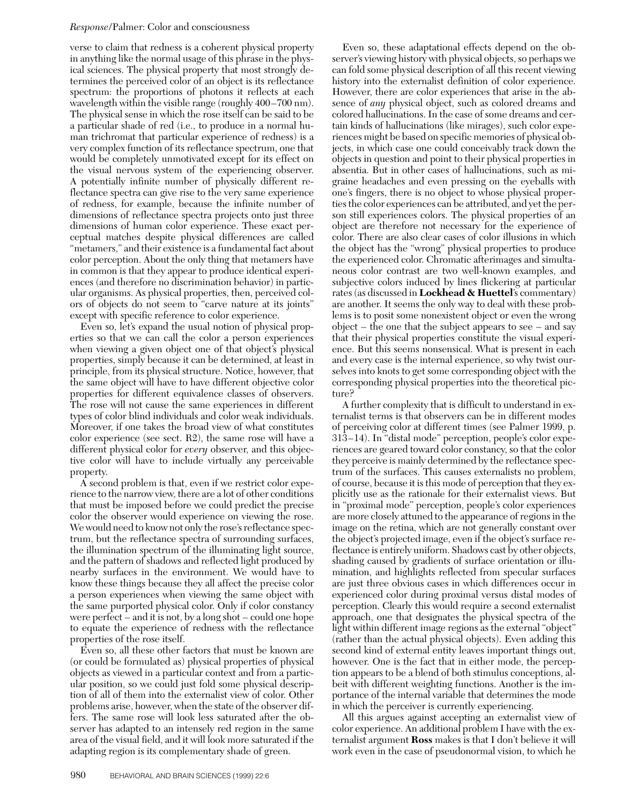## *Response/*Palmer: Color and consciousness

verse to claim that redness is a coherent physical property in anything like the normal usage of this phrase in the physical sciences. The physical property that most strongly determines the perceived color of an object is its reflectance spectrum: the proportions of photons it reflects at each wavelength within the visible range (roughly 400–700 nm). The physical sense in which the rose itself can be said to be a particular shade of red (i.e., to produce in a normal human trichromat that particular experience of redness) is a very complex function of its reflectance spectrum, one that would be completely unmotivated except for its effect on the visual nervous system of the experiencing observer. A potentially infinite number of physically different reflectance spectra can give rise to the very same experience of redness, for example, because the infinite number of dimensions of reflectance spectra projects onto just three dimensions of human color experience. These exact perceptual matches despite physical differences are called "metamers," and their existence is a fundamental fact about color perception. About the only thing that metamers have in common is that they appear to produce identical experiences (and therefore no discrimination behavior) in particular organisms. As physical properties, then, perceived colors of objects do not seem to "carve nature at its joints" except with specific reference to color experience.

Even so, let's expand the usual notion of physical properties so that we can call the color a person experiences when viewing a given object one of that object's physical properties, simply because it can be determined, at least in principle, from its physical structure. Notice, however, that the same object will have to have different objective color properties for different equivalence classes of observers. The rose will not cause the same experiences in different types of color blind individuals and color weak individuals. Moreover, if one takes the broad view of what constitutes color experience (see sect. R2), the same rose will have a different physical color for *every* observer, and this objective color will have to include virtually any perceivable property.

A second problem is that, even if we restrict color experience to the narrow view, there are a lot of other conditions that must be imposed before we could predict the precise color the observer would experience on viewing the rose. We would need to know not only the rose's reflectance spectrum, but the reflectance spectra of surrounding surfaces, the illumination spectrum of the illuminating light source, and the pattern of shadows and reflected light produced by nearby surfaces in the environment. We would have to know these things because they all affect the precise color a person experiences when viewing the same object with the same purported physical color. Only if color constancy were perfect – and it is not, by a long shot – could one hope to equate the experience of redness with the reflectance properties of the rose itself.

Even so, all these other factors that must be known are (or could be formulated as) physical properties of physical objects as viewed in a particular context and from a particular position, so we could just fold some physical description of all of them into the externalist view of color. Other problems arise, however, when the state of the observer differs. The same rose will look less saturated after the observer has adapted to an intensely red region in the same area of the visual field, and it will look more saturated if the adapting region is its complementary shade of green.

Even so, these adaptational effects depend on the observer's viewing history with physical objects, so perhaps we can fold some physical description of all this recent viewing history into the externalist definition of color experience. However, there are color experiences that arise in the absence of *any* physical object, such as colored dreams and colored hallucinations. In the case of some dreams and certain kinds of hallucinations (like mirages), such color experiences might be based on specific memories of physical objects, in which case one could conceivably track down the objects in question and point to their physical properties in absentia. But in other cases of hallucinations, such as migraine headaches and even pressing on the eyeballs with one's fingers, there is no object to whose physical properties the color experiences can be attributed, and yet the person still experiences colors. The physical properties of an object are therefore not necessary for the experience of color. There are also clear cases of color illusions in which the object has the "wrong" physical properties to produce the experienced color. Chromatic afterimages and simultaneous color contrast are two well-known examples, and subjective colors induced by lines flickering at particular rates (as discussed in **Lockhead & Huettel**'s commentary) are another. It seems the only way to deal with these problems is to posit some nonexistent object or even the wrong object – the one that the subject appears to see – and say that their physical properties constitute the visual experience. But this seems nonsensical. What is present in each and every case is the internal experience, so why twist ourselves into knots to get some corresponding object with the corresponding physical properties into the theoretical picture?

A further complexity that is difficult to understand in externalist terms is that observers can be in different modes of perceiving color at different times (see Palmer 1999, p. 313–14). In "distal mode" perception, people's color experiences are geared toward color constancy, so that the color they perceive is mainly determined by the reflectance spectrum of the surfaces. This causes externalists no problem, of course, because it is this mode of perception that they explicitly use as the rationale for their externalist views. But in "proximal mode" perception, people's color experiences are more closely attuned to the appearance of regions in the image on the retina, which are not generally constant over the object's projected image, even if the object's surface reflectance is entirely uniform. Shadows cast by other objects, shading caused by gradients of surface orientation or illumination, and highlights reflected from specular surfaces are just three obvious cases in which differences occur in experienced color during proximal versus distal modes of perception. Clearly this would require a second externalist approach, one that designates the physical spectra of the light within different image regions as the external "object" (rather than the actual physical objects). Even adding this second kind of external entity leaves important things out, however. One is the fact that in either mode, the perception appears to be a blend of both stimulus conceptions, albeit with different weighting functions. Another is the importance of the internal variable that determines the mode in which the perceiver is currently experiencing.

All this argues against accepting an externalist view of color experience. An additional problem I have with the externalist argument **Ross** makes is that I don't believe it will work even in the case of pseudonormal vision, to which he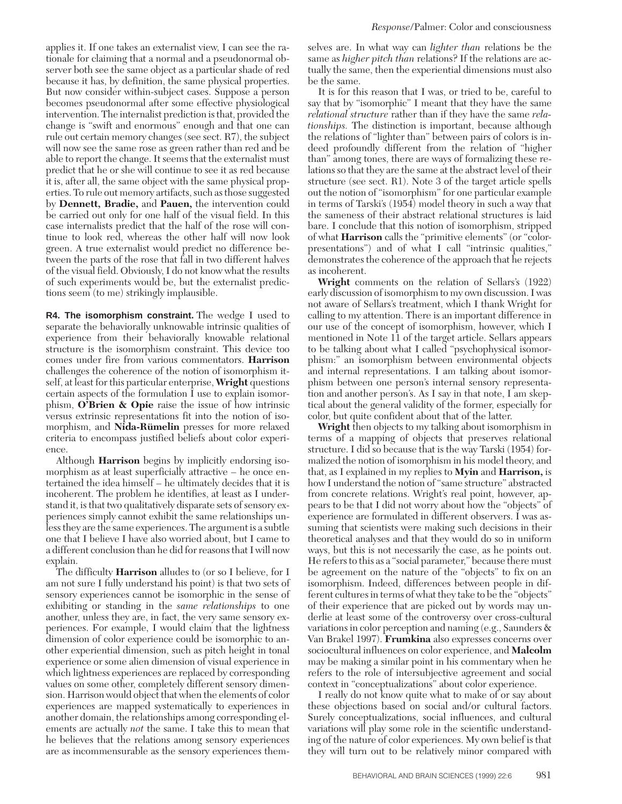applies it. If one takes an externalist view, I can see the rationale for claiming that a normal and a pseudonormal observer both see the same object as a particular shade of red because it has, by definition, the same physical properties. But now consider within-subject cases. Suppose a person becomes pseudonormal after some effective physiological intervention. The internalist prediction is that, provided the change is "swift and enormous" enough and that one can rule out certain memory changes (see sect. R7), the subject will now see the same rose as green rather than red and be able to report the change. It seems that the externalist must predict that he or she will continue to see it as red because it is, after all, the same object with the same physical properties. To rule out memory artifacts, such as those suggested by **Dennett, Bradie,** and **Pauen,** the intervention could be carried out only for one half of the visual field. In this case internalists predict that the half of the rose will continue to look red, whereas the other half will now look green. A true externalist would predict no difference between the parts of the rose that fall in two different halves of the visual field. Obviously, I do not know what the results of such experiments would be, but the externalist predictions seem (to me) strikingly implausible.

**R4. The isomorphism constraint.** The wedge I used to separate the behaviorally unknowable intrinsic qualities of experience from their behaviorally knowable relational structure is the isomorphism constraint. This device too comes under fire from various commentators. **Harrison** challenges the coherence of the notion of isomorphism itself, at least for this particular enterprise, **Wright** questions certain aspects of the formulation I use to explain isomorphism, **O'Brien & Opie** raise the issue of how intrinsic versus extrinsic representations fit into the notion of isomorphism, and **Nida-Rümelin** presses for more relaxed criteria to encompass justified beliefs about color experience.

Although **Harrison** begins by implicitly endorsing isomorphism as at least superficially attractive – he once entertained the idea himself – he ultimately decides that it is incoherent. The problem he identifies, at least as I understand it, is that two qualitatively disparate sets of sensory experiences simply cannot exhibit the same relationships unless they are the same experiences. The argument is a subtle one that I believe I have also worried about, but I came to a different conclusion than he did for reasons that I will now explain.

The difficulty **Harrison** alludes to (or so I believe, for I am not sure I fully understand his point) is that two sets of sensory experiences cannot be isomorphic in the sense of exhibiting or standing in the *same relationships* to one another, unless they are, in fact, the very same sensory experiences. For example, I would claim that the lightness dimension of color experience could be isomorphic to another experiential dimension, such as pitch height in tonal experience or some alien dimension of visual experience in which lightness experiences are replaced by corresponding values on some other, completely different sensory dimension. Harrison would object that when the elements of color experiences are mapped systematically to experiences in another domain, the relationships among corresponding elements are actually *not* the same. I take this to mean that he believes that the relations among sensory experiences are as incommensurable as the sensory experiences themselves are. In what way can *lighter than* relations be the same as *higher pitch than* relations? If the relations are actually the same, then the experiential dimensions must also be the same.

It is for this reason that I was, or tried to be, careful to say that by "isomorphic" I meant that they have the same *relational structure* rather than if they have the same *relationships.* The distinction is important, because although the relations of "lighter than" between pairs of colors is indeed profoundly different from the relation of "higher than" among tones, there are ways of formalizing these relations so that they are the same at the abstract level of their structure (see sect. R1). Note 3 of the target article spells out the notion of "isomorphism" for one particular example in terms of Tarski's (1954) model theory in such a way that the sameness of their abstract relational structures is laid bare. I conclude that this notion of isomorphism, stripped of what **Harrison** calls the "primitive elements" (or "colorpresentations") and of what I call "intrinsic qualities," demonstrates the coherence of the approach that he rejects as incoherent.

**Wright** comments on the relation of Sellars's (1922) early discussion of isomorphism to my own discussion. I was not aware of Sellars's treatment, which I thank Wright for calling to my attention. There is an important difference in our use of the concept of isomorphism, however, which I mentioned in Note 11 of the target article. Sellars appears to be talking about what I called "psychophysical isomorphism:" an isomorphism between environmental objects and internal representations. I am talking about isomorphism between one person's internal sensory representation and another person's. As I say in that note, I am skeptical about the general validity of the former, especially for color, but quite confident about that of the latter.

**Wright** then objects to my talking about isomorphism in terms of a mapping of objects that preserves relational structure. I did so because that is the way Tarski (1954) formalized the notion of isomorphism in his model theory, and that, as I explained in my replies to **Myin** and **Harrison,** is how I understand the notion of "same structure" abstracted from concrete relations. Wright's real point, however, appears to be that I did not worry about how the "objects" of experience are formulated in different observers. I was assuming that scientists were making such decisions in their theoretical analyses and that they would do so in uniform ways, but this is not necessarily the case, as he points out. He refers to this as a "social parameter," because there must be agreement on the nature of the "objects" to fix on an isomorphism. Indeed, differences between people in different cultures in terms of what they take to be the "objects" of their experience that are picked out by words may underlie at least some of the controversy over cross-cultural variations in color perception and naming (e.g., Saunders & Van Brakel 1997). **Frumkina** also expresses concerns over sociocultural influences on color experience, and **Malcolm** may be making a similar point in his commentary when he refers to the role of intersubjective agreement and social context in "conceptualizations" about color experience.

I really do not know quite what to make of or say about these objections based on social and/or cultural factors. Surely conceptualizations, social influences, and cultural variations will play some role in the scientific understanding of the nature of color experiences. My own belief is that they will turn out to be relatively minor compared with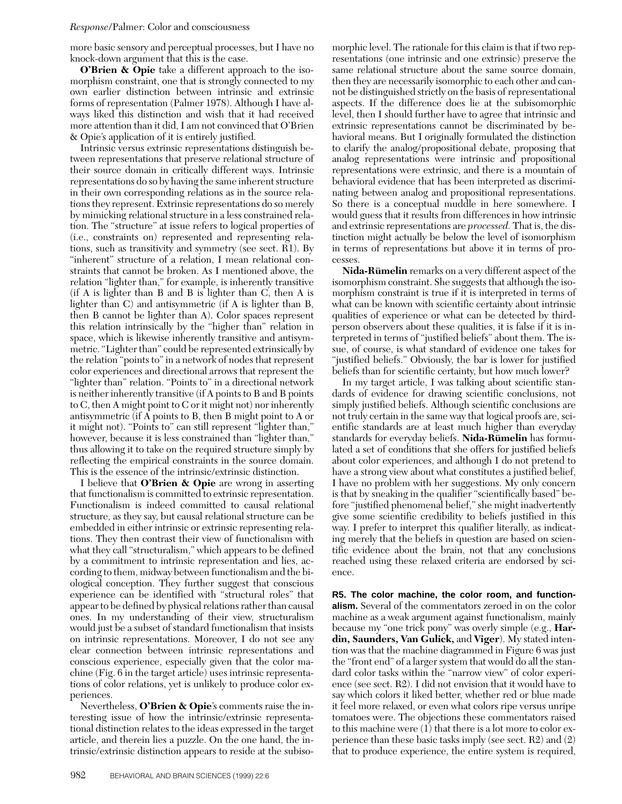## *Response/*Palmer: Color and consciousness

more basic sensory and perceptual processes, but I have no knock-down argument that this is the case.

**O'Brien & Opie** take a different approach to the isomorphism constraint, one that is strongly connected to my own earlier distinction between intrinsic and extrinsic forms of representation (Palmer 1978). Although I have always liked this distinction and wish that it had received more attention than it did, I am not convinced that O'Brien & Opie's application of it is entirely justified.

Intrinsic versus extrinsic representations distinguish between representations that preserve relational structure of their source domain in critically different ways. Intrinsic representations do so by having the same inherent structure in their own corresponding relations as in the source relations they represent. Extrinsic representations do so merely by mimicking relational structure in a less constrained relation. The "structure" at issue refers to logical properties of (i.e., constraints on) represented and representing relations, such as transitivity and symmetry (see sect. R1). By "inherent" structure of a relation, I mean relational constraints that cannot be broken. As I mentioned above, the relation "lighter than," for example, is inherently transitive (if A is lighter than B and B is lighter than C, then A is lighter than C) and antisymmetric (if A is lighter than B, then B cannot be lighter than A). Color spaces represent this relation intrinsically by the "higher than" relation in space, which is likewise inherently transitive and antisymmetric. "Lighter than" could be represented extrinsically by the relation "points to" in a network of nodes that represent color experiences and directional arrows that represent the "lighter than" relation. "Points to" in a directional network is neither inherently transitive (if A points to B and B points to C, then A might point to C or it might not) nor inherently antisymmetric (if A points to B, then B might point to A or it might not). "Points to" can still represent "lighter than," however, because it is less constrained than "lighter than," thus allowing it to take on the required structure simply by reflecting the empirical constraints in the source domain. This is the essence of the intrinsic/extrinsic distinction.

I believe that **O'Brien & Opie** are wrong in asserting that functionalism is committed to extrinsic representation. Functionalism is indeed committed to causal relational structure, as they say, but causal relational structure can be embedded in either intrinsic or extrinsic representing relations. They then contrast their view of functionalism with what they call "structuralism," which appears to be defined by a commitment to intrinsic representation and lies, according to them, midway between functionalism and the biological conception. They further suggest that conscious experience can be identified with "structural roles" that appear to be defined by physical relations rather than causal ones. In my understanding of their view, structuralism would just be a subset of standard functionalism that insists on intrinsic representations. Moreover, I do not see any clear connection between intrinsic representations and conscious experience, especially given that the color machine (Fig. 6 in the target article) uses intrinsic representations of color relations, yet is unlikely to produce color experiences.

Nevertheless, **O'Brien & Opie**'s comments raise the interesting issue of how the intrinsic/extrinsic representational distinction relates to the ideas expressed in the target article, and therein lies a puzzle. On the one hand, the intrinsic/extrinsic distinction appears to reside at the subisomorphic level. The rationale for this claim is that if two representations (one intrinsic and one extrinsic) preserve the same relational structure about the same source domain, then they are necessarily isomorphic to each other and cannot be distinguished strictly on the basis of representational aspects. If the difference does lie at the subisomorphic level, then I should further have to agree that intrinsic and extrinsic representations cannot be discriminated by behavioral means. But I originally formulated the distinction to clarify the analog/propositional debate, proposing that analog representations were intrinsic and propositional representations were extrinsic, and there is a mountain of behavioral evidence that has been interpreted as discriminating between analog and propositional representations. So there is a conceptual muddle in here somewhere. I would guess that it results from differences in how intrinsic and extrinsic representations are *processed.* That is, the distinction might actually be below the level of isomorphism in terms of representations but above it in terms of processes.

**Nida-Rümelin** remarks on a very different aspect of the isomorphism constraint. She suggests that although the isomorphism constraint is true if it is interpreted in terms of what can be known with scientific certainty about intrinsic qualities of experience or what can be detected by thirdperson observers about these qualities, it is false if it is interpreted in terms of "justified beliefs" about them. The issue, of course, is what standard of evidence one takes for "justified beliefs." Obviously, the bar is lower for justified beliefs than for scientific certainty, but how much lower?

In my target article, I was talking about scientific standards of evidence for drawing scientific conclusions, not simply justified beliefs. Although scientific conclusions are not truly certain in the same way that logical proofs are, scientific standards are at least much higher than everyday standards for everyday beliefs. **Nida-Rümelin** has formulated a set of conditions that she offers for justified beliefs about color experiences, and although I do not pretend to have a strong view about what constitutes a justified belief, I have no problem with her suggestions. My only concern is that by sneaking in the qualifier "scientifically based" before "justified phenomenal belief," she might inadvertently give some scientific credibility to beliefs justified in this way. I prefer to interpret this qualifier literally, as indicating merely that the beliefs in question are based on scientific evidence about the brain, not that any conclusions reached using these relaxed criteria are endorsed by science.

**R5. The color machine, the color room, and functionalism.** Several of the commentators zeroed in on the color machine as a weak argument against functionalism, mainly because my "one trick pony" was overly simple (e.g., **Hardin, Saunders, Van Gulick,** and **Viger**). My stated intention was that the machine diagrammed in Figure 6 was just the "front end" of a larger system that would do all the standard color tasks within the "narrow view" of color experience (see sect. R2). I did not envision that it would have to say which colors it liked better, whether red or blue made it feel more relaxed, or even what colors ripe versus unripe tomatoes were. The objections these commentators raised to this machine were (1) that there is a lot more to color experience than these basic tasks imply (see sect. R2) and (2) that to produce experience, the entire system is required,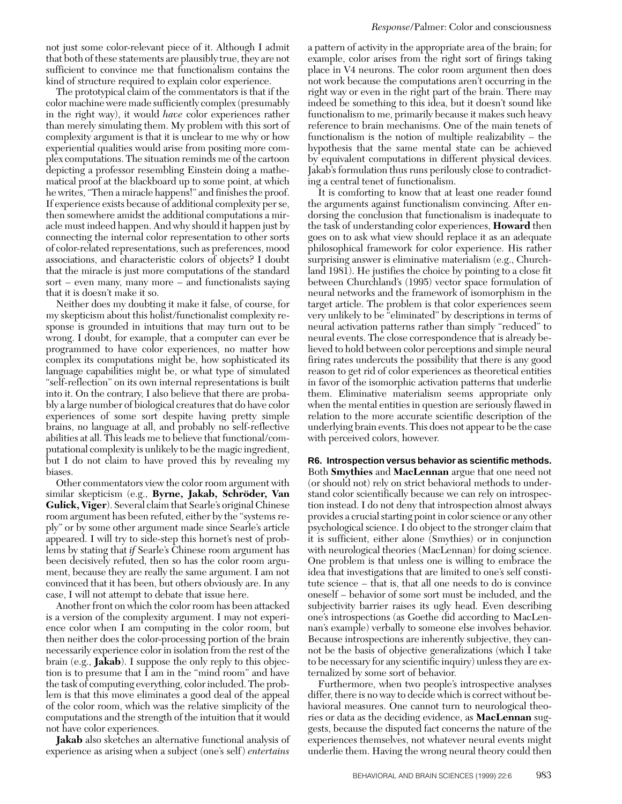not just some color-relevant piece of it. Although I admit that both of these statements are plausibly true, they are not sufficient to convince me that functionalism contains the kind of structure required to explain color experience.

The prototypical claim of the commentators is that if the color machine were made sufficiently complex (presumably in the right way), it would *have* color experiences rather than merely simulating them. My problem with this sort of complexity argument is that it is unclear to me why or how experiential qualities would arise from positing more complex computations. The situation reminds me of the cartoon depicting a professor resembling Einstein doing a mathematical proof at the blackboard up to some point, at which he writes, "Then a miracle happens!" and finishes the proof. If experience exists because of additional complexity per se, then somewhere amidst the additional computations a miracle must indeed happen. And why should it happen just by connecting the internal color representation to other sorts of color-related representations, such as preferences, mood associations, and characteristic colors of objects? I doubt that the miracle is just more computations of the standard sort – even many, many more – and functionalists saying that it is doesn't make it so.

Neither does my doubting it make it false, of course, for my skepticism about this holist/functionalist complexity response is grounded in intuitions that may turn out to be wrong. I doubt, for example, that a computer can ever be programmed to have color experiences, no matter how complex its computations might be, how sophisticated its language capabilities might be, or what type of simulated "self-reflection" on its own internal representations is built into it. On the contrary, I also believe that there are probably a large number of biological creatures that do have color experiences of some sort despite having pretty simple brains, no language at all, and probably no self-reflective abilities at all. This leads me to believe that functional/computational complexity is unlikely to be the magic ingredient, but I do not claim to have proved this by revealing my biases.

Other commentators view the color room argument with similar skepticism (e.g., **Byrne, Jakab, Schröder, Van Gulick, Viger**). Several claim that Searle's original Chinese room argument has been refuted, either by the "systems reply" or by some other argument made since Searle's article appeared. I will try to side-step this hornet's nest of problems by stating that *if* Searle's Chinese room argument has been decisively refuted, then so has the color room argument, because they are really the same argument. I am not convinced that it has been, but others obviously are. In any case, I will not attempt to debate that issue here.

Another front on which the color room has been attacked is a version of the complexity argument. I may not experience color when I am computing in the color room, but then neither does the color-processing portion of the brain necessarily experience color in isolation from the rest of the brain (e.g., **Jakab**). I suppose the only reply to this objection is to presume that I am in the "mind room" and have the task of computing everything, color included. The problem is that this move eliminates a good deal of the appeal of the color room, which was the relative simplicity of the computations and the strength of the intuition that it would not have color experiences.

**Jakab** also sketches an alternative functional analysis of experience as arising when a subject (one's self) *entertains*

a pattern of activity in the appropriate area of the brain; for example, color arises from the right sort of firings taking place in V4 neurons. The color room argument then does not work because the computations aren't occurring in the right way or even in the right part of the brain. There may indeed be something to this idea, but it doesn't sound like functionalism to me, primarily because it makes such heavy reference to brain mechanisms. One of the main tenets of functionalism is the notion of multiple realizability – the hypothesis that the same mental state can be achieved by equivalent computations in different physical devices. Jakab's formulation thus runs perilously close to contradicting a central tenet of functionalism.

It is comforting to know that at least one reader found the arguments against functionalism convincing. After endorsing the conclusion that functionalism is inadequate to the task of understanding color experiences, **Howard** then goes on to ask what view should replace it as an adequate philosophical framework for color experience. His rather surprising answer is eliminative materialism (e.g., Churchland 1981). He justifies the choice by pointing to a close fit between Churchland's (1995) vector space formulation of neural networks and the framework of isomorphism in the target article. The problem is that color experiences seem very unlikely to be "eliminated" by descriptions in terms of neural activation patterns rather than simply "reduced" to neural events. The close correspondence that is already believed to hold between color perceptions and simple neural firing rates undercuts the possibility that there is any good reason to get rid of color experiences as theoretical entities in favor of the isomorphic activation patterns that underlie them. Eliminative materialism seems appropriate only when the mental entities in question are seriously flawed in relation to the more accurate scientific description of the underlying brain events. This does not appear to be the case with perceived colors, however.

**R6. Introspection versus behavior as scientific methods.** Both **Smythies** and **MacLennan** argue that one need not (or should not) rely on strict behavioral methods to understand color scientifically because we can rely on introspection instead. I do not deny that introspection almost always provides a crucial starting point in color science or any other psychological science. I do object to the stronger claim that it is sufficient, either alone (Smythies) or in conjunction with neurological theories (MacLennan) for doing science. One problem is that unless one is willing to embrace the idea that investigations that are limited to one's self constitute science – that is, that all one needs to do is convince oneself – behavior of some sort must be included, and the subjectivity barrier raises its ugly head. Even describing one's introspections (as Goethe did according to MacLennan's example) verbally to someone else involves behavior. Because introspections are inherently subjective, they cannot be the basis of objective generalizations (which I take to be necessary for any scientific inquiry) unless they are externalized by some sort of behavior.

Furthermore, when two people's introspective analyses differ, there is no way to decide which is correct without behavioral measures. One cannot turn to neurological theories or data as the deciding evidence, as **MacLennan** suggests, because the disputed fact concerns the nature of the experiences themselves, not whatever neural events might underlie them. Having the wrong neural theory could then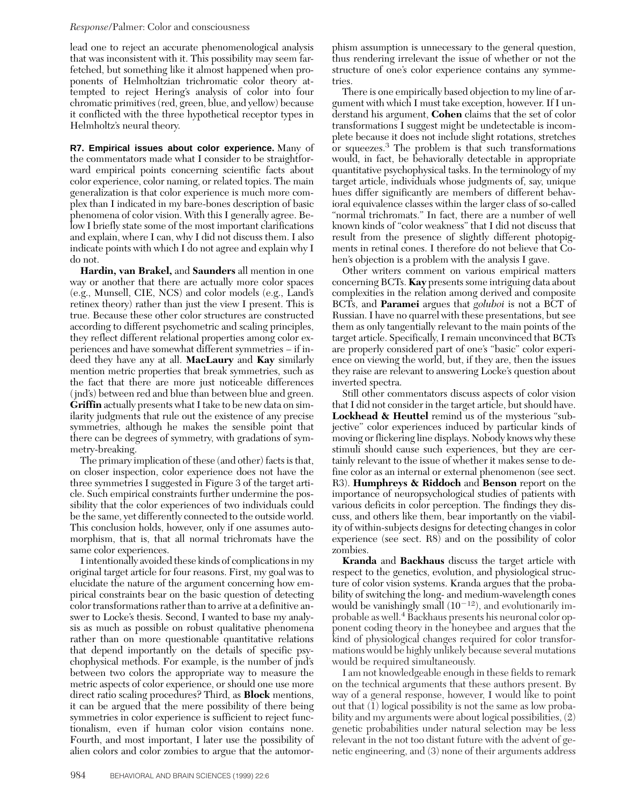## *Response/*Palmer: Color and consciousness

lead one to reject an accurate phenomenological analysis that was inconsistent with it. This possibility may seem farfetched, but something like it almost happened when proponents of Helmholtzian trichromatic color theory attempted to reject Hering's analysis of color into four chromatic primitives (red, green, blue, and yellow) because it conflicted with the three hypothetical receptor types in Helmholtz's neural theory.

**R7. Empirical issues about color experience.** Many of the commentators made what I consider to be straightforward empirical points concerning scientific facts about color experience, color naming, or related topics. The main generalization is that color experience is much more complex than I indicated in my bare-bones description of basic phenomena of color vision. With this I generally agree. Below I briefly state some of the most important clarifications and explain, where I can, why I did not discuss them. I also indicate points with which I do not agree and explain why I do not.

**Hardin, van Brakel,** and **Saunders** all mention in one way or another that there are actually more color spaces (e.g., Munsell, CIE, NCS) and color models (e.g., Land's retinex theory) rather than just the view I present. This is true. Because these other color structures are constructed according to different psychometric and scaling principles, they reflect different relational properties among color experiences and have somewhat different symmetries – if indeed they have any at all. **MacLaury** and **Kay** similarly mention metric properties that break symmetries, such as the fact that there are more just noticeable differences (jnd's) between red and blue than between blue and green. **Griffin** actually presents what I take to be new data on similarity judgments that rule out the existence of any precise symmetries, although he makes the sensible point that there can be degrees of symmetry, with gradations of symmetry-breaking.

The primary implication of these (and other) facts is that, on closer inspection, color experience does not have the three symmetries I suggested in Figure 3 of the target article. Such empirical constraints further undermine the possibility that the color experiences of two individuals could be the same, yet differently connected to the outside world. This conclusion holds, however, only if one assumes automorphism, that is, that all normal trichromats have the same color experiences.

I intentionally avoided these kinds of complications in my original target article for four reasons. First, my goal was to elucidate the nature of the argument concerning how empirical constraints bear on the basic question of detecting color transformations rather than to arrive at a definitive answer to Locke's thesis. Second, I wanted to base my analysis as much as possible on robust qualitative phenomena rather than on more questionable quantitative relations that depend importantly on the details of specific psychophysical methods. For example, is the number of jnd's between two colors the appropriate way to measure the metric aspects of color experience, or should one use more direct ratio scaling procedures? Third, as **Block** mentions, it can be argued that the mere possibility of there being symmetries in color experience is sufficient to reject functionalism, even if human color vision contains none. Fourth, and most important, I later use the possibility of alien colors and color zombies to argue that the automorphism assumption is unnecessary to the general question, thus rendering irrelevant the issue of whether or not the structure of one's color experience contains any symmetries.

There is one empirically based objection to my line of argument with which I must take exception, however. If I understand his argument, **Cohen** claims that the set of color transformations I suggest might be undetectable is incomplete because it does not include slight rotations, stretches or squeezes.<sup>3</sup> The problem is that such transformations would, in fact, be behaviorally detectable in appropriate quantitative psychophysical tasks. In the terminology of my target article, individuals whose judgments of, say, unique hues differ significantly are members of different behavioral equivalence classes within the larger class of so-called "normal trichromats." In fact, there are a number of well known kinds of "color weakness" that I did not discuss that result from the presence of slightly different photopigments in retinal cones. I therefore do not believe that Cohen's objection is a problem with the analysis I gave.

Other writers comment on various empirical matters concerning BCTs. **Kay** presents some intriguing data about complexities in the relation among derived and composite BCTs, and **Paramei** argues that *goluboi* is not a BCT of Russian. I have no quarrel with these presentations, but see them as only tangentially relevant to the main points of the target article. Specifically, I remain unconvinced that BCTs are properly considered part of one's "basic" color experience on viewing the world, but, if they are, then the issues they raise are relevant to answering Locke's question about inverted spectra.

Still other commentators discuss aspects of color vision that I did not consider in the target article, but should have. **Lockhead & Heuttel** remind us of the mysterious "subjective" color experiences induced by particular kinds of moving or flickering line displays. Nobody knows why these stimuli should cause such experiences, but they are certainly relevant to the issue of whether it makes sense to define color as an internal or external phenomenon (see sect. R3). **Humphreys & Riddoch** and **Benson** report on the importance of neuropsychological studies of patients with various deficits in color perception. The findings they discuss, and others like them, bear importantly on the viability of within-subjects designs for detecting changes in color experience (see sect.  $RS$ ) and on the possibility of color zombies.

**Kranda** and **Backhaus** discuss the target article with respect to the genetics, evolution, and physiological structure of color vision systems. Kranda argues that the probability of switching the long- and medium-wavelength cones would be vanishingly small  $(10^{-12})$ , and evolutionarily improbable as well.<sup>4</sup> Backhaus presents his neuronal color opponent coding theory in the honeybee and argues that the kind of physiological changes required for color transformations would be highly unlikely because several mutations would be required simultaneously.

I am not knowledgeable enough in these fields to remark on the technical arguments that these authors present. By way of a general response, however, I would like to point out that (1) logical possibility is not the same as low probability and my arguments were about logical possibilities, (2) genetic probabilities under natural selection may be less relevant in the not too distant future with the advent of genetic engineering, and (3) none of their arguments address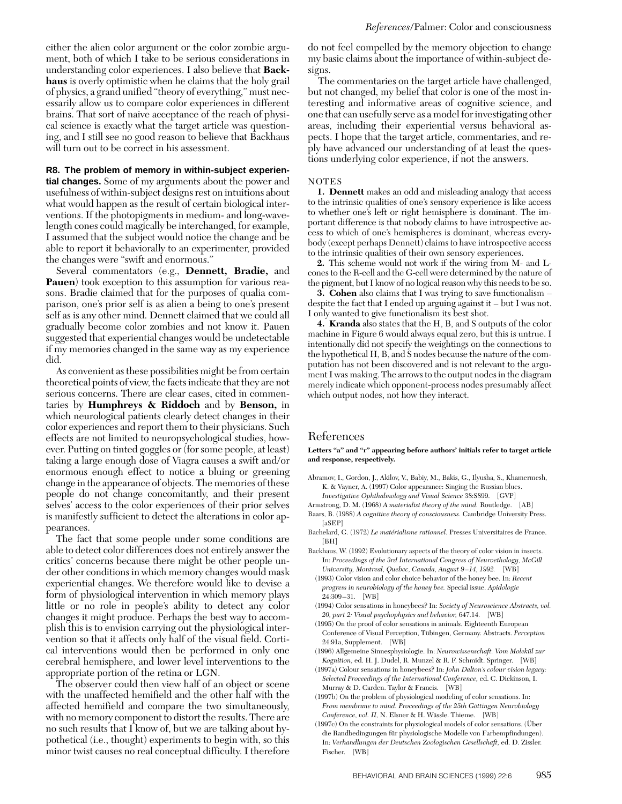either the alien color argument or the color zombie argument, both of which I take to be serious considerations in understanding color experiences. I also believe that **Backhaus** is overly optimistic when he claims that the holy grail of physics, a grand unified "theory of everything," must necessarily allow us to compare color experiences in different brains. That sort of naive acceptance of the reach of physical science is exactly what the target article was questioning, and I still see no good reason to believe that Backhaus will turn out to be correct in his assessment.

## **R8. The problem of memory in within-subject experien-**

**tial changes.** Some of my arguments about the power and usefulness of within-subject designs rest on intuitions about what would happen as the result of certain biological interventions. If the photopigments in medium- and long-wavelength cones could magically be interchanged, for example, I assumed that the subject would notice the change and be able to report it behaviorally to an experimenter, provided the changes were "swift and enormous."

Several commentators (e.g., **Dennett, Bradie,** and **Pauen**) took exception to this assumption for various reasons. Bradie claimed that for the purposes of qualia comparison, one's prior self is as alien a being to one's present self as is any other mind. Dennett claimed that we could all gradually become color zombies and not know it. Pauen suggested that experiential changes would be undetectable if my memories changed in the same way as my experience did.

As convenient as these possibilities might be from certain theoretical points of view, the facts indicate that they are not serious concerns. There are clear cases, cited in commentaries by **Humphreys & Riddoch** and by **Benson,** in which neurological patients clearly detect changes in their color experiences and report them to their physicians. Such effects are not limited to neuropsychological studies, however. Putting on tinted goggles or (for some people, at least) taking a large enough dose of Viagra causes a swift and/or enormous enough effect to notice a bluing or greening change in the appearance of objects. The memories of these people do not change concomitantly, and their present selves' access to the color experiences of their prior selves is manifestly sufficient to detect the alterations in color appearances.

The fact that some people under some conditions are able to detect color differences does not entirely answer the critics' concerns because there might be other people under other conditions in which memory changes would mask experiential changes. We therefore would like to devise a form of physiological intervention in which memory plays little or no role in people's ability to detect any color changes it might produce. Perhaps the best way to accomplish this is to envision carrying out the physiological intervention so that it affects only half of the visual field. Cortical interventions would then be performed in only one cerebral hemisphere, and lower level interventions to the appropriate portion of the retina or LGN.

The observer could then view half of an object or scene with the unaffected hemifield and the other half with the affected hemifield and compare the two simultaneously, with no memory component to distort the results. There are no such results that I know of, but we are talking about hypothetical (i.e., thought) experiments to begin with, so this minor twist causes no real conceptual difficulty. I therefore do not feel compelled by the memory objection to change my basic claims about the importance of within-subject designs.

The commentaries on the target article have challenged, but not changed, my belief that color is one of the most interesting and informative areas of cognitive science, and one that can usefully serve as a model for investigating other areas, including their experiential versus behavioral aspects. I hope that the target article, commentaries, and reply have advanced our understanding of at least the questions underlying color experience, if not the answers.

#### NOTES

**1. Dennett** makes an odd and misleading analogy that access to the intrinsic qualities of one's sensory experience is like access to whether one's left or right hemisphere is dominant. The important difference is that nobody claims to have introspective access to which of one's hemispheres is dominant, whereas everybody (except perhaps Dennett) claims to have introspective access to the intrinsic qualities of their own sensory experiences.

**2.** This scheme would not work if the wiring from M- and Lcones to the R-cell and the G-cell were determined by the nature of the pigment, but I know of no logical reason why this needs to be so.

**3. Cohen** also claims that I was trying to save functionalism – despite the fact that I ended up arguing against it – but I was not. I only wanted to give functionalism its best shot.

**4. Kranda** also states that the H, B, and S outputs of the color machine in Figure 6 would always equal zero, but this is untrue. I intentionally did not specify the weightings on the connections to the hypothetical H, B, and S nodes because the nature of the computation has not been discovered and is not relevant to the argument I was making. The arrows to the output nodes in the diagram merely indicate which opponent-process nodes presumably affect which output nodes, not how they interact.

#### References

#### **Letters "a" and "r" appearing before authors' initials refer to target article and response, respectively.**

- Abramov, I., Gordon, J., Akilov, V., Babiy, M., Bakis, G., Ilyusha, S., Khamermesh, K. & Vayner, A. (1997) Color appearance: Singing the Russian blues. *Investigative Ophthalmology and Visual Science* 38:S899. [GVP]
- Armstrong, D. M. (1968) *A materialist theory of the mind.* Routledge. [AB]
- Baars, B. (1988) *A cognitive theory of consciousness.* Cambridge University Press. [aSEP]
- Bachelard, G. (1972) *Le matérialisme rationnel.* Presses Universitaires de France. [BH]
- Backhaus, W. (1992) Evolutionary aspects of the theory of color vision in insects. In: *Proceedings of the 3rd International Congress of Neuroethology, McGill University, Montreal, Quebec, Canada, August 9–14, 1992.* [WB]
	- (1993) Color vision and color choice behavior of the honey bee. In: *Recent progress in neurobiology of the honey bee.* Special issue. *Apidologie*  24:309–31. [WB]
	- (1994) Color sensations in honeybees? In: *Society of Neuroscience Abstracts, vol. 20, part 2: Visual psychophysics and behavior,* 647.14. [WB]
	- (1995) On the proof of color sensations in animals. Eighteenth European Conference of Visual Perception, Tübingen, Germany. Abstracts. *Perception* 24:91a, Supplement. [WB]
	- (1996) Allgemeine Sinnesphysiologie. In: *Neurowissenschaft. Vom Molekül zur Kognition,* ed. H. J. Dudel, R. Munzel & R. F. Schmidt. Springer. [WB]
	- (1997a) Colour sensations in honeybees? In: *John Dalton's colour vision legacy: Selected Proceedings of the International Conference,* ed. C. Dickinson, I. Murray & D. Carden. Taylor & Francis. [WB]
	- $\left( 1997b\right)$  On the problem of physiological modeling of color sensations. In: *From membrane to mind. Proceedings of the 25th Göttingen Neurobiology Conference, vol. II,* N. Elsner & H. Wässle. Thieme. [WB]
	- (1997c) On the constraints for physiological models of color sensations. (Über die Randbedingungen für physiologische Modelle von Farbempfindungen). In: *Verhandlungen der Deutschen Zoologischen Gesellschaft,* ed. D. Zissler. Fischer. [WB]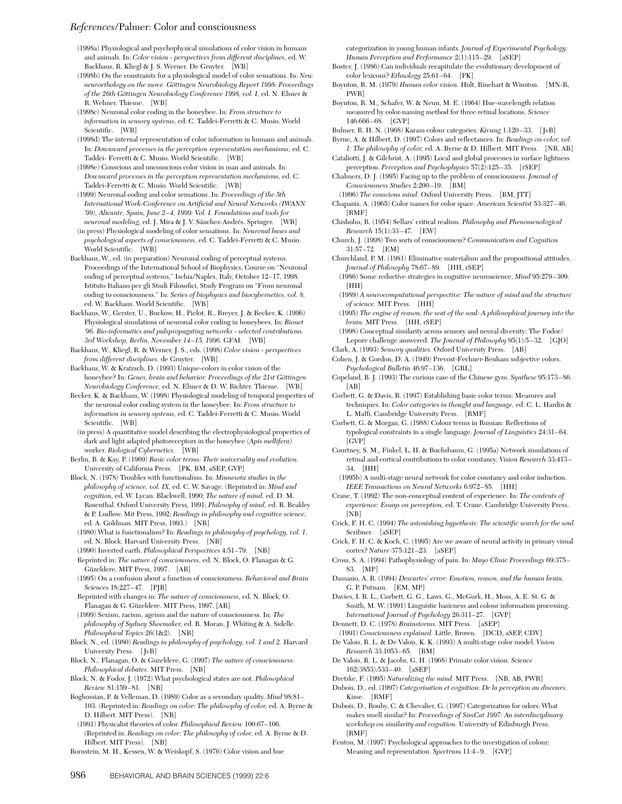## *References/*Palmer: Color and consciousness

- (1998a) Physiological and psychophysical simulations of color vision in humans and animals. In: *Color vision - perspectives from different disciplines,* ed. W. Backhaus, R. Kliegl & J. S. Werner. De Gruyter. [WB]
- (1998b) On the constraints for a physiological model of color sensations. In: *New neuroethology on the move. Göttingen Neurobiology Report 1998: Proceedings of the 26th Göttingen Neurobiology Conference 1998, vol. I,* ed. N. Elsner & R. Wehner. Thieme. [WB]
- (1998c) Neuronal color coding in the honeybee. In: *From structure to information in sensory systems,* ed. C. Taddei-Ferretti & C. Musio. World Scientific. [WB]
- (1998d) The internal representation of color information in humans and animals. In: *Downward processes in the perception representation mechanisms,* ed. C. Taddei- Ferretti & C. Musio. World Scientific. [WB]
- (1998e) Conscious and unconscious color vision in man and animals. In: *Downward processes in the perception representation mechanisms,* ed. C. Taddei-Ferretti & C. Musio. World Scientific. [WB]
- (1999) Neuronal coding and color sensations. In: *Proceedings of the 5th International Work-Conference on Artificial and Neural Networks (IWANN '99), Alicante, Spain, June 2–4, 1999: Vol. I. Foundations and tools for neuronal modeling,* ed. J. Mira & J. V. Sánchez-Andrés. Springer. [WB]
- (in press) Physiological modeling of color sensations. In: *Neuronal bases and psychological aspects of consciousness,* ed. C. Taddei-Ferretti & C. Musio. World Scientific. [WB]
- Backhaus, W., ed. (in preparation) Neuronal coding of perceptual systems. Proceedings of the International School of Biophysics, Course on "Neuronal coding of perceptual systems," Ischia/Naples, Italy, October 12–17, 1998. Istituto Italiano per gli Studi Filosofici, Study Program on "From neuronal coding to consciousness." In: *Series of biophysics and biocybernetics, vol. 8,* ed. W. Backhaus. World Scientific. [WB]
- Backhaus, W., Gerster, U., Buckow, H., Pielot, R., Breyer, J. & Becker, K. (1996) Physiological simulations of neuronal color coding in honeybees. In: *Bionet '96. Bio-informatics and pulspropagating networks - selected contributions. 3rd Workshop, Berlin, November 14–15, 1996.* GFAI. [WB]
- Backhaus, W., Kliegl, R. & Werner, J. S., eds. (1998) *Color vision perspectives from different disciplines.* de Gruyter. [WB]
- Backhaus, W. & Kratzsch, D. (1993) Unique-colors in color vision of the honeybee? In: *Genes, brain and behavior. Proceedings of the 21st Göttingen Neurobiology Conference,* ed. N. Elsner & D. W. Richter. Thieme. [WB]
- Becker, K. & Backhaus, W. (1998) Physiological modeling of temporal properties of the neuronal color coding system in the honeybee. In: *From structure to information in sensory systems,* ed. C. Taddei-Ferretti & C. Musio. World Scientific. [WB]
- (in press) A quantitative model describing the electrophysiological properties of dark and light adapted photoreceptors in the honeybee (*Apis mellifera)* worker. *Biological Cybernetics.* [WB]
- Berlin, B. & Kay, P. (1969) *Basic color terms: Their universality and evolution.* University of California Press. [PK, BM, aSEP, GVP]
- Block, N. (1978) Troubles with functionalism. In: *Minnesota studies in the philosophy of science, vol. IX,* ed. C. W. Savage. (Reprinted in: *Mind and cognition,* ed. W. Lycan. Blackwell, 1990; *The nature of mind,* ed. D. M. Rosenthal. Oxford University Press, 1991; *Philosophy of mind,* ed. B. Beakley & P. Ludlow. Mit Press, 1992; *Readings in philosophy and cognitive science,* ed. A. Goldman. MIT Press, 1993.) [NB]
- (1980) What is functionalism? In: *Readings in philosophy of psychology, vol. 1,* ed. N. Block. Harvard University Press. [NB]
- (1990) Inverted earth. *Philosophical Perspectives* 4:51–79. [NB]
- Reprinted in: *The nature of consciousness,* ed. N. Block, O. Flanagan & G. Güzeldere. MIT Press, 1997. [AB]
- (1995) On a confusion about a function of consciousness. *Behavioral and Brain Sciences* 18:227–47. [PJB]
- Reprinted with changes in: *The nature of consciousness,* ed. N. Block, O. Flanagan & G. Güzeldere. MIT Press, 1997. [AB]
- (1999) Sexism, racism, ageism and the nature of consciousness. In: *The philosophy of Sydney Shoemaker,* ed. R. Moran, J. Whiting & A. Sidelle. *Philosophical Topics* 26(1&2). [NB]
- Block, N., ed. (1980) *Readings in philosophy of psychology, vol. 1 and 2.* Harvard University Press. [JvB]
- Block, N., Flanagan, O. & Guzeldere, G. (1997) *The nature of consciousness: Philosophical debates.* MIT Press. [NB]
- Block, N. & Fodor, J. (1972) What psychological states are not. *Philosophical Review* 81:159–81. [NB]
- Boghossian, P. & Velleman, D. (1989) Color as a secondary quality. *Mind* 98:81– 103. (Reprinted in: *Readings on color: The philosophy of color,* ed. A. Byrne & D. Hilbert. MIT Press). [NB]
- (1991) Physicalist theories of color. *Philosophical Review* 100:67–106. (Reprinted in: *Readings on color: The philosophy of color,* ed. A. Byrne & D. Hilbert. MIT Press). [NB]
- Bornstein, M. H., Kessen, W. & Weiskopf, S. (1976) Color vision and hue
- Boster, J. (1986) Can individuals recapitulate the evolutionary development of color lexicons? *Ethnology* 25:61–64. [PK]
- Boynton, R. M. (1979) *Human color vision.* Holt, Rinehart & Winston. [MN-R, PWR]
- Boynton, R. M., Schafer, W. & Neun, M. E. (1964) Hue-wavelength relation measured by color-naming method for three retinal locations. *Science* 146:666–68. [GVP]
- Bulmer, R. H. N. (1968) Karam colour categories. *Kivung* 1:120–33. [JvB]
- Byrne, A. & Hilbert, D. (1997) Colors and reflectances. In: *Readings on color, vol. 1: The philosophy of color,* ed. A. Byrne & D. Hilbert. MIT Press. [NB, AB]
- Cataliotti, J. & Gilchrist, A. (1995) Local and global processes in surface lightness perception. *Perception and Psychophysics* 57(2):125–35. [rSEP]
- Chalmers, D. J. (1995) Facing up to the problem of consciousness. *Journal of Consciousness Studies* 2:200–19. [BM]
- (1996) *The conscious mind.* Oxford University Press. [BM, JTT]
- Chapanis, A. (1965) Color names for color space. *American Scientist* 53:327–46. [RMF]
- Chisholm, R. (1954) Sellars' critical realism. *Philosophy and Phenomenological Research* 15(1):33–47. [EW]
- Church, J. (1998) Two sorts of consciousness? *Communication and Cognition* 31:57–72. [EM]
- Churchland, P. M. (1981) Eliminative materialism and the propositional attitudes. *Journal of Philosophy* 78:67–89. [HH, rSEP]
	- (1986) Some reductive strategies in cognitive neuroscience. *Mind* 95:279–309. [HH]
	- (1989) *A neurocomputational perspective: The nature of mind and the structure of science.* MIT Press. [HH]
	- (1995) *The engine of reason, the seat of the soul: A philosophical journey into the brain.* MIT Press. [HH, rSEP]
- (1998) Conceptual similarity across sensory and neural diversity: The Fodor/ Lepore challenge answered. *The Journal of Philosophy* 95(1):5–32. [GJO]
- Clark, A. (1993) *Sensory qualities.* Oxford University Press. [AB]
- Cohen, J. & Gordon, D. A. (1949) Prevost-Fechner-Benham subjective colors. *Psychological Bulletin* 46:97–136. [GRL]
- Copeland, B. J. (1993) The curious case of the Chinese gym. *Synthese* 95:173–86.  $[AB]$
- Corbett, G. & Davis, R. (1997) Establishing basic color terms: Measures and techniques. In: *Color categories in thought and language,* ed. C. L. Hardin & L. Maffi. Cambridge University Press. [RMF]
- Corbett, G. & Morgan, G. (1988) Colour terms in Russian: Reflections of typological constraints in a single language. *Journal of Linguistics* 24:31–64. [GVP]
- Courtney, S. M., Finkel, L. H. & Buchsbaum, G. (1995a) Network simulations of retinal and cortical contributions to color constancy. *Vision Research* 33:413– 34. [HH]
- (1995b) A multi-stage neural network for color constancy and color induction. *IEEE Transactions on Neural Networks* 6:972–85. [HH]
- Crane, T. (1992) The non-conceptual content of experience. In: *The contents of experience: Essays on perception,* ed. T. Crane. Cambridge University Press. [NB]
- Crick, F. H. C. (1994) *The astonishing hypothesis: The scientific search for the soul.* Scribner. [aSEP]
- Crick, F. H. C. & Koch, C. (1995) Are we aware of neural activity in primary visual cortex? *Nature* 375:121–23. [aSEP]
- Cross, S. A. (1994) Pathophysiology of pain. In: *Mayo Clinic Proceedings* 69:375– 83. [MP]
- Damasio, A. R. (1994) *Descartes' error: Emotion, reason, and the human brain.* G. P. Putnam. [EM, MP]
- Davies, I. R. L., Corbett, G. G., Laws, G., McGurk, H., Moss, A. E. St. G. & Smith, M. W. (1991) Linguistic basicness and colour information processing. *International Journal of Psychology* 26:311–27. [GVP]
- Dennett, D. C. (1978) *Brainstorms.* MIT Press. [aSEP]
- (1991) *Consciousness explained.* Little, Brown. [DCD, aSEP, CDV] De Valois, R. L. & De Valois, K. K. (1993) A multi-stage color model. *Vision*
- *Research* 33:1053–65. [BM] De Valois, R. L. & Jacobs, G. H. (1968) Primate color vision. *Science*
- 162(3853):533–40. [aSEP]
- Dretske, F. (1995) *Naturalizing the mind.* MIT Press. [NB, AB, PWR]
- Dubois, D., ed. (1997) *Categorisation et cognition: De la perception au discours.* Kime. [RMF]
- Dubois, D., Rouby, C. & Chevalier, G. (1997) Categorization for odors: What makes smell similar? In: *Proceedings of SimCat 1997: An interdisciplinary workshop on similarity and cognition.* University of Edinburgh Press. [RMF]
- Fenton, M. (1997) Psychological approaches to the investigation of colour: Meaning and representation. *Spectrum* 11:4–9. [GVP]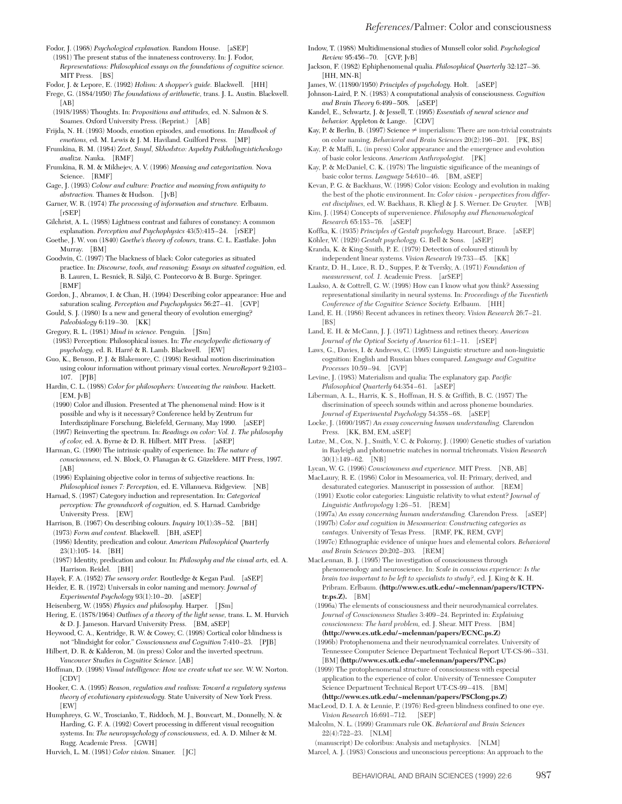(1981) The present status of the innateness controversy. In: J. Fodor, *Representations: Philosophical essays on the foundations of cognitive science.* MIT Press. [BS]

Fodor, J. & Lepore, E. (1992) *Holism: A shopper's guide.* Blackwell. [HH]

Frege, G. (1884/1950) *The foundations of arithmetic,* trans. J. L. Austin. Blackwell.  $[AB]$ 

- (1918/1988) Thoughts. In: *Propositions and attitudes,* ed. N. Salmon & S. Soames. Oxford University Press. (Reprint.) [AB]
- Frijda, N. H. (1993) Moods, emotion episodes, and emotions. In: *Handbook of emotions,* ed. M. Lewis & J. M. Haviland. Guilford Press. [MP]
- Frumkina, R. M. (1984) *Zvet, Smysl, Skhodstvo: Aspekty Psikholingvisticheskogo analiza.* Nauka. [RMF]
- Frumkina, R. M. & Mikhejev, A. V. (1996) *Meaning and categorization.* Nova Science. [RMF]
- Gage, J. (1993) *Colour and culture: Practice and meaning from antiquity to abstraction.* Thames & Hudson. [JvB]
- Garner, W. R. (1974) *The processing of information and structure.* Erlbaum. [rSEP]
- Gilchrist, A. L. (1988) Lightness contrast and failures of constancy: A common explanation. *Perception and Psychophysics* 43(5):415–24. [rSEP]
- Goethe, J. W. von (1840) *Goethe's theory of colours,* trans. C. L. Eastlake. John Murray. [BM]
- Goodwin, C. (1997) The blackness of black: Color categories as situated practice. In: *Discourse, tools, and reasoning: Essays on situated cognition,* ed. B. Lauren, L. Resnick, R. Säljö, C. Pontecorvo & B. Burge. Springer. [RMF]
- Gordon, J., Abramov, I. & Chan, H. (1994) Describing color appearance: Hue and saturation scaling. *Perception and Psychophysics* 56:27–41. [GVP]
- Gould, S. J. (1980) Is a new and general theory of evolution emerging? *Paleobiology* 6:119–30. [KK]
- Gregory, R. L. (1981) *Mind in science.* Penguin. [JSm] (1983) Perception: Philosophical issues. In: *The encyclopedic dictionary of psychology,* ed. R. Harré & R. Lamb. Blackwell. [EW]

Guo, K., Benson, P. J. & Blakemore, C. (1998) Residual motion discrimination using colour information without primary visual cortex. *NeuroReport* 9:2103– 107. [PJB]

- Hardin, C. L. (1988) *Color for philosophers: Unweaving the rainbow.* Hackett. [EM, JvB]
- (1990) Color and illusion. Presented at The phenomenal mind: How is it possible and why is it necessary? Conference held by Zentrum fur Interdisziplinare Forschung, Bielefeld, Germany, May 1990. [aSEP] (1997) Reinverting the spectrum. In: *Readings on color: Vol. 1. The philosophy*
- *of color,* ed. A. Byrne & D. R. Hilbert. MIT Press. [aSEP] Harman, G. (1990) The intrinsic quality of experience. In: *The nature of*
- *consciousness,* ed. N. Block, O. Flanagan & G. Güzeldere. MIT Press, 1997.  $[AB]$
- (1996) Explaining objective color in terms of subjective reactions. In: *Philosophical issues 7: Perception,* ed. E. Villanueva. Ridgeview. [NB]
- Harnad, S. (1987) Category induction and representation. In: *Categorical perception: The groundwork of cognition,* ed. S. Harnad. Cambridge University Press. [EW]
- Harrison, B. (1967) On describing colours. *Inquiry* 10(1):38–52. [BH] (1973) *Form and content.* Blackwell. [BH, aSEP]
- (1986) Identity, predication and colour. *American Philosophical Quarterly* 23(1):105- 14. [BH]
- (1987) Identity, predication and colour. In: *Philosophy and the visual arts,* ed. A. Harrison. Reidel. [BH]
- Hayek, F. A. (1952) *The sensory order.* Routledge & Kegan Paul. [aSEP]
- Heider, E. R. (1972) Universals in color naming and memory. *Journal of Experimental Psychology* 93(1):10–20. [aSEP]
- Heisenberg, W. (1958) *Physics and philosophy.* Harper. [JSm]
- Hering, E. (1878/1964) *Outlines of a theory of the light sense,* trans. L. M. Hurvich & D. J. Jameson. Harvard University Press. [BM, aSEP]
- Heywood, C. A., Kentridge, R. W. & Cowey, C. (1998) Cortical color blindness is not "blindsight for color." *Consciousness and Cognition* 7:410–23. [PJB]
- Hilbert, D. R. & Kalderon, M. (in press) Color and the inverted spectrum. *Vancouver Studies in Cognitive Science.* [AB]
- Hoffman, D. (1998) *Visual intelligence: How we create what we see.* W. W. Norton. [CDV]
- Hooker, C. A. (1995) *Reason, regulation and realism: Toward a regulatory systems theory of evolutionary epistemology.* State University of New York Press. [EW]
- Humphreys, G. W., Troscianko, T., Riddoch, M. J., Bouvcart, M., Donnelly, N. & Harding, G. F. A. (1992) Covert processing in different visual recognition systems. In: *The neuropsychology of consciousness,* ed. A. D. Milner & M. Rugg. Academic Press. [GWH]
- Hurvich, L. M. (1981) *Color vision.* Sinauer. [JC]
- Indow, T. (1988) Multidimensional studies of Munsell color solid. *Psychological Review* 95:456–70. [GVP, JvB]
- Jackson, F. (1982) Ephiphenomenal qualia. *Philosophical Quarterly* 32:127–36. [HH, MN-R]
- James, W. (11890/1950) *Principles of psychology.* Holt. [aSEP]
- Johnson-Laird, P. N. (1983) A computational analysis of consciousness. *Cognition and Brain Theory* 6:499–508. [aSEP]
- Kandel, E., Schwartz, J. & Jessell, T. (1995) *Essentials of neural science and behavior.* Appleton & Lange. [CDV]
- Kay, P. & Berlin, B. (1997) Science  $\neq$  imperialism: There are non-trivial constraints on color naming. *Behavioral and Brain Sciences* 20(2):196–201. [PK, BS]
- Kay, P. & Maffi, L. (in press) Color appearance and the emergence and evolution of basic color lexicons. *American Anthropologist.* [PK]
- Kay, P. & McDaniel, C. K. (1978) The linguistic significance of the meanings of basic color terms. *Language* 54:610–46. [BM, aSEP]
- Kevan, P. G. & Backhaus, W. (1998) Color vision: Ecology and evolution in making the best of the photic environment. In: *Color vision - perspectives from different disciplines,* ed. W. Backhaus, R. Kliegl & J. S. Werner. De Gruyter. [WB]
- Kim, J. (1984) Concepts of supervenience. *Philosophy and Phenomenological Research* 65:153–76. [aSEP]
- Koffka, K. (1935) *Principles of Gestalt psychology.* Harcourt, Brace. [aSEP] Köhler, W. (1929) *Gestalt psychology.* G. Bell & Sons. [aSEP]
- Kranda, K. & King-Smith, P. E. (1979) Detection of coloured stimuli by
- independent linear systems. *Vision Research* 19:733–45. [KK]
- Krantz, D. H., Luce, R. D., Suppes, P. & Tversky, A. (1971) *Foundation of measurement, vol. 1.* Academic Press. [arSEP]
- Laakso, A. & Cottrell, G. W. (1998) How can I know what *you* think? Assessing representational similarity in neural systems. In: *Proceedings of the Twentieth Conference of the Cognitive Science Society.* Erlbaum. [HH]
- Land, E. H. (1986) Recent advances in retinex theory. *Vision Research* 26:7–21. [BS]
- Land, E. H. & McCann, J. J. (1971) Lightness and retinex theory. *American Journal of the Optical Society of America* 61:1–11. [rSEP]
- Laws, G., Davies, I. & Andrews, C. (1995) Linguistic structure and non-linguistic cognition: English and Russian blues compared. *Language and Cognitive Processes* 10:59–94. [GVP]
- Levine, J. (1983) Materialism and qualia: The explanatory gap. *Pacific Philosophical Quarterly* 64:354–61. [aSEP]
- Liberman, A. L., Harris, K. S., Hoffman, H. S. & Griffith, B. C. (1957) The discrimination of speech sounds within and across phoneme boundaries. *Journal of Experimental Psychology* 54:358–68. [aSEP]
- Locke, J. (1690/1987) *An essay concerning human understanding.* Clarendon Press. [KK, BM, EM, aSEP]
- Lutze, M., Cox, N. J., Smith, V. C. & Pokorny, J. (1990) Genetic studies of variation in Rayleigh and photometric matches in normal trichromats. *Vision Research* 30(1):149–62. [NB]
- Lycan, W. G. (1996) *Consciousness and experience.* MIT Press. [NB, AB]
- MacLaury, R. E. (1986) Color in Mesoamerica, vol. II: Primary, derived, and desaturated categories. Manuscript in possession of author. [REM] (1991) Exotic color categories: Linguistic relativity to what extent? *Journal of*
	- *Linguistic Anthropology* 1:26–51. [REM] (1997a) *An essay concerning human understanding.* Clarendon Press. [aSEP]
- (1997b) *Color and cognition in Mesoamerica: Constructing categories as vantages.* University of Texas Press. [RMF, PK, REM, GVP]
- (1997c) Ethnographic evidence of unique hues and elemental colors. *Behavioral and Brain Sciences* 20:202–203. [REM]
- MacLennan, B. J. (1995) The investigation of consciousness through phenomenology and neuroscience. In: *Scale in conscious experience: Is the brain too important to be left to specialists to study?,* ed. J. King & K. H. Pribram. Erlbaum. **(http://www.cs.utk.edu/~mclennan/papers/ICTPNtr.ps.Z).** [BM]
- (1996a) The elements of consciousness and their neurodynamical correlates. *Journal of Consciousness Studies* 3:409–24. Reprinted in: *Explaining consciousness: The hard problem,* ed. J. Shear. MIT Press. [BM] **(http://www.cs.utk.edu/~mclennan/papers/ECNC.ps.Z)**
- (1996b) Protophenomena and their neurodynamical correlates. University of Tennessee Computer Science Department Technical Report UT-CS-96–331. [BM] **(http://www.cs.utk.edu/~mclennan/papers/PNC.ps)**
- (1999) The protophenomenal structure of consciousness with especial application to the experience of color. University of Tennessee Computer Science Department Technical Report UT-CS-99–418. [BM] **(http://www.cs.utk.edu/~mclennan/papers/PSClong.ps.Z)**
- MacLeod, D. I. A. & Lennie, P. (1976) Red-green blindness confined to one eye. *Vision Research* 16:691–712. [SEP]
- Malcolm, N. L. (1999) Grammars rule OK. *Behavioral and Brain Sciences* 22(4):722–23. [NLM]

(manuscript) De coloribus: Analysis and metaphysics. [NLM] Marcel, A. J. (1983) Conscious and unconscious perceptions: An approach to the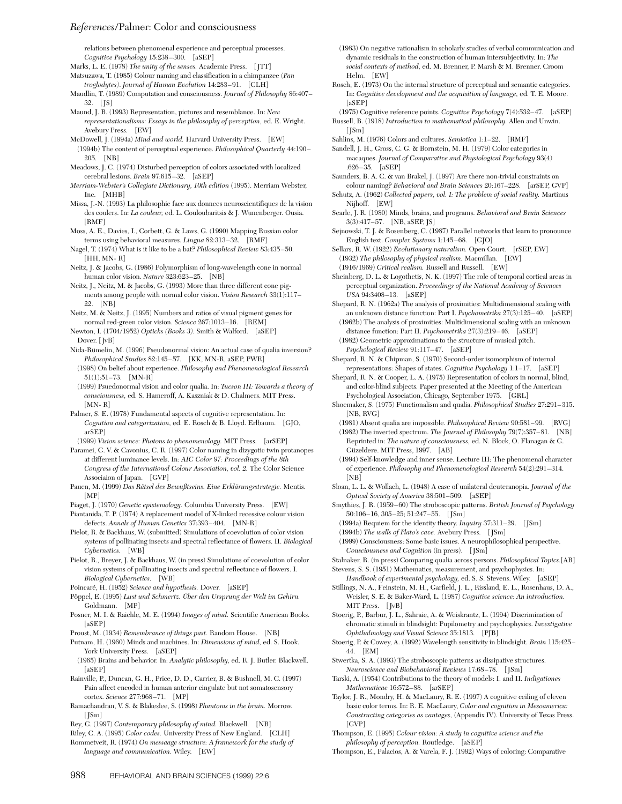## *References/*Palmer: Color and consciousness

relations between phenomenal experience and perceptual processes. *Cognitive Psychology* 15:238–300. [aSEP]

- Marks, L. E. (1978) *The unity of the senses.* Academic Press. [JTT] Matsuzawa, T. (1985) Colour naming and classification in a chimpanzee (*Pan troglodytes)*. *Journal of Human Evolution* 14:283–91. [CLH]
- Maudlin, T. (1989) Computation and consciousness. *Journal of Philosophy* 86:407– 32. [JS]
- Maund, J. B. (1993) Representation, pictures and resemblance. In: *New representationalisms: Essays in the philosophy of perception,* ed. E. Wright. Avebury Press. [EW]
- McDowell, J. (1994a) *Mind and world.* Harvard University Press. [EW] (1994b) The content of perceptual experience. *Philosophical Quarterly* 44:190– 205. [NB]
- Meadows, J. C. (1974) Disturbed perception of colors associated with localized cerebral lesions. *Brain* 97:615–32. [aSEP]
- *Merriam-Webster's Collegiate Dictionary, 10th edition* (1995). Merriam Webster, Inc. [MHB]
- Missa, J.-N. (1993) La philosophie face aux donnees neuroscientifiques de la vision des coulers. In: *La couleur,* ed. L. Couloubaritsis & J. Wunenberger. Ousia. [RMF]
- Moss, A. E., Davies, I., Corbett, G. & Laws, G. (1990) Mapping Russian color terms using behavioral measures. *Lingua* 82:313–32. [RMF]
- Nagel, T. (1974) What is it like to be a bat? *Philosophical Review* 83:435–50. [HH, MN- R]
- Neitz, J. & Jacobs, G. (1986) Polymorphism of long-wavelength cone in normal human color vision. *Nature* 323:623–25. [NB]
- Neitz, J., Neitz, M. & Jacobs, G. (1993) More than three different cone pigments among people with normal color vision. *Vision Research* 33(1):117– 22. [NB]
- Neitz, M. & Neitz, J. (1995) Numbers and ratios of visual pigment genes for normal red-green color vision. *Science* 267:1013–16. [REM]
- Newton, I. (1704/1952) *Opticks (Books 3).* Smith & Walford. [aSEP] Dover. [VB]
- Nida-Rümelin, M. (1996) Pseudonormal vision: An actual case of qualia inversion? *Philosophical Studies* 82:145–57. [KK, MN-R, aSEP, PWR]
- (1998) On belief about experience. *Philosophy and Phenomenological Research* 51(1):51–73. [MN-R]
- (1999) Psuedonormal vision and color qualia. In: *Tucson III: Towards a theory of consciousness,* ed. S. Hameroff, A. Kaszniak & D. Chalmers. MIT Press. [MN- R]
- Palmer, S. E. (1978) Fundamental aspects of cognitive representation. In: *Cognition and categorization,* ed. E. Rosch & B. Lloyd. Erlbaum. [GJO, arSEP]
- (1999) *Vision science: Photons to phenomenology.* MIT Press. [arSEP]
- Paramei, G. V. & Cavonius, C. R. (1997) Color naming in dizygotic twin protanopes at different luminance levels. In: *AIC Color 97: Proceedings of the 8th Congress of the International Colour Association, vol. 2.* The Color Science Associaion of Japan. [GVP]
- Pauen, M. (1999) *Das Rätsel des Bewußtseins. Eine Erklärungsstrategie.* Mentis. [MP]
- Piaget, J. (1970) *Genetic epistemology.* Columbia University Press. [EW]
- Piantanida, T. P. (1974) A replacement model of X-linked recessive colour vision defects. *Annals of Human Genetics* 37:393–404. [MN-R]
- Pielot, R. & Backhaus, W. (submitted) Simulations of coevolution of color vision systems of pollinating insects and spectral reflectance of flowers. II. *Biological Cybernetics.* [WB]
- Pielot, R., Breyer, J. & Backhaus, W. (in press) Simulations of coevolution of color vision systems of pollinating insects and spectral reflectance of flowers. I. *Biological Cybernetics.* [WB]
- Poincaré, H. (1952) *Science and hypothesis.* Dover. [aSEP]
- Pöppel, E. (1995) *Lust und Schmertz. Über den Ursprung der Welt im Gehirn.* Goldmann. [MP]
- Posner, M. I. & Raichle, M. E. (1994) *Images of mind.* Scientific American Books. [aSEP]
- Proust, M. (1934) *Remembrance of things past.* Random House. [NB]
- Putnam, H. (1960) Minds and machines. In: *Dimensions of mind,* ed. S. Hook. York University Press. [aSEP]
- (1965) Brains and behavior. In: *Analytic philosophy,* ed. R. J. Butler. Blackwell. [aSEP]
- Rainville, P., Duncan, G. H., Price, D. D., Carrier, B. & Bushnell, M. C. (1997) Pain affect encoded in human anterior cingulate but not somatosensory cortex. *Science* 277:968–71. [MP]
- Ramachandran, V. S. & Blakeslee, S. (1998) *Phantoms in the brain.* Morrow. [JSm]

Riley, C. A. (1995) *Color codes.* University Press of New England. [CLH]

Rommetveit, R. (1974) *On messaage structure: A framework for the study of language and communication.* Wiley. [EW]

- (1983) On negative rationalism in scholarly studies of verbal communication and dynamic residuals in the construction of human intersubjectivity. In: *The social contexts of method,* ed. M. Brenner, P. Marsh & M. Brenner. Croom Helm. [EW]
- Rosch, E. (1973) On the internal structure of perceptual and semantic categories. In: *Cognitive development and the acquisition of language,* ed. T. E. Moore. [aSEP]
- (1975) Cognitive reference points. *Cognitive Psychology* 7(4):532–47. [aSEP] Russell, B. (1918) *Introduction to mathematical philosophy.* Allen and Unwin. [JSm]
- Sahlins, M. (1976) Colors and cultures. *Semiotica* 1:1–22. [RMF]
- Sandell, J. H., Gross, C. G. & Bornstein, M. H. (1979) Color categories in macaques. *Journal of Comparative and Physiological Psychology* 93(4) :626–35. [aSEP]
- Saunders, B. A. C. & van Brakel, J. (1997) Are there non-trivial constraints on colour naming? *Behavioral and Brain Sciences* 20:167–228. [arSEP, GVP]
- Schutz, A. (1962) *Collected papers, vol. I: The problem of social reality.* Martinus Nijhoff. [EW]
- Searle, J. R. (1980) Minds, brains, and programs. *Behavioral and Brain Sciences* 3(3):417–57. [NB, aSEP, JS]
- Sejnowski, T. J. & Rosenberg, C. (1987) Parallel networks that learn to pronounce English text. *Complex Systems* 1:145–68. [GJO]
- Sellars, R. W. (1922) *Evolutionary naturalism.* Open Court. [rSEP, EW] (1932) *The philosophy of physical realism.* Macmillan. [EW] (1916/1969) *Critical realism.* Russell and Russell. [EW]
- Sheinberg, D. L. & Logothetis, N. K. (1997) The role of temporal cortical areas in perceptual organization. *Proceedings of the National Academy of Sciences USA* 94:3408–13. [aSEP]
- Shepard, R. N. (1962a) The analysis of proximities: Multidimensional scaling with an unknown distance function: Part I. *Psychometrika* 27(3):125–40. [aSEP]
	- (1962b) The analysis of proximities: Multidimensional scaling with an unknown distance function: Part II. *Psychometrika* 27(3):219–46. [aSEP]

(1982) Geometric approximations to the structure of musical pitch. *Psychological Review* 91:117–47. [aSEP]

- Shepard, R. N. & Chipman, S. (1970) Second-order isomorphism of internal representations: Shapes of states. *Cognitive Psychology* 1:1–17. [aSEP]
- Shepard, R. N. & Cooper, L. A. (1975) Representation of colors in normal, blind, and color-blind subjects. Paper presented at the Meeting of the American Psychological Association, Chicago, September 1975. [GRL]
- Shoemaker, S. (1975) Functionalism and qualia. *Philosophical Studies* 27:291–315. [NB, RVG]
	- (1981) Absent qualia are impossible. *Philosophical Review* 90:581–99. [RVG]
	- (1982) The inverted spectrum. *The Journal of Philosophy* 79(7):357–81. [NB] Reprinted in: *The nature of consciousness,* ed. N. Block, O. Flanagan & G. Güzeldere. MIT Press, 1997. [AB]
- (1994) Self-knowledge and inner sense. Lecture III: The phenomenal character of experience. *Philosophy and Phenomenological Research* 54(2):291–314. [NB]
- Sloan, L. L. & Wollach, L. (1948) A case of unilateral deuteranopia. *Journal of the Optical Society of America* 38:501–509. [aSEP]
- Smythies, J. R. (1959–60) The stroboscopic patterns. *British Journal of Psychology* 50:106–16, 305–25; 51:247–55. [JSm]
	- (1994a) Requiem for the identity theory. *Inquiry* 37:311–29. [JSm]

(1994b) *The walls of Plato's cave.* Avebury Press. [JSm]

- (1999) Consciousness: Some basic issues. A neurophilosophical perspective. *Consciousness and Cognition* (in press). [JSm]
- Stalnaker, R. (in press) Comparing qualia across persons. *Philosophical Topics.*[AB] Stevens, S. S. (1951) Mathematics, measurement, and psychophysics. In:
- *Handbook of experimental psychology,* ed. S. S. Stevens. Wiley. [aSEP] Stillings, N. A., Feinstein, M. H., Garfield, J. L., Rissland, E. L., Rosenhaus, D. A.,
- Weisler, S. E. & Baker-Ward, L. (1987) *Cognitive science: An introduction.* MIT Press. [JvB]
- Stoerig, P., Barbur, J. L., Sahraie, A. & Weiskrantz, L. (1994) Discrimination of chromatic stimuli in blindsight: Pupilometry and psychophysics. *Investigative Ophthalmology and Visual Science* 35:1813. [PJB]
- Stoerig, P. & Cowey, A. (1992) Wavelength sensitivity in blindsight. *Brain* 115:425– 44. [EM]
- Stwertka, S. A. (1993) The stroboscopic patterns as dissipative structures. *Neuroscience and Biobehavioral Reviews* 17:68–78. [JSm]
- Tarski, A. (1954) Contributions to the theory of models: I. and II. *Indigationes Mathematicae* 16:572–88. [arSEP]
- Taylor, J. R., Mondry, H. & MacLaury, R. E. (1997) A cognitive ceiling of eleven basic color terms. In: R. E. MacLaury, *Color and cognition in Mesoamerica: Constructing categories as vantages,* (Appendix IV). University of Texas Press. [GVP]

Thompson, E. (1995) *Colour vision: A study in cognitive science and the philosophy of perception.* Routledge. [aSEP]

Thompson, E., Palacios, A. & Varela, F. J. (1992) Ways of coloring: Comparative

Rey, G. (1997) *Contemporary philosophy of mind.* Blackwell. [NB]